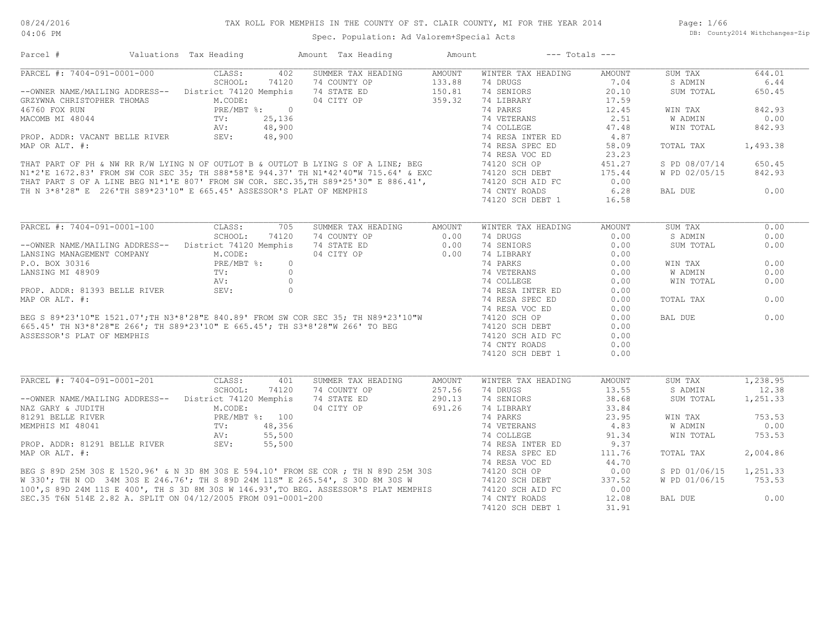Page: 1/66 DB: County2014 Withchanges-Zip

| Parcel #                                                                                                                                                                                                                                | Valuations Tax Heading | Amount Tax Heading                                      | Amount               | $---$ Totals $---$ |               |                |          |
|-----------------------------------------------------------------------------------------------------------------------------------------------------------------------------------------------------------------------------------------|------------------------|---------------------------------------------------------|----------------------|--------------------|---------------|----------------|----------|
| PARCEL #: 7404-091-0001-000                                                                                                                                                                                                             | CLASS:                 | SUMMER TAX HEADING<br>402                               | AMOUNT               | WINTER TAX HEADING | AMOUNT        | SUM TAX        | 644.01   |
|                                                                                                                                                                                                                                         | SCHOOL:<br>74120       | 74 COUNTY OP                                            |                      | 74 DRUGS           | 7.04          | S ADMIN        | 6.44     |
| --OWNER NAME/MAILING ADDRESS-- District 74120 Memphis                                                                                                                                                                                   |                        | 74 STATE ED                                             | $133.88$<br>$150.81$ | 74 SENIORS         | 20.10         | SUM TOTAL      | 650.45   |
| GRZYWNA CHRISTOPHER THOMAS M.CODE:<br>46760 FOX RUN PRE/MBT %: 0<br>MACOMB MI 48044 TV: 25,136<br>PROP. ADDR: VACANT BELLE RIVER SEV: 48,900                                                                                            |                        | 04 CITY OP 359.32                                       |                      | 74 LIBRARY         | 17.59         |                |          |
|                                                                                                                                                                                                                                         |                        |                                                         |                      |                    | 12.45         | WIN TAX        | 842.93   |
|                                                                                                                                                                                                                                         |                        |                                                         |                      |                    | 2.51          | W ADMIN        | 0.00     |
|                                                                                                                                                                                                                                         |                        |                                                         |                      |                    | 47.48         | WIN TOTAL      | 842.93   |
|                                                                                                                                                                                                                                         |                        |                                                         |                      |                    | 4.87          |                |          |
|                                                                                                                                                                                                                                         |                        |                                                         |                      |                    | 58.09         | TOTAL TAX      | 1,493.38 |
|                                                                                                                                                                                                                                         |                        |                                                         |                      |                    | 23.23         |                |          |
|                                                                                                                                                                                                                                         |                        |                                                         |                      |                    |               |                |          |
|                                                                                                                                                                                                                                         |                        |                                                         |                      |                    | 451.27        | S PD 08/07/14  | 650.45   |
|                                                                                                                                                                                                                                         |                        |                                                         |                      |                    | 175.44        | W PD 02/05/15  | 842.93   |
|                                                                                                                                                                                                                                         |                        |                                                         |                      |                    | 0.00          |                |          |
|                                                                                                                                                                                                                                         |                        |                                                         |                      |                    | 6.28          | BAL DUE        | 0.00     |
| GRAIN CHAISING TRIM THE RIVER<br>MACOMB MI 48044 TV: 25,136 74 COLLEGE<br>PROP. ADDR: VACANT BELLE RIVER SEV: 48,900 74 COLLEGE<br>MAP OR ALT. #: 25,136 74 WETERANS<br>MAP OR ALT. #: 25,136 74 WETERANS<br>MAP OR ALT. #: 25,136 74 R |                        |                                                         |                      |                    | 16.58         |                |          |
|                                                                                                                                                                                                                                         |                        |                                                         |                      |                    |               |                |          |
| PARCEL #: 7404-091-0001-100                                                                                                                                                                                                             | CLASS:                 | 705<br>SUMMER TAX HEADING AMOUNT                        |                      | WINTER TAX HEADING | AMOUNT        | SUM TAX        | 0.00     |
|                                                                                                                                                                                                                                         | SCHOOL:<br>74120       | 74 COUNTY OP                                            | 0.00                 | 74 DRUGS           | 0.00          | S ADMIN        | 0.00     |
| --OWNER NAME/MAILING ADDRESS-- District 74120 Memphis                                                                                                                                                                                   |                        | 74 STATE ED                                             | 0.00                 | 74 SENIORS         | 0.00          | SUM TOTAL      | 0.00     |
|                                                                                                                                                                                                                                         |                        | 04 CITY OP 0.00                                         |                      | 74 LIBRARY         | 0.00          |                |          |
|                                                                                                                                                                                                                                         |                        |                                                         |                      | 74 PARKS           | 0.00          | WIN TAX        | 0.00     |
|                                                                                                                                                                                                                                         |                        |                                                         |                      | 74 VETERANS        | 0.00          | <b>W ADMIN</b> | 0.00     |
|                                                                                                                                                                                                                                         |                        |                                                         |                      | 74 COLLEGE         | 0.00          | WIN TOTAL      | 0.00     |
|                                                                                                                                                                                                                                         |                        |                                                         |                      | 74 RESA INTER ED   | 0.00          |                |          |
|                                                                                                                                                                                                                                         |                        |                                                         |                      | 74 RESA SPEC ED    | 0.00          | TOTAL TAX      | 0.00     |
|                                                                                                                                                                                                                                         |                        |                                                         |                      |                    |               |                |          |
|                                                                                                                                                                                                                                         |                        |                                                         |                      | 74 RESA VOC ED     | 0.00          | BAL DUE        | 0.00     |
|                                                                                                                                                                                                                                         |                        |                                                         |                      | 74120 SCH OP       | 0.00          |                |          |
|                                                                                                                                                                                                                                         |                        |                                                         |                      | 74120 SCH DEBT     | 0.00          |                |          |
|                                                                                                                                                                                                                                         |                        |                                                         |                      | 74120 SCH AID FC   | 0.00          |                |          |
|                                                                                                                                                                                                                                         |                        |                                                         |                      | 74 CNTY ROADS      | 0.00          |                |          |
|                                                                                                                                                                                                                                         |                        |                                                         |                      | 74120 SCH DEBT 1   | 0.00          |                |          |
|                                                                                                                                                                                                                                         |                        |                                                         |                      |                    |               |                |          |
| PARCEL #: 7404-091-0001-201                                                                                                                                                                                                             | CLASS:                 | 401<br>SUMMER TAX HEADING                               | AMOUNT               | WINTER TAX HEADING | <b>AMOUNT</b> | SUM TAX        | 1,238.95 |
|                                                                                                                                                                                                                                         | SCHOOL:<br>74120       |                                                         |                      | 74 DRUGS           | 13.55         | S ADMIN        | 12.38    |
| --OWNER NAME/MAILING ADDRESS-- District 74120 Memphis                                                                                                                                                                                   |                        | 74 STATE ED                                             |                      | 74 SENIORS         | 38.68         | SUM TOTAL      | 1,251.33 |
| MENE CARY & JUDITH M.CODE:<br>81291 BELLE RIVER PRE/MBT %: 100<br>MEMPHIS MI 48041 TV: 48,356<br>PROP. ADDR: 81291 BELLE RIVER SEV: 55,500<br>PROP. ADDR: 81291 BELLE RIVER SEV: 55,500                                                 |                        | 74 COUNTY OP<br>74 STATE ED 290.13<br>04 CITY OP 691.26 |                      | 74 LIBRARY         | 33.84         |                |          |
|                                                                                                                                                                                                                                         |                        |                                                         |                      | 74 PARKS           | 23.95         | WIN TAX        | 753.53   |
|                                                                                                                                                                                                                                         |                        |                                                         |                      | 74 VETERANS        | 4.83          | W ADMIN        | 0.00     |
|                                                                                                                                                                                                                                         |                        |                                                         |                      | 74 COLLEGE         | 91.34         | WIN TOTAL      | 753.53   |
|                                                                                                                                                                                                                                         |                        |                                                         |                      | 74 RESA INTER ED   | 9.37          |                |          |
|                                                                                                                                                                                                                                         |                        |                                                         |                      |                    | 111.76        | TOTAL TAX      | 2,004.86 |
|                                                                                                                                                                                                                                         |                        |                                                         |                      |                    | 44.70         |                |          |
|                                                                                                                                                                                                                                         |                        |                                                         |                      |                    | 0.00          | S PD 01/06/15  | 1,251.33 |
|                                                                                                                                                                                                                                         |                        |                                                         |                      |                    |               |                |          |
| PROP. ADDR: 81291 BELLE RIVER SEV: 55,500 (4 KESA INIEN DJ<br>MAP OR ALT. #: 74 RESA SPEC ED<br>BEG S 89D 25M 30S E 1520.96' & N 3D 8M 30S E 594.10' FROM SE COR ; TH N 89D 25M 30S 74120 SCH OP<br>W 330'; TH N OD 34M 30S E 246.76    |                        |                                                         |                      |                    | 337.52        | W PD 01/06/15  | 753.53   |
|                                                                                                                                                                                                                                         |                        |                                                         |                      |                    | 0.00          |                |          |
| SEC.35 T6N 514E 2.82 A. SPLIT ON 04/12/2005 FROM 091-0001-200                                                                                                                                                                           |                        |                                                         |                      | 74 CNTY ROADS      | 12.08         | BAL DUE        | 0.00     |
|                                                                                                                                                                                                                                         |                        |                                                         |                      | 74120 SCH DEBT 1   | 31.91         |                |          |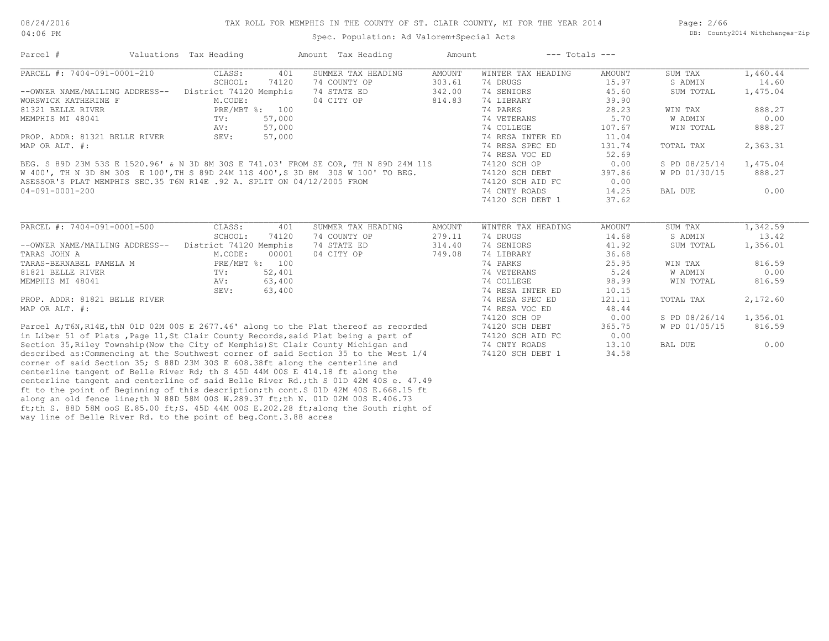04:06 PM

#### Spec. Population: Ad Valorem+Special Acts

Page: 2/66 DB: County2014 Withchanges-Zip

| Parcel #                                                                                                                                                              | Valuations Tax Heading    |              | Amount Tax Heading                 | Amount                  | $---$ Totals $---$             |                |               |                   |
|-----------------------------------------------------------------------------------------------------------------------------------------------------------------------|---------------------------|--------------|------------------------------------|-------------------------|--------------------------------|----------------|---------------|-------------------|
| PARCEL #: 7404-091-0001-210                                                                                                                                           | CLASS:                    | 401          | SUMMER TAX HEADING                 | <b>AMOUNT</b>           | WINTER TAX HEADING             | AMOUNT         | SUM TAX       | 1,460.44          |
|                                                                                                                                                                       | SCHOOL:                   | 74120        | 74 COUNTY OP                       | 303.61                  | 74 DRUGS                       | 15.97          | S ADMIN       | 14.60             |
| --OWNER NAME/MAILING ADDRESS--                                                                                                                                        | District 74120 Memphis    |              | 74 STATE ED                        | 342.00                  | 74 SENIORS                     | 45.60          | SUM TOTAL     | 1,475.04          |
| WORSWICK KATHERINE F                                                                                                                                                  | M.CODE:                   |              | 04 CITY OP                         | 814.83                  | 74 LIBRARY                     | 39.90          |               |                   |
| 81321 BELLE RIVER                                                                                                                                                     | PRE/MBT %: 100            |              |                                    |                         | 74 PARKS                       | 28.23          | WIN TAX       | 888.27            |
| MEMPHIS MI 48041                                                                                                                                                      | TV:                       | 57,000       |                                    |                         | 74 VETERANS                    | 5.70           | W ADMIN       | 0.00              |
|                                                                                                                                                                       | AV:                       | 57,000       |                                    |                         | 74 COLLEGE                     | 107.67         | WIN TOTAL     | 888.27            |
| PROP. ADDR: 81321 BELLE RIVER                                                                                                                                         | SEV:                      | 57,000       |                                    |                         | 74 RESA INTER ED               | 11.04          |               |                   |
| MAP OR ALT. #:                                                                                                                                                        |                           |              |                                    |                         | 74 RESA SPEC ED                | 131.74         | TOTAL TAX     | 2,363.31          |
|                                                                                                                                                                       |                           |              |                                    |                         | 74 RESA VOC ED                 | 52.69          |               |                   |
| BEG. S 89D 23M 53S E 1520.96' & N 3D 8M 30S E 741.03' FROM SE COR, TH N 89D 24M 11S                                                                                   |                           |              |                                    |                         | 74120 SCH OP                   | 0.00           | S PD 08/25/14 | 1,475.04          |
| W 400', TH N 3D 8M 30S E 100', TH S 89D 24M 11S 400', S 3D 8M 30S W 100' TO BEG.                                                                                      |                           |              |                                    |                         | 74120 SCH DEBT                 | 397.86         | W PD 01/30/15 | 888.27            |
| ASESSOR'S PLAT MEMPHIS SEC.35 T6N R14E .92 A. SPLIT ON 04/12/2005 FROM                                                                                                |                           |              |                                    |                         | 74120 SCH AID FC               | 0.00           |               |                   |
| $04 - 091 - 0001 - 200$                                                                                                                                               |                           |              |                                    |                         | 74 CNTY ROADS                  | 14.25          | BAL DUE       | 0.00              |
|                                                                                                                                                                       |                           |              |                                    |                         | 74120 SCH DEBT 1               | 37.62          |               |                   |
| PARCEL #: 7404-091-0001-500                                                                                                                                           | CLASS:<br>SCHOOL:         | 401<br>74120 | SUMMER TAX HEADING<br>74 COUNTY OP | <b>AMOUNT</b><br>279.11 | WINTER TAX HEADING<br>74 DRUGS | AMOUNT         | SUM TAX       | 1,342.59<br>13.42 |
|                                                                                                                                                                       |                           |              |                                    |                         |                                | 14.68          | S ADMIN       |                   |
| --OWNER NAME/MAILING ADDRESS--                                                                                                                                        | District 74120 Memphis    | 00001        | 74 STATE ED                        | 314.40                  | 74 SENIORS                     | 41.92<br>36.68 | SUM TOTAL     | 1,356.01          |
| TARAS JOHN A<br>TARAS-BERNABEL PAMELA M                                                                                                                               | M.CODE:<br>PRE/MBT %: 100 |              | 04 CITY OP                         | 749.08                  | 74 LIBRARY<br>74 PARKS         |                | WIN TAX       | 816.59            |
| 81821 BELLE RIVER                                                                                                                                                     | $\text{TV}$ :             | 52,401       |                                    |                         | 74 VETERANS                    | 25.95<br>5.24  | W ADMIN       | 0.00              |
|                                                                                                                                                                       |                           | 63,400       |                                    |                         | 74 COLLEGE                     | 98.99          | WIN TOTAL     | 816.59            |
| MEMPHIS MI 48041                                                                                                                                                      | AV:<br>SEV:               | 63,400       |                                    |                         | 74 RESA INTER ED               | 10.15          |               |                   |
| PROP. ADDR: 81821 BELLE RIVER                                                                                                                                         |                           |              |                                    |                         | 74 RESA SPEC ED                | 121.11         | TOTAL TAX     | 2,172.60          |
| MAP OR ALT. #:                                                                                                                                                        |                           |              |                                    |                         | 74 RESA VOC ED                 | 48.44          |               |                   |
|                                                                                                                                                                       |                           |              |                                    |                         | 74120 SCH OP                   | 0.00           | S PD 08/26/14 | 1,356.01          |
| Parcel A; T6N, R14E, thN 01D 02M 00S E 2677.46' along to the Plat thereof as recorded                                                                                 |                           |              |                                    |                         | 74120 SCH DEBT                 | 365.75         | W PD 01/05/15 | 816.59            |
| in Liber 51 of Plats, Page 11, St Clair County Records, said Plat being a part of                                                                                     |                           |              |                                    |                         | 74120 SCH AID FC               | 0.00           |               |                   |
| Section 35, Riley Township (Now the City of Memphis) St Clair County Michigan and                                                                                     |                           |              |                                    |                         | 74 CNTY ROADS                  | 13.10          | BAL DUE       | 0.00              |
|                                                                                                                                                                       |                           |              |                                    |                         |                                |                |               |                   |
| described as: Commencing at the Southwest corner of said Section 35 to the West $1/4$<br>corner of said Section 35; S 88D 23M 30S E 608.38ft along the centerline and |                           |              |                                    |                         | 74120 SCH DEBT 1               | 34.58          |               |                   |
| المعارض والمتعاون والمتواطن والمتعاونات والمتعاونة والمتحدث والمتحدث والمتحدث والمتحدث والمتحدث والمتحدث                                                              |                           |              |                                    |                         |                                |                |               |                   |

way line of Belle River Rd. to the point of beg.Cont.3.88 acres ft;th S. 88D 58M ooS E.85.00 ft;S. 45D 44M 00S E.202.28 ft;along the South right of along an old fence line;th N 88D 58M 00S W.289.37 ft;th N. 01D 02M 00S E.406.73 ft to the point of Beginning of this description;th cont.S 01D 42M 40S E.668.15 ft centerline tangent and centerline of said Belle River Rd.;th S 01D 42M 40S e. 47.49 centerline tangent of Belle River Rd; th S 45D 44M 00S E 414.18 ft along the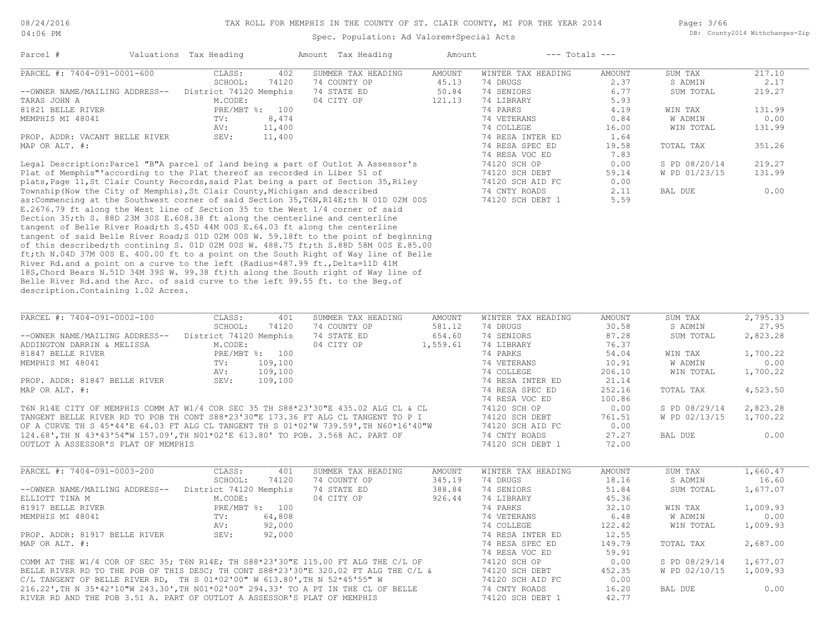| 04:00 PM                                                                               |                        |         | Spec. Population: Ad Valorem+Special Acts |               |                    |               |               | DD. COUNTYZUIE WILHCHANGES-AIL |
|----------------------------------------------------------------------------------------|------------------------|---------|-------------------------------------------|---------------|--------------------|---------------|---------------|--------------------------------|
| Parcel #                                                                               | Valuations Tax Heading |         | Amount Tax Heading                        | Amount        | $---$ Totals $---$ |               |               |                                |
| PARCEL #: 7404-091-0001-600                                                            | CLASS:                 | 402     | SUMMER TAX HEADING                        | <b>AMOUNT</b> | WINTER TAX HEADING | <b>AMOUNT</b> | SUM TAX       | 217.10                         |
|                                                                                        | SCHOOL:                | 74120   | 74 COUNTY OP                              | 45.13         | 74 DRUGS           | 2.37          | S ADMIN       | 2.17                           |
| --OWNER NAME/MAILING ADDRESS--                                                         | District 74120 Memphis |         | 74 STATE ED                               | 50.84         | 74 SENIORS         | 6.77          | SUM TOTAL     | 219.27                         |
| TARAS JOHN A                                                                           | M.CODE:                |         | 04 CITY OP                                | 121.13        | 74 LIBRARY         | 5.93          |               |                                |
| 81821 BELLE RIVER                                                                      | PRE/MBT %: 100         |         |                                           |               | 74 PARKS           | 4.19          | WIN TAX       | 131.99                         |
| MEMPHIS MI 48041                                                                       | TV:                    | 8,474   |                                           |               | 74 VETERANS        | 0.84          | W ADMIN       | 0.00                           |
|                                                                                        | AV:                    | 11,400  |                                           |               | 74 COLLEGE         | 16.00         | WIN TOTAL     | 131.99                         |
| PROP. ADDR: VACANT BELLE RIVER                                                         | SEV:                   | 11,400  |                                           |               | 74 RESA INTER ED   | 1.64          |               |                                |
| MAP OR ALT. #:                                                                         |                        |         |                                           |               | 74 RESA SPEC ED    | 19.58         | TOTAL TAX     | 351.26                         |
|                                                                                        |                        |         |                                           |               | 74 RESA VOC ED     | 7.83          |               |                                |
| Legal Description: Parcel "B"A parcel of land being a part of Outlot A Assessor's      |                        |         |                                           |               | 74120 SCH OP       | 0.00          | S PD 08/20/14 | 219.27                         |
| Plat of Memphis" according to the Plat thereof as recorded in Liber 51 of              |                        |         |                                           |               | 74120 SCH DEBT     | 59.14         | W PD 01/23/15 | 131.99                         |
| plats, Page 11, St Clair County Records, said Plat being a part of Section 35, Riley   |                        |         |                                           |               | 74120 SCH AID FC   | 0.00          |               |                                |
|                                                                                        |                        |         |                                           |               | 74 CNTY ROADS      | 2.11          | BAL DUE       | 0.00                           |
| Township (Now the City of Memphis), St Clair County, Michigan and described            |                        |         |                                           |               |                    |               |               |                                |
| as: Commencing at the Southwest corner of said Section 35, T6N, R14E; th N 01D 02M 00S |                        |         |                                           |               | 74120 SCH DEBT 1   | 5.59          |               |                                |
| E.2676.79 ft along the West line of Section 35 to the West 1/4 corner of said          |                        |         |                                           |               |                    |               |               |                                |
| Section 35;th S. 88D 23M 30S E.608.38 ft along the centerline and centerline           |                        |         |                                           |               |                    |               |               |                                |
| tangent of Belle River Road; th S.45D 44M 00S E.64.03 ft along the centerline          |                        |         |                                           |               |                    |               |               |                                |
| tangent of said Belle River Road; S 01D 02M 00S W. 59.18ft to the point of beginning   |                        |         |                                           |               |                    |               |               |                                |
| of this described; th contining S. 01D 02M 00S W. 488.75 ft; th S.88D 58M 00S E.85.00  |                        |         |                                           |               |                    |               |               |                                |
| ft;th N.04D 37M 00S E. 400.00 ft to a point on the South Right of Way line of Belle    |                        |         |                                           |               |                    |               |               |                                |
| River Rd.and a point on a curve to the left (Radius=487.99 ft., Delta=11D 41M          |                        |         |                                           |               |                    |               |               |                                |
| 18S, Chord Bears N.51D 34M 39S W. 99.38 ft) th along the South right of Way line of    |                        |         |                                           |               |                    |               |               |                                |
| Belle River Rd.and the Arc. of said curve to the left 99.55 ft. to the Beq.of          |                        |         |                                           |               |                    |               |               |                                |
| description. Containing 1.02 Acres.                                                    |                        |         |                                           |               |                    |               |               |                                |
|                                                                                        |                        |         |                                           |               |                    |               |               |                                |
| PARCEL #: 7404-091-0002-100                                                            | CLASS:                 | 401     | SUMMER TAX HEADING                        | <b>AMOUNT</b> | WINTER TAX HEADING | <b>AMOUNT</b> |               | 2,795.33                       |
|                                                                                        |                        |         |                                           |               |                    |               | SUM TAX       |                                |
|                                                                                        | SCHOOL:                | 74120   | 74 COUNTY OP                              | 581.12        | 74 DRUGS           | 30.58         | S ADMIN       | 27.95                          |
| --OWNER NAME/MAILING ADDRESS--                                                         | District 74120 Memphis |         | 74 STATE ED                               | 654.60        | 74 SENIORS         | 87.28         | SUM TOTAL     | 2,823.28                       |
| ADDINGTON DARRIN & MELISSA                                                             | M.CODE:                |         | 04 CITY OP                                | 1,559.61      | 74 LIBRARY         | 76.37         |               |                                |
| 81847 BELLE RIVER                                                                      | PRE/MBT %: 100         |         |                                           |               | 74 PARKS           | 54.04         | WIN TAX       | 1,700.22                       |
| MEMPHIS MI 48041                                                                       | TV:                    | 109,100 |                                           |               | 74 VETERANS        | 10.91         | W ADMIN       | 0.00                           |
|                                                                                        | AV:                    | 109,100 |                                           |               | 74 COLLEGE         | 206.10        | WIN TOTAL     | 1,700.22                       |
| PROP. ADDR: 81847 BELLE RIVER                                                          | SEV:                   | 109,100 |                                           |               | 74 RESA INTER ED   | 21.14         |               |                                |
| MAP OR ALT. #:                                                                         |                        |         |                                           |               | 74 RESA SPEC ED    | 252.16        | TOTAL TAX     | 4,523.50                       |
|                                                                                        |                        |         |                                           |               | 74 RESA VOC ED     | 100.86        |               |                                |
| T6N R14E CITY OF MEMPHIS COMM AT W1/4 COR SEC 35 TH S88*23'30"E 435.02 ALG CL & CL     |                        |         |                                           |               | 74120 SCH OP       | 0.00          | S PD 08/29/14 | 2,823.28                       |
| TANGENT BELLE RIVER RD TO POB TH CONT S88*23'30"E 173.36 FT ALG CL TANGENT TO P I      |                        |         |                                           |               | 74120 SCH DEBT     | 761.51        | W PD 02/13/15 | 1,700.22                       |
| OF A CURVE TH S 45*44'E 64.03 FT ALG CL TANGENT TH S 01*02'W 739.59', TH N60*16'40"W   |                        |         |                                           |               | 74120 SCH AID FC   | 0.00          |               |                                |
| 124.68', TH N 43*43'54"W 157.09', TH NO1*02'E 613.80' TO POB. 3.568 AC. PART OF        |                        |         |                                           |               | 74 CNTY ROADS      | 27.27         | BAL DUE       | 0.00                           |
| OUTLOT A ASSESSOR'S PLAT OF MEMPHIS                                                    |                        |         |                                           |               | 74120 SCH DEBT 1   | 72.00         |               |                                |
|                                                                                        |                        |         |                                           |               |                    |               |               |                                |
|                                                                                        |                        |         |                                           |               |                    |               |               |                                |
| PARCEL #: 7404-091-0003-200                                                            | CLASS:                 | 401     | SUMMER TAX HEADING                        | <b>AMOUNT</b> | WINTER TAX HEADING | <b>AMOUNT</b> | SUM TAX       | 1,660.47                       |
|                                                                                        | SCHOOL:                | 74120   | 74 COUNTY OP                              | 345.19        | 74 DRUGS           | 18.16         | S ADMIN       | 16.60                          |
| --OWNER NAME/MAILING ADDRESS--                                                         | District 74120 Memphis |         | 74 STATE ED                               | 388.84        | 74 SENIORS         | 51.84         | SUM TOTAL     | 1,677.07                       |
| ELLIOTT TINA M                                                                         | M.CODE:                |         | 04 CITY OP                                | 926.44        | 74 LIBRARY         | 45.36         |               |                                |
| 81917 BELLE RIVER                                                                      | PRE/MBT %: 100         |         |                                           |               | 74 PARKS           | 32.10         | WIN TAX       | 1,009.93                       |
| MEMPHIS MI 48041                                                                       | TV:                    | 64,808  |                                           |               | 74 VETERANS        | 6.48          | W ADMIN       | 0.00                           |
|                                                                                        | AV:                    | 92,000  |                                           |               | 74 COLLEGE         | 122.42        | WIN TOTAL     | 1,009.93                       |
| PROP. ADDR: 81917 BELLE RIVER                                                          | SEV:                   |         |                                           |               |                    | 12.55         |               |                                |
|                                                                                        |                        | 92,000  |                                           |               | 74 RESA INTER ED   |               |               |                                |
| MAP OR ALT. #:                                                                         |                        |         |                                           |               | 74 RESA SPEC ED    | 149.79        | TOTAL TAX     | 2,687.00                       |
|                                                                                        |                        |         |                                           |               | 74 RESA VOC ED     | 59.91         |               |                                |

RIVER RD AND THE POB 3.51 A. PART OF OUTLOT A ASSESSOR'S PLAT OF MEMPHIS 74120 SCH DEBT 1 42.77 216.22',TH N 35\*42'10"W 243.30',TH N01\*02'00" 294.33' TO A PT IN THE CL OF BELLE 74 CNTY ROADS 16.20 BAL DUE 0.00 C/L TANGENT OF BELLE RIVER RD, TH S 01\*02'00" W 613.80',TH N 52\*45'55" W 74120 SCH AID FC 0.00 BELLE RIVER RD TO THE POB OF THIS DESC; TH CONT S88\*23'30"E 320.02 FT ALG THE C/L & 74120 SCH DEBT 452.35 W PD 02/10/15 1,009.93 COMM AT THE W1/4 COR OF SEC 35; T6N R14E; TH S88\*23'30"E 115.00 FT ALG THE C/L OF 74120 SCH OP 0.00 S PD 08/29/14 1,677.07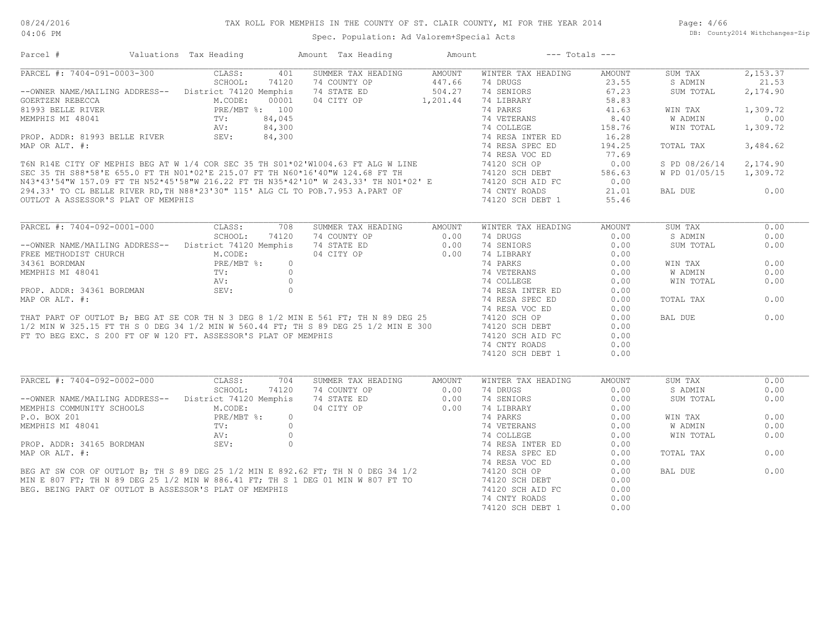Page: 4/66 DB: County2014 Withchanges-Zip

|                                                                 | Valuations Tax Heading |         | Amount Tax Heading                                                                                                                                                                                                                           | Amount         | $---$ Totals $---$ |                                             |               |          |
|-----------------------------------------------------------------|------------------------|---------|----------------------------------------------------------------------------------------------------------------------------------------------------------------------------------------------------------------------------------------------|----------------|--------------------|---------------------------------------------|---------------|----------|
| PARCEL #: 7404-091-0003-300                                     | CLASS:                 | 401     | SUMMER TAX HEADING                                                                                                                                                                                                                           | AMOUNT         | WINTER TAX HEADING | <b>AMOUNT</b>                               | SUM TAX       | 2,153.37 |
|                                                                 | SCHOOL:                | 74120   | 74 COUNTY OP                                                                                                                                                                                                                                 | 447.66         | 74 DRUGS           | 23.55                                       | S ADMIN       | 21.53    |
| -- OWNER NAME/MAILING ADDRESS-- District 74120 Memphis          |                        |         | 74 STATE ED                                                                                                                                                                                                                                  | 504.27         | 74 SENIORS         | 67.23                                       | SUM TOTAL     | 2,174.90 |
| GOERTZEN REBECCA                                                | M.CODE:                | 00001   | 04 CITY OP 1,201.44                                                                                                                                                                                                                          |                | 74 LIBRARY         | 58.83                                       |               |          |
| 81993 BELLE RIVER                                               | PRE/MBT %: 100         |         |                                                                                                                                                                                                                                              |                | 74 PARKS           | 41.63                                       | WIN TAX       | 1,309.72 |
| MEMPHIS MI 48041                                                | TV:                    | 84,045  |                                                                                                                                                                                                                                              |                | 74 VETERANS        | 8.40                                        | W ADMIN       | 0.00     |
|                                                                 | AV:<br>SEV:            | 84,300  |                                                                                                                                                                                                                                              |                | 74 COLLEGE         | 158.76                                      | WIN TOTAL     | 1,309.72 |
| PROP. ADDR: 81993 BELLE RIVER                                   |                        | 84,300  |                                                                                                                                                                                                                                              |                | 74 RESA INTER ED   | 16.28                                       |               |          |
| MAP OR ALT. #:                                                  |                        |         |                                                                                                                                                                                                                                              |                | 74 RESA SPEC ED    | 194.25                                      | TOTAL TAX     | 3,484.62 |
|                                                                 |                        |         | 74 RESA VOC ED 76N R14E CITY OF MEPHIS BEG AT W 1/4 COR SEC 35 TH S01*02'W1004.63 FT ALG W LINE 74120 SCH OP SEC 35 TH S88*58'E 655.0 FT TH N01*02'E 215.07 FT TH N60*16'40"W 124.68 FT TH N01*02'E 74120 SCH OP N43*43'54"W 1               |                | 74 RESA VOC ED     | 77.69                                       |               |          |
|                                                                 |                        |         |                                                                                                                                                                                                                                              |                |                    | 0.00                                        | S PD 08/26/14 | 2,174.90 |
|                                                                 |                        |         |                                                                                                                                                                                                                                              |                | 74120 SCH DEBT     | 586.63                                      | W PD 01/05/15 | 1,309.72 |
|                                                                 |                        |         |                                                                                                                                                                                                                                              |                |                    | 0.00                                        |               |          |
|                                                                 |                        |         |                                                                                                                                                                                                                                              |                |                    | 21.01                                       | BAL DUE       | 0.00     |
|                                                                 |                        |         |                                                                                                                                                                                                                                              |                |                    | 55.46                                       |               |          |
|                                                                 |                        |         |                                                                                                                                                                                                                                              |                |                    |                                             |               |          |
| PARCEL #: 7404-092-0001-000                                     | CLASS:                 | 708     | SUMMER TAX HEADING                                                                                                                                                                                                                           | AMOUNT         | WINTER TAX HEADING | AMOUNT                                      | SUM TAX       | 0.00     |
|                                                                 | SCHOOL:                | 74120   | 74 COUNTY OP                                                                                                                                                                                                                                 | 0.00           | 74 DRUGS           | 0.00                                        | S ADMIN       | 0.00     |
| -- OWNER NAME/MAILING ADDRESS-- District 74120 Memphis          |                        |         | 74 STATE ED                                                                                                                                                                                                                                  | 0.00           | 74 SENIORS         | 0.00                                        | SUM TOTAL     | 0.00     |
|                                                                 |                        |         | --OWNER NAME/MAILING ADDRESS--<br>FREE METHODIST CHURCH M.CODE: 04 CITY OP 0.00<br>34361 BORDMAN PRE/MBT %: 0<br>MEMPHIS MI 48041 TV: 0<br>PROP. ADDR: 34361 BORDMAN SEV: 0<br>PROP. ADDR: 34361 BORDMAN SEV: 0<br>MAP OR ALT. #:<br>THAT PA |                | 74 LIBRARY         | 0.00                                        |               |          |
|                                                                 |                        |         |                                                                                                                                                                                                                                              |                | 74 PARKS           | 0.00                                        | WIN TAX       | 0.00     |
|                                                                 |                        |         |                                                                                                                                                                                                                                              |                | 74 VETERANS        | $\begin{array}{c} 0.00 \\ 0.00 \end{array}$ | W ADMIN       | 0.00     |
|                                                                 |                        |         |                                                                                                                                                                                                                                              |                | 74 COLLEGE         | 0.00                                        | WIN TOTAL     | 0.00     |
|                                                                 |                        |         |                                                                                                                                                                                                                                              |                | 74 RESA INTER ED   | 0.00                                        |               |          |
|                                                                 |                        |         |                                                                                                                                                                                                                                              |                | 74 RESA SPEC ED    | 0.00                                        | TOTAL TAX     | 0.00     |
|                                                                 |                        |         |                                                                                                                                                                                                                                              |                | 74 RESA VOC ED     | 0.00                                        |               |          |
|                                                                 |                        |         |                                                                                                                                                                                                                                              |                | 74120 SCH OP       | 0.00                                        | BAL DUE       | 0.00     |
|                                                                 |                        |         |                                                                                                                                                                                                                                              |                |                    | 0.00                                        |               |          |
|                                                                 |                        |         |                                                                                                                                                                                                                                              |                | 74120 SCH DEBT     |                                             |               |          |
|                                                                 |                        |         |                                                                                                                                                                                                                                              |                | 74120 SCH AID FC   | 0.00                                        |               |          |
| FT TO BEG EXC. S 200 FT OF W 120 FT. ASSESSOR'S PLAT OF MEMPHIS |                        |         |                                                                                                                                                                                                                                              |                |                    |                                             |               |          |
|                                                                 |                        |         |                                                                                                                                                                                                                                              |                | 74 CNTY ROADS      | 0.00                                        |               |          |
|                                                                 |                        |         |                                                                                                                                                                                                                                              |                | 74120 SCH DEBT 1   | 0.00                                        |               |          |
|                                                                 |                        |         |                                                                                                                                                                                                                                              |                |                    |                                             |               |          |
| PARCEL #: 7404-092-0002-000                                     | CLASS:                 | 704     | SUMMER TAX HEADING                                                                                                                                                                                                                           | AMOUNT         | WINTER TAX HEADING | AMOUNT                                      | SUM TAX       | 0.00     |
|                                                                 | SCHOOL:                | 74120   | 74 COUNTY OP                                                                                                                                                                                                                                 | 0.00           | 74 DRUGS           | 0.00                                        | S ADMIN       | 0.00     |
| -- OWNER NAME/MAILING ADDRESS-- District 74120 Memphis          |                        |         | 74 STATE ED                                                                                                                                                                                                                                  | 0.00           | 74 SENIORS         | 0.00                                        | SUM TOTAL     | 0.00     |
|                                                                 | M.CODE:                |         | 04 CITY OP                                                                                                                                                                                                                                   | $0.00$<br>0.00 | 74 LIBRARY         | 0.00                                        |               |          |
| P.O. BOX 201                                                    | $PRE/MBT$ %:           | $\circ$ |                                                                                                                                                                                                                                              |                | 74 PARKS           | 0.00                                        | WIN TAX       | 0.00     |
|                                                                 |                        |         |                                                                                                                                                                                                                                              |                | 74 VETERANS        | 0.00                                        | W ADMIN       | 0.00     |
|                                                                 |                        |         |                                                                                                                                                                                                                                              |                | 74 COLLEGE         | 0.00                                        | WIN TOTAL     | 0.00     |
|                                                                 |                        |         |                                                                                                                                                                                                                                              |                | 74 RESA INTER ED   | 0.00                                        |               |          |
|                                                                 |                        |         |                                                                                                                                                                                                                                              |                | 74 RESA SPEC ED    | 0.00                                        | TOTAL TAX     | 0.00     |
| MEMPHIS COMMUNITY SCHOOLS                                       |                        |         |                                                                                                                                                                                                                                              |                | 74 RESA VOC ED     | 0.00                                        |               |          |
|                                                                 |                        |         |                                                                                                                                                                                                                                              |                | 74120 SCH OP       | 0.00                                        | BAL DUE       | 0.00     |
|                                                                 |                        |         |                                                                                                                                                                                                                                              |                | 74120 SCH DEBT     | 0.00                                        |               |          |
|                                                                 |                        |         |                                                                                                                                                                                                                                              |                | 74120 SCH AID FC   | 0.00                                        |               |          |
|                                                                 |                        |         | P.O. BOX 201<br>MEMPHIS MI 48041<br>PROP. ADDR: 34165 BORDMAN<br>MAP OR ALT. #:<br>BEG AT SW COR OF OUTLOT B; TH S 89 DEG 25 1/2 MIN E 892.62 FT; TH N 0 DEG 34 1/2<br>MIN E 807 FT; TH N 89 DEG 25 1/2 MIN W 886.41 FT; TH S 1 DEG 01 M     |                | 74 CNTY ROADS      | 0.00                                        |               |          |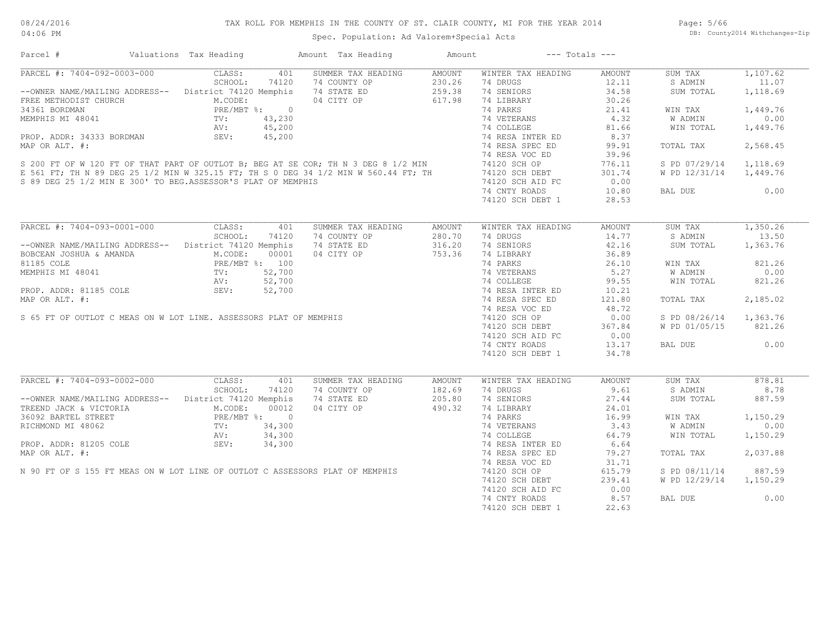Page: 5/66 DB: County2014 Withchanges-Zip

| Parcel #                                                                                                                                                                                                                                               | Valuations Tax Heading                                                                                                                                                                                                                                                                   | Amount Tax Heading | Amount           | $---$ Totals $---$ |                 |                        |          |
|--------------------------------------------------------------------------------------------------------------------------------------------------------------------------------------------------------------------------------------------------------|------------------------------------------------------------------------------------------------------------------------------------------------------------------------------------------------------------------------------------------------------------------------------------------|--------------------|------------------|--------------------|-----------------|------------------------|----------|
| PARCEL #: 7404-092-0003-000                                                                                                                                                                                                                            | CLASS:<br>401                                                                                                                                                                                                                                                                            | SUMMER TAX HEADING | AMOUNT           | WINTER TAX HEADING | AMOUNT          | SUM TAX                | 1,107.62 |
|                                                                                                                                                                                                                                                        | SCHOOL:<br>74120                                                                                                                                                                                                                                                                         | 74 COUNTY OP       | 230.26           | 74 DRUGS           | 12.11           | S ADMIN                | 11.07    |
| --OWNER NAME/MAILING ADDRESS-- District 74120 Memphis                                                                                                                                                                                                  | $\begin{tabular}{lllllllllll} $\times$ & $ \text{ADDRESS}--$ & $\;\;\;\;\; \text{L}} \smallskip & $\;\;\;\;\; \text{N.CODE:} $ & $0$ \\ \text{RCE} & $\text{PRE/MBT 8}:$ & $0$ \\ & $\text{TV}:$ & $43,230$ \\ & $\text{AV}:$ & $45,200$ \\ & $\text{CPV}:$ & $45,200$ \\ \end{tabular}$ | 74 STATE ED        | 259.38           | 74 SENIORS         | 34.58           | SUM TOTAL              | 1,118.69 |
| FREE METHODIST CHURCH                                                                                                                                                                                                                                  |                                                                                                                                                                                                                                                                                          | 04 CITY OP         | 617.98           | 74 LIBRARY         | 30.26           |                        |          |
| 34361 BORDMAN                                                                                                                                                                                                                                          |                                                                                                                                                                                                                                                                                          |                    |                  | 74 PARKS           | 21.41           | WIN TAX                | 1,449.76 |
|                                                                                                                                                                                                                                                        |                                                                                                                                                                                                                                                                                          |                    |                  |                    | 4.32            | W ADMIN                | 0.00     |
|                                                                                                                                                                                                                                                        |                                                                                                                                                                                                                                                                                          |                    |                  |                    | 81.66           | WIN TOTAL              | 1,449.76 |
|                                                                                                                                                                                                                                                        |                                                                                                                                                                                                                                                                                          |                    |                  |                    | 8.37            |                        |          |
|                                                                                                                                                                                                                                                        |                                                                                                                                                                                                                                                                                          |                    |                  |                    | 99.91           | TOTAL TAX              | 2,568.45 |
|                                                                                                                                                                                                                                                        |                                                                                                                                                                                                                                                                                          |                    |                  |                    | 39.96           |                        |          |
|                                                                                                                                                                                                                                                        |                                                                                                                                                                                                                                                                                          |                    |                  |                    | 776.11          | S PD 07/29/14          | 1,118.69 |
|                                                                                                                                                                                                                                                        |                                                                                                                                                                                                                                                                                          |                    |                  |                    | 301.74          | W PD 12/31/14          | 1,449.76 |
| S 89 DEG 25 1/2 MIN E 300' TO BEG.ASSESSOR'S PLAT OF MEMPHIS                                                                                                                                                                                           |                                                                                                                                                                                                                                                                                          |                    |                  | 74120 SCH AID FC   | 0.00            |                        |          |
|                                                                                                                                                                                                                                                        |                                                                                                                                                                                                                                                                                          |                    |                  | 74 CNTY ROADS      | 10.80           | BAL DUE                | 0.00     |
|                                                                                                                                                                                                                                                        |                                                                                                                                                                                                                                                                                          |                    |                  | 74120 SCH DEBT 1   | 28.53           |                        |          |
|                                                                                                                                                                                                                                                        |                                                                                                                                                                                                                                                                                          |                    |                  |                    |                 |                        |          |
| PARCEL #: 7404-093-0001-000 CLASS:                                                                                                                                                                                                                     | 401                                                                                                                                                                                                                                                                                      |                    |                  |                    |                 |                        | 1,350.26 |
|                                                                                                                                                                                                                                                        | SCHOOL:                                                                                                                                                                                                                                                                                  | SUMMER TAX HEADING | AMOUNT<br>280.70 | WINTER TAX HEADING | AMOUNT<br>14.77 | SUM TAX                | 13.50    |
|                                                                                                                                                                                                                                                        | 74120                                                                                                                                                                                                                                                                                    | 74 COUNTY OP       |                  | 74 DRUGS           |                 | S ADMIN                |          |
| -- OWNER NAME/MAILING ADDRESS-- District 74120 Memphis                                                                                                                                                                                                 |                                                                                                                                                                                                                                                                                          | 74 STATE ED        | 316.20           | 74 SENIORS         | 42.16           | SUM TOTAL              | 1,363.76 |
| BOBCEAN JOSHUA & AMANDA                                                                                                                                                                                                                                | M.CODE:<br>00001                                                                                                                                                                                                                                                                         | 04 CITY OP         | 753.36           | 74 LIBRARY         | 36.89           |                        |          |
| 81185 COLE<br>$\begin{tabular}{c} \bf PRE / l \\ \bf TV: \\ \bf AV: \\ \end{tabular}$<br>81185 COLE<br>MEMPHIS MI 48041<br>TV: 52,700<br>PROP. ADDR: 81185 COLE<br>MAP OR ALT. #:<br>S 65 FT OF OUTLOT C MEAS ON W LOT LINE. ASSESSORS PLAT OF MEMPHIS | PRE/MBT %: 100                                                                                                                                                                                                                                                                           |                    |                  | 74 PARKS           | 26.10           | WIN TAX                | 821.26   |
|                                                                                                                                                                                                                                                        |                                                                                                                                                                                                                                                                                          |                    |                  | 74 VETERANS        | 5.27            | W ADMIN                | 0.00     |
|                                                                                                                                                                                                                                                        |                                                                                                                                                                                                                                                                                          |                    |                  | 74 COLLEGE         | 99.55           | WIN TOTAL              | 821.26   |
|                                                                                                                                                                                                                                                        |                                                                                                                                                                                                                                                                                          |                    |                  | 74 RESA INTER ED   | 10.21           |                        |          |
|                                                                                                                                                                                                                                                        |                                                                                                                                                                                                                                                                                          |                    |                  | 74 RESA SPEC ED    | 121.80          | TOTAL TAX              | 2,185.02 |
|                                                                                                                                                                                                                                                        |                                                                                                                                                                                                                                                                                          |                    |                  | 74 RESA VOC ED     | 48.72           |                        |          |
|                                                                                                                                                                                                                                                        |                                                                                                                                                                                                                                                                                          |                    |                  | 74120 SCH OP       | 0.00            | S PD 08/26/14          | 1,363.76 |
|                                                                                                                                                                                                                                                        |                                                                                                                                                                                                                                                                                          |                    |                  | 74120 SCH DEBT     | 367.84          | W PD 01/05/15          | 821.26   |
|                                                                                                                                                                                                                                                        |                                                                                                                                                                                                                                                                                          |                    |                  | 74120 SCH AID FC   | 0.00            |                        |          |
|                                                                                                                                                                                                                                                        |                                                                                                                                                                                                                                                                                          |                    |                  | 74 CNTY ROADS      | 13.17           | BAL DUE                | 0.00     |
|                                                                                                                                                                                                                                                        |                                                                                                                                                                                                                                                                                          |                    |                  | 74120 SCH DEBT 1   | 34.78           |                        |          |
|                                                                                                                                                                                                                                                        |                                                                                                                                                                                                                                                                                          |                    |                  |                    |                 |                        |          |
| PARCEL #: 7404-093-0002-000                                                                                                                                                                                                                            | CLASS:<br>401                                                                                                                                                                                                                                                                            | SUMMER TAX HEADING | AMOUNT           | WINTER TAX HEADING | AMOUNT          | SUM TAX                | 878.81   |
|                                                                                                                                                                                                                                                        | SCHOOL:<br>74120                                                                                                                                                                                                                                                                         | 74 COUNTY OP       | 182.69           | 74 DRUGS           | 9.61            | S ADMIN                | 8.78     |
| --OWNER NAME/MAILING ADDRESS-- District 74120 Memphis                                                                                                                                                                                                  |                                                                                                                                                                                                                                                                                          | 74 STATE ED        | 205.80           | 74 SENIORS         | 27.44           | SUM TOTAL              | 887.59   |
| TREEND JACK & VICTORIA                                                                                                                                                                                                                                 | M.CODE:<br>00012                                                                                                                                                                                                                                                                         | 04 CITY OP         | 490.32           | 74 LIBRARY         | 24.01           |                        |          |
| READ BARTEL STREET<br>READ PRE/MBT & 0<br>READ PRE/MBT & 0<br>READ PRE/MBT & 0<br>PROP. ADDR: 81205 COLE<br>SEV: 34,300<br>PROP. ADDR: 81205 COLE<br>SEV: 34,300                                                                                       |                                                                                                                                                                                                                                                                                          |                    |                  | 74 PARKS           | 16.99           | WIN TAX                | 1,150.29 |
|                                                                                                                                                                                                                                                        |                                                                                                                                                                                                                                                                                          |                    |                  | 74 VETERANS        | 3.43            | W ADMIN                | 0.00     |
|                                                                                                                                                                                                                                                        |                                                                                                                                                                                                                                                                                          |                    |                  |                    |                 |                        |          |
|                                                                                                                                                                                                                                                        |                                                                                                                                                                                                                                                                                          |                    |                  | 74 COLLEGE         | 64.79           | WIN TOTAL              | 1,150.29 |
|                                                                                                                                                                                                                                                        |                                                                                                                                                                                                                                                                                          |                    |                  | 74 RESA INTER ED   | 6.64            |                        |          |
| MAP OR ALT. #:                                                                                                                                                                                                                                         |                                                                                                                                                                                                                                                                                          |                    |                  | 74 RESA SPEC ED    | 79.27           | TOTAL TAX              | 2,037.88 |
|                                                                                                                                                                                                                                                        |                                                                                                                                                                                                                                                                                          |                    |                  | 74 RESA VOC ED     | 31.71           |                        |          |
| N 90 FT OF S 155 FT MEAS ON W LOT LINE OF OUTLOT C ASSESSORS PLAT OF MEMPHIS                                                                                                                                                                           |                                                                                                                                                                                                                                                                                          |                    |                  | 74120 SCH OP       | 615.79          | S PD 08/11/14          | 887.59   |
|                                                                                                                                                                                                                                                        |                                                                                                                                                                                                                                                                                          |                    |                  | 74120 SCH DEBT     | 239.41          | W PD 12/29/14 1,150.29 |          |
|                                                                                                                                                                                                                                                        |                                                                                                                                                                                                                                                                                          |                    |                  | 74120 SCH AID FC   | 0.00            |                        |          |
|                                                                                                                                                                                                                                                        |                                                                                                                                                                                                                                                                                          |                    |                  | 74 CNTY ROADS      | 8.57            | BAL DUE                | 0.00     |
|                                                                                                                                                                                                                                                        |                                                                                                                                                                                                                                                                                          |                    |                  | 74120 SCH DEBT 1   | 22.63           |                        |          |
|                                                                                                                                                                                                                                                        |                                                                                                                                                                                                                                                                                          |                    |                  |                    |                 |                        |          |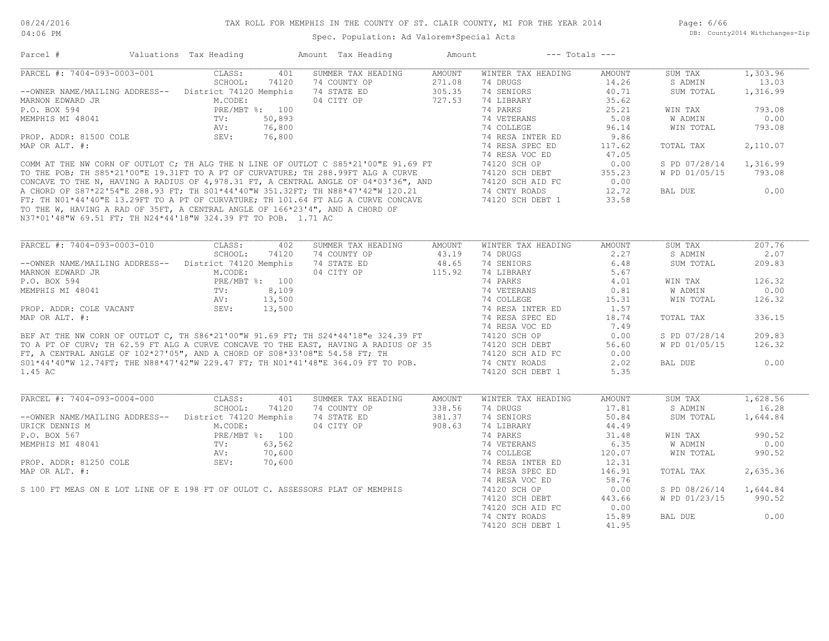Page: 6/66 DB: County2014 Withchanges-Zip

| Parcel #                                                                                                                                                                                                                                  | Valuations Tax Heading                                |        | Amount Tax Heading                                    | Amount        |                                                                                                                | $---$ Totals $---$ |                        |          |
|-------------------------------------------------------------------------------------------------------------------------------------------------------------------------------------------------------------------------------------------|-------------------------------------------------------|--------|-------------------------------------------------------|---------------|----------------------------------------------------------------------------------------------------------------|--------------------|------------------------|----------|
| PARCEL #: 7404-093-0003-001 CLASS:                                                                                                                                                                                                        |                                                       | 401    | SUMMER TAX HEADING                                    | AMOUNT        | WINTER TAX HEADING                                                                                             | AMOUNT             | SUM TAX                | 1,303.96 |
|                                                                                                                                                                                                                                           | SCHOOL:                                               | 74120  | 74 COUNTY OP                                          | 271.08        | 74 DRUGS                                                                                                       | 14.26              | S ADMIN                | 13.03    |
| --OWNER NAME/MAILING ADDRESS-- District 74120 Memphis                                                                                                                                                                                     |                                                       |        |                                                       |               |                                                                                                                | 40.71              | SUM TOTAL              | 1,316.99 |
| MARNON EDWARD JR                                                                                                                                                                                                                          | M.CODE:<br>PRE/MBT %: 100<br>TV: 50,893<br>AV: 76,800 |        |                                                       |               |                                                                                                                | 35.62              |                        |          |
| P.O. BOX 594                                                                                                                                                                                                                              |                                                       |        |                                                       |               | 74 PARKS                                                                                                       | 25.21              | WIN TAX                | 793.08   |
| MEMPHIS MI 48041                                                                                                                                                                                                                          |                                                       |        |                                                       |               | 74 VETERANS                                                                                                    | 5.08               | W ADMIN                | 0.00     |
|                                                                                                                                                                                                                                           |                                                       |        |                                                       |               | 74 COLLEGE                                                                                                     | 96.14              | WIN TOTAL              | 793.08   |
| PROP. ADDR: 81500 COLE SEV:                                                                                                                                                                                                               |                                                       | 76,800 |                                                       |               | 74 RESA INTER ED                                                                                               | 9.86               |                        |          |
| MAP OR ALT. #:                                                                                                                                                                                                                            |                                                       |        |                                                       |               | 74 RESA SPEC ED                                                                                                | 117.62             | TOTAL TAX              | 2,110.07 |
|                                                                                                                                                                                                                                           |                                                       |        |                                                       |               |                                                                                                                | 47.05              |                        |          |
|                                                                                                                                                                                                                                           |                                                       |        |                                                       |               |                                                                                                                | 0.00               | S PD 07/28/14 1,316.99 |          |
|                                                                                                                                                                                                                                           |                                                       |        |                                                       |               |                                                                                                                |                    | W PD 01/05/15          | 793.08   |
|                                                                                                                                                                                                                                           |                                                       |        |                                                       |               | 74120 SCH DEBT<br>74120 SCH AID FC 0.00                                                                        |                    |                        |          |
| COMM AT THE NW CORN OF OUTLOT C; TH ALG THE N LINE OF OUTLOT C $S85 \times 21'00''$ E 91.69 FT<br>TO THE POB; TH S85*21'00"E 19.31FT TO A PT OF CURVATURE; TH 288.99FT ALG A CURVE<br>CONCAVE TO THE N, HAVING A RADIUS OF 4,978.31 FT, A |                                                       |        |                                                       |               |                                                                                                                | 12.72              | BAL DUE                | 0.00     |
|                                                                                                                                                                                                                                           |                                                       |        |                                                       |               |                                                                                                                | 33.58              |                        |          |
| TO THE W, HAVING A RAD OF 35FT, A CENTRAL ANGLE OF 166*23'4", AND A CHORD OF                                                                                                                                                              |                                                       |        |                                                       |               |                                                                                                                |                    |                        |          |
| N37*01'48"W 69.51 FT; TH N24*44'18"W 324.39 FT TO POB. 1.71 AC                                                                                                                                                                            |                                                       |        |                                                       |               |                                                                                                                |                    |                        |          |
|                                                                                                                                                                                                                                           |                                                       |        |                                                       |               |                                                                                                                |                    |                        |          |
|                                                                                                                                                                                                                                           |                                                       |        |                                                       |               |                                                                                                                |                    |                        |          |
| PARCEL #: 7404-093-0003-010                                                                                                                                                                                                               | CLASS:                                                | 402    | SUMMER TAX HEADING                                    | AMOUNT        | WINTER TAX HEADING                                                                                             | AMOUNT             | SUM TAX                | 207.76   |
|                                                                                                                                                                                                                                           | SCHOOL:                                               | 74120  | 74 COUNTY OP                                          | 43.19         | 74 DRUGS And The Second State State State State State State State State State State State State State State St | 2.27               | S ADMIN                | 2.07     |
| -- OWNER NAME/MAILING ADDRESS-- District 74120 Memphis                                                                                                                                                                                    |                                                       |        | 74 STATE ED<br>74 STATE ED 48.65<br>04 CITY OP 115.92 |               | 74 SENIORS                                                                                                     | 6.48               | SUM TOTAL              | 209.83   |
| MARNON EDWARD JR                                                                                                                                                                                                                          | M.CODE:<br>PRE/MBT %: 100<br>TV: 8,109<br>AV: 13,500  |        |                                                       |               | 74 LIBRARY                                                                                                     | 5.67               |                        |          |
| P.O. BOX 594                                                                                                                                                                                                                              |                                                       |        |                                                       |               | 74 PARKS                                                                                                       | 4.01               | WIN TAX                | 126.32   |
| MEMPHIS MI 48041                                                                                                                                                                                                                          |                                                       |        |                                                       |               | 74 VETERANS                                                                                                    | 0.81               | W ADMIN                | 0.00     |
|                                                                                                                                                                                                                                           |                                                       |        |                                                       |               | 74 COLLEGE                                                                                                     | 15.31              | WIN TOTAL              | 126.32   |
| PROP. ADDR: COLE VACANT                                                                                                                                                                                                                   | SEV:                                                  | 13,500 |                                                       |               | 74 RESA INTER ED                                                                                               | 1.57               |                        |          |
| MAP OR ALT. #:                                                                                                                                                                                                                            |                                                       |        |                                                       |               | 74 RESA SPEC ED                                                                                                | 18.74              | TOTAL TAX              | 336.15   |
|                                                                                                                                                                                                                                           |                                                       |        |                                                       |               |                                                                                                                | 7.49               |                        |          |
| BEF AT THE NW CORN OF OUTLOT C, TH S86*21'00"W 91.69 FT; TH S24*44'18"e 324.39 FT 74 RESA VOC ED<br>TO A PT OF CURV; TH 62.59 FT ALG A CURVE CONCAVE TO THE EAST, HAVING A RADIUS OF 35 74120 SCH DEBT<br>FT, A CENTRAL ANGLE OF 102      |                                                       |        |                                                       |               |                                                                                                                | 0.00               | S PD 07/28/14          | 209.83   |
|                                                                                                                                                                                                                                           |                                                       |        |                                                       |               |                                                                                                                | 56.60              | W PD 01/05/15          | 126.32   |
|                                                                                                                                                                                                                                           |                                                       |        |                                                       |               |                                                                                                                | 0.00               |                        |          |
|                                                                                                                                                                                                                                           |                                                       |        |                                                       |               |                                                                                                                | 2.02               | BAL DUE                | 0.00     |
| 1.45 AC                                                                                                                                                                                                                                   |                                                       |        |                                                       |               | 74120 SCH DEBT 1                                                                                               | 5.35               |                        |          |
|                                                                                                                                                                                                                                           |                                                       |        |                                                       |               |                                                                                                                |                    |                        |          |
|                                                                                                                                                                                                                                           |                                                       |        |                                                       |               |                                                                                                                |                    |                        |          |
| PARCEL #: 7404-093-0004-000                                                                                                                                                                                                               | CLASS:                                                | 401    | SUMMER TAX HEADING                                    | <b>AMOUNT</b> | WINTER TAX HEADING                                                                                             | <b>AMOUNT</b>      | SUM TAX                | 1,628.56 |
|                                                                                                                                                                                                                                           | SCHOOL:                                               | 74120  | 74 COUNTY OP                                          | 338.56        | 74 DRUGS                                                                                                       | 17.81              | S ADMIN                | 16.28    |
| --OWNER NAME/MAILING ADDRESS-- District 74120 Memphis                                                                                                                                                                                     |                                                       |        | 74 STATE ED 381.37<br>04 CITY OP 908.63               |               | 74 SENIORS                                                                                                     | 50.84              | SUM TOTAL              | 1,644.84 |
| URICK DENNIS M                                                                                                                                                                                                                            | M.CODE:<br>PRE/MBT %: 100<br>TV: 63,562<br>AV: 70,600 |        |                                                       |               | 74 LIBRARY                                                                                                     | 44.49              |                        |          |
| P.O. BOX 567                                                                                                                                                                                                                              |                                                       |        |                                                       |               | 74 PARKS                                                                                                       | 31.48              | WIN TAX                | 990.52   |
| MEMPHIS MI 48041                                                                                                                                                                                                                          |                                                       |        |                                                       |               | 74 VETERANS                                                                                                    | 6.35               | W ADMIN                | 0.00     |
|                                                                                                                                                                                                                                           |                                                       |        |                                                       |               | 74 COLLEGE                                                                                                     | 120.07             | WIN TOTAL              | 990.52   |
| PROP. ADDR: 81250 COLE                                                                                                                                                                                                                    | SEV:                                                  | 70,600 |                                                       |               | 74 RESA INTER ED                                                                                               | 12.31              |                        |          |
| MAP OR ALT. #:                                                                                                                                                                                                                            |                                                       |        |                                                       |               | 74 RESA SPEC ED                                                                                                | 146.91             | TOTAL TAX              | 2,635.36 |
| S 100 FT MEAS ON E LOT LINE OF E 198 FT OF OULOT C. ASSESSORS PLAT OF MEMPHIS                                                                                                                                                             |                                                       |        |                                                       |               | 74 RESA VOC ED                                                                                                 | 58.76              |                        |          |
|                                                                                                                                                                                                                                           |                                                       |        |                                                       |               | 74120 SCH OP                                                                                                   | 0.00               | S PD 08/26/14 1,644.84 |          |
|                                                                                                                                                                                                                                           |                                                       |        |                                                       |               | 74120 SCH DEBT                                                                                                 | 443.66             | W PD 01/23/15          | 990.52   |
|                                                                                                                                                                                                                                           |                                                       |        |                                                       |               | 74120 SCH AID FC                                                                                               | 0.00               |                        |          |
|                                                                                                                                                                                                                                           |                                                       |        |                                                       |               | 74 CNTY ROADS                                                                                                  | 15.89              | BAL DUE                | 0.00     |
|                                                                                                                                                                                                                                           |                                                       |        |                                                       |               | 74120 SCH DEBT 1                                                                                               | 41.95              |                        |          |
|                                                                                                                                                                                                                                           |                                                       |        |                                                       |               |                                                                                                                |                    |                        |          |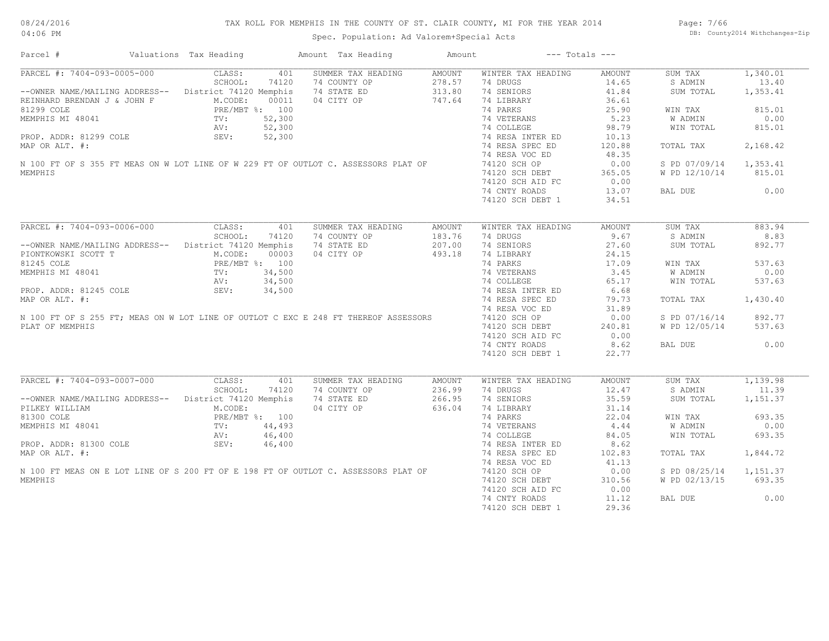| Parcel #                                                                                                                                                                                     | Valuations Tax Heading | Amount Tax Heading        | Amount | $---$ Totals $---$                            |        |                        |          |
|----------------------------------------------------------------------------------------------------------------------------------------------------------------------------------------------|------------------------|---------------------------|--------|-----------------------------------------------|--------|------------------------|----------|
| PARCEL #: 7404-093-0005-000                                                                                                                                                                  | CLASS:<br>401          | SUMMER TAX HEADING        | AMOUNT | WINTER TAX HEADING                            | AMOUNT | SUM TAX                | 1,340.01 |
|                                                                                                                                                                                              | SCHOOL:<br>74120       | 74 COUNTY OP              | 278.57 | 74 DRUGS                                      | 14.65  | S ADMIN                | 13.40    |
| --OWNER NAME/MAILING ADDRESS-- District 74120 Memphis                                                                                                                                        |                        | 74 STATE ED               | 313.80 | 74 SENIORS                                    | 41.84  | SUM TOTAL              | 1,353.41 |
| REINHARD BRENDAN J & JOHN F M.CODE: 00011<br>81299 COLE PRE/MBT %: 100<br>MEMPHIS MI 48041 TV: 52,300<br>PROP. ADDR: 81299 COLE SEV: 52,300                                                  |                        | 04 CITY OP                | 747.64 | 74 LIBRARY                                    | 36.61  |                        |          |
|                                                                                                                                                                                              |                        |                           |        | 74 PARKS                                      | 25.90  | WIN TAX                | 815.01   |
|                                                                                                                                                                                              |                        |                           |        | 74 VETERANS                                   | 5.23   | W ADMIN                | 0.00     |
|                                                                                                                                                                                              |                        |                           |        | 74 COLLEGE                                    | 98.79  | WIN TOTAL              | 815.01   |
|                                                                                                                                                                                              |                        |                           |        | 74 RESA INTER ED<br>74 RESA INTER ED          | 10.13  |                        |          |
| MAP OR ALT. #:                                                                                                                                                                               |                        |                           |        |                                               | 120.88 | TOTAL TAX              | 2,168.42 |
|                                                                                                                                                                                              |                        |                           |        | 74 RESA VOC ED                                | 48.35  |                        |          |
| N 100 FT OF S 355 FT MEAS ON W LOT LINE OF W 229 FT OF OUTLOT C. ASSESSORS PLAT OF                                                                                                           |                        |                           |        |                                               |        |                        |          |
|                                                                                                                                                                                              |                        |                           |        | 74120 SCH OP                                  | 0.00   | S PD 07/09/14 1,353.41 |          |
| MEMPHIS                                                                                                                                                                                      |                        |                           |        | 74120 SCH DEBT<br>74120 SCH AID FC            | 365.05 | W PD 12/10/14          | 815.01   |
|                                                                                                                                                                                              |                        |                           |        |                                               | 0.00   |                        |          |
|                                                                                                                                                                                              |                        |                           |        | 74 CNTY ROADS                                 | 13.07  | BAL DUE                | 0.00     |
|                                                                                                                                                                                              |                        |                           |        | 74120 SCH DEBT 1                              | 34.51  |                        |          |
|                                                                                                                                                                                              |                        |                           |        |                                               |        |                        |          |
| PARCEL #: 7404-093-0006-000                                                                                                                                                                  | CLASS:<br>401          | SUMMER TAX HEADING        | AMOUNT | WINTER TAX HEADING                            | AMOUNT | SUM TAX                | 883.94   |
|                                                                                                                                                                                              | SCHOOL:<br>74120       | 74 COUNTY OP              | 183.76 | 74 DRUGS                                      | 9.67   | S ADMIN                | 8.83     |
| --OWNER NAME/MAILING ADDRESS-- District 74120 Memphis                                                                                                                                        |                        | 74 STATE ED               | 207.00 | 74 SENIORS                                    | 27.60  | SUM TOTAL              | 892.77   |
| PIONTROWSKI SCOTT T<br>81245 COLE PRE/MBT %: 100<br>MEMPHIS MI 48041 TV: 34,500<br>PROP. ADDR: 81245 COLE SEV: 34,500                                                                        |                        | 04 CITY OP                | 493.18 | 74 LIBRARY                                    | 24.15  |                        |          |
|                                                                                                                                                                                              |                        |                           |        | 74 LIBKAKY<br>74 PARKS                        | 17.09  | WIN TAX                | 537.63   |
|                                                                                                                                                                                              |                        |                           |        |                                               | 3.45   | W ADMIN                | 0.00     |
| 81245 COLE<br>MEMPHIS MI 48041 TV: $34,500$<br>PROP. ADDR: 81245 COLE SEV: $34,500$<br>MAP OR ALT. #:<br>N 100 FT OF S 255 FT; MEAS ON W LOT LINE OF OUTLOT C EXC E 248 FT THEREOF ASSESSORS |                        |                           |        | 74 VETERANS<br>74 COLLEGE<br>74 RESA INTER ED | 65.17  | WIN TOTAL              | 537.63   |
|                                                                                                                                                                                              |                        |                           |        |                                               | 6.68   |                        |          |
|                                                                                                                                                                                              |                        |                           |        |                                               | 79.73  |                        |          |
|                                                                                                                                                                                              |                        |                           |        | 74 RESA SPEC ED                               |        | TOTAL TAX              | 1,430.40 |
|                                                                                                                                                                                              |                        |                           |        | 74 RESA VOC ED                                | 31.89  |                        |          |
|                                                                                                                                                                                              |                        |                           |        | 74120 SCH OP                                  | 0.00   | S PD 07/16/14          | 892.77   |
| PLAT OF MEMPHIS                                                                                                                                                                              |                        |                           |        | 74120 SCH DEBT                                | 240.81 | W PD 12/05/14          | 537.63   |
|                                                                                                                                                                                              |                        |                           |        | 74120 SCH AID FC                              | 0.00   |                        |          |
|                                                                                                                                                                                              |                        |                           |        | 74 CNTY ROADS                                 | 8.62   | BAL DUE                | 0.00     |
|                                                                                                                                                                                              |                        |                           |        | 74120 SCH DEBT 1                              | 22.77  |                        |          |
|                                                                                                                                                                                              |                        |                           |        |                                               |        |                        |          |
| PARCEL #: 7404-093-0007-000                                                                                                                                                                  | 401<br>CLASS:          | SUMMER TAX HEADING        | AMOUNT | WINTER TAX HEADING                            | AMOUNT | SUM TAX                | 1,139.98 |
|                                                                                                                                                                                              | SCHOOL:<br>74120       | 74 COUNTY OP              | 236.99 | 74 DRUGS                                      | 12.47  | S ADMIN                | 11.39    |
| --OWNER NAME/MAILING ADDRESS-- District 74120 Memphis                                                                                                                                        |                        | 74 STATE ED<br>04 CITY OP | 266.95 | 74 SENIORS                                    | 35.59  | SUM TOTAL              | 1,151.37 |
| PILKEY WILLIAM M.CODE:<br>81300 COLE PRE/MBT %: 100<br>MEMPHIS MI 48041 TV: 44,493<br>AV: 46,400<br>PROP. ADDR: 81300 COLE SEV: 46,400                                                       |                        | 04 CITY OP                | 636.04 | 74 LIBRARY                                    | 31.14  |                        |          |
|                                                                                                                                                                                              |                        |                           |        | 74 PARKS                                      | 22.04  | WIN TAX                | 693.35   |
|                                                                                                                                                                                              |                        |                           |        | 74 VETERANS                                   | 4.44   | W ADMIN                | 0.00     |
|                                                                                                                                                                                              |                        |                           |        | 74 COLLEGE                                    | 84.05  | WIN TOTAL              | 693.35   |
|                                                                                                                                                                                              |                        |                           |        | 74 RESA INTER ED                              | 8.62   |                        |          |
| MAP OR ALT. #:                                                                                                                                                                               |                        |                           |        | 74 RESA SPEC ED                               | 102.83 | TOTAL TAX              | 1,844.72 |
|                                                                                                                                                                                              |                        |                           |        | 74 RESA VOC ED                                | 41.13  |                        |          |
| N 100 FT MEAS ON E LOT LINE OF S 200 FT OF E 198 FT OF OUTLOT C. ASSESSORS PLAT OF                                                                                                           |                        |                           |        | 74120 SCH OP                                  | 0.00   | S PD 08/25/14          | 1,151.37 |
| MEMPHIS                                                                                                                                                                                      |                        |                           |        | 74120 SCH DEBT                                | 310.56 | W PD 02/13/15          | 693.35   |
|                                                                                                                                                                                              |                        |                           |        | 74120 SCH AID FC                              | 0.00   |                        |          |
|                                                                                                                                                                                              |                        |                           |        | 74 CNTY ROADS                                 | 11.12  | BAL DUE                | 0.00     |
|                                                                                                                                                                                              |                        |                           |        | 74120 SCH DEBT 1                              | 29.36  |                        |          |
|                                                                                                                                                                                              |                        |                           |        |                                               |        |                        |          |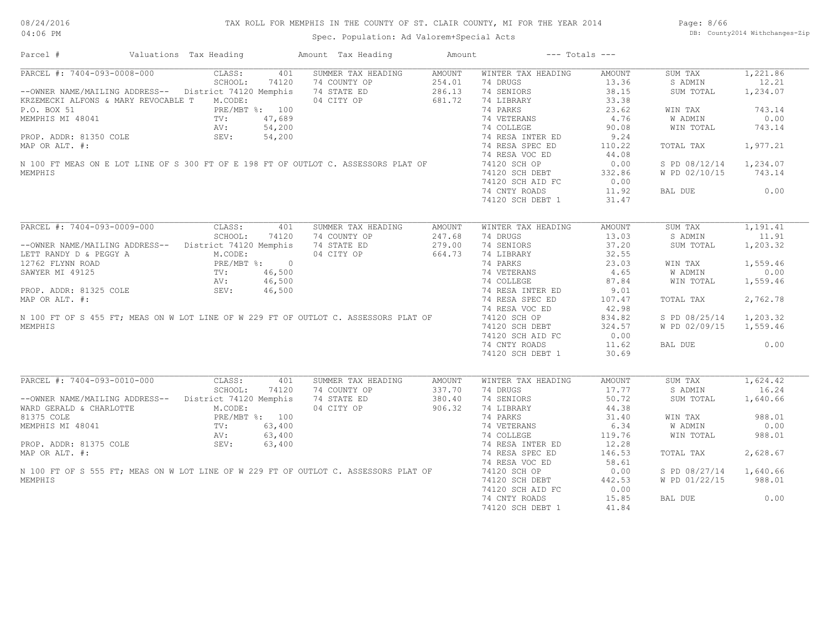Page: 8/66 DB: County2014 Withchanges-Zip

| Parcel #                                                                            | Valuations Tax Heading                                                                                               |        | Amount Tax Heading | Amount | $---$ Totals $---$ |               |               |          |
|-------------------------------------------------------------------------------------|----------------------------------------------------------------------------------------------------------------------|--------|--------------------|--------|--------------------|---------------|---------------|----------|
| PARCEL #: 7404-093-0008-000                                                         | CLASS:                                                                                                               | 401    | SUMMER TAX HEADING | AMOUNT | WINTER TAX HEADING | <b>AMOUNT</b> | SUM TAX       | 1,221.86 |
|                                                                                     | SCHOOL:                                                                                                              | 74120  | 74 COUNTY OP       | 254.01 | 74 DRUGS           | 13.36         | S ADMIN       | 12.21    |
| -- OWNER NAME/MAILING ADDRESS-- District 74120 Memphis                              |                                                                                                                      |        | 74 STATE ED        | 286.13 | 74 SENIORS         | 38.15         | SUM TOTAL     | 1,234.07 |
| KRZEMECKI ALFONS & MARY REVOCABLE T                                                 | M.CODE:                                                                                                              |        | 04 CITY OP         | 681.72 | 74 LIBRARY         | 33.38         |               |          |
| P.O. BOX 51                                                                         | PRE/MBT %: 100                                                                                                       |        |                    |        | 74 PARKS           | 23.62         | WIN TAX       | 743.14   |
| MEMPHIS MI 48041                                                                    | $AV:$<br>$AV:$                                                                                                       | 47,689 |                    |        | 74 VETERANS        | 4.76          | W ADMIN       | 0.00     |
|                                                                                     |                                                                                                                      | 54,200 |                    |        | 74 COLLEGE         | 90.08         | WIN TOTAL     | 743.14   |
| PROP. ADDR: 81350 COLE                                                              | SEV:                                                                                                                 | 54,200 |                    |        | 74 RESA INTER ED   | 9.24          |               |          |
| MAP OR ALT. #:                                                                      |                                                                                                                      |        |                    |        | 74 RESA SPEC ED    | 110.22        | TOTAL TAX     | 1,977.21 |
|                                                                                     |                                                                                                                      |        |                    |        |                    |               |               |          |
|                                                                                     |                                                                                                                      |        |                    |        | 74 RESA VOC ED     | 44.08         |               |          |
| N 100 FT MEAS ON E LOT LINE OF S 300 FT OF E 198 FT OF OUTLOT C. ASSESSORS PLAT OF  |                                                                                                                      |        |                    |        | 74120 SCH OP       | 0.00          | S PD 08/12/14 | 1,234.07 |
| MEMPHIS                                                                             |                                                                                                                      |        |                    |        | 74120 SCH DEBT     | 332.86        | W PD 02/10/15 | 743.14   |
|                                                                                     |                                                                                                                      |        |                    |        | 74120 SCH AID FC   | 0.00          |               |          |
|                                                                                     |                                                                                                                      |        |                    |        | 74 CNTY ROADS      | 11.92         | BAL DUE       | 0.00     |
|                                                                                     |                                                                                                                      |        |                    |        | 74120 SCH DEBT 1   | 31.47         |               |          |
|                                                                                     |                                                                                                                      |        |                    |        |                    |               |               |          |
| PARCEL #: 7404-093-0009-000                                                         | CLASS:                                                                                                               | 401    | SUMMER TAX HEADING | AMOUNT | WINTER TAX HEADING | AMOUNT        | SUM TAX       | 1,191.41 |
|                                                                                     | SCHOOL:                                                                                                              | 74120  | 74 COUNTY OP       | 247.68 | 74 DRUGS           | 13.03         | S ADMIN       | 11.91    |
| -- OWNER NAME/MAILING ADDRESS-- District 74120 Memphis                              |                                                                                                                      |        | 74 STATE ED        | 279.00 | 74 SENIORS         | 37.20         | SUM TOTAL     | 1,203.32 |
| LETT RANDY D & PEGGY A                                                              | M.CODE:                                                                                                              |        | 04 CITY OP         | 664.73 | 74 LIBRARY         | 32.55         |               |          |
|                                                                                     | PRE/MBT %: 0                                                                                                         |        |                    |        |                    |               |               |          |
| 12762 FLYNN ROAD                                                                    |                                                                                                                      |        |                    |        | 74 PARKS           | 23.03         | WIN TAX       | 1,559.46 |
| SAWYER MI 49125                                                                     | FKE/I<br>TV:<br>AV:<br>SEV:                                                                                          | 46,500 |                    |        | 74 VETERANS        | 4.65          | W ADMIN       | 0.00     |
|                                                                                     |                                                                                                                      | 46,500 |                    |        | 74 COLLEGE         | 87.84         | WIN TOTAL     | 1,559.46 |
| PROP. ADDR: 81325 COLE                                                              |                                                                                                                      | 46,500 |                    |        | 74 RESA INTER ED   | 9.01          |               |          |
| MAP OR ALT. #:                                                                      |                                                                                                                      |        |                    |        | 74 RESA SPEC ED    | 107.47        | TOTAL TAX     | 2,762.78 |
|                                                                                     |                                                                                                                      |        |                    |        | 74 RESA VOC ED     | 42.98         |               |          |
| N 100 FT OF S 455 FT; MEAS ON W LOT LINE OF W 229 FT OF OUTLOT C. ASSESSORS PLAT OF |                                                                                                                      |        |                    |        | 74120 SCH OP       | 834.82        | S PD 08/25/14 | 1,203.32 |
| <b>MEMPHTS</b>                                                                      |                                                                                                                      |        |                    |        | 74120 SCH DEBT     | 324.57        | W PD 02/09/15 | 1,559.46 |
|                                                                                     |                                                                                                                      |        |                    |        | 74120 SCH AID FC   | 0.00          |               |          |
|                                                                                     |                                                                                                                      |        |                    |        | 74 CNTY ROADS      | 11.62         | BAL DUE       | 0.00     |
|                                                                                     |                                                                                                                      |        |                    |        | 74120 SCH DEBT 1   | 30.69         |               |          |
|                                                                                     |                                                                                                                      |        |                    |        |                    |               |               |          |
|                                                                                     |                                                                                                                      |        |                    |        |                    |               |               |          |
| PARCEL #: 7404-093-0010-000                                                         | CLASS:                                                                                                               | 401    | SUMMER TAX HEADING | AMOUNT | WINTER TAX HEADING | AMOUNT        | SUM TAX       | 1,624.42 |
|                                                                                     | SCHOOL:                                                                                                              | 74120  | 74 COUNTY OP       | 337.70 | 74 DRUGS           | 17.77         | S ADMIN       | 16.24    |
| --OWNER NAME/MAILING ADDRESS--                                                      | District 74120 Memphis                                                                                               |        | 74 STATE ED        | 380.40 | 74 SENIORS         | 50.72         | SUM TOTAL     | 1,640.66 |
| WARD GERALD & CHARLOTTE                                                             | ADDALL $\begin{tabular}{ll} \bf ADDALL \\ \tt JTTE & \tt PRE/FAL \\ \tt TV: \\ \tt AV: \\ \tt SEV: \\ \end{tabular}$ |        | 04 CITY OP         | 906.32 | 74 LIBRARY         | 44.38         |               |          |
| 81375 COLE                                                                          | PRE/MBT %: 100                                                                                                       |        |                    |        | 74 PARKS           | 31.40         | WIN TAX       | 988.01   |
| MEMPHIS MI 48041                                                                    |                                                                                                                      | 63,400 |                    |        | 74 VETERANS        | 6.34          | W ADMIN       | 0.00     |
|                                                                                     |                                                                                                                      | 63,400 |                    |        | 74 COLLEGE         | 119.76        | WIN TOTAL     | 988.01   |
| PROP. ADDR: 81375 COLE                                                              |                                                                                                                      | 63,400 |                    |        | 74 RESA INTER ED   | 12.28         |               |          |
| MAP OR ALT. #:                                                                      |                                                                                                                      |        |                    |        | 74 RESA SPEC ED    | 146.53        | TOTAL TAX     | 2,628.67 |
|                                                                                     |                                                                                                                      |        |                    |        | 74 RESA VOC ED     | 58.61         |               |          |
| N 100 FT OF S 555 FT; MEAS ON W LOT LINE OF W 229 FT OF OUTLOT C. ASSESSORS PLAT OF |                                                                                                                      |        |                    |        | 74120 SCH OP       | 0.00          |               | 1,640.66 |
|                                                                                     |                                                                                                                      |        |                    |        |                    |               | S PD 08/27/14 |          |
| MEMPHIS                                                                             |                                                                                                                      |        |                    |        | 74120 SCH DEBT     | 442.53        | W PD 01/22/15 | 988.01   |
|                                                                                     |                                                                                                                      |        |                    |        | 74120 SCH AID FC   | 0.00          |               |          |
|                                                                                     |                                                                                                                      |        |                    |        | 74 CNTY ROADS      | 15.85         | BAL DUE       | 0.00     |
|                                                                                     |                                                                                                                      |        |                    |        | 74120 SCH DEBT 1   | 41.84         |               |          |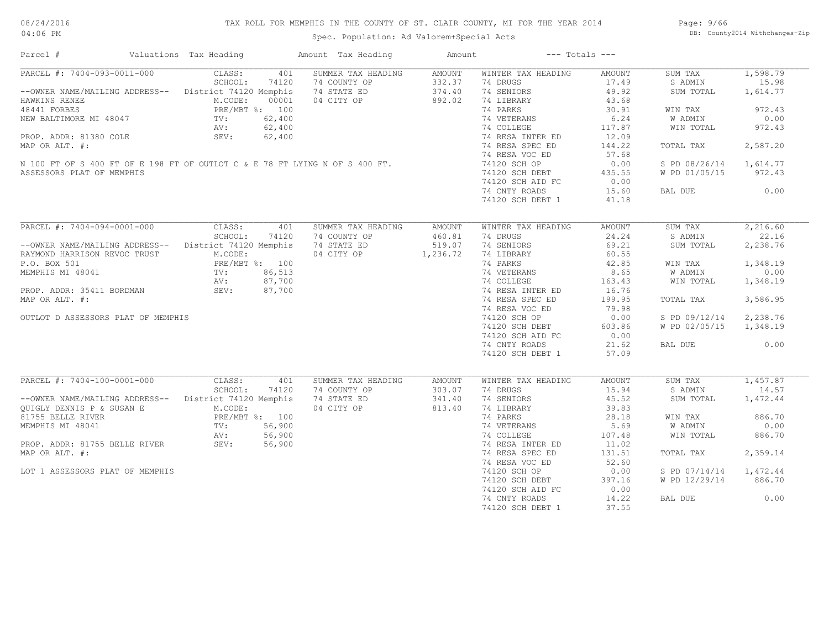# TAX ROLL FOR MEMPHIS IN THE COUNTY OF ST. CLAIR COUNTY, MI FOR THE YEAR 2014

04:06 PM

# Spec. Population: Ad Valorem+Special Acts

Page: 9/66 DB: County2014 Withchanges-Zip

| Parcel #                                                                                                                                                                                                                                 | Valuations Tax Heading | Amount Tax Heading                                                          | Amount           | $---$ Totals $---$                            |        |                        |          |
|------------------------------------------------------------------------------------------------------------------------------------------------------------------------------------------------------------------------------------------|------------------------|-----------------------------------------------------------------------------|------------------|-----------------------------------------------|--------|------------------------|----------|
| PARCEL #: 7404-093-0011-000 CLASS:                                                                                                                                                                                                       |                        | 401 SUMMER TAX HEADING AMOUNT                                               |                  | WINTER TAX HEADING                            | AMOUNT | SUM TAX                | 1,598.79 |
|                                                                                                                                                                                                                                          | SCHOOL:<br>74120       |                                                                             | 332.37           | 74 DRUGS                                      | 17.49  | S ADMIN                | 15.98    |
| --OWNER NAME/MAILING ADDRESS-- District 74120 Memphis                                                                                                                                                                                    |                        | 74 COUNTY OP<br>74 STATE ED<br>04 CITY OP<br>74 STATE ED                    | 374.40           | 74 SENIORS                                    | 49.92  | SUM TOTAL              | 1,614.77 |
| HAWKINS RENEE<br>48441 FORBES<br>100 NEW BALTIMORE MI 48047<br>PRE/MBT %: 100<br>NEW BALTIMORE MI 48047<br>TV: 62,400<br>AV: 62,400<br>PROP. ADDR: 81380 COLE<br>SEV: 62,400                                                             |                        |                                                                             | 892.02           | 74 LIBRARY                                    | 43.68  |                        |          |
| 48441 FORBES<br>HEW BALTIMORE MI 48047<br>PROP. ADDR: 81380 COLE<br>MAP OR ALT. #:<br>N 100 FT OF S 400 FT OF E 198 FT OF OUTLOT C & E 78 FT LYING N OF S 400 FT.<br>N 100 FT OF S 400 FT OF E 198 FT OF OUTLOT C & E 78 FT LYING N OF S |                        |                                                                             |                  | 74 PARKS                                      | 30.91  | WIN TAX                | 972.43   |
|                                                                                                                                                                                                                                          |                        |                                                                             |                  |                                               | 6.24   | W ADMIN                | 0.00     |
|                                                                                                                                                                                                                                          |                        |                                                                             |                  | 74 VETERANS<br>74 COLLEGE                     | 117.87 | WIN TOTAL              | 972.43   |
|                                                                                                                                                                                                                                          |                        |                                                                             |                  | 74 RESA INTER ED                              | 12.09  |                        |          |
|                                                                                                                                                                                                                                          |                        |                                                                             |                  |                                               |        |                        |          |
|                                                                                                                                                                                                                                          |                        |                                                                             |                  | 74 RESA SPEC ED                               | 144.22 | TOTAL TAX              | 2,587.20 |
|                                                                                                                                                                                                                                          |                        |                                                                             |                  | 74 RESA VOC ED                                | 57.68  |                        |          |
|                                                                                                                                                                                                                                          |                        |                                                                             |                  | 74120 SCH OP                                  | 0.00   | S PD 08/26/14 1,614.77 |          |
| ASSESSORS PLAT OF MEMPHIS                                                                                                                                                                                                                |                        |                                                                             |                  | 74120 SCH DEBT                                | 435.55 | W PD 01/05/15 972.43   |          |
|                                                                                                                                                                                                                                          |                        |                                                                             |                  | 74120 SCH AID FC                              | 0.00   |                        |          |
|                                                                                                                                                                                                                                          |                        |                                                                             |                  | 74 CNTY ROADS                                 | 15.60  | BAL DUE 0.00           |          |
|                                                                                                                                                                                                                                          |                        |                                                                             |                  | 74120 SCH DEBT 1                              | 41.18  |                        |          |
|                                                                                                                                                                                                                                          |                        |                                                                             |                  |                                               |        |                        |          |
| PARCEL #: 7404-094-0001-000 CLASS: 401                                                                                                                                                                                                   |                        | SUMMER TAX HEADING                                                          | AMOUNT           | WINTER TAX HEADING                            | AMOUNT | SUM TAX                | 2,216.60 |
|                                                                                                                                                                                                                                          | SCHOOL:<br>74120       | 74 COUNTY OP                                                                | 460.81<br>519.07 | 74 DRUGS                                      | 24.24  | S ADMIN                | 22.16    |
| --OWNER NAME/MAILING ADDRESS-- District 74120 Memphis                                                                                                                                                                                    |                        | 74 STATE ED                                                                 |                  | 74 SENIORS                                    | 69.21  | SUM TOTAL              | 2,238.76 |
| RAYMOND HARRISON REVOC TRUST                                                                                                                                                                                                             | M.CODE:                | 04 CITY OP 1,236.72                                                         |                  |                                               | 60.55  |                        |          |
|                                                                                                                                                                                                                                          |                        |                                                                             |                  | 74 LIBRARY<br>74 PARKS                        | 42.85  | WIN TAX                | 1,348.19 |
|                                                                                                                                                                                                                                          |                        |                                                                             |                  |                                               | 8.65   | W ADMIN                | 0.00     |
| P.O. BOX 501<br>MEMPHIS MI 48041<br>PRE/MBT %: 100<br>TV: 86,513<br>AV: 87,700<br>PROP. ADDR: 35411 BORDMAN<br>MAP OR ALT #:<br>MAP OR ALT #:                                                                                            |                        |                                                                             |                  | 74 VETERANS<br>74 COLLEGE                     |        |                        |          |
|                                                                                                                                                                                                                                          |                        |                                                                             |                  |                                               | 163.43 | WIN TOTAL              | 1,348.19 |
|                                                                                                                                                                                                                                          |                        |                                                                             |                  | 74 RESA INTER ED                              | 16.76  |                        |          |
| MAP OR ALT. #:                                                                                                                                                                                                                           |                        |                                                                             |                  | 74 RESA SPEC ED                               | 199.95 | TOTAL TAX              | 3,586.95 |
|                                                                                                                                                                                                                                          |                        |                                                                             |                  | 74 RESA VOC ED                                | 79.98  |                        |          |
| OUTLOT D ASSESSORS PLAT OF MEMPHIS                                                                                                                                                                                                       |                        |                                                                             |                  | 74 RESA VOC ED<br>74120 SCH OP                | 0.00   | S PD 09/12/14 2,238.76 |          |
|                                                                                                                                                                                                                                          |                        |                                                                             |                  | 74120 SCH DEBT                                | 603.86 | W PD 02/05/15 1,348.19 |          |
|                                                                                                                                                                                                                                          |                        |                                                                             |                  | 74120 SCH AID FC                              | 0.00   |                        |          |
|                                                                                                                                                                                                                                          |                        |                                                                             |                  | 74 CNTY ROADS                                 | 21.62  | BAL DUE                | 0.00     |
|                                                                                                                                                                                                                                          |                        | PRE/MBT %: 100<br>PRE/MBT %: 100<br>TV: 86,513<br>AV: 87,700<br>SEV: 87,700 |                  | 74120 SCH DEBT 1                              | 57.09  |                        |          |
|                                                                                                                                                                                                                                          |                        |                                                                             |                  |                                               |        |                        |          |
| PARCEL #: 7404-100-0001-000                                                                                                                                                                                                              | CLASS:<br>401          | SUMMER TAX HEADING                                                          | AMOUNT           | WINTER TAX HEADING                            | AMOUNT | SUM TAX 1,457.87       |          |
|                                                                                                                                                                                                                                          | SCHOOL:<br>74120       | 74 COUNTY OP                                                                | 303.07           | 74 DRUGS                                      | 15.94  | S ADMIN                | 14.57    |
| SCHOOL: 74120 74 COUNTY OP<br>--OWNER NAME/MAILING ADDRESS-- District 74120 Memphis 74 STATE ED<br>QUIGLY DENNIS P & SUSAN E M.CODE: 04 CITY OP                                                                                          |                        |                                                                             | 341.40           | 74 SENIORS                                    | 45.52  | SUM TOTAL              | 1,472.44 |
|                                                                                                                                                                                                                                          |                        |                                                                             | 813.40           |                                               | 39.83  |                        |          |
|                                                                                                                                                                                                                                          |                        |                                                                             |                  | 74 LIBRARY<br>74 PARKS                        | 28.18  | WIN TAX                | 886.70   |
|                                                                                                                                                                                                                                          |                        | $\frac{1}{56}$ , 900<br>56, 900<br>56, 900<br>56, 900                       |                  |                                               | 5.69   | W ADMIN                | 0.00     |
|                                                                                                                                                                                                                                          |                        |                                                                             |                  |                                               |        |                        |          |
|                                                                                                                                                                                                                                          |                        |                                                                             |                  | 74 VETERANS<br>74 COLLEGE<br>74 RESA INTER ED | 107.48 | WIN TOTAL              | 886.70   |
| UUGLY DENNIS P & SUSAN E<br>81755 BELLE RIVER<br>81755 BELLE RIVER<br>PRE/MBT %: 100<br>MEMPHIS MI 48041<br>TV: 56,900<br>PROP. ADDR: 81755 BELLE RIVER<br>PRE/MBT %: 56,900<br>PROP. ADDR: 81755 BELLE RIVER<br>SEV: 56,900             |                        |                                                                             |                  |                                               | 11.02  |                        |          |
| MAP OR ALT. #:                                                                                                                                                                                                                           |                        |                                                                             |                  | 74 RESA SPEC ED                               | 131.51 | TOTAL TAX              | 2,359.14 |
|                                                                                                                                                                                                                                          |                        |                                                                             |                  | 74 RESA VOC ED                                | 52.60  |                        |          |
| LOT 1 ASSESSORS PLAT OF MEMPHIS                                                                                                                                                                                                          |                        |                                                                             |                  | 74120 SCH OP                                  | 0.00   | S PD 07/14/14 1,472.44 |          |
|                                                                                                                                                                                                                                          |                        |                                                                             |                  | 74120 SCH DEBT                                | 397.16 | W PD 12/29/14 886.70   |          |
|                                                                                                                                                                                                                                          |                        |                                                                             |                  | 74120 SCH AID FC                              | 0.00   |                        |          |
|                                                                                                                                                                                                                                          |                        |                                                                             |                  | 74 CNTY ROADS                                 | 14.22  | BAL DUE                | 0.00     |
|                                                                                                                                                                                                                                          |                        |                                                                             |                  | 74120 SCH DEBT 1                              | 37.55  |                        |          |
|                                                                                                                                                                                                                                          |                        |                                                                             |                  |                                               |        |                        |          |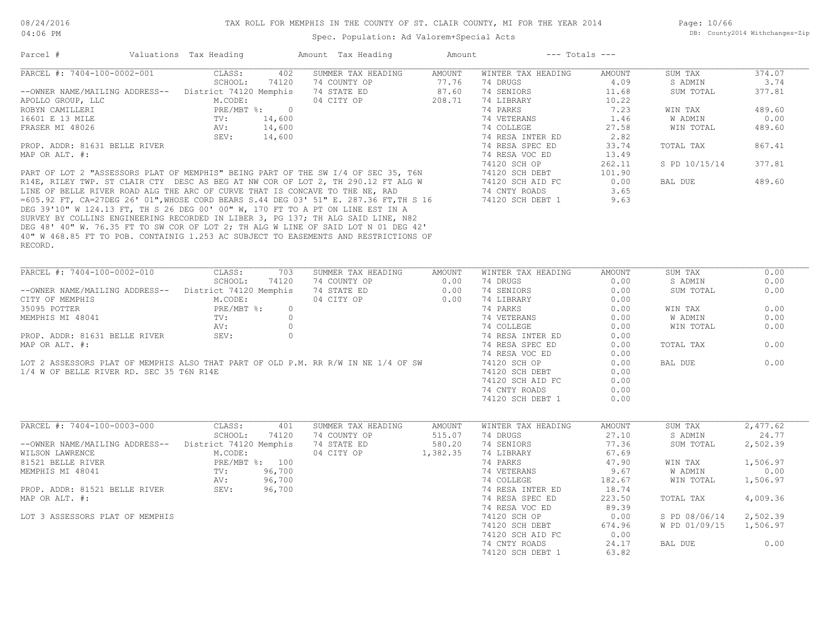Spec. Population: Ad Valorem+Special Acts

| Parcel #                                              | Valuations Tax Heading |         | Amount Tax Heading                                                                    | Amount        | $---$ Totals $---$ |        |               |          |
|-------------------------------------------------------|------------------------|---------|---------------------------------------------------------------------------------------|---------------|--------------------|--------|---------------|----------|
| PARCEL #: 7404-100-0002-001                           | CLASS:                 | 402     | SUMMER TAX HEADING                                                                    | <b>AMOUNT</b> | WINTER TAX HEADING | AMOUNT | SUM TAX       | 374.07   |
|                                                       | SCHOOL:                | 74120   | 74 COUNTY OP                                                                          | 77.76         | 74 DRUGS           | 4.09   | S ADMIN       | 3.74     |
| --OWNER NAME/MAILING ADDRESS-- District 74120 Memphis |                        |         | 74 STATE ED                                                                           | 87.60         | 74 SENIORS         | 11.68  | SUM TOTAL     | 377.81   |
| APOLLO GROUP, LLC                                     | M.CODE:                |         | 04 CITY OP                                                                            | 208.71        | 74 LIBRARY         | 10.22  |               |          |
| ROBYN CAMILLERI                                       | PRE/MBT %: 0           |         |                                                                                       |               | 74 PARKS           | 7.23   | WIN TAX       | 489.60   |
| 16601 E 13 MILE                                       | TV:                    | 14,600  |                                                                                       |               | 74 VETERANS        | 1.46   | W ADMIN       | 0.00     |
| FRASER MI 48026                                       | AV:                    | 14,600  |                                                                                       |               | 74 COLLEGE         | 27.58  | WIN TOTAL     | 489.60   |
|                                                       | SEV:                   | 14,600  |                                                                                       |               | 74 RESA INTER ED   | 2.82   |               |          |
| PROP. ADDR: 81631 BELLE RIVER                         |                        |         |                                                                                       |               | 74 RESA SPEC ED    | 33.74  | TOTAL TAX     | 867.41   |
| MAP OR ALT. #:                                        |                        |         |                                                                                       |               | 74 RESA VOC ED     | 13.49  |               |          |
|                                                       |                        |         |                                                                                       |               | 74120 SCH OP       | 262.11 | S PD 10/15/14 | 377.81   |
|                                                       |                        |         | PART OF LOT 2 "ASSESSORS PLAT OF MEMPHIS" BEING PART OF THE SW I/4 OF SEC 35, T6N     |               | 74120 SCH DEBT     | 101.90 |               |          |
|                                                       |                        |         | R14E, RILEY TWP. ST CLAIR CTY DESC AS BEG AT NW COR OF LOT 2, TH 290.12 FT ALG W      |               | 74120 SCH AID FC   | 0.00   | BAL DUE       | 489.60   |
|                                                       |                        |         | LINE OF BELLE RIVER ROAD ALG THE ARC OF CURVE THAT IS CONCAVE TO THE NE, RAD          |               | 74 CNTY ROADS      | 3.65   |               |          |
|                                                       |                        |         | =605.92 FT, CA=27DEG 26' 01", WHOSE CORD BEARS S.44 DEG 03' 51" E. 287.36 FT, TH S 16 |               | 74120 SCH DEBT 1   | 9.63   |               |          |
|                                                       |                        |         | DEG 39'10" W 124.13 FT, TH S 26 DEG 00' 00" W, 170 FT TO A PT ON LINE EST IN A        |               |                    |        |               |          |
|                                                       |                        |         | SURVEY BY COLLINS ENGINEERING RECORDED IN LIBER 3, PG 137; TH ALG SAID LINE, N82      |               |                    |        |               |          |
|                                                       |                        |         | DEG 48' 40" W. 76.35 FT TO SW COR OF LOT 2; TH ALG W LINE OF SAID LOT N 01 DEG 42'    |               |                    |        |               |          |
|                                                       |                        |         | 40" W 468.85 FT TO POB. CONTAINIG 1.253 AC SUBJECT TO EASEMENTS AND RESTRICTIONS OF   |               |                    |        |               |          |
| RECORD.                                               |                        |         |                                                                                       |               |                    |        |               |          |
|                                                       |                        |         |                                                                                       |               |                    |        |               |          |
|                                                       |                        |         |                                                                                       |               |                    |        |               |          |
| PARCEL #: 7404-100-0002-010                           | CLASS:                 | 703     | SUMMER TAX HEADING                                                                    | <b>AMOUNT</b> | WINTER TAX HEADING | AMOUNT | SUM TAX       | 0.00     |
|                                                       | SCHOOL:                | 74120   | 74 COUNTY OP                                                                          | 0.00          | 74 DRUGS           | 0.00   | S ADMIN       | 0.00     |
| --OWNER NAME/MAILING ADDRESS--                        | District 74120 Memphis |         | 74 STATE ED                                                                           | 0.00          | 74 SENIORS         | 0.00   | SUM TOTAL     | 0.00     |
| CITY OF MEMPHIS                                       | M.CODE:                |         | 04 CITY OP                                                                            | 0.00          | 74 LIBRARY         | 0.00   |               |          |
| 35095 POTTER                                          | PRE/MBT %:             | $\circ$ |                                                                                       |               | 74 PARKS           | 0.00   | WIN TAX       | 0.00     |
| MEMPHIS MI 48041                                      | TV:                    | $\circ$ |                                                                                       |               | 74 VETERANS        | 0.00   | W ADMIN       | 0.00     |
|                                                       | AV:                    | $\circ$ |                                                                                       |               | 74 COLLEGE         | 0.00   | WIN TOTAL     | 0.00     |
| PROP. ADDR: 81631 BELLE RIVER                         | SEV:                   | $\circ$ |                                                                                       |               | 74 RESA INTER ED   | 0.00   |               |          |
| MAP OR ALT. #:                                        |                        |         |                                                                                       |               | 74 RESA SPEC ED    | 0.00   | TOTAL TAX     | 0.00     |
|                                                       |                        |         |                                                                                       |               | 74 RESA VOC ED     | 0.00   |               |          |
|                                                       |                        |         | LOT 2 ASSESSORS PLAT OF MEMPHIS ALSO THAT PART OF OLD P.M. RR R/W IN NE 1/4 OF SW     |               | 74120 SCH OP       | 0.00   | BAL DUE       | 0.00     |
| 1/4 W OF BELLE RIVER RD. SEC 35 T6N R14E              |                        |         |                                                                                       |               | 74120 SCH DEBT     | 0.00   |               |          |
|                                                       |                        |         |                                                                                       |               | 74120 SCH AID FC   | 0.00   |               |          |
|                                                       |                        |         |                                                                                       |               | 74 CNTY ROADS      | 0.00   |               |          |
|                                                       |                        |         |                                                                                       |               | 74120 SCH DEBT 1   | 0.00   |               |          |
|                                                       |                        |         |                                                                                       |               |                    |        |               |          |
|                                                       |                        |         |                                                                                       |               |                    |        |               |          |
| PARCEL #: 7404-100-0003-000                           | CLASS:                 | 401     | SUMMER TAX HEADING                                                                    | AMOUNT        | WINTER TAX HEADING | AMOUNT | SUM TAX       | 2,477.62 |
|                                                       | SCHOOL:                | 74120   | 74 COUNTY OP                                                                          | 515.07        | 74 DRUGS           | 27.10  | S ADMIN       | 24.77    |
| --OWNER NAME/MAILING ADDRESS--                        | District 74120 Memphis |         | 74 STATE ED                                                                           | 580.20        | 74 SENIORS         | 77.36  | SUM TOTAL     | 2,502.39 |
| WILSON LAWRENCE                                       | M.CODE:                |         | 04 CITY OP                                                                            | 1,382.35      | 74 LIBRARY         | 67.69  |               |          |
| 81521 BELLE RIVER                                     | PRE/MBT %: 100         |         |                                                                                       |               | 74 PARKS           | 47.90  | WIN TAX       | 1,506.97 |
| MEMPHIS MI 48041                                      | TV:                    | 96,700  |                                                                                       |               | 74 VETERANS        | 9.67   | W ADMIN       | 0.00     |
|                                                       | AV:                    | 96,700  |                                                                                       |               | 74 COLLEGE         | 182.67 | WIN TOTAL     | 1,506.97 |
| PROP. ADDR: 81521 BELLE RIVER                         | SEV:                   | 96,700  |                                                                                       |               | 74 RESA INTER ED   | 18.74  |               |          |
| MAP OR ALT. #:                                        |                        |         |                                                                                       |               | 74 RESA SPEC ED    | 223.50 | TOTAL TAX     | 4,009.36 |
|                                                       |                        |         |                                                                                       |               |                    | 89.39  |               |          |
|                                                       |                        |         |                                                                                       |               | 74 RESA VOC ED     |        |               |          |
| LOT 3 ASSESSORS PLAT OF MEMPHIS                       |                        |         |                                                                                       |               | 74120 SCH OP       | 0.00   | S PD 08/06/14 | 2,502.39 |
|                                                       |                        |         |                                                                                       |               | 74120 SCH DEBT     | 674.96 | W PD 01/09/15 | 1,506.97 |
|                                                       |                        |         |                                                                                       |               | 74120 SCH AID FC   | 0.00   |               |          |
|                                                       |                        |         |                                                                                       |               | 74 CNTY ROADS      | 24.17  | BAL DUE       | 0.00     |

74120 SCH DEBT 1 63.82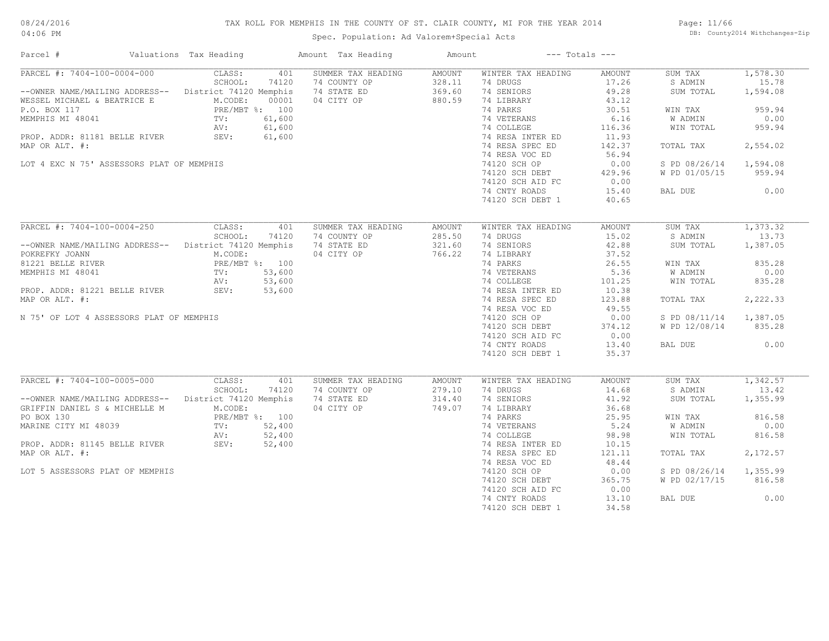# TAX ROLL FOR MEMPHIS IN THE COUNTY OF ST. CLAIR COUNTY, MI FOR THE YEAR 2014

04:06 PM

# Spec. Population: Ad Valorem+Special Acts

Page: 11/66 DB: County2014 Withchanges-Zip

| PARCEL #: 7404-100-0004-000<br>CLASS:<br>401<br>SUMMER TAX HEADING<br>AMOUNT<br>WINTER TAX HEADING<br>AMOUNT<br>SUM TAX<br>SCHOOL:<br>74120<br>328.11<br>74 DRUGS<br>17.26<br>74 COUNTY OP<br>S ADMIN<br>--OWNER NAME/MAILING ADDRESS-- District 74120 Memphis<br>74 STATE ED<br>369.60<br>74 SENIORS<br>49.28<br>SUM TOTAL<br>M.CODE:<br>04 CITY OP<br>880.59<br>74 LIBRARY<br>43.12<br>WESSEL MICHAEL & BEATRICE E<br>00001<br>PRE/MBT %: 100<br>74 PARKS<br>P.O. BOX 117<br>30.51<br>WIN TAX<br>74 VETERANS<br>6.16<br>MEMPHIS MI 48041<br>TV:<br>61,600<br>W ADMIN<br>61,600<br>74 COLLEGE<br>116.36<br>AV:<br>WIN TOTAL<br>SEV:<br>61,600<br>74 RESA INTER ED<br>11.93<br>PROP. ADDR: 81181 BELLE RIVER<br>74 RESA SPEC ED<br>142.37<br>TOTAL TAX<br>MAP OR ALT. #:<br>74 RESA VOC ED<br>56.94<br>LOT 4 EXC N 75' ASSESSORS PLAT OF MEMPHIS<br>74120 SCH OP<br>0.00<br>S PD 08/26/14<br>74120 SCH DEBT<br>429.96<br>W PD 01/05/15<br>74120 SCH AID FC<br>0.00<br>74 CNTY ROADS<br>15.40<br>BAL DUE<br>74120 SCH DEBT 1<br>40.65<br>PARCEL #: 7404-100-0004-250<br>CLASS:<br>401<br>SUMMER TAX HEADING<br>AMOUNT<br>WINTER TAX HEADING<br>AMOUNT<br>SUM TAX<br>SCHOOL:<br>74120<br>74 COUNTY OP<br>285.50<br>74 DRUGS<br>15.02<br>S ADMIN<br>--OWNER NAME/MAILING ADDRESS-- District 74120 Memphis<br>74 STATE ED<br>321.60<br>74 SENIORS<br>42.88<br>SUM TOTAL | 1,578.30<br>15.78<br>1,594.08<br>959.94<br>0.00<br>959.94<br>2,554.02<br>1,594.08<br>959.94<br>0.00 |
|---------------------------------------------------------------------------------------------------------------------------------------------------------------------------------------------------------------------------------------------------------------------------------------------------------------------------------------------------------------------------------------------------------------------------------------------------------------------------------------------------------------------------------------------------------------------------------------------------------------------------------------------------------------------------------------------------------------------------------------------------------------------------------------------------------------------------------------------------------------------------------------------------------------------------------------------------------------------------------------------------------------------------------------------------------------------------------------------------------------------------------------------------------------------------------------------------------------------------------------------------------------------------------------------------------------------------------------------------------------------|-----------------------------------------------------------------------------------------------------|
|                                                                                                                                                                                                                                                                                                                                                                                                                                                                                                                                                                                                                                                                                                                                                                                                                                                                                                                                                                                                                                                                                                                                                                                                                                                                                                                                                                     |                                                                                                     |
|                                                                                                                                                                                                                                                                                                                                                                                                                                                                                                                                                                                                                                                                                                                                                                                                                                                                                                                                                                                                                                                                                                                                                                                                                                                                                                                                                                     |                                                                                                     |
|                                                                                                                                                                                                                                                                                                                                                                                                                                                                                                                                                                                                                                                                                                                                                                                                                                                                                                                                                                                                                                                                                                                                                                                                                                                                                                                                                                     |                                                                                                     |
|                                                                                                                                                                                                                                                                                                                                                                                                                                                                                                                                                                                                                                                                                                                                                                                                                                                                                                                                                                                                                                                                                                                                                                                                                                                                                                                                                                     |                                                                                                     |
|                                                                                                                                                                                                                                                                                                                                                                                                                                                                                                                                                                                                                                                                                                                                                                                                                                                                                                                                                                                                                                                                                                                                                                                                                                                                                                                                                                     |                                                                                                     |
|                                                                                                                                                                                                                                                                                                                                                                                                                                                                                                                                                                                                                                                                                                                                                                                                                                                                                                                                                                                                                                                                                                                                                                                                                                                                                                                                                                     |                                                                                                     |
|                                                                                                                                                                                                                                                                                                                                                                                                                                                                                                                                                                                                                                                                                                                                                                                                                                                                                                                                                                                                                                                                                                                                                                                                                                                                                                                                                                     |                                                                                                     |
|                                                                                                                                                                                                                                                                                                                                                                                                                                                                                                                                                                                                                                                                                                                                                                                                                                                                                                                                                                                                                                                                                                                                                                                                                                                                                                                                                                     |                                                                                                     |
|                                                                                                                                                                                                                                                                                                                                                                                                                                                                                                                                                                                                                                                                                                                                                                                                                                                                                                                                                                                                                                                                                                                                                                                                                                                                                                                                                                     |                                                                                                     |
|                                                                                                                                                                                                                                                                                                                                                                                                                                                                                                                                                                                                                                                                                                                                                                                                                                                                                                                                                                                                                                                                                                                                                                                                                                                                                                                                                                     |                                                                                                     |
|                                                                                                                                                                                                                                                                                                                                                                                                                                                                                                                                                                                                                                                                                                                                                                                                                                                                                                                                                                                                                                                                                                                                                                                                                                                                                                                                                                     |                                                                                                     |
|                                                                                                                                                                                                                                                                                                                                                                                                                                                                                                                                                                                                                                                                                                                                                                                                                                                                                                                                                                                                                                                                                                                                                                                                                                                                                                                                                                     |                                                                                                     |
|                                                                                                                                                                                                                                                                                                                                                                                                                                                                                                                                                                                                                                                                                                                                                                                                                                                                                                                                                                                                                                                                                                                                                                                                                                                                                                                                                                     |                                                                                                     |
|                                                                                                                                                                                                                                                                                                                                                                                                                                                                                                                                                                                                                                                                                                                                                                                                                                                                                                                                                                                                                                                                                                                                                                                                                                                                                                                                                                     |                                                                                                     |
|                                                                                                                                                                                                                                                                                                                                                                                                                                                                                                                                                                                                                                                                                                                                                                                                                                                                                                                                                                                                                                                                                                                                                                                                                                                                                                                                                                     |                                                                                                     |
|                                                                                                                                                                                                                                                                                                                                                                                                                                                                                                                                                                                                                                                                                                                                                                                                                                                                                                                                                                                                                                                                                                                                                                                                                                                                                                                                                                     |                                                                                                     |
|                                                                                                                                                                                                                                                                                                                                                                                                                                                                                                                                                                                                                                                                                                                                                                                                                                                                                                                                                                                                                                                                                                                                                                                                                                                                                                                                                                     | 1,373.32                                                                                            |
|                                                                                                                                                                                                                                                                                                                                                                                                                                                                                                                                                                                                                                                                                                                                                                                                                                                                                                                                                                                                                                                                                                                                                                                                                                                                                                                                                                     | 13.73                                                                                               |
|                                                                                                                                                                                                                                                                                                                                                                                                                                                                                                                                                                                                                                                                                                                                                                                                                                                                                                                                                                                                                                                                                                                                                                                                                                                                                                                                                                     | 1,387.05                                                                                            |
| M.CODE:<br>766.22<br>74 LIBRARY<br>POKREFKY JOANN<br>04 CITY OP<br>37.52                                                                                                                                                                                                                                                                                                                                                                                                                                                                                                                                                                                                                                                                                                                                                                                                                                                                                                                                                                                                                                                                                                                                                                                                                                                                                            |                                                                                                     |
| PRE/MBT %: 100<br>74 PARKS<br>26.55<br>81221 BELLE RIVER<br>WIN TAX                                                                                                                                                                                                                                                                                                                                                                                                                                                                                                                                                                                                                                                                                                                                                                                                                                                                                                                                                                                                                                                                                                                                                                                                                                                                                                 | 835.28                                                                                              |
| TV: 53,600<br>74 VETERANS<br>5.36<br>W ADMIN<br>MEMPHIS MI 48041                                                                                                                                                                                                                                                                                                                                                                                                                                                                                                                                                                                                                                                                                                                                                                                                                                                                                                                                                                                                                                                                                                                                                                                                                                                                                                    | 0.00                                                                                                |
| AV:<br>53,600<br>74 COLLEGE<br>101.25<br>WIN TOTAL                                                                                                                                                                                                                                                                                                                                                                                                                                                                                                                                                                                                                                                                                                                                                                                                                                                                                                                                                                                                                                                                                                                                                                                                                                                                                                                  | 835.28                                                                                              |
| PROP. ADDR: 81221 BELLE RIVER<br>SEV: 53,600<br>74 RESA INTER ED<br>10.38                                                                                                                                                                                                                                                                                                                                                                                                                                                                                                                                                                                                                                                                                                                                                                                                                                                                                                                                                                                                                                                                                                                                                                                                                                                                                           |                                                                                                     |
|                                                                                                                                                                                                                                                                                                                                                                                                                                                                                                                                                                                                                                                                                                                                                                                                                                                                                                                                                                                                                                                                                                                                                                                                                                                                                                                                                                     |                                                                                                     |
| MAP OR ALT. #:<br>74 RESA SPEC ED<br>123.88<br>TOTAL TAX                                                                                                                                                                                                                                                                                                                                                                                                                                                                                                                                                                                                                                                                                                                                                                                                                                                                                                                                                                                                                                                                                                                                                                                                                                                                                                            | 2,222.33                                                                                            |
| 49.55<br>74 RESA VOC ED                                                                                                                                                                                                                                                                                                                                                                                                                                                                                                                                                                                                                                                                                                                                                                                                                                                                                                                                                                                                                                                                                                                                                                                                                                                                                                                                             |                                                                                                     |
| S PD 08/11/14 1,387.05<br>N 75' OF LOT 4 ASSESSORS PLAT OF MEMPHIS<br>74120 SCH OP<br>0.00                                                                                                                                                                                                                                                                                                                                                                                                                                                                                                                                                                                                                                                                                                                                                                                                                                                                                                                                                                                                                                                                                                                                                                                                                                                                          |                                                                                                     |
| 74120 SCH DEBT<br>W PD 12/08/14 835.28<br>374.12                                                                                                                                                                                                                                                                                                                                                                                                                                                                                                                                                                                                                                                                                                                                                                                                                                                                                                                                                                                                                                                                                                                                                                                                                                                                                                                    |                                                                                                     |
| 74120 SCH AID FC<br>0.00                                                                                                                                                                                                                                                                                                                                                                                                                                                                                                                                                                                                                                                                                                                                                                                                                                                                                                                                                                                                                                                                                                                                                                                                                                                                                                                                            |                                                                                                     |
| 74 CNTY ROADS<br>13.40<br>BAL DUE                                                                                                                                                                                                                                                                                                                                                                                                                                                                                                                                                                                                                                                                                                                                                                                                                                                                                                                                                                                                                                                                                                                                                                                                                                                                                                                                   | 0.00                                                                                                |
| 74120 SCH DEBT 1<br>35.37                                                                                                                                                                                                                                                                                                                                                                                                                                                                                                                                                                                                                                                                                                                                                                                                                                                                                                                                                                                                                                                                                                                                                                                                                                                                                                                                           |                                                                                                     |
| PARCEL #: 7404-100-0005-000<br>CLASS:<br>401<br>SUMMER TAX HEADING<br>SUM TAX<br>AMOUNT<br>WINTER TAX HEADING<br>AMOUNT                                                                                                                                                                                                                                                                                                                                                                                                                                                                                                                                                                                                                                                                                                                                                                                                                                                                                                                                                                                                                                                                                                                                                                                                                                             | 1,342.57                                                                                            |
| SCHOOL:<br>74 COUNTY OP<br>74 DRUGS<br>14.68<br>S ADMIN<br>74120<br>279.10                                                                                                                                                                                                                                                                                                                                                                                                                                                                                                                                                                                                                                                                                                                                                                                                                                                                                                                                                                                                                                                                                                                                                                                                                                                                                          | 13.42                                                                                               |
| --OWNER NAME/MAILING ADDRESS-- District 74120 Memphis<br>74 STATE ED<br>314.40<br>74 SENIORS<br>41.92<br>SUM TOTAL                                                                                                                                                                                                                                                                                                                                                                                                                                                                                                                                                                                                                                                                                                                                                                                                                                                                                                                                                                                                                                                                                                                                                                                                                                                  | 1,355.99                                                                                            |
| M.CODE:                                                                                                                                                                                                                                                                                                                                                                                                                                                                                                                                                                                                                                                                                                                                                                                                                                                                                                                                                                                                                                                                                                                                                                                                                                                                                                                                                             |                                                                                                     |
| 04 CITY OP<br>749.07<br>74 LIBRARY<br>36.68<br>GRIFFIN DANIEL S & MICHELLE M                                                                                                                                                                                                                                                                                                                                                                                                                                                                                                                                                                                                                                                                                                                                                                                                                                                                                                                                                                                                                                                                                                                                                                                                                                                                                        |                                                                                                     |
| PO BOX 130<br>PRE/MBT %: 100<br>74 PARKS<br>25.95<br>WIN TAX                                                                                                                                                                                                                                                                                                                                                                                                                                                                                                                                                                                                                                                                                                                                                                                                                                                                                                                                                                                                                                                                                                                                                                                                                                                                                                        | 816.58                                                                                              |
| 74 VETERANS<br>5.24<br>W ADMIN                                                                                                                                                                                                                                                                                                                                                                                                                                                                                                                                                                                                                                                                                                                                                                                                                                                                                                                                                                                                                                                                                                                                                                                                                                                                                                                                      | 0.00                                                                                                |
| MARINE CITY MI 48039<br>PROP. ADDR: 81145 BELLE RIVER (SEV: 52,400<br>74 COLLEGE<br>98.98<br>WIN TOTAL                                                                                                                                                                                                                                                                                                                                                                                                                                                                                                                                                                                                                                                                                                                                                                                                                                                                                                                                                                                                                                                                                                                                                                                                                                                              | 816.58                                                                                              |
| 74 RESA INTER ED<br>10.15                                                                                                                                                                                                                                                                                                                                                                                                                                                                                                                                                                                                                                                                                                                                                                                                                                                                                                                                                                                                                                                                                                                                                                                                                                                                                                                                           |                                                                                                     |
| MAP OR ALT. #:<br>74 RESA SPEC ED<br>121.11<br>TOTAL TAX                                                                                                                                                                                                                                                                                                                                                                                                                                                                                                                                                                                                                                                                                                                                                                                                                                                                                                                                                                                                                                                                                                                                                                                                                                                                                                            | 2,172.57                                                                                            |
| 74 RESA VOC ED<br>48.44                                                                                                                                                                                                                                                                                                                                                                                                                                                                                                                                                                                                                                                                                                                                                                                                                                                                                                                                                                                                                                                                                                                                                                                                                                                                                                                                             |                                                                                                     |
| 74120 SCH OP<br>LOT 5 ASSESSORS PLAT OF MEMPHIS<br>0.00<br>S PD 08/26/14                                                                                                                                                                                                                                                                                                                                                                                                                                                                                                                                                                                                                                                                                                                                                                                                                                                                                                                                                                                                                                                                                                                                                                                                                                                                                            | 1,355.99                                                                                            |
| 74120 SCH DEBT<br>365.75<br>W PD 02/17/15                                                                                                                                                                                                                                                                                                                                                                                                                                                                                                                                                                                                                                                                                                                                                                                                                                                                                                                                                                                                                                                                                                                                                                                                                                                                                                                           | 816.58                                                                                              |
| 74120 SCH AID FC<br>0.00                                                                                                                                                                                                                                                                                                                                                                                                                                                                                                                                                                                                                                                                                                                                                                                                                                                                                                                                                                                                                                                                                                                                                                                                                                                                                                                                            |                                                                                                     |
| 74 CNTY ROADS<br>13.10<br>BAL DUE                                                                                                                                                                                                                                                                                                                                                                                                                                                                                                                                                                                                                                                                                                                                                                                                                                                                                                                                                                                                                                                                                                                                                                                                                                                                                                                                   | 0.00                                                                                                |
| 34.58<br>74120 SCH DEBT 1                                                                                                                                                                                                                                                                                                                                                                                                                                                                                                                                                                                                                                                                                                                                                                                                                                                                                                                                                                                                                                                                                                                                                                                                                                                                                                                                           |                                                                                                     |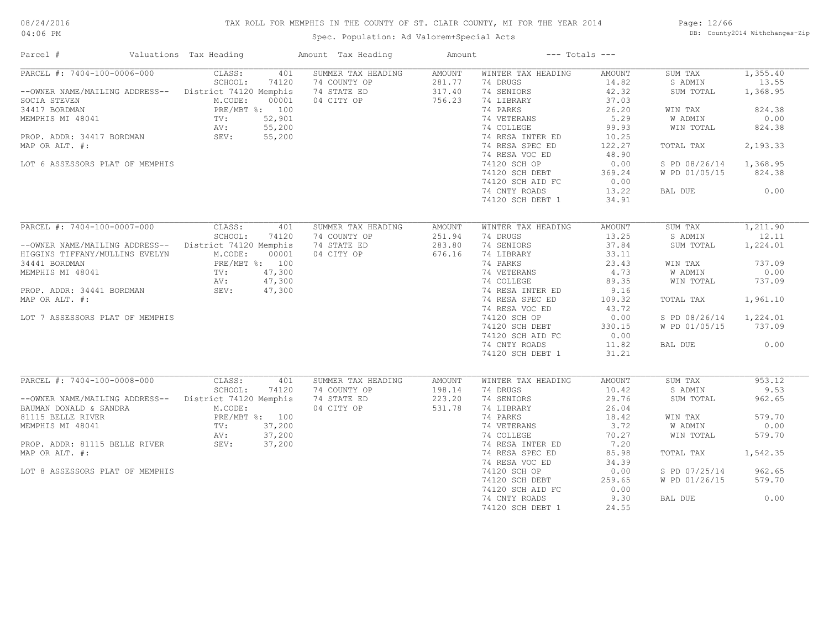# TAX ROLL FOR MEMPHIS IN THE COUNTY OF ST. CLAIR COUNTY, MI FOR THE YEAR 2014

04:06 PM

# Spec. Population: Ad Valorem+Special Acts

Page: 12/66 DB: County2014 Withchanges-Zip

| Parcel #                                                                                                                                                                                                                                      | Valuations Tax Heading                                                                                                                          | Amount Tax Heading                                                     | Amount                               |                                                                                                                                                                                                                                                         | $---$ Totals $---$                                                                                                                 |                                                                                                                              |                                                                                                     |
|-----------------------------------------------------------------------------------------------------------------------------------------------------------------------------------------------------------------------------------------------|-------------------------------------------------------------------------------------------------------------------------------------------------|------------------------------------------------------------------------|--------------------------------------|---------------------------------------------------------------------------------------------------------------------------------------------------------------------------------------------------------------------------------------------------------|------------------------------------------------------------------------------------------------------------------------------------|------------------------------------------------------------------------------------------------------------------------------|-----------------------------------------------------------------------------------------------------|
| PARCEL #: 7404-100-0006-000<br>--OWNER NAME/MAILING ADDRESS--<br>SOCIA STEVEN<br>34417 BORDMAN<br>MEMPHIS MI 48041<br>PROP. ADDR: 34417 BORDMAN<br>MAP OR ALT. #:<br>LOT 6 ASSESSORS PLAT OF MEMPHIS                                          | CLASS:<br>SCHOOL:<br>74120<br>District 74120 Memphis<br>M.CODE:<br>00001<br>PRE/MBT %: 100<br>52,901<br>TV:<br>55,200<br>AV:<br>SEV:<br>55,200  | 401<br>SUMMER TAX HEADING<br>74 COUNTY OP<br>74 STATE ED<br>04 CITY OP | AMOUNT<br>281.77<br>317.40<br>756.23 | WINTER TAX HEADING<br>74 DRUGS<br>74 SENIORS<br>74 LIBRARY<br>74 PARKS<br>74 VETERANS<br>74 COLLEGE<br>74 RESA INTER ED<br>74 RESA SPEC ED<br>74 RESA VOC ED<br>74120 SCH OP<br>74120 SCH DEBT<br>74120 SCH AID FC                                      | AMOUNT<br>14.82<br>42.32<br>37.03<br>26.20<br>5.29<br>99.93<br>10.25<br>122.27<br>48.90<br>0.00<br>369.24<br>0.00                  | SUM TAX<br>S ADMIN<br>SUM TOTAL<br>WIN TAX<br>W ADMIN<br>WIN TOTAL<br>TOTAL TAX<br>S PD 08/26/14<br>W PD 01/05/15            | 1,355.40<br>13.55<br>1,368.95<br>824.38<br>0.00<br>824.38<br>2,193.33<br>1,368.95<br>824.38         |
|                                                                                                                                                                                                                                               |                                                                                                                                                 |                                                                        |                                      | 74 CNTY ROADS<br>74120 SCH DEBT 1                                                                                                                                                                                                                       | 13.22<br>34.91                                                                                                                     | BAL DUE                                                                                                                      | 0.00                                                                                                |
| PARCEL #: 7404-100-0007-000<br>--OWNER NAME/MAILING ADDRESS-- District 74120 Memphis<br>HIGGINS TIFFANY/MULLINS EVELYN<br>34441 BORDMAN<br>MEMPHIS MI 48041<br>PROP. ADDR: 34441 BORDMAN<br>MAP OR ALT. #:<br>LOT 7 ASSESSORS PLAT OF MEMPHIS | CLASS:<br>SCHOOL:<br>74120<br>M.CODE:<br>00001<br>PRE/MBT %: 100<br>47,300<br>TV:<br>47,300<br>AV:<br>47,300<br>SEV:                            | 401<br>SUMMER TAX HEADING<br>74 COUNTY OP<br>74 STATE ED<br>04 CITY OP | AMOUNT<br>251.94<br>283.80<br>676.16 | WINTER TAX HEADING<br>74 DRUGS<br>74 SENIORS<br>74 LIBRARY<br>74 PARKS<br>74 VETERANS<br>74 COLLEGE<br>74 RESA INTER ED<br>74 RESA SPEC ED<br>74 RESA VOC ED<br>74120 SCH OP<br>74120 SCH DEBT<br>74120 SCH AID FC<br>74 CNTY ROADS<br>74120 SCH DEBT 1 | AMOUNT<br>13.25<br>37.84<br>33.11<br>23.43<br>4.73<br>89.35<br>9.16<br>109.32<br>43.72<br>0.00<br>330.15<br>0.00<br>11.82<br>31.21 | SUM TAX<br>S ADMIN<br>SUM TOTAL<br>WIN TAX<br>W ADMIN<br>WIN TOTAL<br>TOTAL TAX<br>S PD 08/26/14<br>W PD 01/05/15<br>BAL DUE | 1,211.90<br>12.11<br>1,224.01<br>737.09<br>0.00<br>737.09<br>1,961.10<br>1,224.01<br>737.09<br>0.00 |
| PARCEL #: 7404-100-0008-000<br>--OWNER NAME/MAILING ADDRESS--<br>BAUMAN DONALD & SANDRA<br>81115 BELLE RIVER<br>MEMPHIS MI 48041<br>PROP. ADDR: 81115 BELLE RIVER<br>MAP OR ALT. #:<br>LOT 8 ASSESSORS PLAT OF MEMPHIS                        | CLASS:<br>SCHOOL:<br>74120<br>District 74120 Memphis<br>M.CODE:<br>PRE/MBT %: 100<br>37,200<br>$\text{TV}$ :<br>37,200<br>AV:<br>SEV:<br>37,200 | SUMMER TAX HEADING<br>401<br>74 COUNTY OP<br>74 STATE ED<br>04 CITY OP | AMOUNT<br>198.14<br>223.20<br>531.78 | WINTER TAX HEADING<br>74 DRUGS<br>74 SENIORS<br>74 LIBRARY<br>74 PARKS<br>74 VETERANS<br>74 COLLEGE<br>74 RESA INTER ED<br>74 RESA SPEC ED<br>74 RESA VOC ED<br>74120 SCH OP<br>74120 SCH DEBT<br>74120 SCH AID FC<br>74 CNTY ROADS<br>74120 SCH DEBT 1 | AMOUNT<br>10.42<br>29.76<br>26.04<br>18.42<br>3.72<br>70.27<br>7.20<br>85.98<br>34.39<br>0.00<br>259.65<br>0.00<br>9.30<br>24.55   | SUM TAX<br>S ADMIN<br>SUM TOTAL<br>WIN TAX<br>W ADMIN<br>WIN TOTAL<br>TOTAL TAX<br>S PD 07/25/14<br>W PD 01/26/15<br>BAL DUE | 953.12<br>9.53<br>962.65<br>579.70<br>0.00<br>579.70<br>1,542.35<br>962.65<br>579.70<br>0.00        |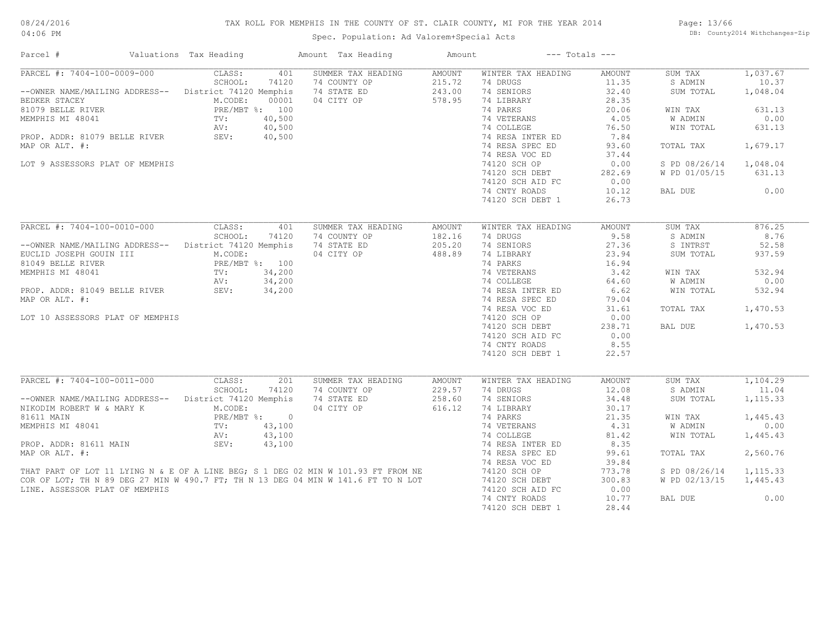# TAX ROLL FOR MEMPHIS IN THE COUNTY OF ST. CLAIR COUNTY, MI FOR THE YEAR 2014

Spec. Population: Ad Valorem+Special Acts

Page: 13/66 DB: County2014 Withchanges-Zip

| Parcel #                                                                                                                                                               | Valuations Tax Heading          | Amount Tax Heading | Amount        |                    | $---$ Totals $---$ |               |           |
|------------------------------------------------------------------------------------------------------------------------------------------------------------------------|---------------------------------|--------------------|---------------|--------------------|--------------------|---------------|-----------|
| PARCEL #: 7404-100-0009-000                                                                                                                                            | CLASS:<br>401                   | SUMMER TAX HEADING | AMOUNT        | WINTER TAX HEADING | <b>AMOUNT</b>      | SUM TAX       | 1,037.67  |
|                                                                                                                                                                        | SCHOOL:<br>74120                | 74 COUNTY OP       | 215.72        | 74 DRUGS           | 11.35              | S ADMIN       | 10.37     |
| --OWNER NAME/MAILING ADDRESS--                                                                                                                                         | District 74120 Memphis          | 74 STATE ED        | 243.00        | 74 SENIORS         | 32.40              | SUM TOTAL     | 1,048.04  |
| BEDKER STACEY                                                                                                                                                          | M.CODE:<br>00001                | 04 CITY OP         | 578.95        | 74 LIBRARY         | 28.35              |               |           |
| 81079 BELLE RIVER                                                                                                                                                      | PRE/MBT %: 100                  |                    |               | 74 PARKS           | 20.06              | WIN TAX       | 631.13    |
| MEMPHIS MI 48041                                                                                                                                                       | 40,500<br>TV:                   |                    |               | 74 VETERANS        | 4.05               | W ADMIN       | 0.00      |
|                                                                                                                                                                        | AV:<br>40,500                   |                    |               | 74 COLLEGE         | 76.50              | WIN TOTAL     | 631.13    |
| PROP. ADDR: 81079 BELLE RIVER                                                                                                                                          | SEV:<br>40,500                  |                    |               | 74 RESA INTER ED   | 7.84               |               |           |
| MAP OR ALT. #:                                                                                                                                                         |                                 |                    |               | 74 RESA SPEC ED    | 93.60              | TOTAL TAX     | 1,679.17  |
|                                                                                                                                                                        |                                 |                    |               | 74 RESA VOC ED     | 37.44              |               |           |
| LOT 9 ASSESSORS PLAT OF MEMPHIS                                                                                                                                        |                                 |                    |               | 74120 SCH OP       | 0.00               | S PD 08/26/14 | 1,048.04  |
|                                                                                                                                                                        |                                 |                    |               | 74120 SCH DEBT     | 282.69             | W PD 01/05/15 | 631.13    |
|                                                                                                                                                                        |                                 |                    |               |                    |                    |               |           |
|                                                                                                                                                                        |                                 |                    |               | 74120 SCH AID FC   | 0.00               |               |           |
|                                                                                                                                                                        |                                 |                    |               | 74 CNTY ROADS      | 10.12              | BAL DUE       | 0.00      |
|                                                                                                                                                                        |                                 |                    |               | 74120 SCH DEBT 1   | 26.73              |               |           |
|                                                                                                                                                                        |                                 |                    |               |                    |                    |               |           |
| PARCEL #: 7404-100-0010-000                                                                                                                                            | CLASS:<br>401                   | SUMMER TAX HEADING | <b>AMOUNT</b> | WINTER TAX HEADING | <b>AMOUNT</b>      | SUM TAX       | 876.25    |
|                                                                                                                                                                        | SCHOOL:<br>74120                | 74 COUNTY OP       | 182.16        | 74 DRUGS           | 9.58               | S ADMIN       | 8.76      |
| --OWNER NAME/MAILING ADDRESS--                                                                                                                                         | District 74120 Memphis          | 74 STATE ED        | 205.20        | 74 SENIORS         | 27.36              | S INTRST      | 52.58     |
| EUCLID JOSEPH GOUIN III                                                                                                                                                | M.CODE:                         | 04 CITY OP         | 488.89        | 74 LIBRARY         | 23.94              | SUM TOTAL     | 937.59    |
| 81049 BELLE RIVER                                                                                                                                                      | PRE/MBT %: 100                  |                    |               | 74 PARKS           | 16.94              |               |           |
| MEMPHIS MI 48041                                                                                                                                                       | 34,200<br>$\operatorname{TV}$ : |                    |               | 74 VETERANS        | 3.42               | WIN TAX       | 532.94    |
|                                                                                                                                                                        | 34,200<br>AV:                   |                    |               | 74 COLLEGE         | 64.60              | W ADMIN       | 0.00      |
| PROP. ADDR: 81049 BELLE RIVER                                                                                                                                          | SEV:<br>34,200                  |                    |               | 74 RESA INTER ED   | 6.62               | WIN TOTAL     | 532.94    |
| MAP OR ALT. #:                                                                                                                                                         |                                 |                    |               | 74 RESA SPEC ED    | 79.04              |               |           |
|                                                                                                                                                                        |                                 |                    |               | 74 RESA VOC ED     | 31.61              | TOTAL TAX     | 1,470.53  |
|                                                                                                                                                                        |                                 |                    |               |                    |                    |               |           |
| LOT 10 ASSESSORS PLAT OF MEMPHIS                                                                                                                                       |                                 |                    |               | 74120 SCH OP       | 0.00               |               |           |
|                                                                                                                                                                        |                                 |                    |               | 74120 SCH DEBT     | 238.71             | BAL DUE       | 1,470.53  |
|                                                                                                                                                                        |                                 |                    |               | 74120 SCH AID FC   | 0.00               |               |           |
|                                                                                                                                                                        |                                 |                    |               | 74 CNTY ROADS      | 8.55               |               |           |
|                                                                                                                                                                        |                                 |                    |               | 74120 SCH DEBT 1   | 22.57              |               |           |
|                                                                                                                                                                        |                                 |                    |               |                    |                    |               |           |
| PARCEL #: 7404-100-0011-000                                                                                                                                            | CLASS:<br>201                   | SUMMER TAX HEADING | AMOUNT        | WINTER TAX HEADING | <b>AMOUNT</b>      | SUM TAX       | 1,104.29  |
|                                                                                                                                                                        | SCHOOL:<br>74120                | 74 COUNTY OP       | 229.57        | 74 DRUGS           | 12.08              | S ADMIN       | 11.04     |
| --OWNER NAME/MAILING ADDRESS--                                                                                                                                         | District 74120 Memphis          | 74 STATE ED        | 258.60        | 74 SENIORS         | 34.48              | SUM TOTAL     | 1, 115.33 |
| NIKODIM ROBERT W & MARY K                                                                                                                                              | M.CODE:                         | 04 CITY OP         | 616.12        | 74 LIBRARY         | 30.17              |               |           |
| 81611 MAIN                                                                                                                                                             | PRE/MBT %: 0                    |                    |               | 74 PARKS           | 21.35              | WIN TAX       | 1,445.43  |
| MEMPHIS MI 48041                                                                                                                                                       | 43,100<br>TV:                   |                    |               | 74 VETERANS        | 4.31               | W ADMIN       | 0.00      |
|                                                                                                                                                                        | AV:<br>43,100                   |                    |               | 74 COLLEGE         | 81.42              | WIN TOTAL     | 1,445.43  |
| PROP. ADDR: 81611 MAIN                                                                                                                                                 | SEV:<br>43,100                  |                    |               | 74 RESA INTER ED   | 8.35               |               |           |
| MAP OR ALT. #:                                                                                                                                                         |                                 |                    |               | 74 RESA SPEC ED    | 99.61              | TOTAL TAX     | 2,560.76  |
|                                                                                                                                                                        |                                 |                    |               | 74 RESA VOC ED     | 39.84              |               |           |
|                                                                                                                                                                        |                                 |                    |               | 74120 SCH OP       | 773.78             | S PD 08/26/14 | 1, 115.33 |
| THAT PART OF LOT 11 LYING N & E OF A LINE BEG; S 1 DEG 02 MIN W 101.93 FT FROM NE<br>COR OF LOT; TH N 89 DEG 27 MIN W 490.7 FT; TH N 13 DEG 04 MIN W 141.6 FT TO N LOT |                                 |                    |               | 74120 SCH DEBT     | 300.83             | W PD 02/13/15 | 1,445.43  |
| LINE. ASSESSOR PLAT OF MEMPHIS                                                                                                                                         |                                 |                    |               | 74120 SCH AID FC   | 0.00               |               |           |
|                                                                                                                                                                        |                                 |                    |               | 74 CNTY ROADS      | 10.77              | BAL DUE       | 0.00      |
|                                                                                                                                                                        |                                 |                    |               |                    |                    |               |           |
|                                                                                                                                                                        |                                 |                    |               | 74120 SCH DEBT 1   | 28.44              |               |           |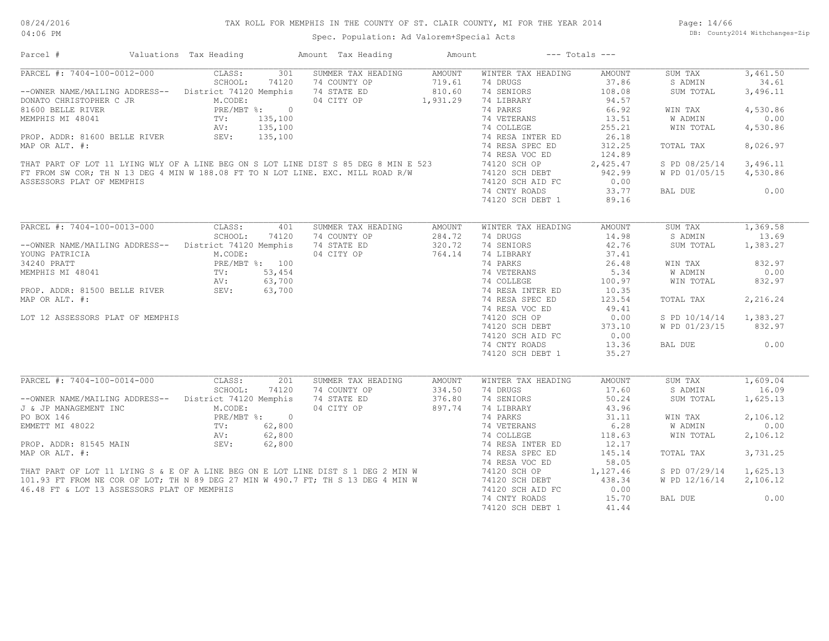# TAX ROLL FOR MEMPHIS IN THE COUNTY OF ST. CLAIR COUNTY, MI FOR THE YEAR 2014

Spec. Population: Ad Valorem+Special Acts

Page: 14/66 DB: County2014 Withchanges-Zip

| Parcel #                                                                                                                                                                                                                                                                                                                                                                                                           | Valuations Tax Heading                                                                                                              | Amount Tax Heading                                                     | Amount                                        |                                                                                                                                                                                                                                                         | $---$ Totals $---$                                                                                                                              |                                                                                                                              |                                                                                                           |
|--------------------------------------------------------------------------------------------------------------------------------------------------------------------------------------------------------------------------------------------------------------------------------------------------------------------------------------------------------------------------------------------------------------------|-------------------------------------------------------------------------------------------------------------------------------------|------------------------------------------------------------------------|-----------------------------------------------|---------------------------------------------------------------------------------------------------------------------------------------------------------------------------------------------------------------------------------------------------------|-------------------------------------------------------------------------------------------------------------------------------------------------|------------------------------------------------------------------------------------------------------------------------------|-----------------------------------------------------------------------------------------------------------|
| PARCEL #: 7404-100-0012-000<br>--OWNER NAME/MAILING ADDRESS-- District 74120 Memphis<br>DONATO CHRISTOPHER C JR<br>81600 BELLE RIVER<br>MEMPHIS MI 48041<br>PROP. ADDR: 81600 BELLE RIVER<br>MAP OR ALT. #:<br>THAT PART OF LOT 11 LYING WLY OF A LINE BEG ON S LOT LINE DIST S 85 DEG 8 MIN E 523<br>FT FROM SW COR; TH N 13 DEG 4 MIN W 188.08 FT TO N LOT LINE. EXC. MILL ROAD R/W<br>ASSESSORS PLAT OF MEMPHIS | CLASS:<br>301<br>SCHOOL:<br>74120<br>M.CODE:<br>PRE/MBT %: 0<br>135,100<br>TV:<br>135,100<br>AV:<br>SEV:<br>135,100                 | SUMMER TAX HEADING<br>74 COUNTY OP<br>74 STATE ED<br>04 CITY OP        | <b>AMOUNT</b><br>719.61<br>810.60<br>1,931.29 | WINTER TAX HEADING<br>74 DRUGS<br>74 SENIORS<br>74 LIBRARY<br>74 PARKS<br>74 VETERANS<br>74 COLLEGE<br>74 RESA INTER ED<br>74 RESA SPEC ED<br>74 RESA VOC ED<br>74120 SCH OP<br>74120 SCH DEBT<br>74120 SCH AID FC<br>74 CNTY ROADS<br>74120 SCH DEBT 1 | AMOUNT<br>37.86<br>108.08<br>94.57<br>66.92<br>13.51<br>255.21<br>26.18<br>312.25<br>124.89<br>2,425.47<br>942.99<br>0.00<br>33.77<br>89.16     | SUM TAX<br>S ADMIN<br>SUM TOTAL<br>WIN TAX<br>W ADMIN<br>WIN TOTAL<br>TOTAL TAX<br>S PD 08/25/14<br>W PD 01/05/15<br>BAL DUE | 3,461.50<br>34.61<br>3,496.11<br>4,530.86<br>0.00<br>4,530.86<br>8,026.97<br>3,496.11<br>4,530.86<br>0.00 |
|                                                                                                                                                                                                                                                                                                                                                                                                                    |                                                                                                                                     |                                                                        |                                               |                                                                                                                                                                                                                                                         |                                                                                                                                                 |                                                                                                                              |                                                                                                           |
| PARCEL #: 7404-100-0013-000<br>--OWNER NAME/MAILING ADDRESS-- District 74120 Memphis<br>YOUNG PATRICIA<br>34240 PRATT<br>MEMPHIS MI 48041<br>PROP. ADDR: 81500 BELLE RIVER<br>MAP OR ALT. #:<br>LOT 12 ASSESSORS PLAT OF MEMPHIS                                                                                                                                                                                   | CLASS:<br>SCHOOL:<br>74120<br>M.CODE:<br>PRE/MBT %: 100<br>53,454<br>TV:<br>AV:<br>63,700<br>AV:<br>SEV:<br>63,700                  | 401<br>SUMMER TAX HEADING<br>74 COUNTY OP<br>74 STATE ED<br>04 CITY OP | <b>AMOUNT</b><br>284.72<br>320.72<br>764.14   | WINTER TAX HEADING<br>74 DRUGS<br>74 SENIORS<br>74 LIBRARY<br>74 PARKS<br>74 VETERANS<br>74 COLLEGE<br>74 RESA INTER ED<br>74 RESA SPEC ED<br>74 RESA VOC ED<br>74120 SCH OP<br>74120 SCH DEBT<br>74120 SCH AID FC<br>74 CNTY ROADS<br>74120 SCH DEBT 1 | AMOUNT<br>14.98<br>42.76<br>37.41<br>26.48<br>5.34<br>100.97<br>10.35<br>123.54<br>49.41<br>0.00<br>373.10<br>0.00<br>13.36<br>35.27            | SUM TAX<br>S ADMIN<br>SUM TOTAL<br>WIN TAX<br>W ADMIN<br>WIN TOTAL<br>TOTAL TAX<br>S PD 10/14/14<br>W PD 01/23/15<br>BAL DUE | 1,369.58<br>13.69<br>1,383.27<br>832.97<br>0.00<br>832.97<br>2,216.24<br>1,383.27<br>832.97<br>0.00       |
| PARCEL #: 7404-100-0014-000<br>--OWNER NAME/MAILING ADDRESS--<br>J & JP MANAGEMENT INC<br>PO BOX 146<br>EMMETT MI 48022<br>PROP. ADDR: 81545 MAIN<br>MAP OR ALT. #:<br>THAT PART OF LOT 11 LYING S & E OF A LINE BEG ON E LOT LINE DIST S 1 DEG 2 MIN W<br>101.93 FT FROM NE COR OF LOT; TH N 89 DEG 27 MIN W 490.7 FT; TH S 13 DEG 4 MIN W<br>46.48 FT & LOT 13 ASSESSORS PLAT OF MEMPHIS                         | CLASS:<br>SCHOOL:<br>74120<br>District 74120 Memphis<br>M.CODE:<br>PRE/MBT %: 0<br>TV:<br>62,800<br>62,800<br>AV:<br>SEV:<br>62,800 | 201<br>SUMMER TAX HEADING<br>74 COUNTY OP<br>74 STATE ED<br>04 CITY OP | AMOUNT<br>334.50<br>376.80<br>897.74          | WINTER TAX HEADING<br>74 DRUGS<br>74 SENIORS<br>74 LIBRARY<br>74 PARKS<br>74 VETERANS<br>74 COLLEGE<br>74 RESA INTER ED<br>74 RESA SPEC ED<br>74 RESA VOC ED<br>74120 SCH OP<br>74120 SCH DEBT<br>74120 SCH AID FC<br>74 CNTY ROADS<br>74120 SCH DEBT 1 | <b>AMOUNT</b><br>17.60<br>50.24<br>43.96<br>31.11<br>6.28<br>118.63<br>12.17<br>145.14<br>58.05<br>1,127.46<br>438.34<br>0.00<br>15.70<br>41.44 | SUM TAX<br>S ADMIN<br>SUM TOTAL<br>WIN TAX<br>W ADMIN<br>WIN TOTAL<br>TOTAL TAX<br>S PD 07/29/14<br>W PD 12/16/14<br>BAL DUE | 1,609.04<br>16.09<br>1,625.13<br>2,106.12<br>0.00<br>2,106.12<br>3,731.25<br>1,625.13<br>2,106.12<br>0.00 |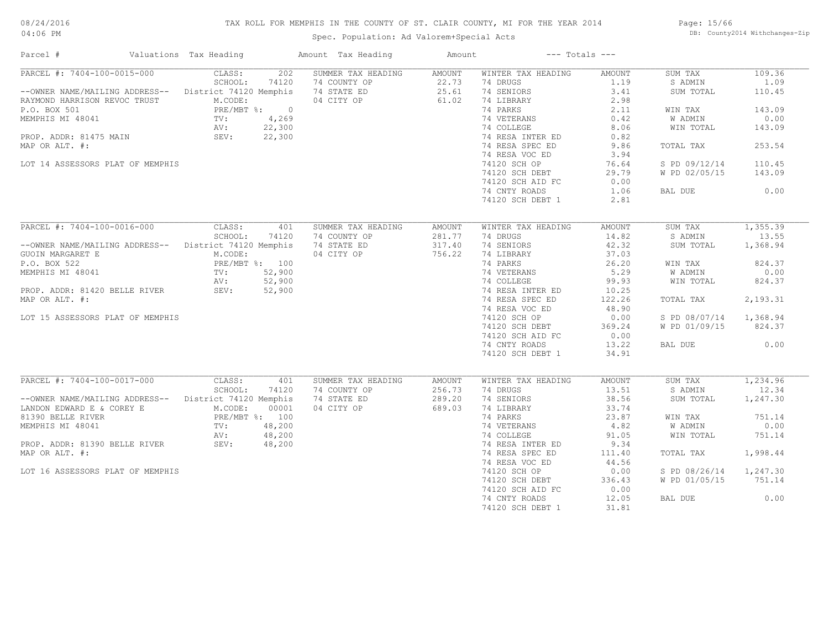# TAX ROLL FOR MEMPHIS IN THE COUNTY OF ST. CLAIR COUNTY, MI FOR THE YEAR 2014

Spec. Population: Ad Valorem+Special Acts

Page: 15/66 DB: County2014 Withchanges-Zip

| Parcel #                                               | Valuations Tax Heading | Amount Tax Heading | Amount        |                    | $---$ Totals $---$ |               |          |
|--------------------------------------------------------|------------------------|--------------------|---------------|--------------------|--------------------|---------------|----------|
| PARCEL #: 7404-100-0015-000                            | CLASS:<br>202          | SUMMER TAX HEADING | AMOUNT        | WINTER TAX HEADING | AMOUNT             | SUM TAX       | 109.36   |
|                                                        | SCHOOL:<br>74120       | 74 COUNTY OP       | 22.73         | 74 DRUGS           | 1.19               | S ADMIN       | 1.09     |
| --OWNER NAME/MAILING ADDRESS-- District 74120 Memphis  |                        | 74 STATE ED        | 25.61         | 74 SENIORS         | 3.41               | SUM TOTAL     | 110.45   |
| RAYMOND HARRISON REVOC TRUST                           | M.CODE:                | 04 CITY OP         | 61.02         | 74 LIBRARY         | 2.98               |               |          |
| P.O. BOX 501                                           | PRE/MBT %: 0           |                    |               | 74 PARKS           | 2.11               | WIN TAX       | 143.09   |
| MEMPHIS MI 48041                                       | 4,269<br>TV:           |                    |               | 74 VETERANS        | 0.42               | W ADMIN       | 0.00     |
|                                                        | 22,300<br>AV:          |                    |               | 74 COLLEGE         | 8.06               | WIN TOTAL     | 143.09   |
| PROP. ADDR: 81475 MAIN                                 | SEV:<br>22,300         |                    |               | 74 RESA INTER ED   | 0.82               |               |          |
| MAP OR ALT. #:                                         |                        |                    |               | 74 RESA SPEC ED    | 9.86               | TOTAL TAX     | 253.54   |
|                                                        |                        |                    |               | 74 RESA VOC ED     | 3.94               |               |          |
| LOT 14 ASSESSORS PLAT OF MEMPHIS                       |                        |                    |               | 74120 SCH OP       | 76.64              | S PD 09/12/14 | 110.45   |
|                                                        |                        |                    |               |                    |                    |               |          |
|                                                        |                        |                    |               | 74120 SCH DEBT     | 29.79              | W PD 02/05/15 | 143.09   |
|                                                        |                        |                    |               | 74120 SCH AID FC   | 0.00               |               |          |
|                                                        |                        |                    |               | 74 CNTY ROADS      | 1.06               | BAL DUE       | 0.00     |
|                                                        |                        |                    |               | 74120 SCH DEBT 1   | 2.81               |               |          |
|                                                        |                        |                    |               |                    |                    |               |          |
| PARCEL #: 7404-100-0016-000                            | CLASS:<br>401          | SUMMER TAX HEADING | <b>AMOUNT</b> | WINTER TAX HEADING | <b>AMOUNT</b>      | SUM TAX       | 1,355.39 |
|                                                        | SCHOOL:<br>74120       | 74 COUNTY OP       | 281.77        | 74 DRUGS           | 14.82              | S ADMIN       | 13.55    |
| --OWNER NAME/MAILING ADDRESS-- District 74120 Memphis  |                        | 74 STATE ED        | 317.40        | 74 SENIORS         | 42.32              | SUM TOTAL     | 1,368.94 |
| GUOIN MARGARET E                                       | M.CODE:                | 04 CITY OP         | 756.22        | 74 LIBRARY         | 37.03              |               |          |
| P.O. BOX 522                                           | PRE/MBT %: 100         |                    |               | 74 PARKS           | 26.20              | WIN TAX       | 824.37   |
| MEMPHIS MI 48041                                       | 52,900<br>TV:          |                    |               | 74 VETERANS        | 5.29               | W ADMIN       | 0.00     |
|                                                        | AV:<br>52,900          |                    |               | 74 COLLEGE         | 99.93              | WIN TOTAL     | 824.37   |
| PROP. ADDR: 81420 BELLE RIVER                          | SEV:<br>52,900         |                    |               | 74 RESA INTER ED   | 10.25              |               |          |
| MAP OR ALT. #:                                         |                        |                    |               | 74 RESA SPEC ED    | 122.26             | TOTAL TAX     | 2,193.31 |
|                                                        |                        |                    |               |                    | 48.90              |               |          |
|                                                        |                        |                    |               | 74 RESA VOC ED     |                    |               |          |
| LOT 15 ASSESSORS PLAT OF MEMPHIS                       |                        |                    |               | 74120 SCH OP       | 0.00               | S PD 08/07/14 | 1,368.94 |
|                                                        |                        |                    |               | 74120 SCH DEBT     | 369.24             | W PD 01/09/15 | 824.37   |
|                                                        |                        |                    |               | 74120 SCH AID FC   | 0.00               |               |          |
|                                                        |                        |                    |               | 74 CNTY ROADS      | 13.22              | BAL DUE       | 0.00     |
|                                                        |                        |                    |               | 74120 SCH DEBT 1   | 34.91              |               |          |
|                                                        |                        |                    |               |                    |                    |               |          |
| PARCEL #: 7404-100-0017-000                            | CLASS:<br>401          | SUMMER TAX HEADING | AMOUNT        | WINTER TAX HEADING | <b>AMOUNT</b>      | SUM TAX       | 1,234.96 |
|                                                        | SCHOOL:<br>74120       | 74 COUNTY OP       | 256.73        | 74 DRUGS           | 13.51              | S ADMIN       | 12.34    |
| -- OWNER NAME/MAILING ADDRESS-- District 74120 Memphis |                        | 74 STATE ED        | 289.20        | 74 SENIORS         | 38.56              | SUM TOTAL     | 1,247.30 |
| LANDON EDWARD E & COREY E                              | M.CODE:<br>00001       | 04 CITY OP         | 689.03        | 74 LIBRARY         | 33.74              |               |          |
| 81390 BELLE RIVER                                      | PRE/MBT %: 100         |                    |               | 74 PARKS           | 23.87              | WIN TAX       | 751.14   |
| MEMPHIS MI 48041                                       | 48,200<br>TV:          |                    |               | 74 VETERANS        | 4.82               | W ADMIN       | 0.00     |
|                                                        | 48,200<br>AV:          |                    |               | 74 COLLEGE         | 91.05              | WIN TOTAL     | 751.14   |
| PROP. ADDR: 81390 BELLE RIVER                          | AV:<br>SEV:<br>48,200  |                    |               | 74 RESA INTER ED   | 9.34               |               |          |
| MAP OR ALT. #:                                         |                        |                    |               | 74 RESA SPEC ED    | 111.40             | TOTAL TAX     | 1,998.44 |
|                                                        |                        |                    |               | 74 RESA VOC ED     | 44.56              |               |          |
|                                                        |                        |                    |               |                    |                    |               |          |
| LOT 16 ASSESSORS PLAT OF MEMPHIS                       |                        |                    |               | 74120 SCH OP       | 0.00               | S PD 08/26/14 | 1,247.30 |
|                                                        |                        |                    |               | 74120 SCH DEBT     | 336.43             | W PD 01/05/15 | 751.14   |
|                                                        |                        |                    |               | 74120 SCH AID FC   | 0.00               |               |          |
|                                                        |                        |                    |               | 74 CNTY ROADS      | 12.05              | BAL DUE       | 0.00     |
|                                                        |                        |                    |               | 74120 SCH DEBT 1   | 31.81              |               |          |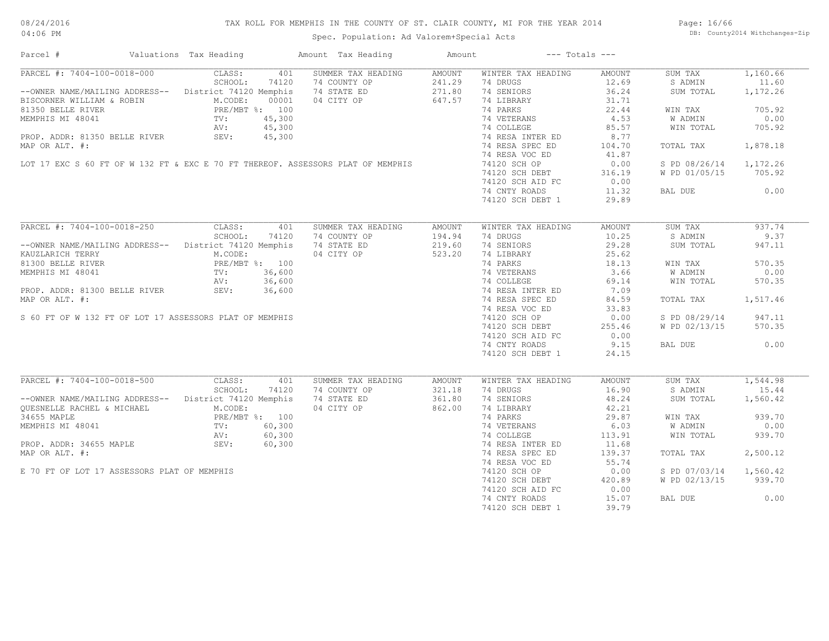| Parcel #                                                                                             | Valuations Tax Heading                | Amount Tax Heading | Amount | $---$ Totals $---$ |               |               |          |
|------------------------------------------------------------------------------------------------------|---------------------------------------|--------------------|--------|--------------------|---------------|---------------|----------|
| PARCEL #: 7404-100-0018-000                                                                          | CLASS:<br>401                         | SUMMER TAX HEADING | AMOUNT | WINTER TAX HEADING | AMOUNT        | SUM TAX       | 1,160.66 |
|                                                                                                      | SCHOOL:<br>74120                      | 74 COUNTY OP       | 241.29 | 74 DRUGS           | 12.69         | S ADMIN       | 11.60    |
| --OWNER NAME/MAILING ADDRESS-- District 74120 Memphis                                                |                                       | 74 STATE ED        | 271.80 | 74 SENIORS         | 36.24         | SUM TOTAL     | 1,172.26 |
| BISCORNER WILLIAM & ROBIN                                                                            | M.CODE:<br>00001                      | 04 CITY OP         | 647.57 | 74 LIBRARY         | 31.71         |               |          |
| 81350 BELLE RIVER                                                                                    | PRE/MBT %: 100                        |                    |        | 74 PARKS           | 22.44         | WIN TAX       | 705.92   |
| MEMPHIS MI 48041                                                                                     | TV:<br>45,300                         |                    |        | 74 VETERANS        | 4.53          | W ADMIN       | 0.00     |
|                                                                                                      | AV:<br>45,300                         |                    |        | 74 COLLEGE         | 85.57         | WIN TOTAL     | 705.92   |
| PROP. ADDR: 81350 BELLE RIVER                                                                        | SEV:<br>45,300                        |                    |        | 74 RESA INTER ED   | 8.77          |               |          |
| MAP OR ALT. #:                                                                                       |                                       |                    |        | 74 RESA SPEC ED    | 104.70        | TOTAL TAX     | 1,878.18 |
|                                                                                                      |                                       |                    |        | 74 RESA VOC ED     | 41.87         |               |          |
| LOT 17 EXC S 60 FT OF W 132 FT & EXC E 70 FT THEREOF. ASSESSORS PLAT OF MEMPHIS                      |                                       |                    |        |                    |               |               |          |
|                                                                                                      |                                       |                    |        | 74120 SCH OP       | 0.00          | S PD 08/26/14 | 1,172.26 |
|                                                                                                      |                                       |                    |        | 74120 SCH DEBT     | 316.19        | W PD 01/05/15 | 705.92   |
|                                                                                                      |                                       |                    |        | 74120 SCH AID FC   | 0.00          |               |          |
|                                                                                                      |                                       |                    |        | 74 CNTY ROADS      | 11.32         | BAL DUE       | 0.00     |
|                                                                                                      |                                       |                    |        | 74120 SCH DEBT 1   | 29.89         |               |          |
|                                                                                                      |                                       |                    |        |                    |               |               |          |
| PARCEL #: 7404-100-0018-250                                                                          | CLASS:<br>401                         | SUMMER TAX HEADING | AMOUNT | WINTER TAX HEADING | AMOUNT        | SUM TAX       | 937.74   |
|                                                                                                      | SCHOOL:<br>74120                      | 74 COUNTY OP       | 194.94 | 74 DRUGS           | 10.25         | S ADMIN       | 9.37     |
| --OWNER NAME/MAILING ADDRESS-- District 74120 Memphis                                                |                                       | 74 STATE ED        | 219.60 | 74 SENIORS         | 29.28         | SUM TOTAL     | 947.11   |
| KAUZLARICH TERRY                                                                                     | M.CODE:                               | 04 CITY OP         | 523.20 | 74 LIBRARY         | 25.62         |               |          |
| 81300 BELLE RIVER                                                                                    | PRE/M<br>TV:<br>AV:<br>PRE/MBT %: 100 |                    |        | 74 PARKS           | 18.13         | WIN TAX       | 570.35   |
| MEMPHIS MI 48041                                                                                     | 36,600                                |                    |        | 74 VETERANS        | 3.66          | W ADMIN       | 0.00     |
|                                                                                                      | 36,600                                |                    |        | 74 COLLEGE         | 69.14         | WIN TOTAL     | 570.35   |
| PROP. ADDR: 81300 BELLE RIVER                                                                        | SEV:<br>36,600                        |                    |        | 74 RESA INTER ED   | 7.09          |               |          |
| MAP OR ALT. #:                                                                                       |                                       |                    |        | 74 RESA SPEC ED    | 84.59         | TOTAL TAX     | 1,517.46 |
|                                                                                                      |                                       |                    |        |                    |               |               |          |
|                                                                                                      |                                       |                    |        | 74 RESA VOC ED     | 33.83         |               |          |
| S 60 FT OF W 132 FT OF LOT 17 ASSESSORS PLAT OF MEMPHIS                                              |                                       |                    |        | 74120 SCH OP       | 0.00          | S PD 08/29/14 | 947.11   |
|                                                                                                      |                                       |                    |        | 74120 SCH DEBT     | 255.46        | W PD 02/13/15 | 570.35   |
|                                                                                                      |                                       |                    |        | 74120 SCH AID FC   | 0.00          |               |          |
|                                                                                                      |                                       |                    |        | 74 CNTY ROADS      | 9.15          | BAL DUE       | 0.00     |
|                                                                                                      |                                       |                    |        | 74120 SCH DEBT 1   | 24.15         |               |          |
|                                                                                                      |                                       |                    |        |                    |               |               |          |
| PARCEL #: 7404-100-0018-500                                                                          | CLASS:<br>401                         | SUMMER TAX HEADING | AMOUNT | WINTER TAX HEADING | <b>AMOUNT</b> | SUM TAX       | 1,544.98 |
|                                                                                                      | SCHOOL:<br>74120                      | 74 COUNTY OP       | 321.18 | 74 DRUGS           | 16.90         | S ADMIN       | 15.44    |
| -- OWNER NAME/MAILING ADDRESS-- District 74120 Memphis                                               |                                       | 74 STATE ED        | 361.80 | 74 SENIORS         | 48.24         | SUM TOTAL     | 1,560.42 |
| QUESNELLE RACHEL & MICHAEL                                                                           | M.CODE:                               | 04 CITY OP         | 862.00 | 74 LIBRARY         | 42.21         |               |          |
| 34655 MAPLE<br>MEMPHIS MI 48041 TV:<br>PROP. ADDR: 34655 MAPLE 4802:<br>PROP. ADDR: 34655 MAPLE 5EV: | PRE/MBT %: 100                        |                    |        | 74 PARKS           | 29.87         | WIN TAX       | 939.70   |
|                                                                                                      | 60,300                                |                    |        | 74 VETERANS        | 6.03          | W ADMIN       | 0.00     |
|                                                                                                      | 60,300                                |                    |        | 74 COLLEGE         | 113.91        | WIN TOTAL     | 939.70   |
|                                                                                                      | 60,300                                |                    |        | 74 RESA INTER ED   | 11.68         |               |          |
| MAP OR ALT. #:                                                                                       |                                       |                    |        | 74 RESA SPEC ED    | 139.37        | TOTAL TAX     | 2,500.12 |
|                                                                                                      |                                       |                    |        | 74 RESA VOC ED     | 55.74         |               |          |
|                                                                                                      |                                       |                    |        |                    |               |               |          |
| E 70 FT OF LOT 17 ASSESSORS PLAT OF MEMPHIS                                                          |                                       |                    |        | 74120 SCH OP       | 0.00          | S PD 07/03/14 | 1,560.42 |
|                                                                                                      |                                       |                    |        | 74120 SCH DEBT     | 420.89        | W PD 02/13/15 | 939.70   |
|                                                                                                      |                                       |                    |        | 74120 SCH AID FC   | 0.00          |               |          |
|                                                                                                      |                                       |                    |        | 74 CNTY ROADS      | 15.07         | BAL DUE       | 0.00     |
|                                                                                                      |                                       |                    |        | 74120 SCH DEBT 1   | 39.79         |               |          |
|                                                                                                      |                                       |                    |        |                    |               |               |          |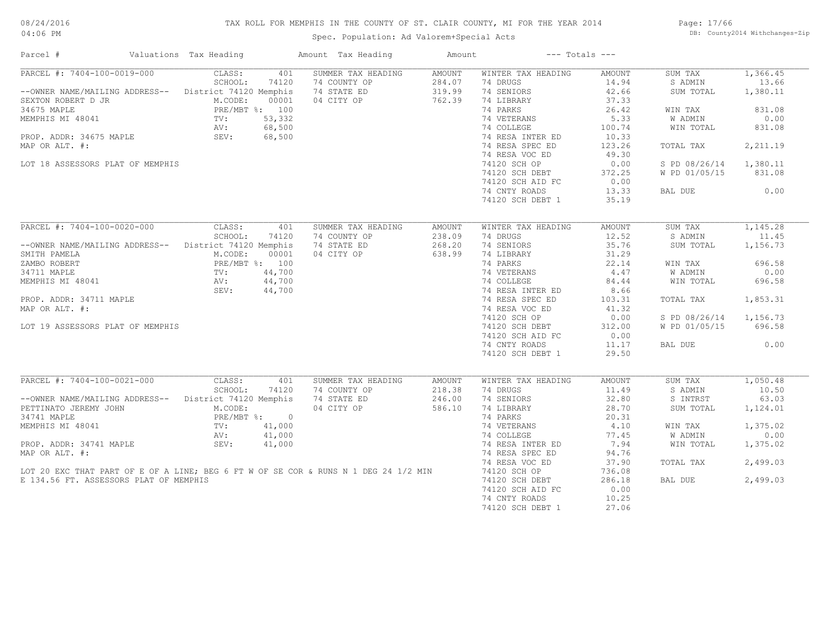# TAX ROLL FOR MEMPHIS IN THE COUNTY OF ST. CLAIR COUNTY, MI FOR THE YEAR 2014

04:06 PM

# Spec. Population: Ad Valorem+Special Acts

Page: 17/66 DB: County2014 Withchanges-Zip

| PARCEL #: 7404-100-0019-000<br>SUMMER TAX HEADING<br>CLASS:<br>401<br>AMOUNT<br>WINTER TAX HEADING<br>AMOUNT<br>SUM TAX<br>1,366.45<br>SCHOOL:<br>284.07<br>74 DRUGS<br>14.94<br>13.66<br>74120<br>74 COUNTY OP<br>S ADMIN<br>--OWNER NAME/MAILING ADDRESS-- District 74120 Memphis<br>74 STATE ED<br>319.99<br>74 SENIORS<br>42.66<br>1,380.11<br>SUM TOTAL<br>04 CITY OP<br>762.39<br>74 LIBRARY<br>37.33<br>M.CODE:<br>00001<br>74 PARKS<br>PRE/MBT %: 100<br>26.42<br>831.08<br>WIN TAX<br>0.00<br>TV:<br>53,332<br>74 VETERANS<br>5.33<br>W ADMIN<br>68,500<br>74 COLLEGE<br>100.74<br>831.08<br>WIN TOTAL<br>AV:<br>PROP. ADDR: 34675 MAPLE<br>SEV:<br>68,500<br>74 RESA INTER ED<br>10.33<br>74 RESA SPEC ED<br>123.26<br>2,211.19<br>TOTAL TAX<br>74 RESA VOC ED<br>49.30<br>74120 SCH OP<br>1,380.11<br>LOT 18 ASSESSORS PLAT OF MEMPHIS<br>0.00<br>S PD 08/26/14<br>74120 SCH DEBT<br>372.25<br>W PD 01/05/15<br>831.08<br>0.00<br>74120 SCH AID FC<br>0.00<br>74 CNTY ROADS<br>13.33<br>BAL DUE<br>74120 SCH DEBT 1<br>35.19<br>PARCEL #: 7404-100-0020-000<br>CLASS:<br>SUMMER TAX HEADING<br>WINTER TAX HEADING<br>1,145.28<br>401<br>AMOUNT<br>AMOUNT<br>SUM TAX<br>SCHOOL:<br>238.09<br>74 DRUGS<br>12.52<br>S ADMIN<br>11.45<br>74120<br>74 COUNTY OP<br>74 STATE ED<br>268.20<br>74 SENIORS<br>35.76<br>District 74120 Memphis<br>SUM TOTAL<br>1,156.73<br>--OWNER NAME/MAILING ADDRESS--<br>M.CODE:<br>04 CITY OP<br>638.99<br>74 LIBRARY<br>31.29<br>SMITH PAMELA<br>00001<br>PRE/MBT %: 100<br>22.14<br>696.58<br>ZAMBO ROBERT<br>74 PARKS<br>WIN TAX<br>34711 MAPLE<br>44,700<br>74 VETERANS<br>4.47<br>W ADMIN<br>0.00<br>TV:<br>MEMPHIS MI 48041<br>44,700<br>74 COLLEGE<br>WIN TOTAL<br>696.58<br>AV:<br>84.44<br>SEV:<br>44,700<br>74 RESA INTER ED<br>8.66<br>74 RESA SPEC ED<br>1,853.31<br>PROP. ADDR: 34711 MAPLE<br>103.31<br>TOTAL TAX<br>74 RESA VOC ED<br>41.32<br>MAP OR ALT. #:<br>0.00<br>1,156.73<br>74120 SCH OP<br>S PD 08/26/14<br>LOT 19 ASSESSORS PLAT OF MEMPHIS<br>74120 SCH DEBT<br>312.00<br>W PD 01/05/15<br>696.58<br>74120 SCH AID FC<br>0.00<br>0.00<br>74 CNTY ROADS<br>11.17<br>BAL DUE<br>74120 SCH DEBT 1<br>29.50<br>PARCEL #: 7404-100-0021-000<br>1,050.48<br>CLASS:<br>401<br>SUMMER TAX HEADING<br>AMOUNT<br>WINTER TAX HEADING<br>AMOUNT<br>SUM TAX<br>SCHOOL:<br>74 COUNTY OP<br>218.38<br>74 DRUGS<br>11.49<br>S ADMIN<br>10.50<br>74120<br>--OWNER NAME/MAILING ADDRESS--<br>District 74120 Memphis<br>74 STATE ED<br>246.00<br>74 SENIORS<br>32.80<br>S INTRST<br>63.03<br>04 CITY OP<br>586.10<br>74 LIBRARY<br>28.70<br>PETTINATO JEREMY JOHN<br>M.CODE:<br>SUM TOTAL<br>1,124.01<br>34741 MAPLE<br>PRE/MBT %: 0<br>74 PARKS<br>20.31<br>41,000<br>74 VETERANS<br>4.10<br>1,375.02<br>MEMPHIS MI 48041<br>$\text{TV}$ :<br>WIN TAX<br>W ADMIN<br>41,000<br>74 COLLEGE<br>77.45<br>0.00<br>AV:<br>PROP. ADDR: 34741 MAPLE<br>SEV:<br>41,000<br>74 RESA INTER ED<br>7.94<br>1,375.02<br>WIN TOTAL<br>94.76<br>MAP OR ALT. #:<br>74 RESA SPEC ED<br>74 RESA VOC ED<br>37.90<br>2,499.03<br>TOTAL TAX<br>LOT 20 EXC THAT PART OF E OF A LINE; BEG 6 FT W OF SE COR & RUNS N 1 DEG 24 1/2 MIN<br>74120 SCH OP<br>736.08<br>74120 SCH DEBT<br>E 134.56 FT. ASSESSORS PLAT OF MEMPHIS<br>286.18<br>BAL DUE<br>2,499.03<br>74120 SCH AID FC<br>0.00<br>74 CNTY ROADS<br>10.25<br>74120 SCH DEBT 1<br>27.06 | Parcel #           | Valuations Tax Heading | Amount Tax Heading | Amount | $---$ Totals $---$ |  |
|----------------------------------------------------------------------------------------------------------------------------------------------------------------------------------------------------------------------------------------------------------------------------------------------------------------------------------------------------------------------------------------------------------------------------------------------------------------------------------------------------------------------------------------------------------------------------------------------------------------------------------------------------------------------------------------------------------------------------------------------------------------------------------------------------------------------------------------------------------------------------------------------------------------------------------------------------------------------------------------------------------------------------------------------------------------------------------------------------------------------------------------------------------------------------------------------------------------------------------------------------------------------------------------------------------------------------------------------------------------------------------------------------------------------------------------------------------------------------------------------------------------------------------------------------------------------------------------------------------------------------------------------------------------------------------------------------------------------------------------------------------------------------------------------------------------------------------------------------------------------------------------------------------------------------------------------------------------------------------------------------------------------------------------------------------------------------------------------------------------------------------------------------------------------------------------------------------------------------------------------------------------------------------------------------------------------------------------------------------------------------------------------------------------------------------------------------------------------------------------------------------------------------------------------------------------------------------------------------------------------------------------------------------------------------------------------------------------------------------------------------------------------------------------------------------------------------------------------------------------------------------------------------------------------------------------------------------------------------------------------------------------------------------------------------------------------------------------------------------------------------------------------------------------------------------------------------------------------------------------------------------------------------------------------------------------------------------------------------------------------|--------------------|------------------------|--------------------|--------|--------------------|--|
|                                                                                                                                                                                                                                                                                                                                                                                                                                                                                                                                                                                                                                                                                                                                                                                                                                                                                                                                                                                                                                                                                                                                                                                                                                                                                                                                                                                                                                                                                                                                                                                                                                                                                                                                                                                                                                                                                                                                                                                                                                                                                                                                                                                                                                                                                                                                                                                                                                                                                                                                                                                                                                                                                                                                                                                                                                                                                                                                                                                                                                                                                                                                                                                                                                                                                                                                                                      |                    |                        |                    |        |                    |  |
|                                                                                                                                                                                                                                                                                                                                                                                                                                                                                                                                                                                                                                                                                                                                                                                                                                                                                                                                                                                                                                                                                                                                                                                                                                                                                                                                                                                                                                                                                                                                                                                                                                                                                                                                                                                                                                                                                                                                                                                                                                                                                                                                                                                                                                                                                                                                                                                                                                                                                                                                                                                                                                                                                                                                                                                                                                                                                                                                                                                                                                                                                                                                                                                                                                                                                                                                                                      |                    |                        |                    |        |                    |  |
|                                                                                                                                                                                                                                                                                                                                                                                                                                                                                                                                                                                                                                                                                                                                                                                                                                                                                                                                                                                                                                                                                                                                                                                                                                                                                                                                                                                                                                                                                                                                                                                                                                                                                                                                                                                                                                                                                                                                                                                                                                                                                                                                                                                                                                                                                                                                                                                                                                                                                                                                                                                                                                                                                                                                                                                                                                                                                                                                                                                                                                                                                                                                                                                                                                                                                                                                                                      |                    |                        |                    |        |                    |  |
|                                                                                                                                                                                                                                                                                                                                                                                                                                                                                                                                                                                                                                                                                                                                                                                                                                                                                                                                                                                                                                                                                                                                                                                                                                                                                                                                                                                                                                                                                                                                                                                                                                                                                                                                                                                                                                                                                                                                                                                                                                                                                                                                                                                                                                                                                                                                                                                                                                                                                                                                                                                                                                                                                                                                                                                                                                                                                                                                                                                                                                                                                                                                                                                                                                                                                                                                                                      | SEXTON ROBERT D JR |                        |                    |        |                    |  |
|                                                                                                                                                                                                                                                                                                                                                                                                                                                                                                                                                                                                                                                                                                                                                                                                                                                                                                                                                                                                                                                                                                                                                                                                                                                                                                                                                                                                                                                                                                                                                                                                                                                                                                                                                                                                                                                                                                                                                                                                                                                                                                                                                                                                                                                                                                                                                                                                                                                                                                                                                                                                                                                                                                                                                                                                                                                                                                                                                                                                                                                                                                                                                                                                                                                                                                                                                                      | 34675 MAPLE        |                        |                    |        |                    |  |
|                                                                                                                                                                                                                                                                                                                                                                                                                                                                                                                                                                                                                                                                                                                                                                                                                                                                                                                                                                                                                                                                                                                                                                                                                                                                                                                                                                                                                                                                                                                                                                                                                                                                                                                                                                                                                                                                                                                                                                                                                                                                                                                                                                                                                                                                                                                                                                                                                                                                                                                                                                                                                                                                                                                                                                                                                                                                                                                                                                                                                                                                                                                                                                                                                                                                                                                                                                      | MEMPHIS MI 48041   |                        |                    |        |                    |  |
|                                                                                                                                                                                                                                                                                                                                                                                                                                                                                                                                                                                                                                                                                                                                                                                                                                                                                                                                                                                                                                                                                                                                                                                                                                                                                                                                                                                                                                                                                                                                                                                                                                                                                                                                                                                                                                                                                                                                                                                                                                                                                                                                                                                                                                                                                                                                                                                                                                                                                                                                                                                                                                                                                                                                                                                                                                                                                                                                                                                                                                                                                                                                                                                                                                                                                                                                                                      |                    |                        |                    |        |                    |  |
|                                                                                                                                                                                                                                                                                                                                                                                                                                                                                                                                                                                                                                                                                                                                                                                                                                                                                                                                                                                                                                                                                                                                                                                                                                                                                                                                                                                                                                                                                                                                                                                                                                                                                                                                                                                                                                                                                                                                                                                                                                                                                                                                                                                                                                                                                                                                                                                                                                                                                                                                                                                                                                                                                                                                                                                                                                                                                                                                                                                                                                                                                                                                                                                                                                                                                                                                                                      |                    |                        |                    |        |                    |  |
|                                                                                                                                                                                                                                                                                                                                                                                                                                                                                                                                                                                                                                                                                                                                                                                                                                                                                                                                                                                                                                                                                                                                                                                                                                                                                                                                                                                                                                                                                                                                                                                                                                                                                                                                                                                                                                                                                                                                                                                                                                                                                                                                                                                                                                                                                                                                                                                                                                                                                                                                                                                                                                                                                                                                                                                                                                                                                                                                                                                                                                                                                                                                                                                                                                                                                                                                                                      | MAP OR ALT. #:     |                        |                    |        |                    |  |
|                                                                                                                                                                                                                                                                                                                                                                                                                                                                                                                                                                                                                                                                                                                                                                                                                                                                                                                                                                                                                                                                                                                                                                                                                                                                                                                                                                                                                                                                                                                                                                                                                                                                                                                                                                                                                                                                                                                                                                                                                                                                                                                                                                                                                                                                                                                                                                                                                                                                                                                                                                                                                                                                                                                                                                                                                                                                                                                                                                                                                                                                                                                                                                                                                                                                                                                                                                      |                    |                        |                    |        |                    |  |
|                                                                                                                                                                                                                                                                                                                                                                                                                                                                                                                                                                                                                                                                                                                                                                                                                                                                                                                                                                                                                                                                                                                                                                                                                                                                                                                                                                                                                                                                                                                                                                                                                                                                                                                                                                                                                                                                                                                                                                                                                                                                                                                                                                                                                                                                                                                                                                                                                                                                                                                                                                                                                                                                                                                                                                                                                                                                                                                                                                                                                                                                                                                                                                                                                                                                                                                                                                      |                    |                        |                    |        |                    |  |
|                                                                                                                                                                                                                                                                                                                                                                                                                                                                                                                                                                                                                                                                                                                                                                                                                                                                                                                                                                                                                                                                                                                                                                                                                                                                                                                                                                                                                                                                                                                                                                                                                                                                                                                                                                                                                                                                                                                                                                                                                                                                                                                                                                                                                                                                                                                                                                                                                                                                                                                                                                                                                                                                                                                                                                                                                                                                                                                                                                                                                                                                                                                                                                                                                                                                                                                                                                      |                    |                        |                    |        |                    |  |
|                                                                                                                                                                                                                                                                                                                                                                                                                                                                                                                                                                                                                                                                                                                                                                                                                                                                                                                                                                                                                                                                                                                                                                                                                                                                                                                                                                                                                                                                                                                                                                                                                                                                                                                                                                                                                                                                                                                                                                                                                                                                                                                                                                                                                                                                                                                                                                                                                                                                                                                                                                                                                                                                                                                                                                                                                                                                                                                                                                                                                                                                                                                                                                                                                                                                                                                                                                      |                    |                        |                    |        |                    |  |
|                                                                                                                                                                                                                                                                                                                                                                                                                                                                                                                                                                                                                                                                                                                                                                                                                                                                                                                                                                                                                                                                                                                                                                                                                                                                                                                                                                                                                                                                                                                                                                                                                                                                                                                                                                                                                                                                                                                                                                                                                                                                                                                                                                                                                                                                                                                                                                                                                                                                                                                                                                                                                                                                                                                                                                                                                                                                                                                                                                                                                                                                                                                                                                                                                                                                                                                                                                      |                    |                        |                    |        |                    |  |
|                                                                                                                                                                                                                                                                                                                                                                                                                                                                                                                                                                                                                                                                                                                                                                                                                                                                                                                                                                                                                                                                                                                                                                                                                                                                                                                                                                                                                                                                                                                                                                                                                                                                                                                                                                                                                                                                                                                                                                                                                                                                                                                                                                                                                                                                                                                                                                                                                                                                                                                                                                                                                                                                                                                                                                                                                                                                                                                                                                                                                                                                                                                                                                                                                                                                                                                                                                      |                    |                        |                    |        |                    |  |
|                                                                                                                                                                                                                                                                                                                                                                                                                                                                                                                                                                                                                                                                                                                                                                                                                                                                                                                                                                                                                                                                                                                                                                                                                                                                                                                                                                                                                                                                                                                                                                                                                                                                                                                                                                                                                                                                                                                                                                                                                                                                                                                                                                                                                                                                                                                                                                                                                                                                                                                                                                                                                                                                                                                                                                                                                                                                                                                                                                                                                                                                                                                                                                                                                                                                                                                                                                      |                    |                        |                    |        |                    |  |
|                                                                                                                                                                                                                                                                                                                                                                                                                                                                                                                                                                                                                                                                                                                                                                                                                                                                                                                                                                                                                                                                                                                                                                                                                                                                                                                                                                                                                                                                                                                                                                                                                                                                                                                                                                                                                                                                                                                                                                                                                                                                                                                                                                                                                                                                                                                                                                                                                                                                                                                                                                                                                                                                                                                                                                                                                                                                                                                                                                                                                                                                                                                                                                                                                                                                                                                                                                      |                    |                        |                    |        |                    |  |
|                                                                                                                                                                                                                                                                                                                                                                                                                                                                                                                                                                                                                                                                                                                                                                                                                                                                                                                                                                                                                                                                                                                                                                                                                                                                                                                                                                                                                                                                                                                                                                                                                                                                                                                                                                                                                                                                                                                                                                                                                                                                                                                                                                                                                                                                                                                                                                                                                                                                                                                                                                                                                                                                                                                                                                                                                                                                                                                                                                                                                                                                                                                                                                                                                                                                                                                                                                      |                    |                        |                    |        |                    |  |
|                                                                                                                                                                                                                                                                                                                                                                                                                                                                                                                                                                                                                                                                                                                                                                                                                                                                                                                                                                                                                                                                                                                                                                                                                                                                                                                                                                                                                                                                                                                                                                                                                                                                                                                                                                                                                                                                                                                                                                                                                                                                                                                                                                                                                                                                                                                                                                                                                                                                                                                                                                                                                                                                                                                                                                                                                                                                                                                                                                                                                                                                                                                                                                                                                                                                                                                                                                      |                    |                        |                    |        |                    |  |
|                                                                                                                                                                                                                                                                                                                                                                                                                                                                                                                                                                                                                                                                                                                                                                                                                                                                                                                                                                                                                                                                                                                                                                                                                                                                                                                                                                                                                                                                                                                                                                                                                                                                                                                                                                                                                                                                                                                                                                                                                                                                                                                                                                                                                                                                                                                                                                                                                                                                                                                                                                                                                                                                                                                                                                                                                                                                                                                                                                                                                                                                                                                                                                                                                                                                                                                                                                      |                    |                        |                    |        |                    |  |
|                                                                                                                                                                                                                                                                                                                                                                                                                                                                                                                                                                                                                                                                                                                                                                                                                                                                                                                                                                                                                                                                                                                                                                                                                                                                                                                                                                                                                                                                                                                                                                                                                                                                                                                                                                                                                                                                                                                                                                                                                                                                                                                                                                                                                                                                                                                                                                                                                                                                                                                                                                                                                                                                                                                                                                                                                                                                                                                                                                                                                                                                                                                                                                                                                                                                                                                                                                      |                    |                        |                    |        |                    |  |
|                                                                                                                                                                                                                                                                                                                                                                                                                                                                                                                                                                                                                                                                                                                                                                                                                                                                                                                                                                                                                                                                                                                                                                                                                                                                                                                                                                                                                                                                                                                                                                                                                                                                                                                                                                                                                                                                                                                                                                                                                                                                                                                                                                                                                                                                                                                                                                                                                                                                                                                                                                                                                                                                                                                                                                                                                                                                                                                                                                                                                                                                                                                                                                                                                                                                                                                                                                      |                    |                        |                    |        |                    |  |
|                                                                                                                                                                                                                                                                                                                                                                                                                                                                                                                                                                                                                                                                                                                                                                                                                                                                                                                                                                                                                                                                                                                                                                                                                                                                                                                                                                                                                                                                                                                                                                                                                                                                                                                                                                                                                                                                                                                                                                                                                                                                                                                                                                                                                                                                                                                                                                                                                                                                                                                                                                                                                                                                                                                                                                                                                                                                                                                                                                                                                                                                                                                                                                                                                                                                                                                                                                      |                    |                        |                    |        |                    |  |
|                                                                                                                                                                                                                                                                                                                                                                                                                                                                                                                                                                                                                                                                                                                                                                                                                                                                                                                                                                                                                                                                                                                                                                                                                                                                                                                                                                                                                                                                                                                                                                                                                                                                                                                                                                                                                                                                                                                                                                                                                                                                                                                                                                                                                                                                                                                                                                                                                                                                                                                                                                                                                                                                                                                                                                                                                                                                                                                                                                                                                                                                                                                                                                                                                                                                                                                                                                      |                    |                        |                    |        |                    |  |
|                                                                                                                                                                                                                                                                                                                                                                                                                                                                                                                                                                                                                                                                                                                                                                                                                                                                                                                                                                                                                                                                                                                                                                                                                                                                                                                                                                                                                                                                                                                                                                                                                                                                                                                                                                                                                                                                                                                                                                                                                                                                                                                                                                                                                                                                                                                                                                                                                                                                                                                                                                                                                                                                                                                                                                                                                                                                                                                                                                                                                                                                                                                                                                                                                                                                                                                                                                      |                    |                        |                    |        |                    |  |
|                                                                                                                                                                                                                                                                                                                                                                                                                                                                                                                                                                                                                                                                                                                                                                                                                                                                                                                                                                                                                                                                                                                                                                                                                                                                                                                                                                                                                                                                                                                                                                                                                                                                                                                                                                                                                                                                                                                                                                                                                                                                                                                                                                                                                                                                                                                                                                                                                                                                                                                                                                                                                                                                                                                                                                                                                                                                                                                                                                                                                                                                                                                                                                                                                                                                                                                                                                      |                    |                        |                    |        |                    |  |
|                                                                                                                                                                                                                                                                                                                                                                                                                                                                                                                                                                                                                                                                                                                                                                                                                                                                                                                                                                                                                                                                                                                                                                                                                                                                                                                                                                                                                                                                                                                                                                                                                                                                                                                                                                                                                                                                                                                                                                                                                                                                                                                                                                                                                                                                                                                                                                                                                                                                                                                                                                                                                                                                                                                                                                                                                                                                                                                                                                                                                                                                                                                                                                                                                                                                                                                                                                      |                    |                        |                    |        |                    |  |
|                                                                                                                                                                                                                                                                                                                                                                                                                                                                                                                                                                                                                                                                                                                                                                                                                                                                                                                                                                                                                                                                                                                                                                                                                                                                                                                                                                                                                                                                                                                                                                                                                                                                                                                                                                                                                                                                                                                                                                                                                                                                                                                                                                                                                                                                                                                                                                                                                                                                                                                                                                                                                                                                                                                                                                                                                                                                                                                                                                                                                                                                                                                                                                                                                                                                                                                                                                      |                    |                        |                    |        |                    |  |
|                                                                                                                                                                                                                                                                                                                                                                                                                                                                                                                                                                                                                                                                                                                                                                                                                                                                                                                                                                                                                                                                                                                                                                                                                                                                                                                                                                                                                                                                                                                                                                                                                                                                                                                                                                                                                                                                                                                                                                                                                                                                                                                                                                                                                                                                                                                                                                                                                                                                                                                                                                                                                                                                                                                                                                                                                                                                                                                                                                                                                                                                                                                                                                                                                                                                                                                                                                      |                    |                        |                    |        |                    |  |
|                                                                                                                                                                                                                                                                                                                                                                                                                                                                                                                                                                                                                                                                                                                                                                                                                                                                                                                                                                                                                                                                                                                                                                                                                                                                                                                                                                                                                                                                                                                                                                                                                                                                                                                                                                                                                                                                                                                                                                                                                                                                                                                                                                                                                                                                                                                                                                                                                                                                                                                                                                                                                                                                                                                                                                                                                                                                                                                                                                                                                                                                                                                                                                                                                                                                                                                                                                      |                    |                        |                    |        |                    |  |
|                                                                                                                                                                                                                                                                                                                                                                                                                                                                                                                                                                                                                                                                                                                                                                                                                                                                                                                                                                                                                                                                                                                                                                                                                                                                                                                                                                                                                                                                                                                                                                                                                                                                                                                                                                                                                                                                                                                                                                                                                                                                                                                                                                                                                                                                                                                                                                                                                                                                                                                                                                                                                                                                                                                                                                                                                                                                                                                                                                                                                                                                                                                                                                                                                                                                                                                                                                      |                    |                        |                    |        |                    |  |
|                                                                                                                                                                                                                                                                                                                                                                                                                                                                                                                                                                                                                                                                                                                                                                                                                                                                                                                                                                                                                                                                                                                                                                                                                                                                                                                                                                                                                                                                                                                                                                                                                                                                                                                                                                                                                                                                                                                                                                                                                                                                                                                                                                                                                                                                                                                                                                                                                                                                                                                                                                                                                                                                                                                                                                                                                                                                                                                                                                                                                                                                                                                                                                                                                                                                                                                                                                      |                    |                        |                    |        |                    |  |
|                                                                                                                                                                                                                                                                                                                                                                                                                                                                                                                                                                                                                                                                                                                                                                                                                                                                                                                                                                                                                                                                                                                                                                                                                                                                                                                                                                                                                                                                                                                                                                                                                                                                                                                                                                                                                                                                                                                                                                                                                                                                                                                                                                                                                                                                                                                                                                                                                                                                                                                                                                                                                                                                                                                                                                                                                                                                                                                                                                                                                                                                                                                                                                                                                                                                                                                                                                      |                    |                        |                    |        |                    |  |
|                                                                                                                                                                                                                                                                                                                                                                                                                                                                                                                                                                                                                                                                                                                                                                                                                                                                                                                                                                                                                                                                                                                                                                                                                                                                                                                                                                                                                                                                                                                                                                                                                                                                                                                                                                                                                                                                                                                                                                                                                                                                                                                                                                                                                                                                                                                                                                                                                                                                                                                                                                                                                                                                                                                                                                                                                                                                                                                                                                                                                                                                                                                                                                                                                                                                                                                                                                      |                    |                        |                    |        |                    |  |
|                                                                                                                                                                                                                                                                                                                                                                                                                                                                                                                                                                                                                                                                                                                                                                                                                                                                                                                                                                                                                                                                                                                                                                                                                                                                                                                                                                                                                                                                                                                                                                                                                                                                                                                                                                                                                                                                                                                                                                                                                                                                                                                                                                                                                                                                                                                                                                                                                                                                                                                                                                                                                                                                                                                                                                                                                                                                                                                                                                                                                                                                                                                                                                                                                                                                                                                                                                      |                    |                        |                    |        |                    |  |
|                                                                                                                                                                                                                                                                                                                                                                                                                                                                                                                                                                                                                                                                                                                                                                                                                                                                                                                                                                                                                                                                                                                                                                                                                                                                                                                                                                                                                                                                                                                                                                                                                                                                                                                                                                                                                                                                                                                                                                                                                                                                                                                                                                                                                                                                                                                                                                                                                                                                                                                                                                                                                                                                                                                                                                                                                                                                                                                                                                                                                                                                                                                                                                                                                                                                                                                                                                      |                    |                        |                    |        |                    |  |
|                                                                                                                                                                                                                                                                                                                                                                                                                                                                                                                                                                                                                                                                                                                                                                                                                                                                                                                                                                                                                                                                                                                                                                                                                                                                                                                                                                                                                                                                                                                                                                                                                                                                                                                                                                                                                                                                                                                                                                                                                                                                                                                                                                                                                                                                                                                                                                                                                                                                                                                                                                                                                                                                                                                                                                                                                                                                                                                                                                                                                                                                                                                                                                                                                                                                                                                                                                      |                    |                        |                    |        |                    |  |
|                                                                                                                                                                                                                                                                                                                                                                                                                                                                                                                                                                                                                                                                                                                                                                                                                                                                                                                                                                                                                                                                                                                                                                                                                                                                                                                                                                                                                                                                                                                                                                                                                                                                                                                                                                                                                                                                                                                                                                                                                                                                                                                                                                                                                                                                                                                                                                                                                                                                                                                                                                                                                                                                                                                                                                                                                                                                                                                                                                                                                                                                                                                                                                                                                                                                                                                                                                      |                    |                        |                    |        |                    |  |
|                                                                                                                                                                                                                                                                                                                                                                                                                                                                                                                                                                                                                                                                                                                                                                                                                                                                                                                                                                                                                                                                                                                                                                                                                                                                                                                                                                                                                                                                                                                                                                                                                                                                                                                                                                                                                                                                                                                                                                                                                                                                                                                                                                                                                                                                                                                                                                                                                                                                                                                                                                                                                                                                                                                                                                                                                                                                                                                                                                                                                                                                                                                                                                                                                                                                                                                                                                      |                    |                        |                    |        |                    |  |
|                                                                                                                                                                                                                                                                                                                                                                                                                                                                                                                                                                                                                                                                                                                                                                                                                                                                                                                                                                                                                                                                                                                                                                                                                                                                                                                                                                                                                                                                                                                                                                                                                                                                                                                                                                                                                                                                                                                                                                                                                                                                                                                                                                                                                                                                                                                                                                                                                                                                                                                                                                                                                                                                                                                                                                                                                                                                                                                                                                                                                                                                                                                                                                                                                                                                                                                                                                      |                    |                        |                    |        |                    |  |
|                                                                                                                                                                                                                                                                                                                                                                                                                                                                                                                                                                                                                                                                                                                                                                                                                                                                                                                                                                                                                                                                                                                                                                                                                                                                                                                                                                                                                                                                                                                                                                                                                                                                                                                                                                                                                                                                                                                                                                                                                                                                                                                                                                                                                                                                                                                                                                                                                                                                                                                                                                                                                                                                                                                                                                                                                                                                                                                                                                                                                                                                                                                                                                                                                                                                                                                                                                      |                    |                        |                    |        |                    |  |
|                                                                                                                                                                                                                                                                                                                                                                                                                                                                                                                                                                                                                                                                                                                                                                                                                                                                                                                                                                                                                                                                                                                                                                                                                                                                                                                                                                                                                                                                                                                                                                                                                                                                                                                                                                                                                                                                                                                                                                                                                                                                                                                                                                                                                                                                                                                                                                                                                                                                                                                                                                                                                                                                                                                                                                                                                                                                                                                                                                                                                                                                                                                                                                                                                                                                                                                                                                      |                    |                        |                    |        |                    |  |
|                                                                                                                                                                                                                                                                                                                                                                                                                                                                                                                                                                                                                                                                                                                                                                                                                                                                                                                                                                                                                                                                                                                                                                                                                                                                                                                                                                                                                                                                                                                                                                                                                                                                                                                                                                                                                                                                                                                                                                                                                                                                                                                                                                                                                                                                                                                                                                                                                                                                                                                                                                                                                                                                                                                                                                                                                                                                                                                                                                                                                                                                                                                                                                                                                                                                                                                                                                      |                    |                        |                    |        |                    |  |
|                                                                                                                                                                                                                                                                                                                                                                                                                                                                                                                                                                                                                                                                                                                                                                                                                                                                                                                                                                                                                                                                                                                                                                                                                                                                                                                                                                                                                                                                                                                                                                                                                                                                                                                                                                                                                                                                                                                                                                                                                                                                                                                                                                                                                                                                                                                                                                                                                                                                                                                                                                                                                                                                                                                                                                                                                                                                                                                                                                                                                                                                                                                                                                                                                                                                                                                                                                      |                    |                        |                    |        |                    |  |
|                                                                                                                                                                                                                                                                                                                                                                                                                                                                                                                                                                                                                                                                                                                                                                                                                                                                                                                                                                                                                                                                                                                                                                                                                                                                                                                                                                                                                                                                                                                                                                                                                                                                                                                                                                                                                                                                                                                                                                                                                                                                                                                                                                                                                                                                                                                                                                                                                                                                                                                                                                                                                                                                                                                                                                                                                                                                                                                                                                                                                                                                                                                                                                                                                                                                                                                                                                      |                    |                        |                    |        |                    |  |
|                                                                                                                                                                                                                                                                                                                                                                                                                                                                                                                                                                                                                                                                                                                                                                                                                                                                                                                                                                                                                                                                                                                                                                                                                                                                                                                                                                                                                                                                                                                                                                                                                                                                                                                                                                                                                                                                                                                                                                                                                                                                                                                                                                                                                                                                                                                                                                                                                                                                                                                                                                                                                                                                                                                                                                                                                                                                                                                                                                                                                                                                                                                                                                                                                                                                                                                                                                      |                    |                        |                    |        |                    |  |
|                                                                                                                                                                                                                                                                                                                                                                                                                                                                                                                                                                                                                                                                                                                                                                                                                                                                                                                                                                                                                                                                                                                                                                                                                                                                                                                                                                                                                                                                                                                                                                                                                                                                                                                                                                                                                                                                                                                                                                                                                                                                                                                                                                                                                                                                                                                                                                                                                                                                                                                                                                                                                                                                                                                                                                                                                                                                                                                                                                                                                                                                                                                                                                                                                                                                                                                                                                      |                    |                        |                    |        |                    |  |
|                                                                                                                                                                                                                                                                                                                                                                                                                                                                                                                                                                                                                                                                                                                                                                                                                                                                                                                                                                                                                                                                                                                                                                                                                                                                                                                                                                                                                                                                                                                                                                                                                                                                                                                                                                                                                                                                                                                                                                                                                                                                                                                                                                                                                                                                                                                                                                                                                                                                                                                                                                                                                                                                                                                                                                                                                                                                                                                                                                                                                                                                                                                                                                                                                                                                                                                                                                      |                    |                        |                    |        |                    |  |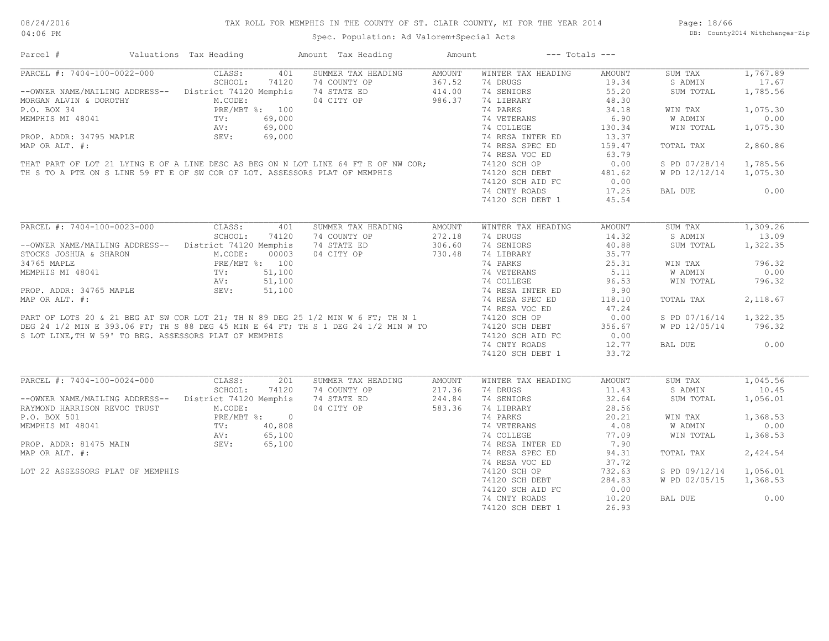| PARCEL #: 7404-100-0022-000<br>SUMMER TAX HEADING<br>AMOUNT<br>CLASS:<br>401<br>WINTER TAX HEADING<br>AMOUNT<br>SUM TAX<br>SCHOOL:<br>74120<br>74 COUNTY OP<br>367.52<br>74 DRUGS<br>19.34<br>S ADMIN<br>--OWNER NAME/MAILING ADDRESS-- District 74120 Memphis<br>74 STATE ED<br>74 SENIORS<br>55.20<br>414.00<br>MORGAN ALVIN & DOROTHY M.CODE:<br>P.O. BOX 34 PRE/MBT %: 100<br>MEMPHIS MI 48041 TV: 69,000<br>PROP. ADDR: 34795 MAPLE SEV: 69,000<br>04 CITY OP<br>986.37<br>74 LIBRARY<br>48.30<br>74 PARKS<br>34.18<br>WIN TAX<br>6.90<br>74 VETERANS<br>W ADMIN<br>74 COLLEGE<br>130.34<br>WIN TOTAL | 1,767.89<br>17.67<br>1,785.56<br>SUM TOTAL<br>1,075.30 |
|------------------------------------------------------------------------------------------------------------------------------------------------------------------------------------------------------------------------------------------------------------------------------------------------------------------------------------------------------------------------------------------------------------------------------------------------------------------------------------------------------------------------------------------------------------------------------------------------------------|--------------------------------------------------------|
|                                                                                                                                                                                                                                                                                                                                                                                                                                                                                                                                                                                                            |                                                        |
|                                                                                                                                                                                                                                                                                                                                                                                                                                                                                                                                                                                                            |                                                        |
|                                                                                                                                                                                                                                                                                                                                                                                                                                                                                                                                                                                                            |                                                        |
|                                                                                                                                                                                                                                                                                                                                                                                                                                                                                                                                                                                                            |                                                        |
|                                                                                                                                                                                                                                                                                                                                                                                                                                                                                                                                                                                                            |                                                        |
|                                                                                                                                                                                                                                                                                                                                                                                                                                                                                                                                                                                                            | 0.00                                                   |
|                                                                                                                                                                                                                                                                                                                                                                                                                                                                                                                                                                                                            | 1,075.30                                               |
| 74 RESA INTER ED<br>13.37                                                                                                                                                                                                                                                                                                                                                                                                                                                                                                                                                                                  |                                                        |
| 74 RESA SPEC ED<br>MAP OR ALT. #:<br>159.47<br>TOTAL TAX                                                                                                                                                                                                                                                                                                                                                                                                                                                                                                                                                   | 2,860.86                                               |
| 74 RESA VOC ED<br>63.79                                                                                                                                                                                                                                                                                                                                                                                                                                                                                                                                                                                    |                                                        |
| THAT PART OF LOT 21 LYING E OF A LINE DESC AS BEG ON N LOT LINE 64 FT E OF NW COR;                                                                                                                                                                                                                                                                                                                                                                                                                                                                                                                         |                                                        |
| 74120 SCH OP<br>0.00                                                                                                                                                                                                                                                                                                                                                                                                                                                                                                                                                                                       | S PD 07/28/14 1,785.56                                 |
| TH S TO A PTE ON S LINE 59 FT E OF SW COR OF LOT. ASSESSORS PLAT OF MEMPHIS<br>481.62<br>74120 SCH DEBT<br>74120 SCH DEBT                                                                                                                                                                                                                                                                                                                                                                                                                                                                                  | W PD 12/12/14<br>1,075.30                              |
| 0.00                                                                                                                                                                                                                                                                                                                                                                                                                                                                                                                                                                                                       |                                                        |
| 74 CNTY ROADS<br>17.25<br>BAL DUE                                                                                                                                                                                                                                                                                                                                                                                                                                                                                                                                                                          | 0.00                                                   |
| 74120 SCH DEBT 1<br>45.54                                                                                                                                                                                                                                                                                                                                                                                                                                                                                                                                                                                  |                                                        |
|                                                                                                                                                                                                                                                                                                                                                                                                                                                                                                                                                                                                            |                                                        |
| PARCEL #: 7404-100-0023-000<br>CLASS:<br>SUMMER TAX HEADING<br>WINTER TAX HEADING<br>SUM TAX<br>401<br>AMOUNT<br>AMOUNT                                                                                                                                                                                                                                                                                                                                                                                                                                                                                    | 1,309.26                                               |
| SCHOOL:<br>74120<br>272.18<br>74 DRUGS<br>14.32<br>S ADMIN<br>74 COUNTY OP                                                                                                                                                                                                                                                                                                                                                                                                                                                                                                                                 | 13.09                                                  |
| --OWNER NAME/MAILING ADDRESS-- District 74120 Memphis<br>74 STATE ED<br>306.60<br>74 SENIORS<br>40.88                                                                                                                                                                                                                                                                                                                                                                                                                                                                                                      | 1,322.35<br>SUM TOTAL                                  |
| 04 CITY OP<br>730.48<br>35.77<br>74 LIBRARY<br>STOCKS JOSHUA & SHARON                                                                                                                                                                                                                                                                                                                                                                                                                                                                                                                                      |                                                        |
| SHARON M.CODE: 00003<br>PRE/MBT %: 100<br>1 TV: 51,100<br>AV: 51,100<br>34765 MAPLE<br>74 PARKS<br>25.31<br>WIN TAX                                                                                                                                                                                                                                                                                                                                                                                                                                                                                        | 796.32                                                 |
| MEMPHIS MI 48041<br>74 VETERANS<br>5.11<br>W ADMIN                                                                                                                                                                                                                                                                                                                                                                                                                                                                                                                                                         | 0.00                                                   |
| 74 COLLEGE<br>96.53                                                                                                                                                                                                                                                                                                                                                                                                                                                                                                                                                                                        | WIN TOTAL<br>796.32                                    |
| 9.90<br>PROP. ADDR: 34765 MAPLE SEV:<br>51,100<br>74 RESA INTER ED                                                                                                                                                                                                                                                                                                                                                                                                                                                                                                                                         |                                                        |
| 118.10<br>TOTAL TAX                                                                                                                                                                                                                                                                                                                                                                                                                                                                                                                                                                                        | 2,118.67                                               |
| 47.24                                                                                                                                                                                                                                                                                                                                                                                                                                                                                                                                                                                                      |                                                        |
| PART OF LOTS 20 & 21 BEG AT SW COR LOT 21; TH N 89 DEG 25 1/2 MIN W 6 FT; TH N 1<br>DEG 24 1/2 MIN E 393.06 FT; TH S 88 DEG 45 MIN E 64 FT; TH S 1 DEG 24 1/2 MIN W TO 74120 SCH OP<br>S LOT LINE, TH W 59' TO BEG. ASSESSORS PLAT O<br>0.00                                                                                                                                                                                                                                                                                                                                                               | S PD 07/16/14 1,322.35                                 |
|                                                                                                                                                                                                                                                                                                                                                                                                                                                                                                                                                                                                            |                                                        |
| 356.67                                                                                                                                                                                                                                                                                                                                                                                                                                                                                                                                                                                                     | W PD 12/05/14 796.32                                   |
| 0.00                                                                                                                                                                                                                                                                                                                                                                                                                                                                                                                                                                                                       |                                                        |
| 12.77<br>BAL DUE                                                                                                                                                                                                                                                                                                                                                                                                                                                                                                                                                                                           | 0.00                                                   |
| 74120 SCH DEBT 1<br>33.72                                                                                                                                                                                                                                                                                                                                                                                                                                                                                                                                                                                  |                                                        |
|                                                                                                                                                                                                                                                                                                                                                                                                                                                                                                                                                                                                            |                                                        |
| PARCEL #: 7404-100-0024-000<br>CLASS:<br>201<br>SUMMER TAX HEADING<br><b>AMOUNT</b><br>WINTER TAX HEADING<br><b>AMOUNT</b><br>SUM TAX                                                                                                                                                                                                                                                                                                                                                                                                                                                                      | 1,045.56                                               |
| SCHOOL:<br>74 COUNTY OP<br>74 DRUGS<br>11.43<br>74120<br>217.36<br>S ADMIN                                                                                                                                                                                                                                                                                                                                                                                                                                                                                                                                 | 10.45                                                  |
| -- OWNER NAME/MAILING ADDRESS-- District 74120 Memphis<br>74 STATE ED<br>244.84<br>74 SENIORS<br>32.64                                                                                                                                                                                                                                                                                                                                                                                                                                                                                                     | 1,056.01<br>SUM TOTAL                                  |
| RAYMOND HARRISON REVOC TRUST<br>M.CODE:<br>04 CITY OP<br>583.36<br>74 LIBRARY<br>28.56                                                                                                                                                                                                                                                                                                                                                                                                                                                                                                                     |                                                        |
| 20.21<br>74 PARKS                                                                                                                                                                                                                                                                                                                                                                                                                                                                                                                                                                                          | 1,368.53<br>WIN TAX                                    |
|                                                                                                                                                                                                                                                                                                                                                                                                                                                                                                                                                                                                            | 0.00                                                   |
| 74 VETERANS<br>4.08<br>W ADMIN                                                                                                                                                                                                                                                                                                                                                                                                                                                                                                                                                                             |                                                        |
| 74 COLLEGE<br>77.09<br>WIN TOTAL                                                                                                                                                                                                                                                                                                                                                                                                                                                                                                                                                                           | 1,368.53                                               |
| 7.90<br>74 RESA INTER ED                                                                                                                                                                                                                                                                                                                                                                                                                                                                                                                                                                                   |                                                        |
| P.O. BOX 501 PRE/MBT %: 0<br>MEMPHIS MI 48041 PRE/MBT %: 0<br>PROP. ADDR: 81475 MAIN SEV: 65,100<br>PROP. ADDR: 81475 MAIN SEV: 65,100<br>MAP OR ALT. #:<br>74 RESA SPEC ED<br>94.31<br>TOTAL TAX                                                                                                                                                                                                                                                                                                                                                                                                          | 2,424.54                                               |
| 37.72<br>74 RESA VOC ED                                                                                                                                                                                                                                                                                                                                                                                                                                                                                                                                                                                    |                                                        |
| 732.63<br>LOT 22 ASSESSORS PLAT OF MEMPHIS                                                                                                                                                                                                                                                                                                                                                                                                                                                                                                                                                                 | S PD 09/12/14<br>1,056.01                              |
| 74120 SCH OP<br>284.83<br>74120 SCH DEBT                                                                                                                                                                                                                                                                                                                                                                                                                                                                                                                                                                   | W PD 02/05/15<br>1,368.53                              |
| $\begin{array}{r} 6.1666 \ 40,808 \ 65,100 \ 65,100 \end{array}$<br>0.00<br>74120 SCH AID FC                                                                                                                                                                                                                                                                                                                                                                                                                                                                                                               |                                                        |
| 74 CNTY ROADS<br>10.20<br>BAL DUE                                                                                                                                                                                                                                                                                                                                                                                                                                                                                                                                                                          | 0.00                                                   |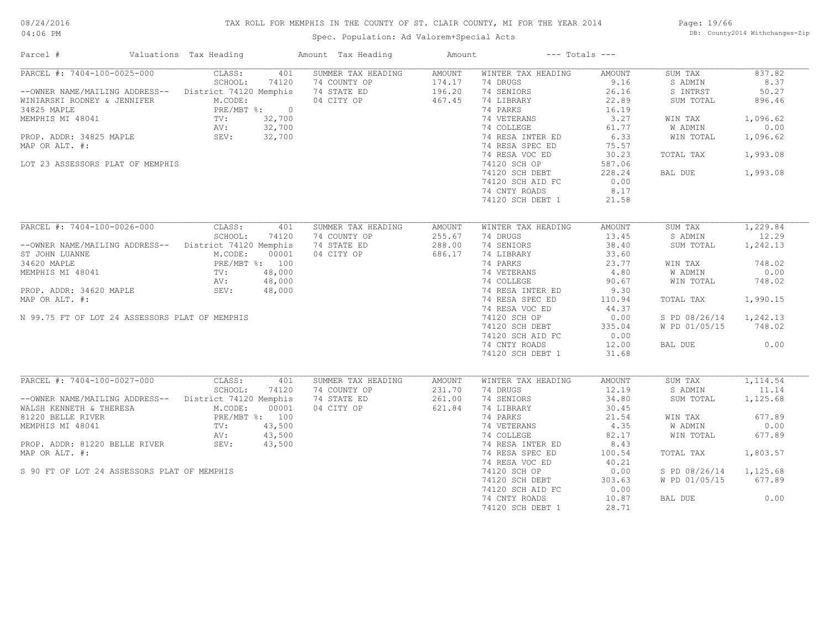# TAX ROLL FOR MEMPHIS IN THE COUNTY OF ST. CLAIR COUNTY, MI FOR THE YEAR 2014

Spec. Population: Ad Valorem+Special Acts

Page: 19/66 DB: County2014 Withchanges-Zip

| Parcel #                                                                                                                                                                                                                                                     | Valuations Tax Heading                                                                     | Amount Tax Heading                                              | Amount                                      | $---$ Totals $---$                                                                                                                                                                             |                                                                                                          |                                                                                                        |                                                                                           |
|--------------------------------------------------------------------------------------------------------------------------------------------------------------------------------------------------------------------------------------------------------------|--------------------------------------------------------------------------------------------|-----------------------------------------------------------------|---------------------------------------------|------------------------------------------------------------------------------------------------------------------------------------------------------------------------------------------------|----------------------------------------------------------------------------------------------------------|--------------------------------------------------------------------------------------------------------|-------------------------------------------------------------------------------------------|
| PARCEL #: 7404-100-0025-000<br>--OWNER NAME/MAILING ADDRESS-- District 74120 Memphis<br>WINIARSKI RODNEY & JENNIFER<br>34825 MAPLE<br>MEMPHIS MI 48041 TV:<br>PROP. ADDR: 34825 MAPLE AV:<br>SEV: SEV:<br>MAP OR ALT. #:<br>LOT 23 ASSESSORS PLAT OF MEMPHIS | CLASS:<br>401<br>SCHOOL:<br>74120<br>M.CODE:<br>PRE/MBT %: 0<br>32,700<br>32,700<br>32,700 | SUMMER TAX HEADING<br>74 COUNTY OP<br>74 STATE ED<br>04 CITY OP | <b>AMOUNT</b><br>174.17<br>196.20<br>467.45 | WINTER TAX HEADING<br>74 DRUGS<br>74 SENIORS<br>74 LIBRARY<br>74 PARKS<br>74 VETERANS<br>74 COLLEGE<br>74 RESA INTER ED<br>74 RESA SPEC ED<br>74 RESA VOC ED<br>74120 SCH OP<br>74120 SCH DEBT | AMOUNT<br>9.16<br>26.16<br>22.89<br>16.19<br>3.27<br>61.77<br>6.33<br>75.57<br>30.23<br>587.06<br>228.24 | SUM TAX<br>S ADMIN<br>S INTRST<br>SUM TOTAL<br>WIN TAX<br>W ADMIN<br>WIN TOTAL<br>TOTAL TAX<br>BAL DUE | 837.82<br>8.37<br>50.27<br>896.46<br>1,096.62<br>0.00<br>1,096.62<br>1,993.08<br>1,993.08 |
|                                                                                                                                                                                                                                                              |                                                                                            |                                                                 |                                             | 74120 SCH AID FC<br>74 CNTY ROADS<br>74120 SCH DEBT 1                                                                                                                                          | 0.00<br>8.17<br>21.58                                                                                    |                                                                                                        |                                                                                           |
| PARCEL #: 7404-100-0026-000                                                                                                                                                                                                                                  | CLASS:<br>401                                                                              | SUMMER TAX HEADING                                              | <b>AMOUNT</b>                               | WINTER TAX HEADING                                                                                                                                                                             | <b>AMOUNT</b>                                                                                            | SUM TAX                                                                                                | 1,229.84                                                                                  |
| --OWNER NAME/MAILING ADDRESS-- District 74120 Memphis<br>ST JOHN LUANNE                                                                                                                                                                                      | SCHOOL:<br>74120<br>M.CODE:<br>00001                                                       | 74 COUNTY OP<br>74 STATE ED<br>04 CITY OP                       | 255.67<br>288.00<br>686.17                  | 74 DRUGS<br>74 SENIORS<br>74 LIBRARY                                                                                                                                                           | 13.45<br>38.40<br>33.60                                                                                  | S ADMIN<br>SUM TOTAL                                                                                   | 12.29<br>1,242.13                                                                         |
| 34620 MAPLE                                                                                                                                                                                                                                                  | PRE/MBT %: 100                                                                             |                                                                 |                                             | 74 PARKS                                                                                                                                                                                       | 23.77                                                                                                    | WIN TAX                                                                                                | 748.02                                                                                    |
| MEMPHIS MI 48041                                                                                                                                                                                                                                             | 48,000<br>TV:                                                                              |                                                                 |                                             | 74 VETERANS                                                                                                                                                                                    | 4.80                                                                                                     | W ADMIN                                                                                                | 0.00                                                                                      |
| PROP. ADDR: 34620 MAPLE                                                                                                                                                                                                                                      | AV:<br>48,000<br>48,000<br>SEV:                                                            |                                                                 |                                             | 74 COLLEGE<br>74 RESA INTER ED                                                                                                                                                                 | 90.67<br>9.30                                                                                            | WIN TOTAL                                                                                              | 748.02                                                                                    |
| MAP OR ALT. #:                                                                                                                                                                                                                                               |                                                                                            |                                                                 |                                             | 74 RESA SPEC ED                                                                                                                                                                                | 110.94                                                                                                   | TOTAL TAX                                                                                              | 1,990.15                                                                                  |
|                                                                                                                                                                                                                                                              |                                                                                            |                                                                 |                                             | 74 RESA VOC ED                                                                                                                                                                                 | 44.37                                                                                                    |                                                                                                        |                                                                                           |
| N 99.75 FT OF LOT 24 ASSESSORS PLAT OF MEMPHIS                                                                                                                                                                                                               |                                                                                            |                                                                 |                                             | 74120 SCH OP                                                                                                                                                                                   | 0.00                                                                                                     | S PD 08/26/14 1,242.13                                                                                 |                                                                                           |
|                                                                                                                                                                                                                                                              |                                                                                            |                                                                 |                                             | 74120 SCH DEBT                                                                                                                                                                                 | 335.04                                                                                                   | W PD 01/05/15                                                                                          | 748.02                                                                                    |
|                                                                                                                                                                                                                                                              |                                                                                            |                                                                 |                                             | 74120 SCH AID FC                                                                                                                                                                               | 0.00                                                                                                     |                                                                                                        |                                                                                           |
|                                                                                                                                                                                                                                                              |                                                                                            |                                                                 |                                             | 74 CNTY ROADS<br>74120 SCH DEBT 1                                                                                                                                                              | 12.00<br>31.68                                                                                           | BAL DUE                                                                                                | 0.00                                                                                      |
| PARCEL #: 7404-100-0027-000                                                                                                                                                                                                                                  | CLASS:<br>401                                                                              | SUMMER TAX HEADING                                              | <b>AMOUNT</b>                               | WINTER TAX HEADING                                                                                                                                                                             | <b>AMOUNT</b>                                                                                            | SUM TAX                                                                                                | 1,114.54                                                                                  |
| -- OWNER NAME/MAILING ADDRESS-- District 74120 Memphis                                                                                                                                                                                                       | SCHOOL:<br>74120                                                                           | 74 COUNTY OP<br>74 STATE ED                                     | 231.70<br>261.00                            | 74 DRUGS<br>74 SENIORS                                                                                                                                                                         | 12.19<br>34.80                                                                                           | S ADMIN<br>SUM TOTAL                                                                                   | 11.14<br>1,125.68                                                                         |
| WALSH KENNETH & THERESA<br>81220 BELLE RIVER                                                                                                                                                                                                                 | M.CODE:<br>00001<br>PRE/MBT %: 100                                                         | 04 CITY OP                                                      | 621.84                                      | 74 LIBRARY<br>74 PARKS                                                                                                                                                                         | 30.45<br>21.54                                                                                           | WIN TAX                                                                                                | 677.89                                                                                    |
| MEMPHIS MI 48041                                                                                                                                                                                                                                             | TV:<br>43,500                                                                              |                                                                 |                                             | 74 VETERANS                                                                                                                                                                                    | 4.35                                                                                                     | W ADMIN                                                                                                | 0.00                                                                                      |
|                                                                                                                                                                                                                                                              | 43,500<br>AV:                                                                              |                                                                 |                                             | 74 COLLEGE                                                                                                                                                                                     | 82.17                                                                                                    | WIN TOTAL                                                                                              | 677.89                                                                                    |
| PROP. ADDR: 81220 BELLE RIVER                                                                                                                                                                                                                                | SEV:<br>43,500                                                                             |                                                                 |                                             | 74 RESA INTER ED                                                                                                                                                                               | 8.43                                                                                                     |                                                                                                        |                                                                                           |
| MAP OR ALT. #:                                                                                                                                                                                                                                               |                                                                                            |                                                                 |                                             | 74 RESA SPEC ED                                                                                                                                                                                | 100.54                                                                                                   | TOTAL TAX                                                                                              | 1,803.57                                                                                  |
|                                                                                                                                                                                                                                                              |                                                                                            |                                                                 |                                             | 74 RESA VOC ED                                                                                                                                                                                 | 40.21                                                                                                    |                                                                                                        |                                                                                           |
| S 90 FT OF LOT 24 ASSESSORS PLAT OF MEMPHIS                                                                                                                                                                                                                  |                                                                                            |                                                                 |                                             | 74120 SCH OP                                                                                                                                                                                   | 0.00                                                                                                     | S PD 08/26/14                                                                                          | 1,125.68                                                                                  |
|                                                                                                                                                                                                                                                              |                                                                                            |                                                                 |                                             | 74120 SCH DEBT<br>74120 SCH AID FC                                                                                                                                                             | 303.63<br>0.00                                                                                           | W PD 01/05/15                                                                                          | 677.89                                                                                    |
|                                                                                                                                                                                                                                                              |                                                                                            |                                                                 |                                             | 74 CNTY ROADS<br>74120 SCH DEBT 1                                                                                                                                                              | 10.87<br>28.71                                                                                           | BAL DUE                                                                                                | 0.00                                                                                      |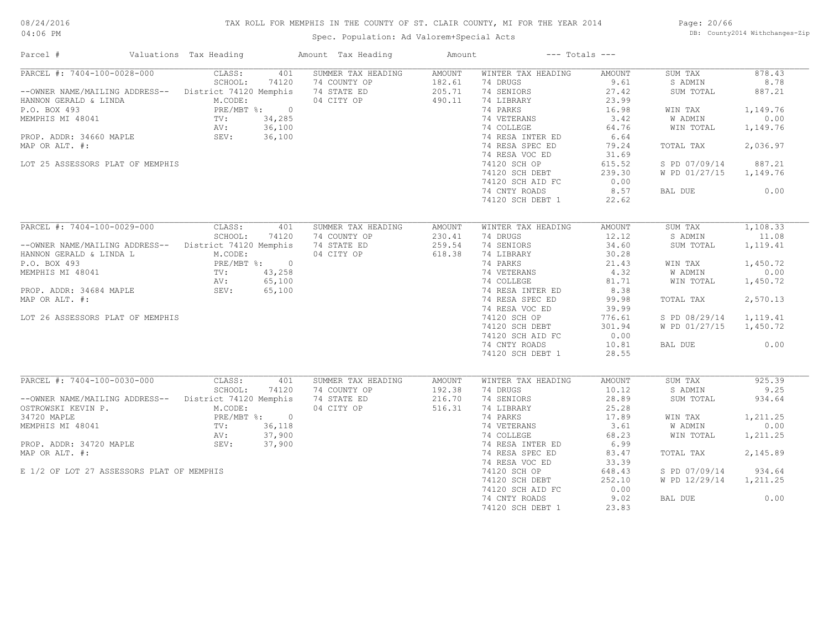#### TAX ROLL FOR MEMPHIS IN THE COUNTY OF ST. CLAIR COUNTY, MI FOR THE YEAR 2014

Spec. Population: Ad Valorem+Special Acts

Page: 20/66 DB: County2014 Withchanges-Zip

| Parcel #                                                                                                                      | Valuations Tax Heading                                                                                                               | Amount Tax Heading | Amount        | $---$ Totals $---$ |        |               |          |
|-------------------------------------------------------------------------------------------------------------------------------|--------------------------------------------------------------------------------------------------------------------------------------|--------------------|---------------|--------------------|--------|---------------|----------|
| PARCEL #: 7404-100-0028-000                                                                                                   | CLASS:<br>401                                                                                                                        | SUMMER TAX HEADING | AMOUNT        | WINTER TAX HEADING | AMOUNT | SUM TAX       | 878.43   |
|                                                                                                                               | SCHOOL:<br>74120                                                                                                                     | 74 COUNTY OP       | 182.61        | 74 DRUGS           | 9.61   | S ADMIN       | 8.78     |
| --OWNER NAME/MAILING ADDRESS-- District 74120 Memphis                                                                         |                                                                                                                                      | 74 STATE ED        | 205.71        | 74 SENIORS         | 27.42  | SUM TOTAL     | 887.21   |
| HANNON GERALD & LINDA                                                                                                         | M.CODE:                                                                                                                              | 04 CITY OP         | 490.11        | 74 LIBRARY         | 23.99  |               |          |
| P.O. BOX 493                                                                                                                  | PRE/MBT %: 0<br>$\begin{aligned} &\text{PRE} / \text{MBT}\phantom{.}^{\ast} \\ &\text{TV:} \\ &\text{AV:} \phantom{.} \end{aligned}$ |                    |               | 74 PARKS           | 16.98  | WIN TAX       | 1,149.76 |
| MEMPHIS MI 48041                                                                                                              | 34,285                                                                                                                               |                    |               | 74 VETERANS        | 3.42   | W ADMIN       | 0.00     |
|                                                                                                                               | 36,100                                                                                                                               |                    |               | 74 COLLEGE         | 64.76  | WIN TOTAL     | 1,149.76 |
| PROP. ADDR: 34660 MAPLE                                                                                                       | SEV: 36,100                                                                                                                          |                    |               | 74 RESA INTER ED   | 6.64   |               |          |
| MAP OR ALT. #:                                                                                                                |                                                                                                                                      |                    |               | 74 RESA SPEC ED    | 79.24  | TOTAL TAX     | 2,036.97 |
|                                                                                                                               |                                                                                                                                      |                    |               | 74 RESA VOC ED     | 31.69  |               |          |
| LOT 25 ASSESSORS PLAT OF MEMPHIS                                                                                              |                                                                                                                                      |                    |               | 74120 SCH OP       | 615.52 | S PD 07/09/14 | 887.21   |
|                                                                                                                               |                                                                                                                                      |                    |               | 74120 SCH DEBT     | 239.30 | W PD 01/27/15 | 1,149.76 |
|                                                                                                                               |                                                                                                                                      |                    |               | 74120 SCH AID FC   | 0.00   |               |          |
|                                                                                                                               |                                                                                                                                      |                    |               | 74 CNTY ROADS      | 8.57   | BAL DUE       | 0.00     |
|                                                                                                                               |                                                                                                                                      |                    |               | 74120 SCH DEBT 1   | 22.62  |               |          |
|                                                                                                                               |                                                                                                                                      |                    |               |                    |        |               |          |
| PARCEL #: 7404-100-0029-000                                                                                                   | CLASS:<br>401                                                                                                                        | SUMMER TAX HEADING | <b>AMOUNT</b> | WINTER TAX HEADING | AMOUNT | SUM TAX       | 1,108.33 |
|                                                                                                                               | SCHOOL:<br>74120                                                                                                                     | 74 COUNTY OP       | 230.41        | 74 DRUGS           | 12.12  | S ADMIN       | 11.08    |
| --OWNER NAME/MAILING ADDRESS-- District 74120 Memphis                                                                         |                                                                                                                                      | 74 STATE ED        | 259.54        | 74 SENIORS         | 34.60  | SUM TOTAL     | 1,119.41 |
| HANNON GERALD & LINDA L                                                                                                       | M.CODE:                                                                                                                              | 04 CITY OP         | 618.38        | 74 LIBRARY         | 30.28  |               |          |
| P.O. BOX 493                                                                                                                  | PRE/MBT %: 0                                                                                                                         |                    |               | 74 PARKS           | 21.43  | WIN TAX       | 1,450.72 |
| MEMPHIS MI 48041<br>PROP. ADDR: 34684 MAPLE 43, 258<br>PROP. ADDR: 34684 MAPLE 45, 100<br>PROP. ADDR: 34684 MAPLE 5EV: 65,100 |                                                                                                                                      |                    |               | 74 VETERANS        | 4.32   | W ADMIN       | 0.00     |
|                                                                                                                               |                                                                                                                                      |                    |               | 74 COLLEGE         | 81.71  | WIN TOTAL     | 1,450.72 |
|                                                                                                                               |                                                                                                                                      |                    |               | 74 RESA INTER ED   | 8.38   |               |          |
|                                                                                                                               |                                                                                                                                      |                    |               |                    |        |               |          |
| MAP OR ALT. #:                                                                                                                |                                                                                                                                      |                    |               | 74 RESA SPEC ED    | 99.98  | TOTAL TAX     | 2,570.13 |
|                                                                                                                               |                                                                                                                                      |                    |               | 74 RESA VOC ED     | 39.99  |               |          |
| LOT 26 ASSESSORS PLAT OF MEMPHIS                                                                                              |                                                                                                                                      |                    |               | 74120 SCH OP       | 776.61 | S PD 08/29/14 | 1,119.41 |
|                                                                                                                               |                                                                                                                                      |                    |               | 74120 SCH DEBT     | 301.94 | W PD 01/27/15 | 1,450.72 |
|                                                                                                                               |                                                                                                                                      |                    |               | 74120 SCH AID FC   | 0.00   |               |          |
|                                                                                                                               |                                                                                                                                      |                    |               | 74 CNTY ROADS      | 10.81  | BAL DUE       | 0.00     |
|                                                                                                                               |                                                                                                                                      |                    |               | 74120 SCH DEBT 1   | 28.55  |               |          |
|                                                                                                                               |                                                                                                                                      |                    |               |                    |        |               |          |
| PARCEL #: 7404-100-0030-000                                                                                                   | CLASS:<br>401                                                                                                                        | SUMMER TAX HEADING | AMOUNT        | WINTER TAX HEADING | AMOUNT | SUM TAX       | 925.39   |
|                                                                                                                               | SCHOOL:<br>74120                                                                                                                     | 74 COUNTY OP       | 192.38        | 74 DRUGS           | 10.12  | S ADMIN       | 9.25     |
| --OWNER NAME/MAILING ADDRESS-- District 74120 Memphis                                                                         |                                                                                                                                      | 74 STATE ED        | 216.70        | 74 SENIORS         | 28.89  | SUM TOTAL     | 934.64   |
| OSTROWSKI KEVIN P.                                                                                                            | M.CODE:                                                                                                                              | 04 CITY OP         | 516.31        | 74 LIBRARY         | 25.28  |               |          |
| 34720 MAPLE                                                                                                                   | PRE/MBT %: 0                                                                                                                         |                    |               | 74 PARKS           | 17.89  | WIN TAX       | 1,211.25 |
| MEMPHIS MI 48041                                                                                                              | FRE/<br>TV:<br>AV:<br>36,118                                                                                                         |                    |               | 74 VETERANS        | 3.61   | W ADMIN       | 0.00     |
|                                                                                                                               | 37,900                                                                                                                               |                    |               | 74 COLLEGE         | 68.23  | WIN TOTAL     | 1,211.25 |
| PROP. ADDR: 34720 MAPLE                                                                                                       | SEV:<br>37,900                                                                                                                       |                    |               | 74 RESA INTER ED   | 6.99   |               |          |
| MAP OR ALT. #:                                                                                                                |                                                                                                                                      |                    |               | 74 RESA SPEC ED    | 83.47  | TOTAL TAX     | 2,145.89 |
|                                                                                                                               |                                                                                                                                      |                    |               | 74 RESA VOC ED     | 33.39  |               |          |
| E 1/2 OF LOT 27 ASSESSORS PLAT OF MEMPHIS                                                                                     |                                                                                                                                      |                    |               | 74120 SCH OP       | 648.43 | S PD 07/09/14 | 934.64   |
|                                                                                                                               |                                                                                                                                      |                    |               | 74120 SCH DEBT     | 252.10 | W PD 12/29/14 | 1,211.25 |
|                                                                                                                               |                                                                                                                                      |                    |               | 74120 SCH AID FC   | 0.00   |               |          |
|                                                                                                                               |                                                                                                                                      |                    |               | 74 CNTY ROADS      | 9.02   | BAL DUE       | 0.00     |
|                                                                                                                               |                                                                                                                                      |                    |               | 74120 SCH DEBT 1   | 23.83  |               |          |
|                                                                                                                               |                                                                                                                                      |                    |               |                    |        |               |          |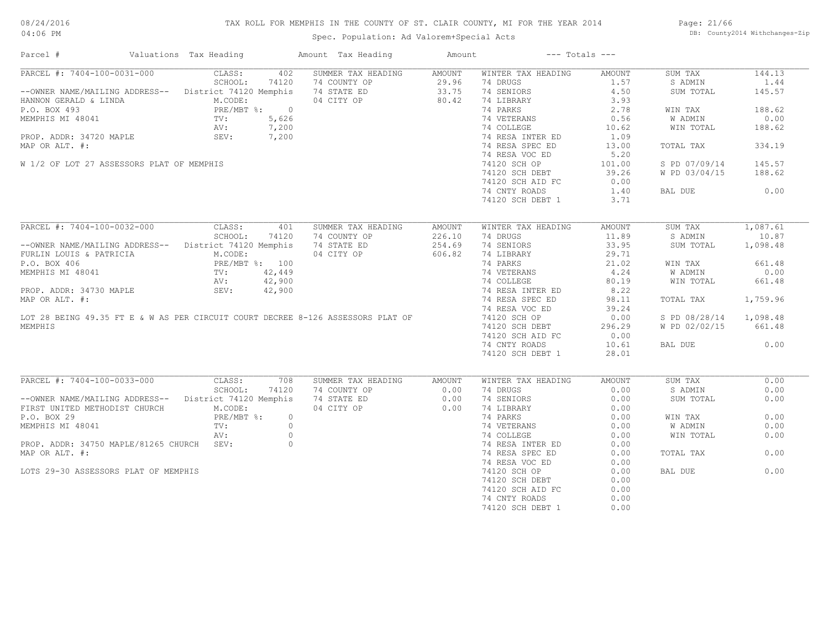# TAX ROLL FOR MEMPHIS IN THE COUNTY OF ST. CLAIR COUNTY, MI FOR THE YEAR 2014

04:06 PM

# Spec. Population: Ad Valorem+Special Acts

Page: 21/66 DB: County2014 Withchanges-Zip

| Parcel #                                                                                                                                                                            | Valuations Tax Heading                                                                      |         | Amount Tax Heading                                                              | Amount |                                                                            | $---$ Totals $---$                                             |                        |              |
|-------------------------------------------------------------------------------------------------------------------------------------------------------------------------------------|---------------------------------------------------------------------------------------------|---------|---------------------------------------------------------------------------------|--------|----------------------------------------------------------------------------|----------------------------------------------------------------|------------------------|--------------|
| PARCEL #: 7404-100-0031-000 CLASS:                                                                                                                                                  |                                                                                             |         | 402 SUMMER TAX HEADING AMOUNT                                                   |        | WINTER TAX HEADING                                                         | AMOUNT                                                         | SUM TAX                | 144.13       |
|                                                                                                                                                                                     |                                                                                             |         |                                                                                 |        | 74 DRUGS                                                                   | 1.57                                                           | S ADMIN                | 1.44         |
| --OWNER NAME/MAILING ADDRESS--<br>HANNON GERALD & LINDA<br>P.O. BOX 493<br>P.O. BOX 493<br>PRE/MRT %.                                                                               |                                                                                             |         |                                                                                 |        | 74 SENIORS                                                                 | 4.50                                                           | SUM TOTAL              | 145.57       |
|                                                                                                                                                                                     |                                                                                             |         |                                                                                 |        | 74 LIBRARY                                                                 | 3.93                                                           |                        |              |
|                                                                                                                                                                                     |                                                                                             |         |                                                                                 |        | 74 PARKS                                                                   | 2.78                                                           | WIN TAX                | 188.62       |
| HANNON GERALD & LINDA<br>P.O. BOX 493<br>MEMPHIS MI 48041<br>PROP. ADDR: 34720 MAPLE<br>PROP. ADDR: 34720 MAPLE<br>PROP. ADDR: 34720 MAPLE<br>PROP. ADDR: 34720 MAPLE<br>SEV: 7,200 |                                                                                             |         |                                                                                 |        | 74 VETERANS                                                                | $\begin{array}{c} 0.55 \\ 10.62 \\ -7.109 \\ 1.09 \end{array}$ | W ADMIN                | 0.00         |
|                                                                                                                                                                                     |                                                                                             |         |                                                                                 |        | 74 COLLEGE                                                                 |                                                                | WIN TOTAL              | 188.62       |
|                                                                                                                                                                                     |                                                                                             |         |                                                                                 |        | 74 RESA INTER ED                                                           |                                                                |                        |              |
| MAP OR ALT. #:                                                                                                                                                                      |                                                                                             |         |                                                                                 |        | 74 RESA SPEC ED                                                            | 13.00                                                          | TOTAL TAX              | 334.19       |
|                                                                                                                                                                                     |                                                                                             |         |                                                                                 |        | 74 RESA VOC ED                                                             | 5.20                                                           |                        |              |
| W 1/2 OF LOT 27 ASSESSORS PLAT OF MEMPHIS                                                                                                                                           |                                                                                             |         |                                                                                 |        |                                                                            |                                                                | S PD 07/09/14          | 145.57       |
|                                                                                                                                                                                     |                                                                                             |         |                                                                                 |        | 74 RESA VOU DD<br>74120 SCH OP 101.00<br>39.26                             |                                                                | W PD 03/04/15          | 188.62       |
|                                                                                                                                                                                     |                                                                                             |         |                                                                                 |        | 74120 SCH AID FC                                                           | 0.00                                                           |                        |              |
|                                                                                                                                                                                     |                                                                                             |         |                                                                                 |        |                                                                            | 1.40                                                           | BAL DUE                | 0.00         |
|                                                                                                                                                                                     |                                                                                             |         |                                                                                 |        | 74 CNTY ROADS                                                              |                                                                |                        |              |
|                                                                                                                                                                                     |                                                                                             |         |                                                                                 |        | 74120 SCH DEBT 1                                                           | 3.71                                                           |                        |              |
| PARCEL #: 7404-100-0032-000                                                                                                                                                         | CLASS:                                                                                      | 401     | SUMMER TAX HEADING                                                              | AMOUNT | WINTER TAX HEADING                                                         | AMOUNT                                                         | SUM TAX                | 1,087.61     |
|                                                                                                                                                                                     | SCHOOL:                                                                                     | 74120   |                                                                                 |        | 74 DRUGS                                                                   | 11.89                                                          | S ADMIN                | 10.87        |
| -- OWNER NAME/MAILING ADDRESS-- District 74120 Memphis                                                                                                                              |                                                                                             |         | 74 COUNTY OP<br>74 STATE ED<br>254.69<br>04 CITY OP 606.82                      |        | 74 SENIORS                                                                 | 33.95                                                          | SUM TOTAL              | 1,098.48     |
|                                                                                                                                                                                     |                                                                                             |         |                                                                                 |        | 74 LIBRARY                                                                 | 29.71                                                          |                        |              |
| FURLIN LOUIS & PATRICIA                                                                                                                                                             | RICIA M.CODE:<br>RICIA M.CODE:<br>PRE/MBT %: 100<br>TV: 42,449<br>AV: 42,900<br>SEV: 42,900 |         |                                                                                 |        |                                                                            |                                                                |                        |              |
| P.O. BOX 406                                                                                                                                                                        |                                                                                             |         |                                                                                 |        | 74 PARKS<br>74 PARKS<br>74 VETERANS<br>74 COLLEGE<br>74 RESA INTER ED 8.22 |                                                                | WIN TAX                | 661.48       |
| MEMPHIS MI 48041                                                                                                                                                                    |                                                                                             |         |                                                                                 |        |                                                                            |                                                                | W ADMIN                | 0.00         |
|                                                                                                                                                                                     |                                                                                             |         |                                                                                 |        |                                                                            |                                                                | WIN TOTAL              | 661.48       |
| PROP. ADDR: 34730 MAPLE                                                                                                                                                             |                                                                                             |         |                                                                                 |        |                                                                            |                                                                |                        |              |
| MAP OR ALT. #:                                                                                                                                                                      |                                                                                             |         |                                                                                 |        | 74 RESA SPEC ED                                                            | 98.11                                                          | TOTAL TAX              | 1,759.96     |
|                                                                                                                                                                                     |                                                                                             |         |                                                                                 |        | 74 RESA VOC ED                                                             | 39.24                                                          |                        |              |
|                                                                                                                                                                                     |                                                                                             |         | LOT 28 BEING 49.35 FT E & W AS PER CIRCUIT COURT DECREE 8-126 ASSESSORS PLAT OF |        | 74120 SCH OP                                                               | 0.00                                                           | S PD 08/28/14 1,098.48 |              |
| MEMPHIS                                                                                                                                                                             |                                                                                             |         |                                                                                 |        | 74120 SCH DEBT                                                             | 296.29                                                         | W PD 02/02/15          | 661.48       |
|                                                                                                                                                                                     |                                                                                             |         |                                                                                 |        | 74120 SCH AID FC                                                           | 0.00                                                           |                        |              |
|                                                                                                                                                                                     |                                                                                             |         |                                                                                 |        | 74 CNTY ROADS                                                              | 10.61                                                          | BAL DUE                | 0.00         |
|                                                                                                                                                                                     |                                                                                             |         |                                                                                 |        | 74120 SCH DEBT 1                                                           | 28.01                                                          |                        |              |
|                                                                                                                                                                                     |                                                                                             |         |                                                                                 |        |                                                                            |                                                                |                        |              |
| PARCEL #: 7404-100-0033-000                                                                                                                                                         | CLASS:                                                                                      | 708     | SUMMER TAX HEADING                                                              | AMOUNT | WINTER TAX HEADING<br>74 DRUGS                                             | AMOUNT<br>0.00                                                 | SUM TAX                | 0.00<br>0.00 |
|                                                                                                                                                                                     | SCHOOL:                                                                                     | 74120   | 74 COUNTY OP                                                                    | 0.00   |                                                                            |                                                                | S ADMIN                |              |
| -- OWNER NAME/MAILING ADDRESS-- District 74120 Memphis                                                                                                                              |                                                                                             |         |                                                                                 |        | 74 SENIORS                                                                 | 0.00                                                           | SUM TOTAL              | 0.00         |
| FIRST UNITED METHODIST CHURCH                                                                                                                                                       | M.CODE:                                                                                     |         | 04 CITY OP                                                                      |        | 74 LIBRARY                                                                 | 0.00                                                           |                        |              |
| P.O. BOX 29                                                                                                                                                                         | PRE/MBT %:                                                                                  | $\circ$ |                                                                                 |        |                                                                            | 0.00                                                           | WIN TAX                | 0.00         |
| MEMPHIS MI 48041                                                                                                                                                                    | TV:                                                                                         | $\circ$ |                                                                                 |        | 74 PARKS<br>74 VETERANS<br>74 COLLEGE<br>74 RESA INTER ED                  | 0.00                                                           | W ADMIN                | 0.00         |
|                                                                                                                                                                                     | AV:<br>SEV:                                                                                 | $\circ$ |                                                                                 |        |                                                                            | 0.00                                                           | WIN TOTAL              | 0.00         |
| PROP. ADDR: 34750 MAPLE/81265 CHURCH SEV:                                                                                                                                           |                                                                                             | $\circ$ |                                                                                 |        |                                                                            | 0.00                                                           |                        |              |
| MAP OR ALT. #:                                                                                                                                                                      |                                                                                             |         |                                                                                 |        | 74 RESA SPEC ED                                                            | 0.00                                                           | TOTAL TAX              | 0.00         |
|                                                                                                                                                                                     |                                                                                             |         |                                                                                 |        | 74 RESA VOC ED                                                             | 0.00                                                           |                        |              |
| LOTS 29-30 ASSESSORS PLAT OF MEMPHIS                                                                                                                                                |                                                                                             |         |                                                                                 |        | 74120 SCH OP                                                               | 0.00                                                           | BAL DUE                | 0.00         |
|                                                                                                                                                                                     |                                                                                             |         |                                                                                 |        | 74120 SCH DEBT                                                             | 0.00                                                           |                        |              |
|                                                                                                                                                                                     |                                                                                             |         |                                                                                 |        | 74120 SCH AID FC                                                           | 0.00                                                           |                        |              |
|                                                                                                                                                                                     |                                                                                             |         |                                                                                 |        | 74 CNTY ROADS                                                              | 0.00                                                           |                        |              |
|                                                                                                                                                                                     |                                                                                             |         |                                                                                 |        | 74120 SCH DEBT 1                                                           | 0.00                                                           |                        |              |
|                                                                                                                                                                                     |                                                                                             |         |                                                                                 |        |                                                                            |                                                                |                        |              |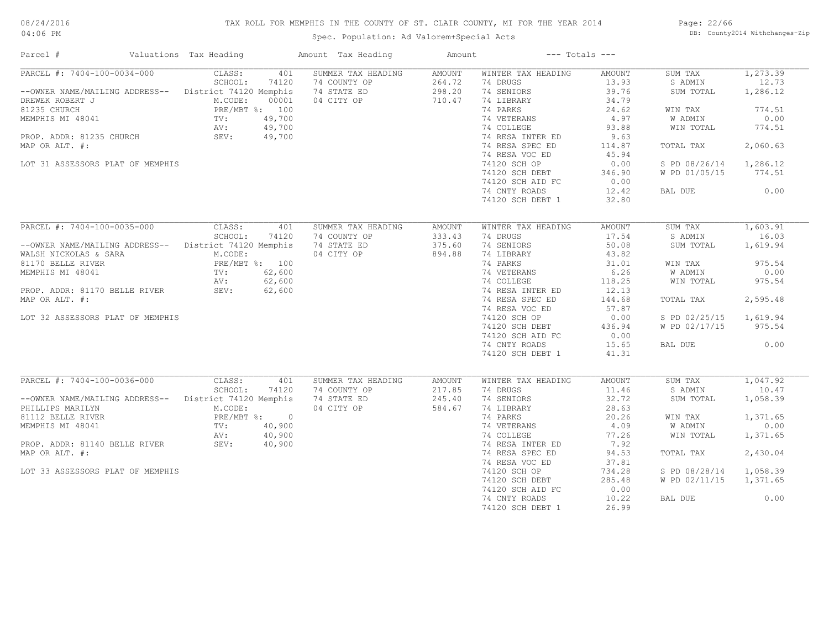# TAX ROLL FOR MEMPHIS IN THE COUNTY OF ST. CLAIR COUNTY, MI FOR THE YEAR 2014

04:06 PM

# Spec. Population: Ad Valorem+Special Acts

Page: 22/66 DB: County2014 Withchanges-Zip

| Parcel #                         | Valuations Tax Heading                     | Amount Tax Heading                 | Amount           | $---$ Totals $---$             |                 |                      |                   |
|----------------------------------|--------------------------------------------|------------------------------------|------------------|--------------------------------|-----------------|----------------------|-------------------|
| PARCEL #: 7404-100-0034-000      | CLASS:<br>401<br>SCHOOL:<br>74120          | SUMMER TAX HEADING<br>74 COUNTY OP | AMOUNT<br>264.72 | WINTER TAX HEADING<br>74 DRUGS | AMOUNT<br>13.93 | SUM TAX<br>S ADMIN   | 1,273.39<br>12.73 |
| --OWNER NAME/MAILING ADDRESS--   | District 74120 Memphis                     | 74 STATE ED                        | 298.20           | 74 SENIORS                     | 39.76           | SUM TOTAL            | 1,286.12          |
| DREWEK ROBERT J                  | M.CODE:<br>00001                           | 04 CITY OP                         | 710.47           | 74 LIBRARY                     | 34.79           |                      |                   |
| 81235 CHURCH                     | PRE/MBT %: 100                             |                                    |                  | 74 PARKS                       | 24.62           | WIN TAX              | 774.51            |
| MEMPHIS MI 48041                 | 49,700<br>TV:                              |                                    |                  | 74 VETERANS                    | 4.97            | W ADMIN              | 0.00              |
|                                  | 49,700<br>AV:                              |                                    |                  | 74 COLLEGE                     | 93.88           | WIN TOTAL            | 774.51            |
| PROP. ADDR: 81235 CHURCH         | SEV:<br>49,700                             |                                    |                  | 74 RESA INTER ED               | 9.63            |                      |                   |
| MAP OR ALT. #:                   |                                            |                                    |                  | 74 RESA SPEC ED                | 114.87          | TOTAL TAX            | 2,060.63          |
|                                  |                                            |                                    |                  | 74 RESA VOC ED                 | 45.94           |                      |                   |
| LOT 31 ASSESSORS PLAT OF MEMPHIS |                                            |                                    |                  | 74120 SCH OP                   | 0.00            | S PD 08/26/14        | 1,286.12          |
|                                  |                                            |                                    |                  | 74120 SCH DEBT                 | 346.90          | W PD 01/05/15        | 774.51            |
|                                  |                                            |                                    |                  | 74120 SCH AID FC               | 0.00            |                      |                   |
|                                  |                                            |                                    |                  | 74 CNTY ROADS                  | 12.42           | BAL DUE              | 0.00              |
|                                  |                                            |                                    |                  | 74120 SCH DEBT 1               | 32.80           |                      |                   |
|                                  |                                            |                                    |                  |                                |                 |                      |                   |
| PARCEL #: 7404-100-0035-000      | CLASS:<br>401                              | SUMMER TAX HEADING                 | <b>AMOUNT</b>    | WINTER TAX HEADING             | AMOUNT          | SUM TAX              | 1,603.91          |
|                                  | SCHOOL:<br>74120                           | 74 COUNTY OP                       | 333.43           | 74 DRUGS                       | 17.54           | S ADMIN              | 16.03             |
| --OWNER NAME/MAILING ADDRESS--   | District 74120 Memphis                     | 74 STATE ED                        | 375.60           | 74 SENIORS                     | 50.08           | SUM TOTAL            | 1,619.94          |
| WALSH NICKOLAS & SARA            | M.CODE:                                    | 04 CITY OP                         | 894.88           | 74 LIBRARY                     | 43.82           |                      |                   |
| 81170 BELLE RIVER                | PRE/MBT %: 100                             |                                    |                  | 74 PARKS                       | 31.01           | WIN TAX              | 975.54            |
| MEMPHIS MI 48041                 | 62,600<br>TV:                              |                                    |                  | 74 VETERANS                    | 6.26            | <b>W ADMIN</b>       | 0.00              |
|                                  | AV:<br>62,600                              |                                    |                  | 74 COLLEGE                     | 118.25          | WIN TOTAL            | 975.54            |
| PROP. ADDR: 81170 BELLE RIVER    | SEV:<br>62,600                             |                                    |                  | 74 RESA INTER ED               | 12.13           |                      |                   |
| MAP OR ALT. #:                   |                                            |                                    |                  | 74 RESA SPEC ED                | 144.68          | TOTAL TAX            | 2,595.48          |
|                                  |                                            |                                    |                  | 74 RESA VOC ED                 | 57.87           |                      |                   |
| LOT 32 ASSESSORS PLAT OF MEMPHIS |                                            |                                    |                  | 74120 SCH OP                   | 0.00            | S PD 02/25/15        | 1,619.94          |
|                                  |                                            |                                    |                  | 74120 SCH DEBT                 | 436.94          | W PD 02/17/15        | 975.54            |
|                                  |                                            |                                    |                  | 74120 SCH AID FC               | 0.00            |                      |                   |
|                                  |                                            |                                    |                  | 74 CNTY ROADS                  | 15.65           | BAL DUE              | 0.00              |
|                                  |                                            |                                    |                  | 74120 SCH DEBT 1               | 41.31           |                      |                   |
|                                  |                                            |                                    |                  |                                |                 |                      |                   |
| PARCEL #: 7404-100-0036-000      | CLASS:<br>401                              | SUMMER TAX HEADING                 | AMOUNT           | WINTER TAX HEADING             | AMOUNT          | SUM TAX              | 1,047.92<br>10.47 |
| --OWNER NAME/MAILING ADDRESS--   | SCHOOL:<br>74120<br>District 74120 Memphis | 74 COUNTY OP<br>74 STATE ED        | 217.85<br>245.40 | 74 DRUGS<br>74 SENIORS         | 11.46<br>32.72  | S ADMIN<br>SUM TOTAL | 1,058.39          |
|                                  |                                            |                                    |                  |                                |                 |                      |                   |
| PHILLIPS MARILYN                 | M.CODE:                                    | 04 CITY OP                         | 584.67           | 74 LIBRARY                     | 28.63           |                      |                   |
| 81112 BELLE RIVER                | PRE/MBT %: 0                               |                                    |                  | 74 PARKS                       | 20.26           | WIN TAX              | 1,371.65          |
| MEMPHIS MI 48041                 | 40,900<br>TV:                              |                                    |                  | 74 VETERANS                    | 4.09            | W ADMIN              | 0.00              |
|                                  | 40,900<br>AV:                              |                                    |                  | 74 COLLEGE                     | 77.26           | WIN TOTAL            | 1,371.65          |
| PROP. ADDR: 81140 BELLE RIVER    | SEV:<br>40,900                             |                                    |                  | 74 RESA INTER ED               | 7.92            |                      |                   |
| MAP OR ALT. #:                   |                                            |                                    |                  | 74 RESA SPEC ED                | 94.53           | TOTAL TAX            | 2,430.04          |
|                                  |                                            |                                    |                  | 74 RESA VOC ED                 | 37.81           |                      |                   |
| LOT 33 ASSESSORS PLAT OF MEMPHIS |                                            |                                    |                  | 74120 SCH OP                   | 734.28          | S PD 08/28/14        | 1,058.39          |
|                                  |                                            |                                    |                  | 74120 SCH DEBT                 | 285.48          | W PD 02/11/15        | 1,371.65          |
|                                  |                                            |                                    |                  | 74120 SCH AID FC               | 0.00            |                      |                   |
|                                  |                                            |                                    |                  | 74 CNTY ROADS                  | 10.22           | BAL DUE              | 0.00              |
|                                  |                                            |                                    |                  | 74120 SCH DEBT 1               | 26.99           |                      |                   |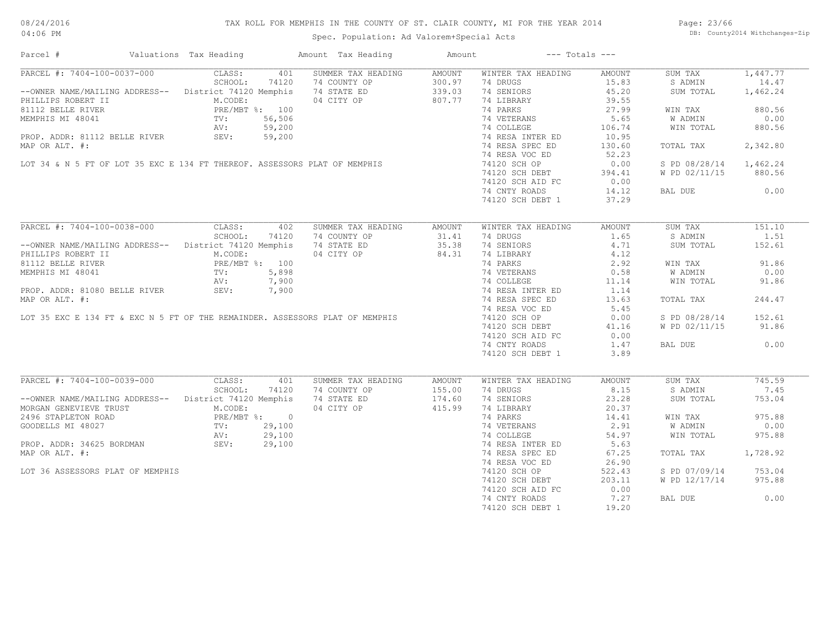# TAX ROLL FOR MEMPHIS IN THE COUNTY OF ST. CLAIR COUNTY, MI FOR THE YEAR 2014

04:06 PM

# Spec. Population: Ad Valorem+Special Acts

Page: 23/66 DB: County2014 Withchanges-Zip

| Parcel #                                                                                                                                                        | Valuations Tax Heading |       | Amount Tax Heading                                                                                                                                                                                                                          | Amount | $---$ Totals $---$                                                                                                                                                                                                                      |                    |                                 |          |
|-----------------------------------------------------------------------------------------------------------------------------------------------------------------|------------------------|-------|---------------------------------------------------------------------------------------------------------------------------------------------------------------------------------------------------------------------------------------------|--------|-----------------------------------------------------------------------------------------------------------------------------------------------------------------------------------------------------------------------------------------|--------------------|---------------------------------|----------|
| PARCEL #: 7404-100-0037-000 CLASS:<br>SCHOOL:                                                                                                                   |                        | 401   | SUMMER TAX HEADING                                                                                                                                                                                                                          | AMOUNT | WINTER TAX HEADING                                                                                                                                                                                                                      | AMOUNT             | SUM TAX                         | 1,447.77 |
|                                                                                                                                                                 |                        |       | NOWER NAME/MAILING ADDRESS--<br>ILLIPS ROBERT II M.CODE:<br>1112 BELLE RIVER PRE/MBT \$: 100<br>EMPHIS MI 48041 TV: 56,506<br>PROP. ADDR: 81112 BELLE RIVER SEV: 59,200<br>PAP OR ALT. #:<br>107 34 & N 5 FT OF LOT 35 EXC E 134 FT THEREOF |        | 74 DRUGS                                                                                                                                                                                                                                |                    | S ADMIN 14.47                   |          |
|                                                                                                                                                                 |                        |       |                                                                                                                                                                                                                                             |        |                                                                                                                                                                                                                                         | $15.83$<br>$45.20$ | SUM TOTAL 1,462.24              |          |
|                                                                                                                                                                 |                        |       |                                                                                                                                                                                                                                             |        |                                                                                                                                                                                                                                         |                    |                                 |          |
|                                                                                                                                                                 |                        |       |                                                                                                                                                                                                                                             |        |                                                                                                                                                                                                                                         | $39.55$<br>$27.99$ | WIN TAX 880.56                  |          |
|                                                                                                                                                                 |                        |       |                                                                                                                                                                                                                                             |        |                                                                                                                                                                                                                                         |                    | W ADMIN                         | 0.00     |
|                                                                                                                                                                 |                        |       |                                                                                                                                                                                                                                             |        | 74 VETERANS 5.65<br>74 COLLEGE 106.74                                                                                                                                                                                                   |                    | WADMIN 0.00<br>WINTOTAL 880.56  |          |
|                                                                                                                                                                 |                        |       |                                                                                                                                                                                                                                             |        |                                                                                                                                                                                                                                         |                    |                                 |          |
|                                                                                                                                                                 |                        |       |                                                                                                                                                                                                                                             |        | 74 RESA INTER ED 10.95<br>74 RESA SPEC ED 130.60                                                                                                                                                                                        |                    |                                 |          |
|                                                                                                                                                                 |                        |       |                                                                                                                                                                                                                                             |        |                                                                                                                                                                                                                                         |                    | TOTAL TAX 2,342.80              |          |
|                                                                                                                                                                 |                        |       |                                                                                                                                                                                                                                             |        |                                                                                                                                                                                                                                         | 52.23              |                                 |          |
|                                                                                                                                                                 |                        |       |                                                                                                                                                                                                                                             |        |                                                                                                                                                                                                                                         | 0.00               | S PD 08/28/14 1,462.24          |          |
|                                                                                                                                                                 |                        |       |                                                                                                                                                                                                                                             |        | 74120 SCH DEBT 394.41<br>74120 SCH DEBT 394.41<br>74120 SCH AID FC 0.00<br>74 CNTY ROADS 14.12                                                                                                                                          |                    | W PD 02/11/15 880.56            |          |
|                                                                                                                                                                 |                        |       |                                                                                                                                                                                                                                             |        |                                                                                                                                                                                                                                         |                    |                                 |          |
|                                                                                                                                                                 |                        |       |                                                                                                                                                                                                                                             |        |                                                                                                                                                                                                                                         |                    | BAL DUE 0.00                    |          |
|                                                                                                                                                                 |                        |       |                                                                                                                                                                                                                                             |        | 74120 SCH DEBT 1                                                                                                                                                                                                                        | 37.29              |                                 |          |
|                                                                                                                                                                 |                        |       |                                                                                                                                                                                                                                             |        |                                                                                                                                                                                                                                         |                    |                                 |          |
|                                                                                                                                                                 |                        |       | PARCEL #: 7404-100-0038-000 CLASS: 402 SUMMER TAX HEADING                                                                                                                                                                                   | AMOUNT | WINTER TAX HEADING                                                                                                                                                                                                                      | AMOUNT             | SUM TAX                         | 151.10   |
|                                                                                                                                                                 | SCHOOL:                | 74120 |                                                                                                                                                                                                                                             |        |                                                                                                                                                                                                                                         |                    | S ADMIN                         | 1.51     |
| --OWNER NAME/MAILING ADDRESS-- District 74120 Memphis 74 STATE ED                                                                                               |                        |       | 74 COUNTY OP 31.41<br>74 STATE ED 35.38                                                                                                                                                                                                     |        | 74 DRUGS 1.65<br>74 SENIORS 4.71                                                                                                                                                                                                        |                    |                                 |          |
|                                                                                                                                                                 |                        |       |                                                                                                                                                                                                                                             |        | 14 DROGS<br>1.71<br>74 LIBRARY<br>74 LIBRARY<br>74 PARKS<br>2.92<br>74 NESA INTER ED<br>74 RESA SPEC ED<br>74 NESA INTER ED<br>74 NESA SPEC ED<br>1.14<br>74 NESA SPEC ED<br>1.14<br>74 NESA SPEC ED<br>1.14<br>74 NESA SPEC ED<br>1.14 |                    | SUM TOTAL                       | 152.61   |
|                                                                                                                                                                 |                        |       |                                                                                                                                                                                                                                             |        |                                                                                                                                                                                                                                         |                    |                                 |          |
|                                                                                                                                                                 |                        |       |                                                                                                                                                                                                                                             |        |                                                                                                                                                                                                                                         |                    | WIN TAX 91.86                   |          |
|                                                                                                                                                                 |                        |       |                                                                                                                                                                                                                                             |        |                                                                                                                                                                                                                                         |                    | W ADMIN<br>W ADMIN<br>WIN TOTAL | 0.00     |
|                                                                                                                                                                 |                        |       |                                                                                                                                                                                                                                             |        |                                                                                                                                                                                                                                         |                    |                                 | 91.86    |
|                                                                                                                                                                 |                        |       |                                                                                                                                                                                                                                             |        |                                                                                                                                                                                                                                         |                    |                                 |          |
|                                                                                                                                                                 |                        |       |                                                                                                                                                                                                                                             |        |                                                                                                                                                                                                                                         |                    | TOTAL TAX                       | 244.47   |
|                                                                                                                                                                 |                        |       |                                                                                                                                                                                                                                             |        |                                                                                                                                                                                                                                         |                    |                                 |          |
|                                                                                                                                                                 |                        |       |                                                                                                                                                                                                                                             |        |                                                                                                                                                                                                                                         |                    | S PD 08/28/14 152.61            |          |
|                                                                                                                                                                 |                        |       |                                                                                                                                                                                                                                             |        |                                                                                                                                                                                                                                         |                    | W PD 02/11/15 91.86             |          |
|                                                                                                                                                                 |                        |       |                                                                                                                                                                                                                                             |        |                                                                                                                                                                                                                                         |                    |                                 |          |
|                                                                                                                                                                 |                        |       |                                                                                                                                                                                                                                             |        |                                                                                                                                                                                                                                         |                    |                                 |          |
|                                                                                                                                                                 |                        |       |                                                                                                                                                                                                                                             |        | 74 CNTY ROADS                                                                                                                                                                                                                           | 1.47               | BAL DUE                         | 0.00     |
|                                                                                                                                                                 |                        |       |                                                                                                                                                                                                                                             |        | 74120 SCH DEBT 1                                                                                                                                                                                                                        | 3.89               |                                 |          |
|                                                                                                                                                                 |                        |       |                                                                                                                                                                                                                                             |        |                                                                                                                                                                                                                                         |                    |                                 |          |
| PARCEL #: 7404-100-0039-000 CLASS:                                                                                                                              |                        | 401   | SUMMER TAX HEADING                                                                                                                                                                                                                          | AMOUNT | WINTER TAX HEADING                                                                                                                                                                                                                      | AMOUNT             | SUM TAX                         | 745.59   |
|                                                                                                                                                                 |                        |       | --OWNER NAME/MAILING ADDRESS--<br>MORGAN GENEVIEVE TRUST<br>MORGAN GENEVIEVE TRUST<br>2496 STAPLETON ROAD<br>2496 STAPLETON ROAD<br>2496 STAPLETON ROAD<br>2496 STAPLETON ROAD                                                              |        | 74 DRUGS                                                                                                                                                                                                                                | 8.15               | S ADMIN                         | 7.45     |
|                                                                                                                                                                 |                        |       |                                                                                                                                                                                                                                             |        | 14 SENIORS<br>74 SENIORS<br>74 LIBRARY<br>74 PARKS<br>74 COLLEGE<br>74 RESA INTER ED<br>74 RESA INTER ED<br>74 RESA INTER ED<br>5.63                                                                                                    |                    | SUM TOTAL                       | 753.04   |
| MORGAN GENEVIEVE TRUST<br>2496 STAPLETON ROAD<br>GOODELLS MI 48027 TV: 29,100<br>PROP. ADDR: 34625 BORDMAN SEV: 29,100<br>PROP. ADDR: 34625 BORDMAN SEV: 29,100 |                        |       |                                                                                                                                                                                                                                             |        |                                                                                                                                                                                                                                         |                    |                                 |          |
|                                                                                                                                                                 |                        |       | T $%$ : 0<br>29,100<br>29,100<br>29,100<br>29,100                                                                                                                                                                                           |        |                                                                                                                                                                                                                                         |                    | WIN TAX                         | 975.88   |
|                                                                                                                                                                 |                        |       |                                                                                                                                                                                                                                             |        |                                                                                                                                                                                                                                         |                    | <b>W ADMIN</b>                  | 0.00     |
|                                                                                                                                                                 |                        |       |                                                                                                                                                                                                                                             |        |                                                                                                                                                                                                                                         |                    | WIN TOTAL                       | 975.88   |
|                                                                                                                                                                 |                        |       |                                                                                                                                                                                                                                             |        |                                                                                                                                                                                                                                         |                    |                                 |          |
| MAP OR ALT. #:                                                                                                                                                  |                        |       |                                                                                                                                                                                                                                             |        | 74 RESA SPEC ED                                                                                                                                                                                                                         | 67.25              | TOTAL TAX 1,728.92              |          |
|                                                                                                                                                                 |                        |       |                                                                                                                                                                                                                                             |        |                                                                                                                                                                                                                                         |                    |                                 |          |
|                                                                                                                                                                 |                        |       |                                                                                                                                                                                                                                             |        | 74 RESA VOC ED                                                                                                                                                                                                                          | 26.90              |                                 |          |
| LOT 36 ASSESSORS PLAT OF MEMPHIS                                                                                                                                |                        |       |                                                                                                                                                                                                                                             |        | 74120 SCH OP<br>74120 SCH DEBT                                                                                                                                                                                                          | 522.43             | S PD 07/09/14 753.04            |          |
|                                                                                                                                                                 |                        |       |                                                                                                                                                                                                                                             |        |                                                                                                                                                                                                                                         | 203.11             | W PD 12/17/14 975.88            |          |
|                                                                                                                                                                 |                        |       |                                                                                                                                                                                                                                             |        | 74120 SCH AID FC                                                                                                                                                                                                                        | 0.00               |                                 |          |
|                                                                                                                                                                 |                        |       |                                                                                                                                                                                                                                             |        | 74 CNTY ROADS                                                                                                                                                                                                                           | 7.27               | BAL DUE                         | 0.00     |
|                                                                                                                                                                 |                        |       |                                                                                                                                                                                                                                             |        | 74120 SCH DEBT 1                                                                                                                                                                                                                        | 19.20              |                                 |          |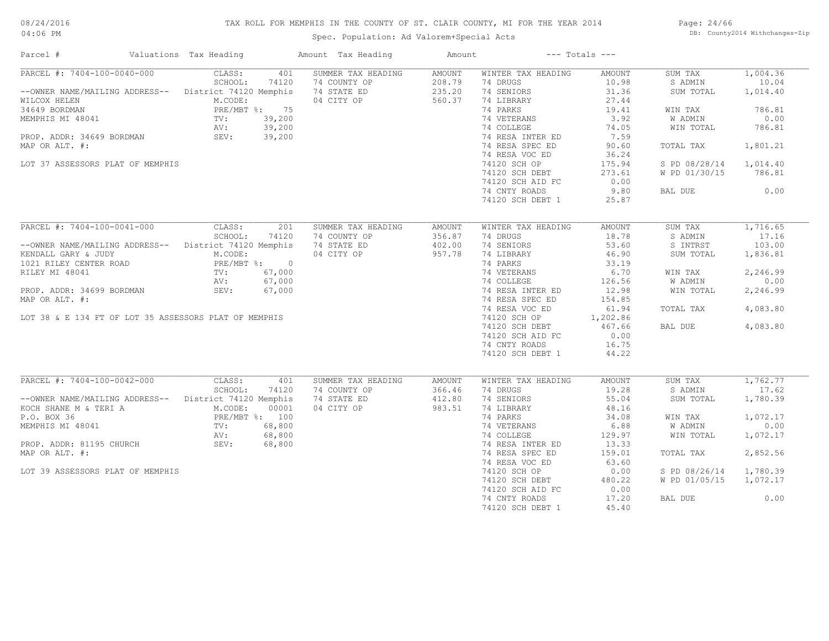# TAX ROLL FOR MEMPHIS IN THE COUNTY OF ST. CLAIR COUNTY, MI FOR THE YEAR 2014

Spec. Population: Ad Valorem+Special Acts

Page: 24/66 DB: County2014 Withchanges-Zip

| Parcel #                                                                                                                                                                                                                                 | Valuations Tax Heading                                                                                                                      | Amount Tax Heading                                              | Amount                                      |                                                                                                                                                                                                                                                         | $---$ Totals $---$                                                                                                                              |                                                                                                                                     |                                                                                                           |
|------------------------------------------------------------------------------------------------------------------------------------------------------------------------------------------------------------------------------------------|---------------------------------------------------------------------------------------------------------------------------------------------|-----------------------------------------------------------------|---------------------------------------------|---------------------------------------------------------------------------------------------------------------------------------------------------------------------------------------------------------------------------------------------------------|-------------------------------------------------------------------------------------------------------------------------------------------------|-------------------------------------------------------------------------------------------------------------------------------------|-----------------------------------------------------------------------------------------------------------|
| PARCEL #: 7404-100-0040-000<br>--OWNER NAME/MAILING ADDRESS--<br>WILCOX HELEN<br>34649 BORDMAN<br>MEMPHIS MI 48041<br>PROP. ADDR: 34649 BORDMAN<br>MAP OR ALT. #:<br>LOT 37 ASSESSORS PLAT OF MEMPHIS                                    | CLASS:<br>401<br>SCHOOL:<br>74120<br>District 74120 Memphis<br>M.CODE:<br>PRE/MBT %: 75<br>39,200<br>TV:<br>AV:<br>39,200<br>39,200<br>SEV: | SUMMER TAX HEADING<br>74 COUNTY OP<br>74 STATE ED<br>04 CITY OP | <b>AMOUNT</b><br>208.79<br>235.20<br>560.37 | WINTER TAX HEADING<br>74 DRUGS<br>74 SENIORS<br>74 LIBRARY<br>74 PARKS<br>74 VETERANS<br>74 COLLEGE<br>74 RESA INTER ED<br>74 RESA SPEC ED<br>74 RESA VOC ED<br>74120 SCH OP<br>74120 SCH DEBT<br>74120 SCH AID FC                                      | AMOUNT<br>10.98<br>31.36<br>27.44<br>19.41<br>3.92<br>74.05<br>7.59<br>90.60<br>36.24<br>175.94<br>273.61<br>0.00                               | SUM TAX<br>S ADMIN<br>SUM TOTAL<br>WIN TAX<br>W ADMIN<br>WIN TOTAL<br>TOTAL TAX<br>S PD 08/28/14<br>W PD 01/30/15                   | 1,004.36<br>10.04<br>1,014.40<br>786.81<br>0.00<br>786.81<br>1,801.21<br>1,014.40<br>786.81               |
|                                                                                                                                                                                                                                          |                                                                                                                                             |                                                                 |                                             | 74 CNTY ROADS<br>74120 SCH DEBT 1                                                                                                                                                                                                                       | 9.80<br>25.87                                                                                                                                   | BAL DUE                                                                                                                             | 0.00                                                                                                      |
| PARCEL #: 7404-100-0041-000<br>--OWNER NAME/MAILING ADDRESS--<br>KENDALL GARY & JUDY<br>1021 RILEY CENTER ROAD<br>RILEY MI 48041<br>PROP. ADDR: 34699 BORDMAN<br>MAP OR ALT. #:<br>LOT 38 & E 134 FT OF LOT 35 ASSESSORS PLAT OF MEMPHIS | CLASS:<br>201<br>SCHOOL:<br>74120<br>District 74120 Memphis<br>M.CODE:<br>PRE/MBT %: 0<br>67,000<br>TV:<br>67,000<br>AV:<br>SEV:<br>67,000  | SUMMER TAX HEADING<br>74 COUNTY OP<br>74 STATE ED<br>04 CITY OP | <b>AMOUNT</b><br>356.87<br>402.00<br>957.78 | WINTER TAX HEADING<br>74 DRUGS<br>74 SENIORS<br>74 LIBRARY<br>74 PARKS<br>74 VETERANS<br>74 COLLEGE<br>74 RESA INTER ED<br>74 RESA SPEC ED<br>74 RESA VOC ED<br>74120 SCH OP<br>74120 SCH DEBT<br>74120 SCH AID FC<br>74 CNTY ROADS<br>74120 SCH DEBT 1 | <b>AMOUNT</b><br>18.78<br>53.60<br>46.90<br>33.19<br>6.70<br>126.56<br>12.98<br>154.85<br>61.94<br>1,202.86<br>467.66<br>0.00<br>16.75<br>44.22 | SUM TAX<br>S ADMIN<br>S INTRST<br>SUM TOTAL<br>WIN TAX<br>W ADMIN<br>WIN TOTAL<br>TOTAL TAX<br>BAL DUE                              | 1,716.65<br>17.16<br>103.00<br>1,836.81<br>2,246.99<br>0.00<br>2,246.99<br>4,083.80<br>4,083.80           |
| PARCEL #: 7404-100-0042-000<br>-- OWNER NAME/MAILING ADDRESS-- District 74120 Memphis<br>KOCH SHANE M & TERI A<br>P.O. BOX 36<br>MEMPHIS MI 48041<br>PROP. ADDR: 81195 CHURCH<br>MAP OR ALT. #:<br>LOT 39 ASSESSORS PLAT OF MEMPHIS      | CLASS:<br>401<br>SCHOOL:<br>74120<br>M.CODE:<br>00001<br>PRE/MBT %: 100<br>68,800<br>TV:<br>AV:<br>68,800<br>68,800<br>SEV:                 | SUMMER TAX HEADING<br>74 COUNTY OP<br>74 STATE ED<br>04 CITY OP | <b>AMOUNT</b><br>366.46<br>412.80<br>983.51 | WINTER TAX HEADING<br>74 DRUGS<br>74 SENIORS<br>74 LIBRARY<br>74 PARKS<br>74 VETERANS<br>74 COLLEGE<br>74 RESA INTER ED<br>74 RESA SPEC ED<br>74 RESA VOC ED<br>74120 SCH OP<br>74120 SCH DEBT<br>74120 SCH AID FC<br>74 CNTY ROADS<br>74120 SCH DEBT 1 | <b>AMOUNT</b><br>19.28<br>55.04<br>48.16<br>34.08<br>6.88<br>129.97<br>13.33<br>159.01<br>63.60<br>0.00<br>480.22<br>0.00<br>17.20<br>45.40     | SUM TAX<br>S ADMIN<br>SUM TOTAL<br>WIN TAX<br><b>W ADMIN</b><br>WIN TOTAL<br>TOTAL TAX<br>S PD 08/26/14<br>W PD 01/05/15<br>BAL DUE | 1,762,77<br>17.62<br>1,780.39<br>1,072.17<br>0.00<br>1,072.17<br>2,852.56<br>1,780.39<br>1,072.17<br>0.00 |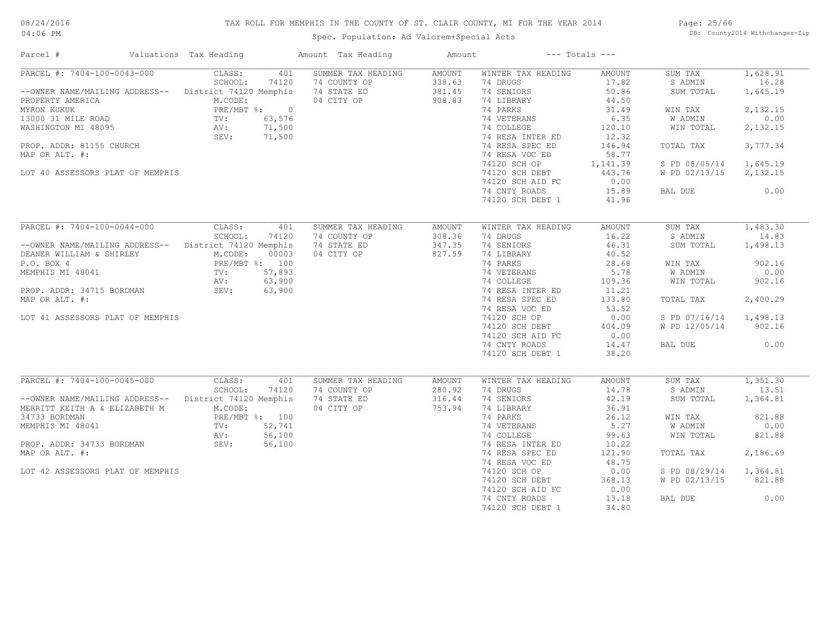# TAX ROLL FOR MEMPHIS IN THE COUNTY OF ST. CLAIR COUNTY, MI FOR THE YEAR 2014

04:06 PM

# Spec. Population: Ad Valorem+Special Acts

Page: 25/66 DB: County2014 Withchanges-Zip

| Parcel #                                                                                                                                                                                                                        | Valuations Tax Heading                                                       |                                                            | Amount Tax Heading                                              | Amount                               |                                                                                                                                                                                                                                                         | $---$ Totals $---$                                                                                                                       |                                                                                                                              |                                                                                                           |
|---------------------------------------------------------------------------------------------------------------------------------------------------------------------------------------------------------------------------------|------------------------------------------------------------------------------|------------------------------------------------------------|-----------------------------------------------------------------|--------------------------------------|---------------------------------------------------------------------------------------------------------------------------------------------------------------------------------------------------------------------------------------------------------|------------------------------------------------------------------------------------------------------------------------------------------|------------------------------------------------------------------------------------------------------------------------------|-----------------------------------------------------------------------------------------------------------|
| PARCEL #: 7404-100-0043-000<br>--OWNER NAME/MAILING ADDRESS--<br>PROPERTY AMERICA<br>MYRON KUKUK<br>13000 31 MILE ROAD<br>WASHINGTON MI 48095<br>PROP. ADDR: 81155 CHURCH<br>MAP OR ALT. #:<br>LOT 40 ASSESSORS PLAT OF MEMPHIS | CLASS:<br>SCHOOL:<br>District 74120 Memphis<br>M.CODE:<br>TV:<br>AV:<br>SEV: | 401<br>74120<br>PRE/MBT %: 0<br>63,576<br>71,500<br>71,500 | SUMMER TAX HEADING<br>74 COUNTY OP<br>74 STATE ED<br>04 CITY OP | AMOUNT<br>338.63<br>381.45<br>908.83 | WINTER TAX HEADING<br>74 DRUGS<br>74 SENIORS<br>74 LIBRARY<br>74 PARKS<br>74 VETERANS<br>74 COLLEGE<br>74 RESA INTER ED<br>74 RESA SPEC ED<br>74 RESA VOC ED<br>74120 SCH OP<br>74120 SCH DEBT<br>74120 SCH AID FC<br>74 CNTY ROADS<br>74120 SCH DEBT 1 | AMOUNT<br>17.82<br>50.86<br>44.50<br>31.49<br>6.35<br>120.10<br>12.32<br>146.94<br>58.77<br>1,141.39<br>443.76<br>0.00<br>15.89<br>41.96 | SUM TAX<br>S ADMIN<br>SUM TOTAL<br>WIN TAX<br>W ADMIN<br>WIN TOTAL<br>TOTAL TAX<br>S PD 08/05/14<br>W PD 02/13/15<br>BAL DUE | 1,628.91<br>16.28<br>1,645.19<br>2,132.15<br>0.00<br>2,132.15<br>3,777.34<br>1,645.19<br>2,132.15<br>0.00 |
| PARCEL #: 7404-100-0044-000                                                                                                                                                                                                     | CLASS:                                                                       | 401                                                        | SUMMER TAX HEADING                                              | AMOUNT                               | WINTER TAX HEADING                                                                                                                                                                                                                                      | AMOUNT                                                                                                                                   | SUM TAX                                                                                                                      | 1,483.30                                                                                                  |
| --OWNER NAME/MAILING ADDRESS--<br>DEANER WILLIAM & SHIRLEY                                                                                                                                                                      | SCHOOL:<br>District 74120 Memphis<br>M.CODE:                                 | 74120<br>00003                                             | 74 COUNTY OP<br>74 STATE ED<br>04 CITY OP                       | 308.36<br>347.35<br>827.59           | 74 DRUGS<br>74 SENIORS<br>74 LIBRARY                                                                                                                                                                                                                    | 16.22<br>46.31<br>40.52                                                                                                                  | S ADMIN<br>SUM TOTAL                                                                                                         | 14.83<br>1,498.13                                                                                         |
| P.O. BOX 4<br>MEMPHIS MI 48041                                                                                                                                                                                                  | PRE/MBT %: 100<br>TV:<br>AV:                                                 | 57,893<br>63,900                                           |                                                                 |                                      | 74 PARKS<br>74 VETERANS<br>74 COLLEGE                                                                                                                                                                                                                   | 28.68<br>5.78<br>109.36                                                                                                                  | WIN TAX<br>W ADMIN<br>WIN TOTAL                                                                                              | 902.16<br>0.00<br>902.16                                                                                  |
| PROP. ADDR: 34715 BORDMAN<br>MAP OR ALT. #:                                                                                                                                                                                     | SEV:                                                                         | 63,900                                                     |                                                                 |                                      | 74 RESA INTER ED<br>74 RESA SPEC ED<br>74 RESA VOC ED                                                                                                                                                                                                   | 11.21<br>133.80<br>53.52                                                                                                                 | TOTAL TAX                                                                                                                    | 2,400.29                                                                                                  |
| LOT 41 ASSESSORS PLAT OF MEMPHIS                                                                                                                                                                                                |                                                                              |                                                            |                                                                 |                                      | 74120 SCH OP<br>74120 SCH DEBT<br>74120 SCH AID FC                                                                                                                                                                                                      | 0.00<br>404.09<br>0.00                                                                                                                   | S PD 07/16/14<br>W PD 12/05/14                                                                                               | 1,498.13<br>902.16                                                                                        |
|                                                                                                                                                                                                                                 |                                                                              |                                                            |                                                                 |                                      | 74 CNTY ROADS<br>74120 SCH DEBT 1                                                                                                                                                                                                                       | 14.47<br>38.20                                                                                                                           | BAL DUE                                                                                                                      | 0.00                                                                                                      |
| PARCEL #: 7404-100-0045-000                                                                                                                                                                                                     | CLASS:                                                                       | 401                                                        | SUMMER TAX HEADING                                              | AMOUNT                               | WINTER TAX HEADING                                                                                                                                                                                                                                      | AMOUNT                                                                                                                                   | SUM TAX                                                                                                                      | 1,351.30                                                                                                  |
| -- OWNER NAME/MAILING ADDRESS-- District 74120 Memphis<br>MERRITT KEITH A & ELIZABETH M                                                                                                                                         | SCHOOL:<br>M.CODE:                                                           | 74120                                                      | 74 COUNTY OP<br>74 STATE ED<br>04 CITY OP                       | 280.92<br>316.44<br>753.94           | 74 DRUGS<br>74 SENIORS<br>74 LIBRARY                                                                                                                                                                                                                    | 14.78<br>42.19<br>36.91                                                                                                                  | S ADMIN<br>SUM TOTAL                                                                                                         | 13.51<br>1,364.81                                                                                         |
| 34733 BORDMAN<br>MEMPHIS MI 48041                                                                                                                                                                                               | $\text{TV}$ :                                                                | PRE/MBT %: 100<br>52,741                                   |                                                                 |                                      | 74 PARKS<br>74 VETERANS                                                                                                                                                                                                                                 | 26.12<br>5.27                                                                                                                            | WIN TAX<br>W ADMIN                                                                                                           | 821.88<br>0.00                                                                                            |
| PROP. ADDR: 34733 BORDMAN<br>MAP OR ALT. #:                                                                                                                                                                                     | AV:<br>SEV:                                                                  | 56,100<br>56,100                                           |                                                                 |                                      | 74 COLLEGE<br>74 RESA INTER ED<br>74 RESA SPEC ED                                                                                                                                                                                                       | 99.63<br>10.22<br>121.90                                                                                                                 | WIN TOTAL<br>TOTAL TAX                                                                                                       | 821.88<br>2,186.69                                                                                        |
| LOT 42 ASSESSORS PLAT OF MEMPHIS                                                                                                                                                                                                |                                                                              |                                                            |                                                                 |                                      | 74 RESA VOC ED<br>74120 SCH OP                                                                                                                                                                                                                          | 48.75<br>0.00                                                                                                                            | S PD 08/29/14                                                                                                                | 1,364.81                                                                                                  |
|                                                                                                                                                                                                                                 |                                                                              |                                                            |                                                                 |                                      | 74120 SCH DEBT<br>74120 SCH AID FC                                                                                                                                                                                                                      | 368.13<br>0.00                                                                                                                           | W PD 02/13/15                                                                                                                | 821.88                                                                                                    |
|                                                                                                                                                                                                                                 |                                                                              |                                                            |                                                                 |                                      | 74 CNTY ROADS<br>74120 SCH DEBT 1                                                                                                                                                                                                                       | 13.18<br>34.80                                                                                                                           | BAL DUE                                                                                                                      | 0.00                                                                                                      |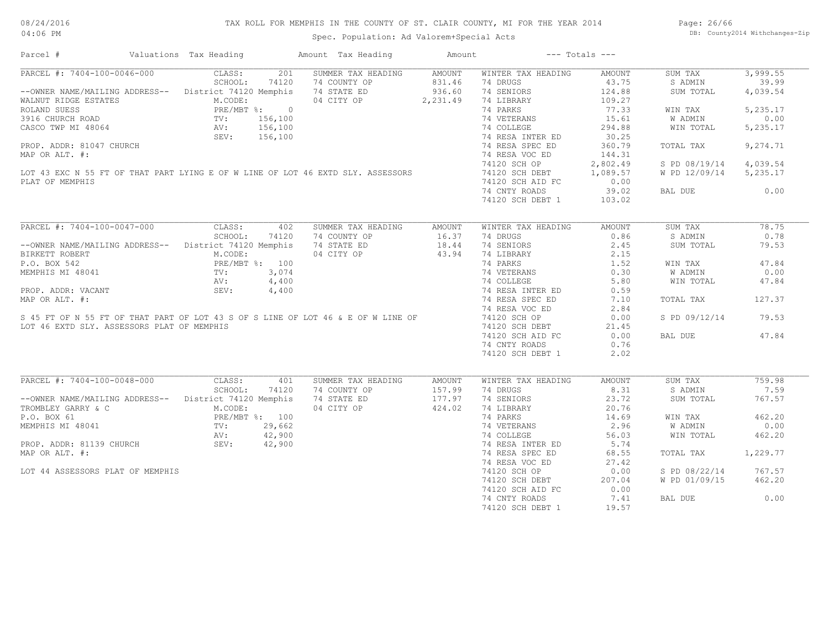# TAX ROLL FOR MEMPHIS IN THE COUNTY OF ST. CLAIR COUNTY, MI FOR THE YEAR 2014

04:06 PM

# Spec. Population: Ad Valorem+Special Acts

Page: 26/66 DB: County2014 Withchanges-Zip

| Parcel #                                                                                                                                  | Valuations Tax Heading |       | Amount Tax Heading                                                               | Amount                   |                           | $---$ Totals $---$ |                        |          |
|-------------------------------------------------------------------------------------------------------------------------------------------|------------------------|-------|----------------------------------------------------------------------------------|--------------------------|---------------------------|--------------------|------------------------|----------|
| PARCEL #: 7404-100-0046-000                                                                                                               | CLASS:                 | 201   | SUMMER TAX HEADING                                                               | AMOUNT                   | WINTER TAX HEADING        | AMOUNT             | SUM TAX                | 3,999.55 |
|                                                                                                                                           | SCHOOL:                | 74120 | 74 COUNTY OP                                                                     | 831.<br>936.60<br>001 49 | 74 DRUGS                  | 43.75              | S ADMIN                | 39.99    |
| --OWNER NAME/MAILING ADDRESS-- District 74120 Memphis                                                                                     |                        |       | 74 STATE ED                                                                      |                          | 74 SENIORS                | 124.88             | SUM TOTAL              | 4,039.54 |
| WALNUT RIDGE ESTATES                                                                                                                      | M.CODE:                |       | 04 CITY OP 2, 231.49                                                             |                          | 74 LIBRARY                | 109.27             |                        |          |
|                                                                                                                                           |                        |       |                                                                                  |                          | 74 PARKS                  | 77.33              | WIN TAX                | 5,235.17 |
|                                                                                                                                           |                        |       |                                                                                  |                          | 74 VETERANS               | 15.61              | W ADMIN                | 0.00     |
|                                                                                                                                           |                        |       |                                                                                  |                          | 74 COLLEGE                | 294.88             | WIN TOTAL              | 5,235.17 |
|                                                                                                                                           |                        |       |                                                                                  |                          | 74 RESA INTER ED          | 30.25              |                        |          |
| PROP. ADDR: 81047 CHURCH                                                                                                                  |                        |       |                                                                                  |                          | 74 RESA SPEC ED           | 360.79             | TOTAL TAX              | 9,274.71 |
|                                                                                                                                           |                        |       |                                                                                  |                          |                           |                    |                        |          |
| MAP OR ALT. #:                                                                                                                            |                        |       |                                                                                  |                          | 74 RESA VOC ED            | 144.31             |                        |          |
|                                                                                                                                           |                        |       |                                                                                  |                          | 74120 SCH OP              | 2,802.49           | S PD 08/19/14          | 4,039.54 |
|                                                                                                                                           |                        |       | LOT 43 EXC N 55 FT OF THAT PART LYING E OF W LINE OF LOT 46 EXTD SLY. ASSESSORS  |                          | 74120 SCH DEBT            | 1,089.57           | W PD 12/09/14 5,235.17 |          |
| PLAT OF MEMPHIS                                                                                                                           |                        |       |                                                                                  |                          | 74120 SCH AID FC          | 0.00               |                        |          |
|                                                                                                                                           |                        |       |                                                                                  |                          | 74 CNTY ROADS             | 39.02              | BAL DUE                | 0.00     |
|                                                                                                                                           |                        |       |                                                                                  |                          | 74120 SCH DEBT 1          | 103.02             |                        |          |
|                                                                                                                                           |                        |       |                                                                                  |                          |                           |                    |                        |          |
| PARCEL #: 7404-100-0047-000                                                                                                               | CLASS:                 | 402   | SUMMER TAX HEADING                                                               | AMOUNT                   | WINTER TAX HEADING        | AMOUNT             | SUM TAX                | 78.75    |
|                                                                                                                                           | SCHOOL:                | 74120 | 74 COUNTY OP                                                                     | 16.37                    | 74 DRUGS                  | 0.86               | S ADMIN                | 0.78     |
| --OWNER NAME/MAILING ADDRESS-- District 74120 Memphis                                                                                     |                        |       | 74 STATE ED                                                                      | 18.44                    | 74 SENIORS                | 2.45               | SUM TOTAL              | 79.53    |
| BIRKETT ROBERT                                                                                                                            | M.CODE:                |       | 04 CITY OP                                                                       | 43.94                    | 74 LIBRARY                | 2.15               |                        |          |
| P.O. BOX 542                                                                                                                              | PRE/MBT %: 100         |       |                                                                                  |                          | $74$ PARKS                | 1.52               | WIN TAX                | 47.84    |
| MEMPHIS MI 48041                                                                                                                          |                        | 3,074 |                                                                                  |                          |                           | 0.30               | W ADMIN                | 0.00     |
|                                                                                                                                           | TV:<br>AV:             | 4,400 |                                                                                  |                          | 74 VETERANS<br>74 COLLEGE | 5.80               | WIN TOTAL              | 47.84    |
| PROP. ADDR: VACANT                                                                                                                        | SEV:                   | 4,400 |                                                                                  |                          | 74 RESA INTER ED          | 0.59               |                        |          |
| MAP OR ALT. #:                                                                                                                            |                        |       |                                                                                  |                          | 74 RESA SPEC ED           | 7.10               | TOTAL TAX              | 127.37   |
|                                                                                                                                           |                        |       |                                                                                  |                          |                           | 2.84               |                        |          |
|                                                                                                                                           |                        |       |                                                                                  |                          | 74 RESA VOC ED            |                    |                        |          |
|                                                                                                                                           |                        |       | S 45 FT OF N 55 FT OF THAT PART OF LOT 43 S OF S LINE OF LOT 46 & E OF W LINE OF |                          | 74120 SCH OP              | 0.00               | S PD 09/12/14          | 79.53    |
| LOT 46 EXTD SLY. ASSESSORS PLAT OF MEMPHIS                                                                                                |                        |       |                                                                                  |                          | 74120 SCH DEBT            | 21.45              |                        |          |
|                                                                                                                                           |                        |       |                                                                                  |                          | 74120 SCH AID FC          | 0.00               | BAL DUE                | 47.84    |
|                                                                                                                                           |                        |       |                                                                                  |                          | 74 CNTY ROADS             | 0.76               |                        |          |
|                                                                                                                                           |                        |       |                                                                                  |                          | 74120 SCH DEBT 1          | 2.02               |                        |          |
|                                                                                                                                           |                        |       |                                                                                  |                          |                           |                    |                        |          |
| PARCEL #: 7404-100-0048-000                                                                                                               | CLASS:                 | 401   | SUMMER TAX HEADING                                                               | AMOUNT                   | WINTER TAX HEADING        | <b>AMOUNT</b>      | SUM TAX                | 759.98   |
|                                                                                                                                           | SCHOOL:                | 74120 | 74 COUNTY OP                                                                     | 157.99                   | 74 DRUGS                  | 8.31               | S ADMIN                | 7.59     |
| --OWNER NAME/MAILING ADDRESS-- District 74120 Memphis                                                                                     |                        |       | 74 STATE ED                                                                      | 177.97                   | 74 SENIORS                | 23.72              | SUM TOTAL              | 767.57   |
| TROMBLEY GARRY & C                                                                                                                        | M.CODE:                |       | 04 CITY OP                                                                       | 424.02                   | 74 LIBRARY                | 20.76              |                        |          |
| PRE/MBT 3 100<br>PRE/MBT 3: 100<br>MEMPHIS MI 48041<br>PROP. ADDR: 81139 CHURCH<br>SEV: 42,900<br>PROP. ADDR: 81139 CHURCH<br>SEV: 42,900 |                        |       |                                                                                  |                          | 74 PARKS                  | 14.69              | WIN TAX                | 462.20   |
|                                                                                                                                           |                        |       |                                                                                  |                          | 74 VETERANS               | 2.96               | W ADMIN                | 0.00     |
|                                                                                                                                           |                        |       |                                                                                  |                          | 74 COLLEGE                | 56.03              | WIN TOTAL              | 462.20   |
|                                                                                                                                           |                        |       |                                                                                  |                          | 74 RESA INTER ED          | 5.74               |                        |          |
| MAP OR ALT. #:                                                                                                                            |                        |       |                                                                                  |                          |                           |                    |                        | 1,229.77 |
|                                                                                                                                           |                        |       |                                                                                  |                          | 74 RESA SPEC ED           | 68.55              | TOTAL TAX              |          |
|                                                                                                                                           |                        |       |                                                                                  |                          | 74 RESA VOC ED            | 27.42              |                        |          |
| LOT 44 ASSESSORS PLAT OF MEMPHIS                                                                                                          |                        |       |                                                                                  |                          | 74120 SCH OP              | 0.00               | S PD 08/22/14          | 767.57   |
|                                                                                                                                           |                        |       |                                                                                  |                          | 74120 SCH DEBT            | 207.04             | W PD 01/09/15          | 462.20   |
|                                                                                                                                           |                        |       |                                                                                  |                          | 74120 SCH AID FC          | 0.00               |                        |          |
|                                                                                                                                           |                        |       |                                                                                  |                          | 74 CNTY ROADS             | 7.41               | BAL DUE                | 0.00     |
|                                                                                                                                           |                        |       |                                                                                  |                          | 74120 SCH DEBT 1          | 19.57              |                        |          |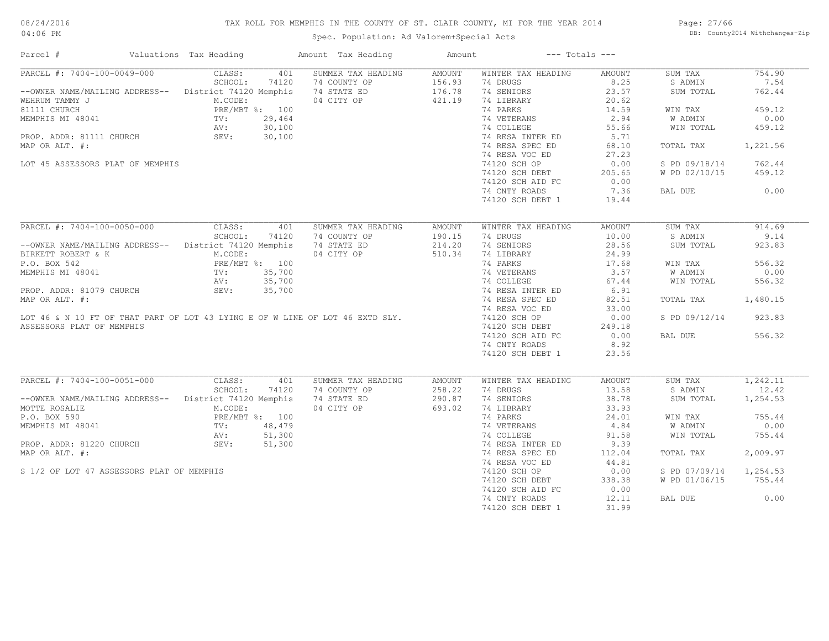# TAX ROLL FOR MEMPHIS IN THE COUNTY OF ST. CLAIR COUNTY, MI FOR THE YEAR 2014

Spec. Population: Ad Valorem+Special Acts

Page: 27/66 DB: County2014 Withchanges-Zip

| Parcel #                                                                      | Valuations Tax Heading                         | Amount Tax Heading | Amount        | $---$ Totals $---$ |        |               |          |
|-------------------------------------------------------------------------------|------------------------------------------------|--------------------|---------------|--------------------|--------|---------------|----------|
| PARCEL #: 7404-100-0049-000                                                   | CLASS:<br>401                                  | SUMMER TAX HEADING | <b>AMOUNT</b> | WINTER TAX HEADING | AMOUNT | SUM TAX       | 754.90   |
|                                                                               | SCHOOL:<br>74120                               | 74 COUNTY OP       | 156.93        | 74 DRUGS           | 8.25   | S ADMIN       | 7.54     |
| --OWNER NAME/MAILING ADDRESS-- District 74120 Memphis                         |                                                | 74 STATE ED        | 176.78        | 74 SENIORS         | 23.57  | SUM TOTAL     | 762.44   |
| WEHRUM TAMMY J                                                                | M.CODE:                                        | 04 CITY OP         | 421.19        | 74 LIBRARY         | 20.62  |               |          |
|                                                                               |                                                |                    |               | 74 PARKS           | 14.59  | WIN TAX       | 459.12   |
|                                                                               |                                                |                    |               | 74 VETERANS        | 2.94   | W ADMIN       | 0.00     |
|                                                                               |                                                |                    |               | 74 COLLEGE         | 55.66  | WIN TOTAL     | 459.12   |
|                                                                               |                                                |                    |               | 74 RESA INTER ED   | 5.71   |               |          |
| MAP OR ALT. #:                                                                |                                                |                    |               | 74 RESA SPEC ED    | 68.10  | TOTAL TAX     | 1,221.56 |
|                                                                               |                                                |                    |               | 74 RESA VOC ED     | 27.23  |               |          |
| LOT 45 ASSESSORS PLAT OF MEMPHIS                                              |                                                |                    |               | 74120 SCH OP       | 0.00   | S PD 09/18/14 | 762.44   |
|                                                                               |                                                |                    |               | 74120 SCH DEBT     | 205.65 | W PD 02/10/15 | 459.12   |
|                                                                               |                                                |                    |               | 74120 SCH AID FC   | 0.00   |               |          |
|                                                                               |                                                |                    |               | 74 CNTY ROADS      | 7.36   | BAL DUE       | 0.00     |
|                                                                               |                                                |                    |               | 74120 SCH DEBT 1   | 19.44  |               |          |
|                                                                               |                                                |                    |               |                    |        |               |          |
| PARCEL #: 7404-100-0050-000                                                   | CLASS:<br>401                                  | SUMMER TAX HEADING | <b>AMOUNT</b> | WINTER TAX HEADING | AMOUNT | SUM TAX       | 914.69   |
|                                                                               | SCHOOL:<br>74120                               | 74 COUNTY OP       | 190.15        | 74 DRUGS           | 10.00  | S ADMIN       | 9.14     |
| -- OWNER NAME/MAILING ADDRESS-- District 74120 Memphis                        |                                                | 74 STATE ED        | 214.20        | 74 SENIORS         | 28.56  | SUM TOTAL     | 923.83   |
| BIRKETT ROBERT & K                                                            | riemphi.<br>PRE/MBT %: 100<br>TV: 35 70<br>AV: | 04 CITY OP         | 510.34        | 74 LIBRARY         | 24.99  |               |          |
| P.O. BOX 542                                                                  |                                                |                    |               | 74 PARKS           | 17.68  |               | 556.32   |
|                                                                               |                                                |                    |               |                    |        | WIN TAX       |          |
| MEMPHIS MI 48041                                                              |                                                |                    |               | 74 VETERANS        | 3.57   | W ADMIN       | 0.00     |
|                                                                               |                                                |                    |               | 74 COLLEGE         | 67.44  | WIN TOTAL     | 556.32   |
| PROP. ADDR: 81079 CHURCH                                                      | SEV:<br>35,700                                 |                    |               | 74 RESA INTER ED   | 6.91   |               |          |
| MAP OR ALT. #:                                                                |                                                |                    |               | 74 RESA SPEC ED    | 82.51  | TOTAL TAX     | 1,480.15 |
|                                                                               |                                                |                    |               | 74 RESA VOC ED     | 33.00  |               |          |
| LOT 46 & N 10 FT OF THAT PART OF LOT 43 LYING E OF W LINE OF LOT 46 EXTD SLY. |                                                |                    |               | 74120 SCH OP       | 0.00   | S PD 09/12/14 | 923.83   |
| ASSESSORS PLAT OF MEMPHIS                                                     |                                                |                    |               | 74120 SCH DEBT     | 249.18 |               |          |
|                                                                               |                                                |                    |               | 74120 SCH AID FC   | 0.00   | BAL DUE       | 556.32   |
|                                                                               |                                                |                    |               | 74 CNTY ROADS      | 8.92   |               |          |
|                                                                               |                                                |                    |               | 74120 SCH DEBT 1   | 23.56  |               |          |
|                                                                               |                                                |                    |               |                    |        |               |          |
| PARCEL #: 7404-100-0051-000                                                   | CLASS:<br>401                                  | SUMMER TAX HEADING | AMOUNT        | WINTER TAX HEADING | AMOUNT | SUM TAX       | 1,242.11 |
|                                                                               | SCHOOL:<br>74120                               | 74 COUNTY OP       | 258.22        | 74 DRUGS           | 13.58  | S ADMIN       | 12.42    |
| --OWNER NAME/MAILING ADDRESS-- District 74120 Memphis                         |                                                | 74 STATE ED        | 290.87        | 74 SENIORS         | 38.78  | SUM TOTAL     | 1,254.53 |
| MOTTE ROSALIE                                                                 | M.CODE:                                        | 04 CITY OP         | 693.02        | 74 LIBRARY         | 33.93  |               |          |
|                                                                               | PRE/MBT %: 100                                 |                    |               | 74 PARKS           | 24.01  | WIN TAX       | 755.44   |
|                                                                               | 48,479                                         |                    |               | 74 VETERANS        | 4.84   | W ADMIN       | 0.00     |
|                                                                               | 51,300                                         |                    |               | 74 COLLEGE         | 91.58  | WIN TOTAL     | 755.44   |
|                                                                               | 51,300                                         |                    |               | 74 RESA INTER ED   | 9.39   |               |          |
| MAP OR ALT. #:                                                                |                                                |                    |               | 74 RESA SPEC ED    | 112.04 | TOTAL TAX     | 2,009.97 |
|                                                                               |                                                |                    |               | 74 RESA VOC ED     | 44.81  |               |          |
| S 1/2 OF LOT 47 ASSESSORS PLAT OF MEMPHIS                                     |                                                |                    |               | 74120 SCH OP       | 0.00   | S PD 07/09/14 | 1,254.53 |
|                                                                               |                                                |                    |               | 74120 SCH DEBT     | 338.38 | W PD 01/06/15 | 755.44   |
|                                                                               |                                                |                    |               | 74120 SCH AID FC   | 0.00   |               |          |
|                                                                               |                                                |                    |               | 74 CNTY ROADS      | 12.11  | BAL DUE       | 0.00     |
|                                                                               |                                                |                    |               | 74120 SCH DEBT 1   | 31.99  |               |          |
|                                                                               |                                                |                    |               |                    |        |               |          |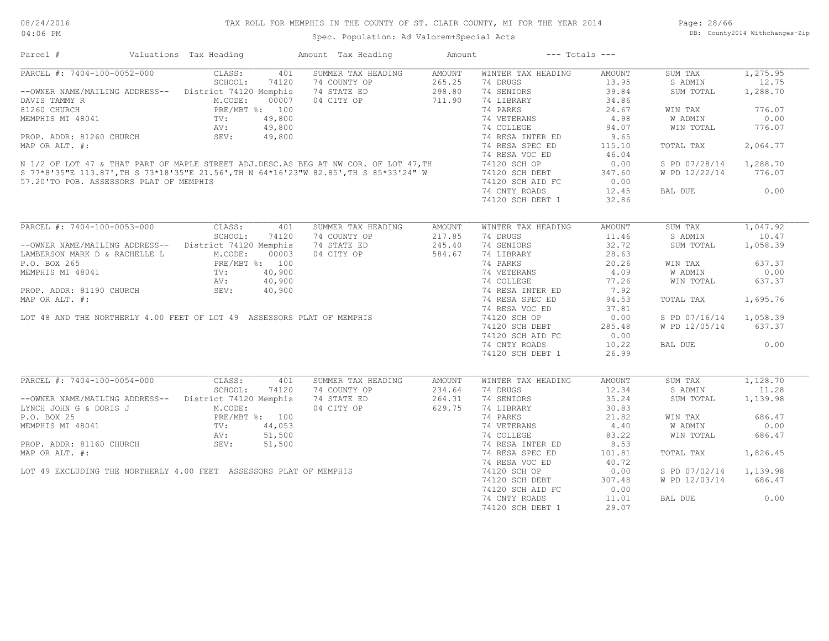| Parcel #                                                                                                                                                                                                                                                                                                                                                                                                          | Valuations Tax Heading | Amount Tax Heading | Amount | $---$ Totals $---$ |        |                        |           |
|-------------------------------------------------------------------------------------------------------------------------------------------------------------------------------------------------------------------------------------------------------------------------------------------------------------------------------------------------------------------------------------------------------------------|------------------------|--------------------|--------|--------------------|--------|------------------------|-----------|
| PARCEL #: 7404-100-0052-000                                                                                                                                                                                                                                                                                                                                                                                       | CLASS:<br>401          | SUMMER TAX HEADING | AMOUNT | WINTER TAX HEADING | AMOUNT | SUM TAX                | 1, 275.95 |
|                                                                                                                                                                                                                                                                                                                                                                                                                   | SCHOOL:<br>74120       | 74 COUNTY OP       | 265.25 | 74 DRUGS           | 13.95  | S ADMIN                | 12.75     |
| -- OWNER NAME/MAILING ADDRESS-- District 74120 Memphis                                                                                                                                                                                                                                                                                                                                                            |                        | 74 STATE ED        | 298.80 | 74 SENIORS         | 39.84  | SUM TOTAL              | 1,288.70  |
| DAVIS TAMMY R                                                                                                                                                                                                                                                                                                                                                                                                     |                        | 04 CITY OP         | 711.90 | 74 LIBRARY         | 34.86  |                        |           |
| 81260 CHURCH                                                                                                                                                                                                                                                                                                                                                                                                      |                        |                    |        | 74 PARKS           | 24.67  | WIN TAX                | 776.07    |
| MEMPHIS MI 48041                                                                                                                                                                                                                                                                                                                                                                                                  |                        |                    |        | 74 VETERANS        | 4.98   | W ADMIN                | 0.00      |
|                                                                                                                                                                                                                                                                                                                                                                                                                   |                        |                    |        | 74 COLLEGE         | 94.07  | WIN TOTAL              | 776.07    |
| PROP. ADDR: 81260 CHURCH                                                                                                                                                                                                                                                                                                                                                                                          | SEV:<br>49,800         |                    |        | 74 RESA INTER ED   | 9.65   |                        |           |
| MAP OR ALT. #:                                                                                                                                                                                                                                                                                                                                                                                                    |                        |                    |        | 74 RESA SPEC ED    | 115.10 | TOTAL TAX              | 2,064.77  |
|                                                                                                                                                                                                                                                                                                                                                                                                                   |                        |                    |        | 74 RESA VOC ED     | 46.04  |                        |           |
| N 1/2 OF LOT 47 & THAT PART OF MAPLE STREET ADJ.DESC.AS BEG AT NW COR. OF LOT 47, TH<br>S 77*8'35"E 113.87',TH S 73*18'35"E 21.56',TH N 64*16'23"W 82.85',TH S 85*33'24" W                                                                                                                                                                                                                                        |                        |                    |        | 74120 SCH OP       | 0.00   | S PD 07/28/14          | 1,288.70  |
|                                                                                                                                                                                                                                                                                                                                                                                                                   |                        |                    |        | 74120 SCH DEBT     | 347.60 | W PD 12/22/14          | 776.07    |
| 57.20'TO POB. ASSESSORS PLAT OF MEMPHIS                                                                                                                                                                                                                                                                                                                                                                           |                        |                    |        | 74120 SCH AID FC   | 0.00   |                        |           |
|                                                                                                                                                                                                                                                                                                                                                                                                                   |                        |                    |        | 74 CNTY ROADS      | 12.45  | BAL DUE                | 0.00      |
|                                                                                                                                                                                                                                                                                                                                                                                                                   |                        |                    |        | 74120 SCH DEBT 1   | 32.86  |                        |           |
|                                                                                                                                                                                                                                                                                                                                                                                                                   |                        |                    |        |                    |        |                        |           |
| PARCEL #: 7404-100-0053-000                                                                                                                                                                                                                                                                                                                                                                                       | CLASS:<br>401          | SUMMER TAX HEADING | AMOUNT | WINTER TAX HEADING | AMOUNT | SUM TAX                | 1,047.92  |
|                                                                                                                                                                                                                                                                                                                                                                                                                   | SCHOOL:<br>74120       | 74 COUNTY OP       | 217.85 | 74 DRUGS           | 11.46  | S ADMIN                | 10.47     |
| --OWNER NAME/MAILING ADDRESS-- District 74120 Memphis                                                                                                                                                                                                                                                                                                                                                             |                        | 74 STATE ED        | 245.40 | 74 SENIORS         | 32.72  | SUM TOTAL              | 1,058.39  |
| LAMBERSON MARK D & RACHELLE L                                                                                                                                                                                                                                                                                                                                                                                     | M.CODE:<br>00003       | 04 CITY OP         | 584.67 | 74 LIBRARY         | 28.63  |                        |           |
|                                                                                                                                                                                                                                                                                                                                                                                                                   |                        |                    |        |                    |        |                        |           |
| $\begin{tabular}{lllllllllllllllllll} \texttt{LAMBERSON MAXN} & $\alpha$ & $\texttt{RACHBUL} & $\texttt{L}$ & \texttt{PRE/MBT $}:$ & $100$ \\ \texttt{MEMPHIS MI 48041} & $\texttt{TV}:$ & $40,900$ \\ \texttt{PROP. ADDR: 81190 CHURCH} & $\texttt{SEV}:$ & $40,900$ \\ \texttt{MAP OR ALT. } & $\texttt{#}:$ & \texttt{LOT 48 AND THE NORTHERLY 4.00 FEET OF LOT 49 ASSESSORS PLAT OF MEMPHIS \\ \end{tabular}$ |                        |                    |        | 74 PARKS           | 20.26  | WIN TAX                | 637.37    |
|                                                                                                                                                                                                                                                                                                                                                                                                                   |                        |                    |        | 74 VETERANS        | 4.09   | W ADMIN                | 0.00      |
|                                                                                                                                                                                                                                                                                                                                                                                                                   |                        |                    |        | 74 COLLEGE         | 77.26  | WIN TOTAL              | 637.37    |
|                                                                                                                                                                                                                                                                                                                                                                                                                   |                        |                    |        | 74 RESA INTER ED   | 7.92   |                        |           |
|                                                                                                                                                                                                                                                                                                                                                                                                                   |                        |                    |        | 74 RESA SPEC ED    | 94.53  | TOTAL TAX              | 1,695.76  |
|                                                                                                                                                                                                                                                                                                                                                                                                                   |                        |                    |        | 74 RESA VOC ED     | 37.81  |                        |           |
|                                                                                                                                                                                                                                                                                                                                                                                                                   |                        |                    |        | 74120 SCH OP       | 0.00   | S PD 07/16/14 1,058.39 |           |
|                                                                                                                                                                                                                                                                                                                                                                                                                   |                        |                    |        | 74120 SCH DEBT     | 285.48 | W PD 12/05/14          | 637.37    |
|                                                                                                                                                                                                                                                                                                                                                                                                                   |                        |                    |        | 74120 SCH AID FC   | 0.00   |                        |           |
|                                                                                                                                                                                                                                                                                                                                                                                                                   |                        |                    |        | 74 CNTY ROADS      | 10.22  | BAL DUE                | 0.00      |
|                                                                                                                                                                                                                                                                                                                                                                                                                   |                        |                    |        | 74120 SCH DEBT 1   | 26.99  |                        |           |
|                                                                                                                                                                                                                                                                                                                                                                                                                   |                        |                    |        |                    |        |                        |           |
| PARCEL #: 7404-100-0054-000                                                                                                                                                                                                                                                                                                                                                                                       | CLASS:<br>401          | SUMMER TAX HEADING | AMOUNT | WINTER TAX HEADING | AMOUNT | SUM TAX                | 1,128.70  |
|                                                                                                                                                                                                                                                                                                                                                                                                                   | SCHOOL:<br>74120       | 74 COUNTY OP       | 234.64 | 74 DRUGS           | 12.34  | S ADMIN                | 11.28     |
| --OWNER NAME/MAILING ADDRESS-- District 74120 Memphis                                                                                                                                                                                                                                                                                                                                                             |                        | 74 STATE ED        | 264.31 | 74 SENIORS         | 35.24  | SUM TOTAL              | 1,139.98  |
| LYNCH JOHN G & DORIS J                                                                                                                                                                                                                                                                                                                                                                                            | M.CODE:                | 04 CITY OP         | 629.75 | 74 LIBRARY         | 30.83  |                        |           |
|                                                                                                                                                                                                                                                                                                                                                                                                                   |                        |                    |        | 74 PARKS           | 21.82  | WIN TAX                | 686.47    |
|                                                                                                                                                                                                                                                                                                                                                                                                                   |                        |                    |        | 74 VETERANS        | 4.40   | W ADMIN                | 0.00      |
|                                                                                                                                                                                                                                                                                                                                                                                                                   |                        |                    |        | 74 COLLEGE         | 83.22  | WIN TOTAL              | 686.47    |
| P.O. BOX 25<br>P.O. BOX 25<br>MEMPHIS MI 48041<br>PROP. ADDR: 81160 CHURCH<br>PROP. ADDR: 81160 CHURCH<br>SEV: 51,500<br>SEV: 51,500                                                                                                                                                                                                                                                                              |                        |                    |        | 74 RESA INTER ED   | 8.53   |                        |           |
| MAP OR ALT. #:                                                                                                                                                                                                                                                                                                                                                                                                    |                        |                    |        | 74 RESA SPEC ED    | 101.81 | TOTAL TAX              | 1,826.45  |
|                                                                                                                                                                                                                                                                                                                                                                                                                   |                        |                    |        | 74 RESA VOC ED     | 40.72  |                        |           |
| LOT 49 EXCLUDING THE NORTHERLY 4.00 FEET ASSESSORS PLAT OF MEMPHIS                                                                                                                                                                                                                                                                                                                                                |                        | U4 CIII CHEMPHIS   |        | 74120 SCH OP       | 0.00   | S PD 07/02/14          | 1,139.98  |
|                                                                                                                                                                                                                                                                                                                                                                                                                   |                        |                    |        | 74120 SCH DEBT     | 307.48 | W PD 12/03/14          | 686.47    |
|                                                                                                                                                                                                                                                                                                                                                                                                                   |                        |                    |        | 74120 SCH AID FC   | 0.00   |                        |           |
|                                                                                                                                                                                                                                                                                                                                                                                                                   |                        |                    |        | 74 CNTY ROADS      | 11.01  | BAL DUE                | 0.00      |
|                                                                                                                                                                                                                                                                                                                                                                                                                   |                        |                    |        | 74120 SCH DEBT 1   | 29.07  |                        |           |
|                                                                                                                                                                                                                                                                                                                                                                                                                   |                        |                    |        |                    |        |                        |           |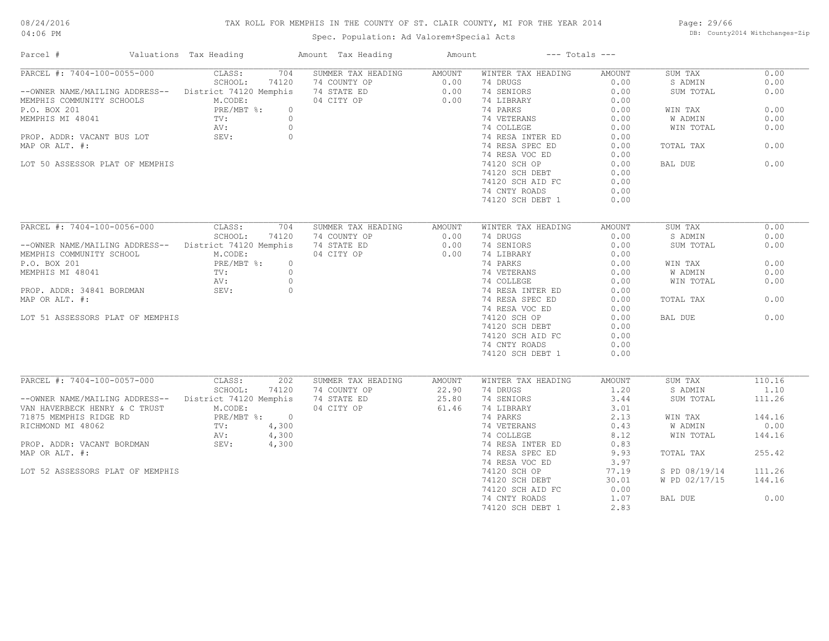# TAX ROLL FOR MEMPHIS IN THE COUNTY OF ST. CLAIR COUNTY, MI FOR THE YEAR 2014

Spec. Population: Ad Valorem+Special Acts

Page: 29/66 DB: County2014 Withchanges-Zip

| Parcel #                                               | Valuations Tax Heading | Amount Tax Heading | Amount | $---$ Totals $---$                  |               |               |        |
|--------------------------------------------------------|------------------------|--------------------|--------|-------------------------------------|---------------|---------------|--------|
| PARCEL #: 7404-100-0055-000                            | CLASS:<br>704          | SUMMER TAX HEADING | AMOUNT | WINTER TAX HEADING                  | AMOUNT        | SUM TAX       | 0.00   |
|                                                        | SCHOOL:<br>74120       | 74 COUNTY OP       | 0.00   | 74 DRUGS                            | 0.00          | S ADMIN       | 0.00   |
| --OWNER NAME/MAILING ADDRESS-- District 74120 Memphis  |                        | 74 STATE ED        | 0.00   | 74 SENIORS                          | 0.00          | SUM TOTAL     | 0.00   |
| MEMPHIS COMMUNITY SCHOOLS                              | M.CODE:                | 04 CITY OP         | 0.00   | 74 LIBRARY                          | 0.00          |               |        |
| P.O. BOX 201                                           | PRE/MBT %:             | $\circ$            |        | 74 PARKS                            | 0.00          | WIN TAX       | 0.00   |
| MEMPHIS MI 48041                                       | $\operatorname{TV}$ :  | $\circ$            |        | 74 VETERANS<br>74 COLLEGE           | 0.00          | W ADMIN       | 0.00   |
|                                                        | AV:                    | $\bigcirc$         |        |                                     | 0.00          | WIN TOTAL     | 0.00   |
| PROP. ADDR: VACANT BUS LOT                             | SEV:                   | $\circ$            |        | 74 RESA INTER ED                    | 0.00          |               |        |
| MAP OR ALT. #:                                         |                        |                    |        | 74 RESA SPEC ED                     | 0.00          | TOTAL TAX     | 0.00   |
|                                                        |                        |                    |        | 74 RESA VOC ED                      | 0.00          |               |        |
| LOT 50 ASSESSOR PLAT OF MEMPHIS                        |                        |                    |        | 74120 SCH OP                        | 0.00          | BAL DUE       | 0.00   |
|                                                        |                        |                    |        | 74120 SCH DEBT                      | 0.00          |               |        |
|                                                        |                        |                    |        | 74120 SCH AID FC                    | 0.00          |               |        |
|                                                        |                        |                    |        | 74 CNTY ROADS                       | 0.00          |               |        |
|                                                        |                        |                    |        | 74120 SCH DEBT 1                    | 0.00          |               |        |
|                                                        |                        |                    |        |                                     |               |               |        |
| PARCEL #: 7404-100-0056-000                            | CLASS:<br>704          | SUMMER TAX HEADING | AMOUNT | WINTER TAX HEADING                  | <b>AMOUNT</b> | SUM TAX       | 0.00   |
|                                                        | SCHOOL:<br>74120       | 74 COUNTY OP       | 0.00   | 74 DRUGS                            | 0.00          | S ADMIN       | 0.00   |
| -- OWNER NAME/MAILING ADDRESS-- District 74120 Memphis |                        | 74 STATE ED        | 0.00   | 74 SENIORS                          | 0.00          | SUM TOTAL     | 0.00   |
| MEMPHIS COMMUNITY SCHOOL                               | M.CODE:                | 04 CITY OP         | 0.00   | 74 LIBRARY                          | 0.00          |               |        |
| P.O. BOX 201                                           | PRE/MBT %:             | $\overline{0}$     |        | 74 PARKS                            | 0.00          | WIN TAX       | 0.00   |
| MEMPHIS MI 48041                                       | TV:                    | $\overline{0}$     |        |                                     |               | W ADMIN       | 0.00   |
|                                                        | AV:                    | $\circ$            |        | 74 VETERANS 0.00<br>74 COLLEGE 0.00 |               | WIN TOTAL     | 0.00   |
| PROP. ADDR: 34841 BORDMAN                              | SEV:                   | $\circ$            |        | 74 RESA INTER ED                    | 0.00          |               |        |
| MAP OR ALT. #:                                         |                        |                    |        | 74 RESA SPEC ED                     | 0.00          | TOTAL TAX     | 0.00   |
|                                                        |                        |                    |        |                                     | 0.00          |               |        |
| LOT 51 ASSESSORS PLAT OF MEMPHIS                       |                        |                    |        | 74 RESA VOC ED                      | 0.00          | BAL DUE       | 0.00   |
|                                                        |                        |                    |        | 74120 SCH OP                        |               |               |        |
|                                                        |                        |                    |        | 74120 SCH DEBT                      | 0.00          |               |        |
|                                                        |                        |                    |        | 74120 SCH AID FC                    | 0.00          |               |        |
|                                                        |                        |                    |        | 74 CNTY ROADS                       | 0.00          |               |        |
|                                                        |                        |                    |        | 74120 SCH DEBT 1                    | 0.00          |               |        |
|                                                        |                        |                    |        |                                     |               |               |        |
| PARCEL #: 7404-100-0057-000                            | CLASS:<br>2.02         | SUMMER TAX HEADING | AMOUNT | WINTER TAX HEADING                  | AMOUNT        | SUM TAX       | 110.16 |
|                                                        | SCHOOL:<br>74120       | 74 COUNTY OP       | 22.90  | 74 DRUGS                            | 1.20          | S ADMIN       | 1.10   |
| --OWNER NAME/MAILING ADDRESS-- District 74120 Memphis  |                        | 74 STATE ED        | 25.80  | 74 SENIORS                          | 3.44          | SUM TOTAL     | 111.26 |
| VAN HAVERBECK HENRY & C TRUST                          | M.CODE:                | 04 CITY OP         | 61.46  | 74 LIBRARY                          | 3.01          |               |        |
| 71875 MEMPHIS RIDGE RD                                 | PRE/MBT %: 0           |                    |        | 74 PARKS                            | 2.13          | WIN TAX       | 144.16 |
| RICHMOND MI 48062                                      | 4,300<br>TV:           |                    |        | 74 VETERANS<br>74 COLLEGE           | 0.43          | W ADMIN       | 0.00   |
|                                                        | 4,300<br>AV:           |                    |        | 74 COLLEGE                          | 8.12          | WIN TOTAL     | 144.16 |
| PROP. ADDR: VACANT BORDMAN SEV: 4,300                  |                        |                    |        | 74 RESA INTER ED                    | 0.83          |               |        |
| MAP OR ALT. #:                                         |                        |                    |        | 74 RESA SPEC ED                     | 9.93          | TOTAL TAX     | 255.42 |
|                                                        |                        |                    |        | 74 RESA VOC ED                      | 3.97          |               |        |
| LOT 52 ASSESSORS PLAT OF MEMPHIS                       |                        |                    |        | 74120 SCH OP                        | 77.19         | S PD 08/19/14 | 111.26 |
|                                                        |                        |                    |        | 74120 SCH DEBT                      | 30.01         | W PD 02/17/15 | 144.16 |
|                                                        |                        |                    |        | 74120 SCH AID FC                    | 0.00          |               |        |
|                                                        |                        |                    |        | 74 CNTY ROADS                       | 1.07          | BAL DUE       | 0.00   |
|                                                        |                        |                    |        | 74120 SCH DEBT 1                    | 2.83          |               |        |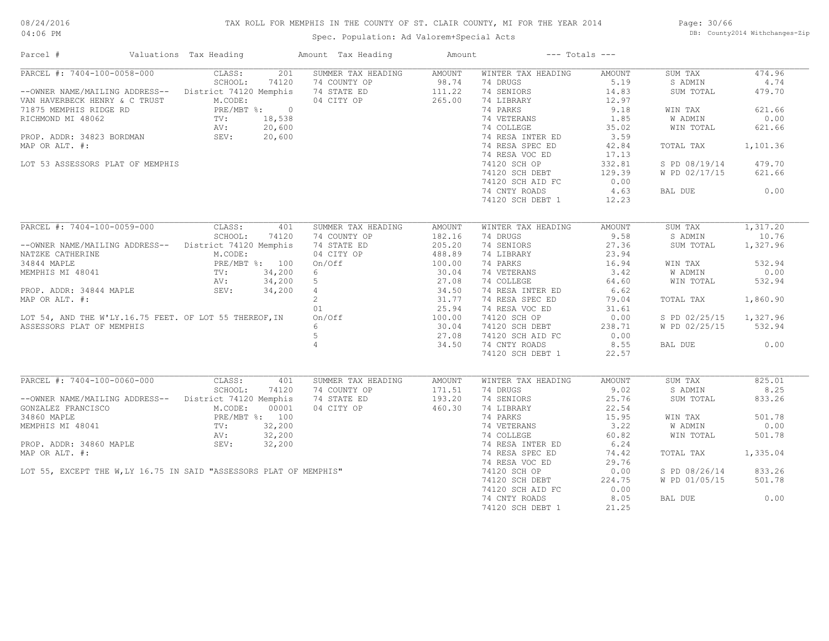# TAX ROLL FOR MEMPHIS IN THE COUNTY OF ST. CLAIR COUNTY, MI FOR THE YEAR 2014

Spec. Population: Ad Valorem+Special Acts

Page: 30/66 DB: County2014 Withchanges-Zip

| Parcel #                                                                                                                                                                                                  | Valuations Tax Heading |       | Amount Tax Heading                                                                                                                                                       | Amount           |                                                               | $---$ Totals $---$ |                        |          |
|-----------------------------------------------------------------------------------------------------------------------------------------------------------------------------------------------------------|------------------------|-------|--------------------------------------------------------------------------------------------------------------------------------------------------------------------------|------------------|---------------------------------------------------------------|--------------------|------------------------|----------|
| PARCEL #: 7404-100-0058-000 CLASS:                                                                                                                                                                        |                        |       | 201 SUMMER TAX HEADING AMOUNT                                                                                                                                            |                  | WINTER TAX HEADING                                            | AMOUNT             | SUM TAX                | 474.96   |
|                                                                                                                                                                                                           |                        |       | --OWNER NAME/MAILING ADDRESS--<br>VAN HAVERBECK HENRY & C TRUST MECODE: THE MANERBECK HENRY & C TRUST MECODE:<br>THE MANERBECK HENRY & C TRUST MECODE: 04 CITY OP 265.00 |                  | 74 DRUGS                                                      | 5.19               | S ADMIN                | 4.74     |
|                                                                                                                                                                                                           |                        |       |                                                                                                                                                                          |                  | 74 SENIORS                                                    | 14.83              | SUM TOTAL              | 479.70   |
| VAN HAVERBECK HENRY & C TRUST<br>71875 MEMPHIS RIDGE RD<br>RICHMOND MI 48062 TV: 18,538<br>RICHMOND MI 48062 TV: 18,538<br>PROP. ADDR: 34823 BORDMAN SEV: 20,600<br>PROP. ADDR: 34823 BORDMAN SEV: 20,600 |                        |       |                                                                                                                                                                          |                  | 74 LIBRARY<br>74 PARKS                                        | 12.97              |                        |          |
|                                                                                                                                                                                                           |                        |       | $\begin{bmatrix} .8 \\ .8 \\ .00 \end{bmatrix}$                                                                                                                          |                  | 74 PARKS                                                      | 9.18               | WIN TAX                | 621.66   |
|                                                                                                                                                                                                           |                        |       |                                                                                                                                                                          |                  | 74 VETERANS                                                   | 1.85               | W ADMIN                | 0.00     |
|                                                                                                                                                                                                           |                        |       |                                                                                                                                                                          |                  | 74 VETERANS 1.85<br>74 COLLEGE 35.02<br>74 PECA INTER ED 3.50 |                    | WIN TOTAL              | 621.66   |
|                                                                                                                                                                                                           |                        |       |                                                                                                                                                                          |                  | 74 RESA INTER ED                                              | 3.59               |                        |          |
| MAP OR ALT. #:                                                                                                                                                                                            |                        |       |                                                                                                                                                                          |                  | 74 RESA SPEC ED                                               | 42.84              | TOTAL TAX              | 1,101.36 |
|                                                                                                                                                                                                           |                        |       |                                                                                                                                                                          |                  | 74 RESA VOC ED                                                | 17.13              |                        |          |
|                                                                                                                                                                                                           |                        |       |                                                                                                                                                                          |                  |                                                               |                    |                        |          |
| LOT 53 ASSESSORS PLAT OF MEMPHIS                                                                                                                                                                          |                        |       |                                                                                                                                                                          |                  | 74120 SCH OP<br>74120 SCH DEBT                                | 332.81             | S PD 08/19/14          | 479.70   |
|                                                                                                                                                                                                           |                        |       |                                                                                                                                                                          |                  | 74120 SCH DEBT                                                | 129.39             | W PD 02/17/15          | 621.66   |
|                                                                                                                                                                                                           |                        |       |                                                                                                                                                                          |                  | 74120 SCH AID FC                                              | 0.00               |                        |          |
|                                                                                                                                                                                                           |                        |       |                                                                                                                                                                          |                  | 74 CNTY ROADS                                                 | 4.63               | BAL DUE                | 0.00     |
|                                                                                                                                                                                                           |                        |       |                                                                                                                                                                          |                  | 74120 SCH DEBT 1                                              | 12.23              |                        |          |
|                                                                                                                                                                                                           |                        |       |                                                                                                                                                                          |                  |                                                               |                    |                        |          |
| PARCEL #: 7404-100-0059-000                                                                                                                                                                               | CLASS:                 | 401   | SUMMER TAX HEADING                                                                                                                                                       | AMOUNT           | WINTER TAX HEADING                                            | AMOUNT             | SUM TAX                | 1,317.20 |
|                                                                                                                                                                                                           | SCHOOL:                | 74120 | 74 COUNTY OP                                                                                                                                                             | 182.16           | 74 DRUGS                                                      | 9.58               | S ADMIN                | 10.76    |
| --OWNER NAME/MAILING ADDRESS-- District 74120 Memphis                                                                                                                                                     |                        |       | 74 STATE ED                                                                                                                                                              | 205.20           | 74 SENIORS                                                    | 27.36              | SUM TOTAL              | 1,327.96 |
|                                                                                                                                                                                                           |                        |       | 04 CITY OP                                                                                                                                                               | 488.89           | 74 LIBRARY                                                    | 23.94              |                        |          |
|                                                                                                                                                                                                           |                        |       |                                                                                                                                                                          | 100.00           | 74 PARKS                                                      | 16.94              | WIN TAX                | 532.94   |
|                                                                                                                                                                                                           |                        |       | $6\overline{6}$                                                                                                                                                          | 30.04            | 74 VETERANS 3.42<br>74 COLLEGE 64.60<br>74 RESA INTER ED 6.62 |                    | W ADMIN                | 0.00     |
|                                                                                                                                                                                                           |                        |       | $\begin{array}{cccc}\n 5 & 27.08 \\  4 & 34.50 \\  2 & 31.77 \\  01 & 25.94\n \end{array}$                                                                               |                  |                                                               |                    | WIN TOTAL              | 532.94   |
|                                                                                                                                                                                                           |                        |       |                                                                                                                                                                          |                  |                                                               |                    |                        |          |
| MAP OR ALT. #:                                                                                                                                                                                            |                        |       |                                                                                                                                                                          |                  | 74 RESA SPEC ED                                               | 79.04              | TOTAL TAX              | 1,860.90 |
|                                                                                                                                                                                                           |                        |       |                                                                                                                                                                          |                  | 74 RESA VOC ED                                                | 31.61              |                        |          |
|                                                                                                                                                                                                           |                        |       |                                                                                                                                                                          |                  |                                                               |                    |                        |          |
|                                                                                                                                                                                                           |                        |       |                                                                                                                                                                          |                  | 74120 SCH OP                                                  | 0.00               | S PD 02/25/15 1,327.96 |          |
|                                                                                                                                                                                                           |                        |       |                                                                                                                                                                          |                  | 74120 SCH DEBT                                                | 238.71             | W PD 02/25/15 532.94   |          |
|                                                                                                                                                                                                           |                        |       |                                                                                                                                                                          |                  | 74120 SCH AID FC                                              | 0.00               |                        |          |
|                                                                                                                                                                                                           |                        |       | $\overline{4}$                                                                                                                                                           | 34.50            | 74 CNTY ROADS                                                 | 8.55               | BAL DUE                | 0.00     |
|                                                                                                                                                                                                           |                        |       |                                                                                                                                                                          |                  | 74120 SCH DEBT 1                                              | 22.57              |                        |          |
| PARCEL #: 7404-100-0060-000                                                                                                                                                                               | CLASS:                 | 401   | SUMMER TAX HEADING                                                                                                                                                       | AMOUNT           | WINTER TAX HEADING                                            | AMOUNT             | SUM TAX                | 825.01   |
|                                                                                                                                                                                                           | SCHOOL:                | 74120 | 74 COUNTY OP                                                                                                                                                             | 171.51           | 74 DRUGS                                                      | 9.02               | S ADMIN                | 8.25     |
|                                                                                                                                                                                                           |                        |       |                                                                                                                                                                          |                  |                                                               |                    |                        |          |
| --OWNER NAME/MAILING ADDRESS-- District 74120 Memphis                                                                                                                                                     |                        |       | 74 STATE ED                                                                                                                                                              | 193.20<br>460.30 | 74 SENIORS                                                    | 25.76              | SUM TOTAL              | 833.26   |
| GONZALEZ FRANCISCO                                                                                                                                                                                        | M.CODE:                | 00001 | 04 CITY OP                                                                                                                                                               |                  | 74 LIBRARY                                                    | 22.54              |                        |          |
|                                                                                                                                                                                                           |                        |       |                                                                                                                                                                          |                  |                                                               | 15.95              | WIN TAX                | 501.78   |
|                                                                                                                                                                                                           |                        |       |                                                                                                                                                                          |                  |                                                               | 3.22               | W ADMIN                | 0.00     |
|                                                                                                                                                                                                           |                        |       | MEMPHIS MI 48041<br>TV: 32,200<br>PROP. ADDR: 34860 MAPLE<br>MAP OR ALT. #:<br>LOT 55, EXCEPT THE W, LY 16.75 IN SAID "ASSESSORS PLAT OF MEMPHIS"                        |                  | 74 PARKS<br>74 VETERANS<br>1 COLLEGE                          | 60.82              | WIN TOTAL              | 501.78   |
| 34860 MAPLE<br>34860 MAPLE<br>MEMPHIS MI 48041<br>MEMPHIS MI 48041<br>TV: 32,200<br>AV: 32,200<br>PROP. ADDR: 34860 MAPLE<br>SEV: 32,200                                                                  |                        |       |                                                                                                                                                                          |                  | 74 RESA INTER ED                                              | 6.24               |                        |          |
|                                                                                                                                                                                                           |                        |       |                                                                                                                                                                          |                  | 74 RESA SPEC ED                                               | 74.42              | TOTAL TAX 1,335.04     |          |
|                                                                                                                                                                                                           |                        |       |                                                                                                                                                                          |                  | 74 RESA VOC ED                                                | 29.76              |                        |          |
|                                                                                                                                                                                                           |                        |       |                                                                                                                                                                          |                  | 74120 SCH OP                                                  | 0.00               | S PD 08/26/14 833.26   |          |
|                                                                                                                                                                                                           |                        |       |                                                                                                                                                                          |                  | 74120 SCH DEBT                                                | 224.75             | W PD 01/05/15          | 501.78   |
|                                                                                                                                                                                                           |                        |       |                                                                                                                                                                          |                  | 74120 SCH AID FC                                              | 0.00               |                        |          |
|                                                                                                                                                                                                           |                        |       |                                                                                                                                                                          |                  | 74 CNTY ROADS                                                 | 8.05               | BAL DUE                | 0.00     |
|                                                                                                                                                                                                           |                        |       |                                                                                                                                                                          |                  | 74120 SCH DEBT 1                                              | 21.25              |                        |          |
|                                                                                                                                                                                                           |                        |       |                                                                                                                                                                          |                  |                                                               |                    |                        |          |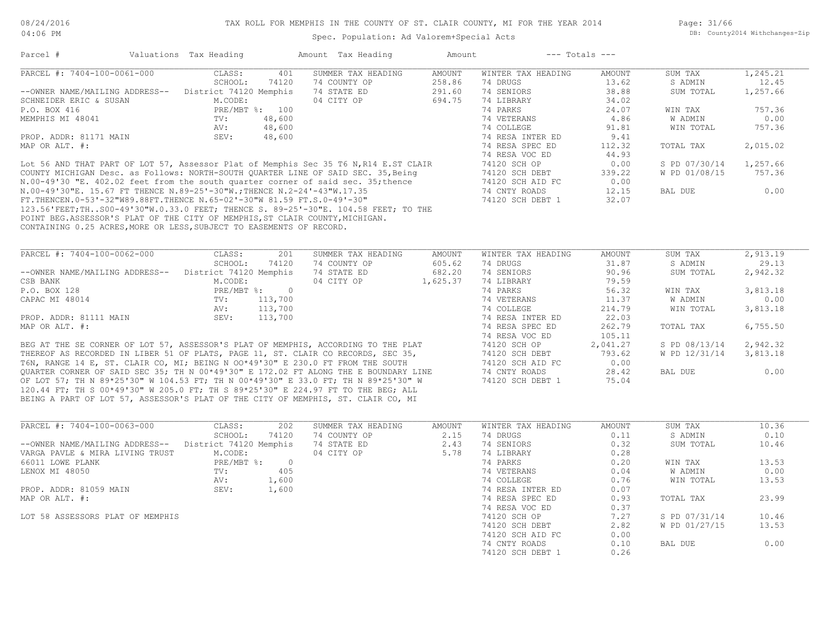Spec. Population: Ad Valorem+Special Acts

| Parcel #                                                                             | Valuations Tax Heading |        | Amount Tax Heading | Amount        |                    | $---$ Totals $---$ |               |          |
|--------------------------------------------------------------------------------------|------------------------|--------|--------------------|---------------|--------------------|--------------------|---------------|----------|
| PARCEL #: 7404-100-0061-000                                                          | CLASS:                 | 401    | SUMMER TAX HEADING | AMOUNT        | WINTER TAX HEADING | AMOUNT             | SUM TAX       | 1,245.21 |
|                                                                                      | SCHOOL:                | 74120  | 74 COUNTY OP       | 258.86        | 74 DRUGS           | 13.62              | S ADMIN       | 12.45    |
| --OWNER NAME/MAILING ADDRESS--                                                       | District 74120 Memphis |        | 74 STATE ED        | 291.60        | 74 SENIORS         | 38.88              | SUM TOTAL     | 1,257.66 |
| SCHNEIDER ERIC & SUSAN                                                               | M.CODE:                |        | 04 CITY OP         | 694.75        | 74 LIBRARY         | 34.02              |               |          |
| P.O. BOX 416                                                                         | PRE/MBT %: 100         |        |                    |               | 74 PARKS           | 24.07              | WIN TAX       | 757.36   |
| MEMPHIS MI 48041                                                                     | TV:                    | 48,600 |                    |               | 74 VETERANS        | 4.86               | W ADMIN       | 0.00     |
|                                                                                      | AV:                    | 48,600 |                    |               | 74 COLLEGE         | 91.81              | WIN TOTAL     | 757.36   |
| PROP. ADDR: 81171 MAIN                                                               | SEV:                   | 48,600 |                    |               | 74 RESA INTER ED   | 9.41               |               |          |
| MAP OR ALT. #:                                                                       |                        |        |                    |               | 74 RESA SPEC ED    | 112.32             | TOTAL TAX     | 2,015.02 |
|                                                                                      |                        |        |                    |               | 74 RESA VOC ED     | 44.93              |               |          |
| Lot 56 AND THAT PART OF LOT 57, Assessor Plat of Memphis Sec 35 T6 N, R14 E.ST CLAIR |                        |        |                    |               | 74120 SCH OP       | 0.00               | S PD 07/30/14 | 1,257.66 |
| COUNTY MICHIGAN Desc. as Follows: NORTH-SOUTH QUARTER LINE OF SAID SEC. 35, Being    |                        |        |                    |               | 74120 SCH DEBT     | 339.22             | W PD 01/08/15 | 757.36   |
| N.00-49'30 "E. 402.02 feet from the south quarter corner of said sec. 35; thence     |                        |        |                    |               | 74120 SCH AID FC   | 0.00               |               |          |
| N.00-49'30"E. 15.67 FT THENCE N.89-25'-30"W.; THENCE N.2-24'-43"W.17.35              |                        |        |                    |               | 74 CNTY ROADS      | 12.15              | BAL DUE       | 0.00     |
| FT.THENCEN.0-53'-32"W89.88FT.THENCE N.65-02'-30"W 81.59 FT.S.0-49'-30"               |                        |        |                    |               | 74120 SCH DEBT 1   | 32.07              |               |          |
| 123.56'FEET;THS00-49'30"W.0.33.0 FEET; THENCE S. 89-25'-30"E. 104.58 FEET; TO THE    |                        |        |                    |               |                    |                    |               |          |
| POINT BEG.ASSESSOR'S PLAT OF THE CITY OF MEMPHIS, ST CLAIR COUNTY, MICHIGAN.         |                        |        |                    |               |                    |                    |               |          |
| CONTAINING 0.25 ACRES, MORE OR LESS, SUBJECT TO EASEMENTS OF RECORD.                 |                        |        |                    |               |                    |                    |               |          |
| PARCEL #: 7404-100-0062-000                                                          | CLASS:                 | 201    | SUMMER TAX HEADING | <b>AMOUNT</b> | WINTER TAX HEADING | AMOUNT             | SUM TAX       | 2,913.19 |
|                                                                                      | SCHOOL:                | 74120  | 74 COUNTY OP       | 605.62        | 74 DRUGS           | 31.87              | S ADMIN       | 29.13    |
| --OWNER NAME/MAILING ADDRESS--                                                       | District 74120 Memphis |        | 74 STATE ED        | 682.20        | 74 SENIORS         | 90.96              | SUM TOTAL     | 2,942.32 |
| CSB BANK                                                                             | M.CODE:                |        | 04 CITY OP         | 1,625.37      | 74 LIBRARY         | 79.59              |               |          |

|                                                                                     | SCHOOL:                | 74120    | 74 COUNTY OP | 605.62   | 74 DRUGS         | 31.87    | S ADMIN       | 29.13    |
|-------------------------------------------------------------------------------------|------------------------|----------|--------------|----------|------------------|----------|---------------|----------|
| --OWNER NAME/MAILING ADDRESS--                                                      | District 74120 Memphis |          | 74 STATE ED  | 682.20   | 74 SENIORS       | 90.96    | SUM TOTAL     | 2,942.32 |
| CSB BANK                                                                            | M.CODE:                |          | 04 CITY OP   | 1,625.37 | 74 LIBRARY       | 79.59    |               |          |
| P.O. BOX 128                                                                        | PRE/MBT %:             | $\Omega$ |              |          | 74 PARKS         | 56.32    | WIN TAX       | 3,813.18 |
| CAPAC MI 48014                                                                      | TV:                    | 113,700  |              |          | 74 VETERANS      | 11.37    | W ADMIN       | 0.00     |
|                                                                                     | AV:                    | 113,700  |              |          | 74 COLLEGE       | 214.79   | WIN TOTAL     | 3,813.18 |
| PROP. ADDR: 81111 MAIN                                                              | SEV:                   | 113,700  |              |          | 74 RESA INTER ED | 22.03    |               |          |
| MAP OR ALT. #:                                                                      |                        |          |              |          | 74 RESA SPEC ED  | 262.79   | TOTAL TAX     | 6,755.50 |
|                                                                                     |                        |          |              |          | 74 RESA VOC ED   | 105.11   |               |          |
| BEG AT THE SE CORNER OF LOT 57, ASSESSOR'S PLAT OF MEMPHIS, ACCORDING TO THE PLAT   |                        |          |              |          | 74120 SCH OP     | 2,041.27 | S PD 08/13/14 | 2,942.32 |
| THEREOF AS RECORDED IN LIBER 51 OF PLATS, PAGE 11, ST. CLAIR CO RECORDS, SEC 35,    |                        |          |              |          | 74120 SCH DEBT   | 793.62   | W PD 12/31/14 | 3,813.18 |
| T6N, RANGE 14 E, ST. CLAIR CO, MI; BEING N OO*49'30" E 230.0 FT FROM THE SOUTH      |                        |          |              |          | 74120 SCH AID FC | 0.00     |               |          |
| OUARTER CORNER OF SAID SEC 35; TH N 00*49'30" E 172.02 FT ALONG THE E BOUNDARY LINE |                        |          |              |          | 74 CNTY ROADS    | 28.42    | BAL DUE       | 0.00     |

OF LOT 57; TH N 89\*25'30" W 104.53 FT; TH N 00\*49'30" E 33.0 FT; TH N 89\*25'30" W 74120 SCH DEBT 1 75.04

| PARCEL #: 7404-100-0063-000      | CLASS:                 | 202        | SUMMER TAX HEADING | AMOUNT | WINTER TAX HEADING | AMOUNT | SUM TAX       | 10.36 |
|----------------------------------|------------------------|------------|--------------------|--------|--------------------|--------|---------------|-------|
|                                  | SCHOOL:                | 74120      | 74 COUNTY OP       | 2.15   | 74 DRUGS           | 0.11   | S ADMIN       | 0.10  |
| --OWNER NAME/MAILING ADDRESS--   | District 74120 Memphis |            | 74 STATE ED        | 2.43   | 74 SENIORS         | 0.32   | SUM TOTAL     | 10.46 |
| VARGA PAVLE & MIRA LIVING TRUST  | M.CODE:                |            | 04 CITY OP         | 5.78   | 74 LIBRARY         | 0.28   |               |       |
| 66011 LOWE PLANK                 | $PRE/MBT$ %:           | $\bigcirc$ |                    |        | 74 PARKS           | 0.20   | WIN TAX       | 13.53 |
| LENOX MI 48050                   | TV:                    | 405        |                    |        | 74 VETERANS        | 0.04   | W ADMIN       | 0.00  |
|                                  | AV:                    | 1,600      |                    |        | 74 COLLEGE         | 0.76   | WIN TOTAL     | 13.53 |
| PROP. ADDR: 81059 MAIN           | SEV:                   | 1,600      |                    |        | 74 RESA INTER ED   | 0.07   |               |       |
| MAP OR ALT. #:                   |                        |            |                    |        | 74 RESA SPEC ED    | 0.93   | TOTAL TAX     | 23.99 |
|                                  |                        |            |                    |        | 74 RESA VOC ED     | 0.37   |               |       |
| LOT 58 ASSESSORS PLAT OF MEMPHIS |                        |            |                    |        | 74120 SCH OP       | 7.27   | S PD 07/31/14 | 10.46 |
|                                  |                        |            |                    |        | 74120 SCH DEBT     | 2.82   | W PD 01/27/15 | 13.53 |
|                                  |                        |            |                    |        | 74120 SCH AID FC   | 0.00   |               |       |
|                                  |                        |            |                    |        | 74 CNTY ROADS      | 0.10   | BAL DUE       | 0.00  |
|                                  |                        |            |                    |        | 74120 SCH DEBT 1   | 0.26   |               |       |

BEING A PART OF LOT 57, ASSESSOR'S PLAT OF THE CITY OF MEMPHIS, ST. CLAIR CO, MI 120.44 FT; TH S 00\*49'30" W 205.0 FT; TH S 89\*25'30" E 224.97 FT TO THE BEG; ALL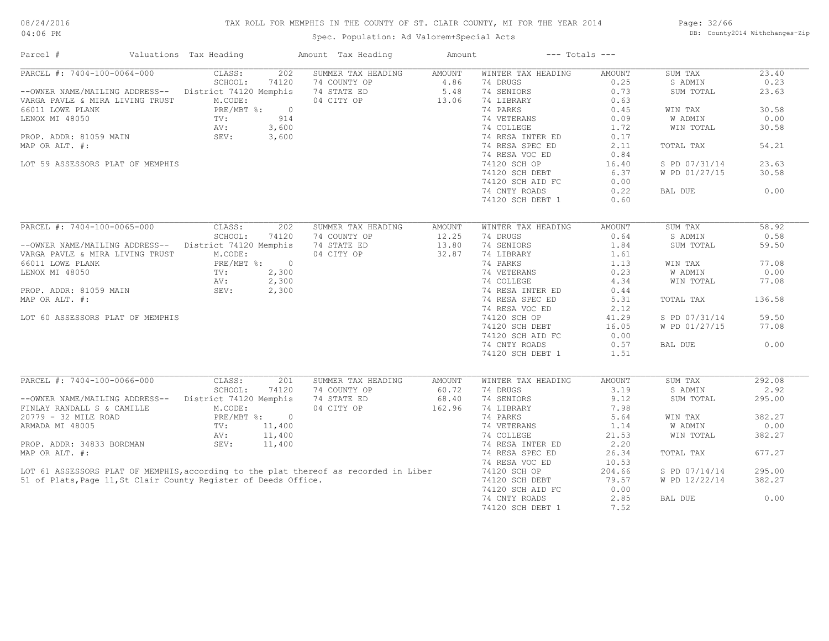# TAX ROLL FOR MEMPHIS IN THE COUNTY OF ST. CLAIR COUNTY, MI FOR THE YEAR 2014

Spec. Population: Ad Valorem+Special Acts

Page: 32/66 DB: County2014 Withchanges-Zip

| Parcel #                                                                             | Valuations Tax Heading       | Amount Tax Heading | Amount        |                    | $---$ Totals $---$ |               |        |
|--------------------------------------------------------------------------------------|------------------------------|--------------------|---------------|--------------------|--------------------|---------------|--------|
| PARCEL #: 7404-100-0064-000                                                          | CLASS:<br>202                | SUMMER TAX HEADING | <b>AMOUNT</b> | WINTER TAX HEADING | <b>AMOUNT</b>      | SUM TAX       | 23.40  |
|                                                                                      | SCHOOL:<br>74120             | 74 COUNTY OP       | 4.86          | 74 DRUGS           | 0.25               | S ADMIN       | 0.23   |
| --OWNER NAME/MAILING ADDRESS--                                                       | District 74120 Memphis       | 74 STATE ED        | 5.48          | 74 SENIORS         | 0.73               | SUM TOTAL     | 23.63  |
| VARGA PAVLE & MIRA LIVING TRUST                                                      | M.CODE:                      | 04 CITY OP         | 13.06         | 74 LIBRARY         | 0.63               |               |        |
| 66011 LOWE PLANK                                                                     | PRE/MBT %:                   | $\overline{0}$     |               | 74 PARKS           | 0.45               | WIN TAX       | 30.58  |
| LENOX MI 48050                                                                       | 914<br>TV:                   |                    |               | 74 VETERANS        | 0.09               | W ADMIN       | 0.00   |
|                                                                                      | AV:<br>3,600                 |                    |               | 74 COLLEGE         | 1.72               | WIN TOTAL     | 30.58  |
| PROP. ADDR: 81059 MAIN                                                               | SEV:<br>3,600                |                    |               | 74 RESA INTER ED   | 0.17               |               |        |
| MAP OR ALT. #:                                                                       |                              |                    |               | 74 RESA SPEC ED    | 2.11               | TOTAL TAX     | 54.21  |
|                                                                                      |                              |                    |               | 74 RESA VOC ED     | 0.84               |               |        |
| LOT 59 ASSESSORS PLAT OF MEMPHIS                                                     |                              |                    |               | 74120 SCH OP       | 16.40              | S PD 07/31/14 | 23.63  |
|                                                                                      |                              |                    |               |                    |                    |               |        |
|                                                                                      |                              |                    |               | 74120 SCH DEBT     | 6.37               | W PD 01/27/15 | 30.58  |
|                                                                                      |                              |                    |               | 74120 SCH AID FC   | 0.00               |               |        |
|                                                                                      |                              |                    |               | 74 CNTY ROADS      | 0.22               | BAL DUE       | 0.00   |
|                                                                                      |                              |                    |               | 74120 SCH DEBT 1   | 0.60               |               |        |
|                                                                                      |                              |                    |               |                    |                    |               |        |
| PARCEL #: 7404-100-0065-000                                                          | CLASS:<br>202                | SUMMER TAX HEADING | <b>AMOUNT</b> | WINTER TAX HEADING | <b>AMOUNT</b>      | SUM TAX       | 58.92  |
|                                                                                      | SCHOOL:<br>74120             | 74 COUNTY OP       | 12.25         | 74 DRUGS           | 0.64               | S ADMIN       | 0.58   |
| --OWNER NAME/MAILING ADDRESS--                                                       | District 74120 Memphis       | 74 STATE ED        | 13.80         | 74 SENIORS         | 1.84               | SUM TOTAL     | 59.50  |
| VARGA PAVLE & MIRA LIVING TRUST                                                      | M.CODE:                      | 04 CITY OP         | 32.87         | 74 LIBRARY         | 1.61               |               |        |
| 66011 LOWE PLANK                                                                     | PRE/MBT %:<br>$\overline{0}$ |                    |               | 74 PARKS           | 1.13               | WIN TAX       | 77.08  |
| LENOX MI 48050                                                                       | 2,300<br>TV:                 |                    |               | 74 VETERANS        | 0.23               | W ADMIN       | 0.00   |
|                                                                                      | 2,300<br>AV:                 |                    |               | 74 COLLEGE         | 4.34               | WIN TOTAL     | 77.08  |
| PROP. ADDR: 81059 MAIN                                                               | 2,300<br>SEV:                |                    |               | 74 RESA INTER ED   | 0.44               |               |        |
| MAP OR ALT. #:                                                                       |                              |                    |               |                    |                    |               | 136.58 |
|                                                                                      |                              |                    |               | 74 RESA SPEC ED    | 5.31               | TOTAL TAX     |        |
|                                                                                      |                              |                    |               | 74 RESA VOC ED     | 2.12               |               |        |
| LOT 60 ASSESSORS PLAT OF MEMPHIS                                                     |                              |                    |               | 74120 SCH OP       | 41.29              | S PD 07/31/14 | 59.50  |
|                                                                                      |                              |                    |               | 74120 SCH DEBT     | 16.05              | W PD 01/27/15 | 77.08  |
|                                                                                      |                              |                    |               | 74120 SCH AID FC   | 0.00               |               |        |
|                                                                                      |                              |                    |               | 74 CNTY ROADS      | 0.57               | BAL DUE       | 0.00   |
|                                                                                      |                              |                    |               | 74120 SCH DEBT 1   | 1.51               |               |        |
|                                                                                      |                              |                    |               |                    |                    |               |        |
| PARCEL #: 7404-100-0066-000                                                          | CLASS:<br>201                | SUMMER TAX HEADING | AMOUNT        | WINTER TAX HEADING | <b>AMOUNT</b>      | SUM TAX       | 292.08 |
|                                                                                      | SCHOOL:<br>74120             | 74 COUNTY OP       | 60.72         | 74 DRUGS           | 3.19               | S ADMIN       | 2.92   |
| --OWNER NAME/MAILING ADDRESS--                                                       | District 74120 Memphis       | 74 STATE ED        | 68.40         | 74 SENIORS         | 9.12               | SUM TOTAL     | 295.00 |
| FINLAY RANDALL S & CAMILLE                                                           | M.CODE:                      | 04 CITY OP         | 162.96        | 74 LIBRARY         | 7.98               |               |        |
| 20779 - 32 MILE ROAD                                                                 | PRE/MBT %: 0                 |                    |               | 74 PARKS           | 5.64               | WIN TAX       | 382.27 |
| ARMADA MI 48005                                                                      | 11,400<br>$\text{TV}$ :      |                    |               | 74 VETERANS        | 1.14               | W ADMIN       | 0.00   |
|                                                                                      | AV:<br>11,400                |                    |               | 74 COLLEGE         | 21.53              | WIN TOTAL     | 382.27 |
| PROP. ADDR: 34833 BORDMAN                                                            | SEV:<br>11,400               |                    |               | 74 RESA INTER ED   | 2.20               |               |        |
| MAP OR ALT. #:                                                                       |                              |                    |               | 74 RESA SPEC ED    | 26.34              | TOTAL TAX     | 677.27 |
|                                                                                      |                              |                    |               | 74 RESA VOC ED     | 10.53              |               |        |
|                                                                                      |                              |                    |               |                    |                    |               |        |
| LOT 61 ASSESSORS PLAT OF MEMPHIS, according to the plat thereof as recorded in Liber |                              |                    |               | 74120 SCH OP       | 204.66             | S PD 07/14/14 | 295.00 |
| 51 of Plats, Page 11, St Clair County Register of Deeds Office.                      |                              |                    |               | 74120 SCH DEBT     | 79.57              | W PD 12/22/14 | 382.27 |
|                                                                                      |                              |                    |               | 74120 SCH AID FC   | 0.00               |               |        |
|                                                                                      |                              |                    |               | 74 CNTY ROADS      | 2.85               | BAL DUE       | 0.00   |
|                                                                                      |                              |                    |               | 74120 SCH DEBT 1   | 7.52               |               |        |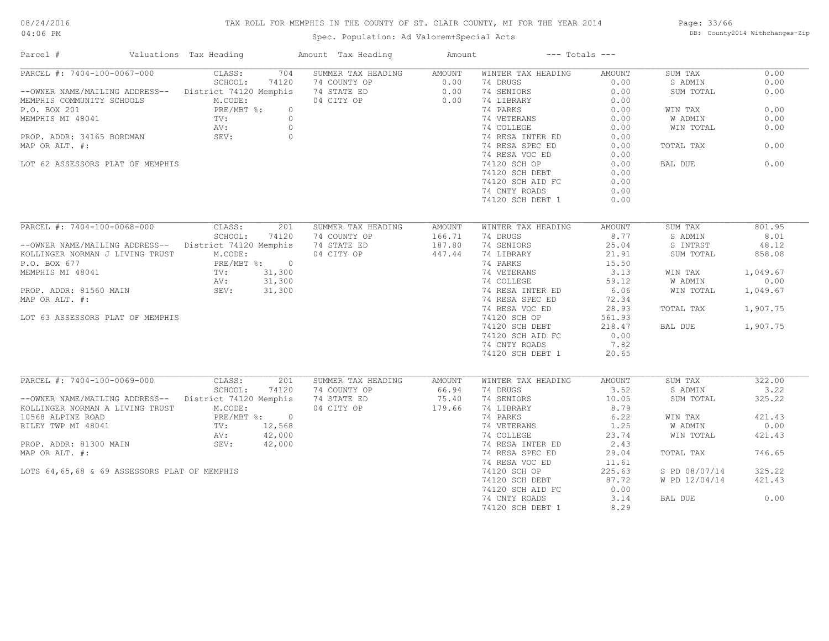# TAX ROLL FOR MEMPHIS IN THE COUNTY OF ST. CLAIR COUNTY, MI FOR THE YEAR 2014

Spec. Population: Ad Valorem+Special Acts

Page: 33/66 DB: County2014 Withchanges-Zip

| Parcel #                                                                                                            | Valuations Tax Heading                                  |       | Amount Tax Heading                                                                                                                       | Amount        |                                                                               | $---$ Totals $---$ |               |          |
|---------------------------------------------------------------------------------------------------------------------|---------------------------------------------------------|-------|------------------------------------------------------------------------------------------------------------------------------------------|---------------|-------------------------------------------------------------------------------|--------------------|---------------|----------|
| PARCEL #: 7404-100-0067-000 CLASS:                                                                                  |                                                         |       | 704 SUMMER TAX HEADING AMOUNT                                                                                                            |               | WINTER TAX HEADING                                                            | AMOUNT             | SUM TAX       | 0.00     |
|                                                                                                                     |                                                         |       | --OWNER NAME/MAILING ADDRESS--<br>MEMPHIS COMMUNITY SCHOOLS<br>MEMPHIS COMMUNITY SCHOOLS<br>P.O. BOX 201<br>P.O. BOX 201<br>P.O. BOX 201 |               |                                                                               | 0.00               | S ADMIN       | 0.00     |
|                                                                                                                     |                                                         |       |                                                                                                                                          |               |                                                                               | 0.00               | SUM TOTAL     | 0.00     |
| NEMPHIS COMMUNITY SCHOOLS<br>P.O. BOX 201 RE/MBT %: 0<br>MEMPHIS MI 48041 TV: 0<br>PROP. ADDR: 34165 BORDMAN SEV: 0 |                                                         |       |                                                                                                                                          |               |                                                                               | 0.00               |               |          |
|                                                                                                                     |                                                         |       |                                                                                                                                          |               | 74 PARKS                                                                      | 0.00               | WIN TAX       | 0.00     |
|                                                                                                                     |                                                         |       |                                                                                                                                          |               | $74$ FANNS<br>$74$ VETERANS<br>$74$ COLLEGE 0.00<br>$0.00$                    |                    | W ADMIN       | 0.00     |
|                                                                                                                     |                                                         |       |                                                                                                                                          |               |                                                                               |                    | WIN TOTAL     | 0.00     |
|                                                                                                                     |                                                         |       |                                                                                                                                          |               | 74 RESA INTER ED                                                              | 0.00               |               |          |
| MAP OR ALT. #:                                                                                                      |                                                         |       |                                                                                                                                          |               | 74 RESA SPEC ED                                                               | 0.00               | TOTAL TAX     | 0.00     |
|                                                                                                                     |                                                         |       |                                                                                                                                          |               | 74 RESA VOC ED                                                                | 0.00               |               |          |
| LOT 62 ASSESSORS PLAT OF MEMPHIS                                                                                    |                                                         |       |                                                                                                                                          |               | 74120 SCH OP                                                                  | 0.00               | BAL DUE       | 0.00     |
|                                                                                                                     |                                                         |       |                                                                                                                                          |               | 74120 SCH DEBT                                                                | 0.00               |               |          |
|                                                                                                                     |                                                         |       |                                                                                                                                          |               | 74120 SCH AID FC                                                              | 0.00               |               |          |
|                                                                                                                     |                                                         |       |                                                                                                                                          |               | 74 CNTY ROADS                                                                 | 0.00               |               |          |
|                                                                                                                     |                                                         |       |                                                                                                                                          |               | 74120 SCH DEBT 1                                                              | 0.00               |               |          |
|                                                                                                                     |                                                         |       |                                                                                                                                          |               |                                                                               |                    |               |          |
| PARCEL #: 7404-100-0068-000                                                                                         | CLASS:                                                  | 201   | SUMMER TAX HEADING                                                                                                                       | <b>AMOUNT</b> | WINTER TAX HEADING                                                            | AMOUNT             | SUM TAX       | 801.95   |
|                                                                                                                     | SCHOOL:                                                 | 74120 | 74 COUNTY OP                                                                                                                             | 166.71        | 74 DRUGS                                                                      | 8.77               | S ADMIN       | 8.01     |
| --OWNER NAME/MAILING ADDRESS-- District 74120 Memphis                                                               |                                                         |       | 74 STATE ED                                                                                                                              | 187.80        | 74 SENIORS                                                                    | 25.04              | S INTRST      | 48.12    |
| KOLLINGER NORMAN J LIVING TRUST                                                                                     | M.CODE:                                                 |       | 04 CITY OP                                                                                                                               | 447.44        | 74 LIBRARY                                                                    | 21.91              | SUM TOTAL     | 858.08   |
| P.O. BOX 677                                                                                                        |                                                         |       |                                                                                                                                          |               | 74 PARKS                                                                      | 15.50              |               |          |
| MEMPHIS MI 48041                                                                                                    | PRE/MBT %: 0<br>TV: 31,300<br>AV: 31,300<br>SEV: 31,300 |       |                                                                                                                                          |               | 19.10 19.10<br>74 VETERANS 19.13<br>74 COLLEGE 19.12<br>74 RESA INTER ED 6.06 |                    | WIN TAX       | 1,049.67 |
|                                                                                                                     |                                                         |       |                                                                                                                                          |               |                                                                               |                    | W ADMIN       | 0.00     |
| PROP. ADDR: 81560 MAIN                                                                                              |                                                         |       |                                                                                                                                          |               |                                                                               |                    | WIN TOTAL     | 1,049.67 |
| MAP OR ALT. #:                                                                                                      |                                                         |       |                                                                                                                                          |               | 74 RESA SPEC ED                                                               | 72.34              |               |          |
|                                                                                                                     |                                                         |       |                                                                                                                                          |               | 74 RESA VOC ED                                                                | 28.93              | TOTAL TAX     | 1,907.75 |
| LOT 63 ASSESSORS PLAT OF MEMPHIS                                                                                    |                                                         |       |                                                                                                                                          |               | 74120 SCH OP                                                                  | 561.93             |               |          |
|                                                                                                                     |                                                         |       |                                                                                                                                          |               | 74120 SCH DEBT                                                                | 218.47             | BAL DUE       | 1,907.75 |
|                                                                                                                     |                                                         |       |                                                                                                                                          |               | 74120 SCH AID FC                                                              | 0.00               |               |          |
|                                                                                                                     |                                                         |       |                                                                                                                                          |               | 74 CNTY ROADS                                                                 | 7.82               |               |          |
|                                                                                                                     |                                                         |       |                                                                                                                                          |               | 74120 SCH DEBT 1                                                              | 20.65              |               |          |
|                                                                                                                     |                                                         |       |                                                                                                                                          |               |                                                                               |                    |               |          |
| PARCEL #: 7404-100-0069-000                                                                                         | CLASS:                                                  | 201   | SUMMER TAX HEADING                                                                                                                       | <b>AMOUNT</b> | WINTER TAX HEADING                                                            | <b>AMOUNT</b>      | SUM TAX       | 322.00   |
|                                                                                                                     | SCHOOL:                                                 | 74120 | 74 COUNTY OP                                                                                                                             | 66.94         | 74 DRUGS                                                                      | 3.52               | S ADMIN       | 3.22     |
| --OWNER NAME/MAILING ADDRESS-- District 74120 Memphis                                                               |                                                         |       |                                                                                                                                          |               | 74 SENIORS                                                                    | 10.05              | SUM TOTAL     | 325.22   |
| KOLLINGER NORMAN A LIVING TRUST                                                                                     | M.CODE:                                                 |       | 74 STATE ED 75.40<br>04 CITY OP 179.66                                                                                                   |               | 74 LIBRARY                                                                    | 8.79               |               |          |
| 10568 ALPINE ROAD                                                                                                   |                                                         |       |                                                                                                                                          |               | 74 PARKS                                                                      | 6.22               | WIN TAX       | 421.43   |
| RILEY TWP MI 48041                                                                                                  | PRE/MBT %: 0<br>TV: 12,568                              |       |                                                                                                                                          |               | 74 PARKS<br>74 VETERANS 1.25<br>74 COLLEGE 23.74<br>74 BESA INTER ED 2.43     |                    | W ADMIN       | 0.00     |
|                                                                                                                     |                                                         |       |                                                                                                                                          |               |                                                                               |                    | WIN TOTAL     | 421.43   |
| PROP. ADDR: 81300 MAIN                                                                                              | AV: 42,000<br>SEV: 42,000                               |       |                                                                                                                                          |               |                                                                               |                    |               |          |
| MAP OR ALT. #:                                                                                                      |                                                         |       |                                                                                                                                          |               |                                                                               |                    |               | 746.65   |
|                                                                                                                     |                                                         |       |                                                                                                                                          |               | 74 RESA SPEC ED                                                               | 29.04              | TOTAL TAX     |          |
|                                                                                                                     |                                                         |       |                                                                                                                                          |               | 74 RESA VOC ED                                                                | 11.61              |               |          |
| LOTS 64,65,68 & 69 ASSESSORS PLAT OF MEMPHIS                                                                        |                                                         |       |                                                                                                                                          |               | 74120 SCH OP                                                                  | 225.63             | S PD 08/07/14 | 325.22   |
|                                                                                                                     |                                                         |       |                                                                                                                                          |               | 74120 SCH DEBT                                                                | 87.72              | W PD 12/04/14 | 421.43   |
|                                                                                                                     |                                                         |       |                                                                                                                                          |               | 74120 SCH AID FC                                                              | 0.00               |               |          |
|                                                                                                                     |                                                         |       |                                                                                                                                          |               | 74 CNTY ROADS                                                                 | 3.14               | BAL DUE       | 0.00     |
|                                                                                                                     |                                                         |       |                                                                                                                                          |               | 74120 SCH DEBT 1                                                              | 8.29               |               |          |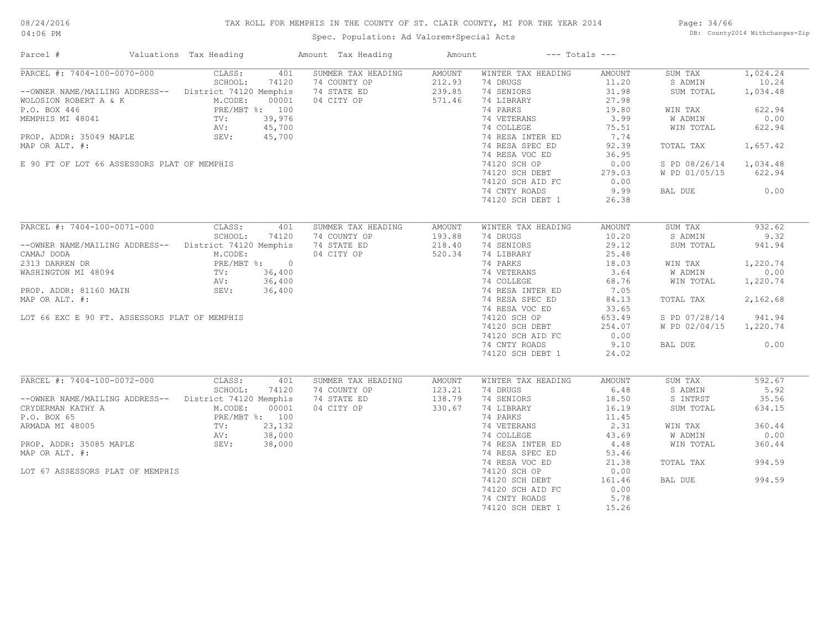# TAX ROLL FOR MEMPHIS IN THE COUNTY OF ST. CLAIR COUNTY, MI FOR THE YEAR 2014

# Spec. Population: Ad Valorem+Special Acts

Page: 34/66 DB: County2014 Withchanges-Zip

| Parcel #                                                                                                                                                                              | Valuations Tax Heading |       | Amount Tax Heading | Amount | $---$ Totals $---$                                            |        |                        |          |
|---------------------------------------------------------------------------------------------------------------------------------------------------------------------------------------|------------------------|-------|--------------------|--------|---------------------------------------------------------------|--------|------------------------|----------|
| PARCEL #: 7404-100-0070-000                                                                                                                                                           | CLASS:                 | 401   | SUMMER TAX HEADING | AMOUNT | WINTER TAX HEADING                                            | AMOUNT | SUM TAX                | 1,024.24 |
|                                                                                                                                                                                       | SCHOOL:                | 74120 | 74 COUNTY OP       | 212.93 | 74 DRUGS                                                      | 11.20  | S ADMIN                | 10.24    |
| --OWNER NAME/MAILING ADDRESS-- District 74120 Memphis                                                                                                                                 |                        |       | 74 STATE ED        | 239.85 | 74 SENIORS                                                    | 31.98  | SUM TOTAL              | 1,034.48 |
| WOLOSION ROBERT A & K<br>MCODE: 00001<br>P.O. BOX 446<br>MEMPHIS MI 48041<br>PRE/MBT %: 100<br>MEMPHIS MI 48041<br>TV: 39,976<br>AV: 45,700<br>PROP. ADDR: 35049 MAPLE<br>SEV: 45,700 |                        |       | 04 CITY OP         | 571.46 | 74 LIBRARY                                                    | 27.98  |                        |          |
|                                                                                                                                                                                       |                        |       |                    |        | 74 PARKS                                                      | 19.80  | WIN TAX                | 622.94   |
|                                                                                                                                                                                       |                        |       |                    |        |                                                               | 3.99   | W ADMIN                | 0.00     |
|                                                                                                                                                                                       |                        |       |                    |        | 74 VETERANS<br>74 COLLEGE                                     | 75.51  | WIN TOTAL              | 622.94   |
|                                                                                                                                                                                       |                        |       |                    |        | 74 RESA INTER ED                                              | 7.74   |                        |          |
| MAP OR ALT. #:                                                                                                                                                                        |                        |       |                    |        | 74 RESA SPEC ED                                               | 92.39  | TOTAL TAX              | 1,657.42 |
|                                                                                                                                                                                       |                        |       |                    |        | 74 RESA VOC ED                                                | 36.95  |                        |          |
| E 90 FT OF LOT 66 ASSESSORS PLAT OF MEMPHIS                                                                                                                                           |                        |       |                    |        | 74120 SCH OP                                                  | 0.00   | S PD 08/26/14 1,034.48 |          |
|                                                                                                                                                                                       |                        |       |                    |        |                                                               |        |                        |          |
|                                                                                                                                                                                       |                        |       |                    |        | 74120 SCH DEBT                                                | 279.03 | W PD 01/05/15          | 622.94   |
|                                                                                                                                                                                       |                        |       |                    |        | 74120 SCH AID FC                                              | 0.00   |                        |          |
|                                                                                                                                                                                       |                        |       |                    |        | 74 CNTY ROADS                                                 | 9.99   | BAL DUE                | 0.00     |
|                                                                                                                                                                                       |                        |       |                    |        | 74120 SCH DEBT 1                                              | 26.38  |                        |          |
|                                                                                                                                                                                       |                        |       |                    |        |                                                               |        |                        |          |
| PARCEL #: 7404-100-0071-000                                                                                                                                                           | CLASS:                 | 401   | SUMMER TAX HEADING | AMOUNT | WINTER TAX HEADING                                            | AMOUNT | SUM TAX                | 932.62   |
|                                                                                                                                                                                       | SCHOOL:                | 74120 | 74 COUNTY OP       | 193.88 | 74 DRUGS                                                      | 10.20  | S ADMIN                | 9.32     |
| --OWNER NAME/MAILING ADDRESS-- District 74120 Memphis                                                                                                                                 |                        |       | 74 STATE ED        | 218.40 | 74 SENIORS                                                    | 29.12  | SUM TOTAL              | 941.94   |
| CAMAJ DODA                                                                                                                                                                            | M.CODE:                |       | 04 CITY OP         | 520.34 | 74 LIBRARY<br><sup>74</sup> LIBRARY<br>74 PARKS               | 25.48  |                        |          |
| 2313 DARREN DR                                                                                                                                                                        |                        |       |                    |        |                                                               | 18.03  | WIN TAX                | 1,220.74 |
|                                                                                                                                                                                       |                        |       |                    |        | 74 VETERANS 3.64<br>74 COLLEGE 68.76<br>74 RESA INTER ED 7.05 |        | W ADMIN                | 0.00     |
|                                                                                                                                                                                       |                        |       |                    |        |                                                               |        | WIN TOTAL              | 1,220.74 |
| PROP. ADDR: 81160 MAIN                                                                                                                                                                | SEV: 36,400            |       |                    |        |                                                               |        |                        |          |
| MAP OR ALT. #:                                                                                                                                                                        |                        |       |                    |        | 74 RESA SPEC ED                                               | 84.13  | TOTAL TAX              | 2,162.68 |
|                                                                                                                                                                                       |                        |       |                    |        | 74 RESA VOC ED                                                | 33.65  |                        |          |
| LOT 66 EXC E 90 FT. ASSESSORS PLAT OF MEMPHIS                                                                                                                                         |                        |       |                    |        | 74120 SCH OP                                                  | 653.49 | S PD 07/28/14          | 941.94   |
|                                                                                                                                                                                       |                        |       |                    |        | 74120 SCH DEBT                                                | 254.07 | W PD 02/04/15 1,220.74 |          |
|                                                                                                                                                                                       |                        |       |                    |        | 74120 SCH AID FC                                              | 0.00   |                        |          |
|                                                                                                                                                                                       |                        |       |                    |        | 74 CNTY ROADS                                                 | 9.10   | BAL DUE                | 0.00     |
|                                                                                                                                                                                       |                        |       |                    |        | 74120 SCH DEBT 1                                              | 24.02  |                        |          |
|                                                                                                                                                                                       |                        |       |                    |        |                                                               |        |                        |          |
| PARCEL #: 7404-100-0072-000                                                                                                                                                           | CLASS:                 | 401   | SUMMER TAX HEADING | AMOUNT | WINTER TAX HEADING                                            | AMOUNT | SUM TAX                | 592.67   |
|                                                                                                                                                                                       | SCHOOL:                | 74120 | 74 COUNTY OP       | 123.21 | 74 DRUGS                                                      | 6.48   | S ADMIN                | 5.92     |
| --OWNER NAME/MAILING ADDRESS-- District 74120 Memphis                                                                                                                                 |                        |       | 74 STATE ED        | 138.79 | 74 SENIORS                                                    | 18.50  | S INTRST               | 35.56    |
|                                                                                                                                                                                       |                        |       | 04 CITY OP         | 330.67 |                                                               | 16.19  | SUM TOTAL              | 634.15   |
|                                                                                                                                                                                       |                        |       |                    |        | 74 LIBRARY<br>74 PARKS<br>74 PARKS                            | 11.45  |                        |          |
|                                                                                                                                                                                       |                        |       |                    |        |                                                               |        |                        | 360.44   |
|                                                                                                                                                                                       |                        |       |                    |        |                                                               |        | WIN TAX                |          |
| CRYDERMAN KATHY A<br>CRYDERMAN KATHY A<br>P.O. BOX 65<br>RE/MBT %: 100<br>ARMADA MI 48005<br>PROP. ADDR: 35085 MAPLE<br>SEV: 38,000<br>PROP. ADDR: 35085 MAPLE<br>SEV: 38,000         |                        |       |                    |        |                                                               |        | W ADMIN                | 0.00     |
|                                                                                                                                                                                       |                        |       |                    |        |                                                               |        | WIN TOTAL              | 360.44   |
| MAP OR ALT. #:                                                                                                                                                                        |                        |       |                    |        | 74 RESA SPEC ED                                               | 53.46  |                        |          |
|                                                                                                                                                                                       |                        |       |                    |        | 74 RESA VOC ED                                                | 21.38  | TOTAL TAX              | 994.59   |
| LOT 67 ASSESSORS PLAT OF MEMPHIS                                                                                                                                                      |                        |       |                    |        | 74120 SCH OP                                                  | 0.00   |                        |          |
|                                                                                                                                                                                       |                        |       |                    |        | 74120 SCH DEBT                                                | 161.46 | BAL DUE                | 994.59   |
|                                                                                                                                                                                       |                        |       |                    |        | 74120 SCH AID FC                                              | 0.00   |                        |          |
|                                                                                                                                                                                       |                        |       |                    |        | 74 CNTY ROADS                                                 | 5.78   |                        |          |
|                                                                                                                                                                                       |                        |       |                    |        | 74120 SCH DEBT 1                                              | 15.26  |                        |          |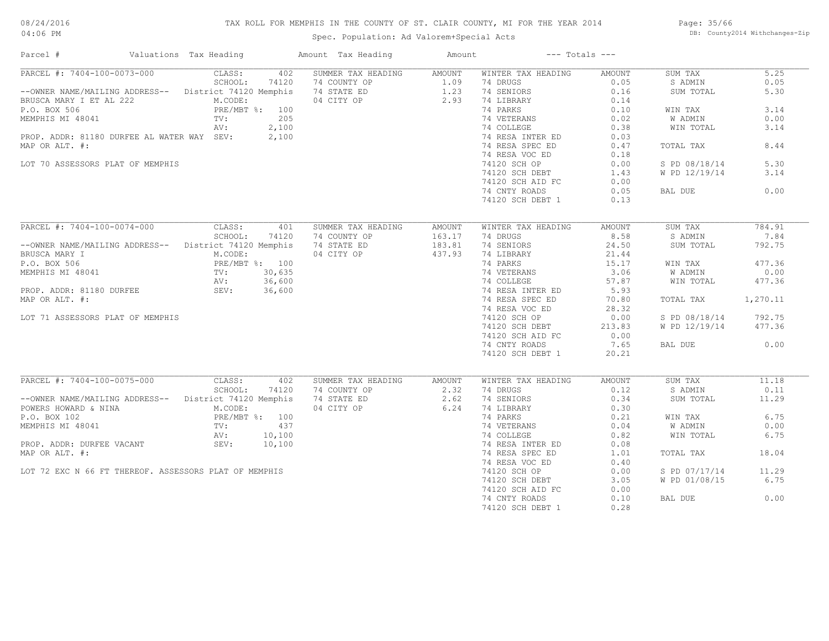# TAX ROLL FOR MEMPHIS IN THE COUNTY OF ST. CLAIR COUNTY, MI FOR THE YEAR 2014

Spec. Population: Ad Valorem+Special Acts

Page: 35/66 DB: County2014 Withchanges-Zip

| PARCEL #: 7404-100-0073-000<br>5.25<br>CLASS:<br>402<br>SUMMER TAX HEADING<br>WINTER TAX HEADING<br>AMOUNT<br>AMOUNT<br>SUM TAX<br>SCHOOL:<br>74120<br>74 COUNTY OP<br>1.09<br>74 DRUGS<br>0.05<br>S ADMIN<br>0.05<br>--OWNER NAME/MAILING ADDRESS-- District 74120 Memphis<br>74 STATE ED<br>1.23 74 SENIORS<br>0.16<br>5.30<br>SUM TOTAL<br>04 CITY OP<br>2.93<br>74 LIBRARY<br>BRUSCA MARY I ET AL 222<br>M.CODE:<br>0.14<br>3.14<br>PRE/MBT %: 100<br>74 PARKS<br>0.10<br>WIN TAX<br>205<br>TV:<br>74 VETERANS<br>0.02<br>W ADMIN<br>0.00<br>AV:<br>2,100<br>74 COLLEGE<br>0.38<br>WIN TOTAL<br>3.14<br>PROP. ADDR: 81180 DURFEE AL WATER WAY SEV: 2,100<br>74 RESA INTER ED<br>0.03<br>8.44<br>MAP OR ALT. #:<br>74 RESA SPEC ED<br>0.47<br>TOTAL TAX<br>74 RESA VOC ED<br>0.18<br>5.30<br>LOT 70 ASSESSORS PLAT OF MEMPHIS<br>74120 SCH OP<br>0.00<br>S PD 08/18/14<br>1.43<br>3.14<br>74120 SCH DEBT<br>W PD 12/19/14<br>74120 SCH AID FC<br>0.00<br>74 CNTY ROADS<br>0.05<br>0.00<br>BAL DUE<br>74120 SCH DEBT 1<br>0.13<br>PARCEL #: 7404-100-0074-000<br>CLASS:<br>401<br>SUMMER TAX HEADING<br>WINTER TAX HEADING<br><b>AMOUNT</b><br>SUM TAX<br>784.91<br><b>AMOUNT</b><br>8.58<br>SCHOOL:<br>74120<br>74 COUNTY OP<br>163.17<br>74 DRUGS<br>S ADMIN<br>7.84<br>24.50<br>--OWNER NAME/MAILING ADDRESS-- District 74120 Memphis<br>74 STATE ED<br>183.81<br>74 SENIORS<br>792.75<br>SUM TOTAL<br>437.93<br>BRUSCA MARY I<br>M.CODE:<br>04 CITY OP<br>74 LIBRARY<br>21.44<br>PRE/MBT %: 100<br>TV: 30,635<br>AV: 36,600<br>15.17<br>477.36<br>74 PARKS<br>WIN TAX<br>74 VETERANS<br>3.06<br>0.00<br>W ADMIN<br>74 COLLEGE<br>57.87<br>WIN TOTAL<br>477.36<br>5.93<br>SEV: 36,600<br>74 RESA INTER ED<br>1,270.11<br>74 RESA SPEC ED<br>70.80<br>TOTAL TAX<br>74 RESA VOC ED<br>28.32<br>0.00<br>S PD 08/18/14<br>792.75<br>LOT 71 ASSESSORS PLAT OF MEMPHIS<br>74120 SCH OP<br>W PD 12/19/14<br>477.36<br>74120 SCH DEBT<br>213.83<br>74120 SCH AID FC<br>0.00<br>74 CNTY ROADS<br>7.65<br>0.00<br>BAL DUE<br>74120 SCH DEBT 1<br>20.21<br>PARCEL #: 7404-100-0075-000<br>CLASS:<br>402<br>SUM TAX<br>11.18<br>SUMMER TAX HEADING<br><b>AMOUNT</b><br>WINTER TAX HEADING<br>AMOUNT<br>SCHOOL:<br>74120<br>74 COUNTY OP<br>2.32<br>74 DRUGS<br>0.12<br>0.11<br>S ADMIN<br>2.62<br>-- OWNER NAME/MAILING ADDRESS-- District 74120 Memphis<br>74 STATE ED<br>74 SENIORS<br>0.34<br>SUM TOTAL<br>11.29<br>POWERS HOWARD & NINA<br>M.CODE:<br>04 CITY OP<br>6.24<br>74 LIBRARY<br>0.30<br>6.75<br>P.O. BOX 102<br>PRE/MBT %: 100<br>74 PARKS<br>0.21<br>WIN TAX<br>437<br>W ADMIN<br>0.00<br>MEMPHIS MI 48041<br>TV:<br>74 VETERANS<br>0.04<br>6.75<br>10,100<br>74 COLLEGE<br>0.82<br>WIN TOTAL<br>AV:<br>PROP. ADDR: DURFEE VACANT SEV:<br>10,100<br>74 RESA INTER ED<br>0.08<br>18.04<br>MAP OR ALT. #:<br>74 RESA SPEC ED<br>1.01<br>TOTAL TAX<br>74 RESA VOC ED<br>0.40<br>LOT 72 EXC N 66 FT THEREOF. ASSESSORS PLAT OF MEMPHIS<br>S PD 07/17/14<br>11.29<br>74120 SCH OP<br>0.00<br>74120 SCH DEBT<br>3.05<br>W PD 01/08/15<br>6.75<br>74120 SCH AID FC<br>0.00<br>74 CNTY ROADS<br>0.10<br>BAL DUE<br>0.00<br>74120 SCH DEBT 1<br>0.28 | Parcel #                 | Valuations Tax Heading | Amount Tax Heading | Amount | $---$ Totals $---$ |  |  |
|-----------------------------------------------------------------------------------------------------------------------------------------------------------------------------------------------------------------------------------------------------------------------------------------------------------------------------------------------------------------------------------------------------------------------------------------------------------------------------------------------------------------------------------------------------------------------------------------------------------------------------------------------------------------------------------------------------------------------------------------------------------------------------------------------------------------------------------------------------------------------------------------------------------------------------------------------------------------------------------------------------------------------------------------------------------------------------------------------------------------------------------------------------------------------------------------------------------------------------------------------------------------------------------------------------------------------------------------------------------------------------------------------------------------------------------------------------------------------------------------------------------------------------------------------------------------------------------------------------------------------------------------------------------------------------------------------------------------------------------------------------------------------------------------------------------------------------------------------------------------------------------------------------------------------------------------------------------------------------------------------------------------------------------------------------------------------------------------------------------------------------------------------------------------------------------------------------------------------------------------------------------------------------------------------------------------------------------------------------------------------------------------------------------------------------------------------------------------------------------------------------------------------------------------------------------------------------------------------------------------------------------------------------------------------------------------------------------------------------------------------------------------------------------------------------------------------------------------------------------------------------------------------------------------------------------------------------------------------------------------------------------------------------------------------------------------------------------------------------------------------------------------------------|--------------------------|------------------------|--------------------|--------|--------------------|--|--|
|                                                                                                                                                                                                                                                                                                                                                                                                                                                                                                                                                                                                                                                                                                                                                                                                                                                                                                                                                                                                                                                                                                                                                                                                                                                                                                                                                                                                                                                                                                                                                                                                                                                                                                                                                                                                                                                                                                                                                                                                                                                                                                                                                                                                                                                                                                                                                                                                                                                                                                                                                                                                                                                                                                                                                                                                                                                                                                                                                                                                                                                                                                                                                     |                          |                        |                    |        |                    |  |  |
|                                                                                                                                                                                                                                                                                                                                                                                                                                                                                                                                                                                                                                                                                                                                                                                                                                                                                                                                                                                                                                                                                                                                                                                                                                                                                                                                                                                                                                                                                                                                                                                                                                                                                                                                                                                                                                                                                                                                                                                                                                                                                                                                                                                                                                                                                                                                                                                                                                                                                                                                                                                                                                                                                                                                                                                                                                                                                                                                                                                                                                                                                                                                                     |                          |                        |                    |        |                    |  |  |
|                                                                                                                                                                                                                                                                                                                                                                                                                                                                                                                                                                                                                                                                                                                                                                                                                                                                                                                                                                                                                                                                                                                                                                                                                                                                                                                                                                                                                                                                                                                                                                                                                                                                                                                                                                                                                                                                                                                                                                                                                                                                                                                                                                                                                                                                                                                                                                                                                                                                                                                                                                                                                                                                                                                                                                                                                                                                                                                                                                                                                                                                                                                                                     |                          |                        |                    |        |                    |  |  |
|                                                                                                                                                                                                                                                                                                                                                                                                                                                                                                                                                                                                                                                                                                                                                                                                                                                                                                                                                                                                                                                                                                                                                                                                                                                                                                                                                                                                                                                                                                                                                                                                                                                                                                                                                                                                                                                                                                                                                                                                                                                                                                                                                                                                                                                                                                                                                                                                                                                                                                                                                                                                                                                                                                                                                                                                                                                                                                                                                                                                                                                                                                                                                     |                          |                        |                    |        |                    |  |  |
|                                                                                                                                                                                                                                                                                                                                                                                                                                                                                                                                                                                                                                                                                                                                                                                                                                                                                                                                                                                                                                                                                                                                                                                                                                                                                                                                                                                                                                                                                                                                                                                                                                                                                                                                                                                                                                                                                                                                                                                                                                                                                                                                                                                                                                                                                                                                                                                                                                                                                                                                                                                                                                                                                                                                                                                                                                                                                                                                                                                                                                                                                                                                                     | P.O. BOX 506             |                        |                    |        |                    |  |  |
|                                                                                                                                                                                                                                                                                                                                                                                                                                                                                                                                                                                                                                                                                                                                                                                                                                                                                                                                                                                                                                                                                                                                                                                                                                                                                                                                                                                                                                                                                                                                                                                                                                                                                                                                                                                                                                                                                                                                                                                                                                                                                                                                                                                                                                                                                                                                                                                                                                                                                                                                                                                                                                                                                                                                                                                                                                                                                                                                                                                                                                                                                                                                                     | MEMPHIS MI 48041         |                        |                    |        |                    |  |  |
|                                                                                                                                                                                                                                                                                                                                                                                                                                                                                                                                                                                                                                                                                                                                                                                                                                                                                                                                                                                                                                                                                                                                                                                                                                                                                                                                                                                                                                                                                                                                                                                                                                                                                                                                                                                                                                                                                                                                                                                                                                                                                                                                                                                                                                                                                                                                                                                                                                                                                                                                                                                                                                                                                                                                                                                                                                                                                                                                                                                                                                                                                                                                                     |                          |                        |                    |        |                    |  |  |
|                                                                                                                                                                                                                                                                                                                                                                                                                                                                                                                                                                                                                                                                                                                                                                                                                                                                                                                                                                                                                                                                                                                                                                                                                                                                                                                                                                                                                                                                                                                                                                                                                                                                                                                                                                                                                                                                                                                                                                                                                                                                                                                                                                                                                                                                                                                                                                                                                                                                                                                                                                                                                                                                                                                                                                                                                                                                                                                                                                                                                                                                                                                                                     |                          |                        |                    |        |                    |  |  |
|                                                                                                                                                                                                                                                                                                                                                                                                                                                                                                                                                                                                                                                                                                                                                                                                                                                                                                                                                                                                                                                                                                                                                                                                                                                                                                                                                                                                                                                                                                                                                                                                                                                                                                                                                                                                                                                                                                                                                                                                                                                                                                                                                                                                                                                                                                                                                                                                                                                                                                                                                                                                                                                                                                                                                                                                                                                                                                                                                                                                                                                                                                                                                     |                          |                        |                    |        |                    |  |  |
|                                                                                                                                                                                                                                                                                                                                                                                                                                                                                                                                                                                                                                                                                                                                                                                                                                                                                                                                                                                                                                                                                                                                                                                                                                                                                                                                                                                                                                                                                                                                                                                                                                                                                                                                                                                                                                                                                                                                                                                                                                                                                                                                                                                                                                                                                                                                                                                                                                                                                                                                                                                                                                                                                                                                                                                                                                                                                                                                                                                                                                                                                                                                                     |                          |                        |                    |        |                    |  |  |
|                                                                                                                                                                                                                                                                                                                                                                                                                                                                                                                                                                                                                                                                                                                                                                                                                                                                                                                                                                                                                                                                                                                                                                                                                                                                                                                                                                                                                                                                                                                                                                                                                                                                                                                                                                                                                                                                                                                                                                                                                                                                                                                                                                                                                                                                                                                                                                                                                                                                                                                                                                                                                                                                                                                                                                                                                                                                                                                                                                                                                                                                                                                                                     |                          |                        |                    |        |                    |  |  |
|                                                                                                                                                                                                                                                                                                                                                                                                                                                                                                                                                                                                                                                                                                                                                                                                                                                                                                                                                                                                                                                                                                                                                                                                                                                                                                                                                                                                                                                                                                                                                                                                                                                                                                                                                                                                                                                                                                                                                                                                                                                                                                                                                                                                                                                                                                                                                                                                                                                                                                                                                                                                                                                                                                                                                                                                                                                                                                                                                                                                                                                                                                                                                     |                          |                        |                    |        |                    |  |  |
|                                                                                                                                                                                                                                                                                                                                                                                                                                                                                                                                                                                                                                                                                                                                                                                                                                                                                                                                                                                                                                                                                                                                                                                                                                                                                                                                                                                                                                                                                                                                                                                                                                                                                                                                                                                                                                                                                                                                                                                                                                                                                                                                                                                                                                                                                                                                                                                                                                                                                                                                                                                                                                                                                                                                                                                                                                                                                                                                                                                                                                                                                                                                                     |                          |                        |                    |        |                    |  |  |
|                                                                                                                                                                                                                                                                                                                                                                                                                                                                                                                                                                                                                                                                                                                                                                                                                                                                                                                                                                                                                                                                                                                                                                                                                                                                                                                                                                                                                                                                                                                                                                                                                                                                                                                                                                                                                                                                                                                                                                                                                                                                                                                                                                                                                                                                                                                                                                                                                                                                                                                                                                                                                                                                                                                                                                                                                                                                                                                                                                                                                                                                                                                                                     |                          |                        |                    |        |                    |  |  |
|                                                                                                                                                                                                                                                                                                                                                                                                                                                                                                                                                                                                                                                                                                                                                                                                                                                                                                                                                                                                                                                                                                                                                                                                                                                                                                                                                                                                                                                                                                                                                                                                                                                                                                                                                                                                                                                                                                                                                                                                                                                                                                                                                                                                                                                                                                                                                                                                                                                                                                                                                                                                                                                                                                                                                                                                                                                                                                                                                                                                                                                                                                                                                     |                          |                        |                    |        |                    |  |  |
|                                                                                                                                                                                                                                                                                                                                                                                                                                                                                                                                                                                                                                                                                                                                                                                                                                                                                                                                                                                                                                                                                                                                                                                                                                                                                                                                                                                                                                                                                                                                                                                                                                                                                                                                                                                                                                                                                                                                                                                                                                                                                                                                                                                                                                                                                                                                                                                                                                                                                                                                                                                                                                                                                                                                                                                                                                                                                                                                                                                                                                                                                                                                                     |                          |                        |                    |        |                    |  |  |
|                                                                                                                                                                                                                                                                                                                                                                                                                                                                                                                                                                                                                                                                                                                                                                                                                                                                                                                                                                                                                                                                                                                                                                                                                                                                                                                                                                                                                                                                                                                                                                                                                                                                                                                                                                                                                                                                                                                                                                                                                                                                                                                                                                                                                                                                                                                                                                                                                                                                                                                                                                                                                                                                                                                                                                                                                                                                                                                                                                                                                                                                                                                                                     |                          |                        |                    |        |                    |  |  |
|                                                                                                                                                                                                                                                                                                                                                                                                                                                                                                                                                                                                                                                                                                                                                                                                                                                                                                                                                                                                                                                                                                                                                                                                                                                                                                                                                                                                                                                                                                                                                                                                                                                                                                                                                                                                                                                                                                                                                                                                                                                                                                                                                                                                                                                                                                                                                                                                                                                                                                                                                                                                                                                                                                                                                                                                                                                                                                                                                                                                                                                                                                                                                     |                          |                        |                    |        |                    |  |  |
|                                                                                                                                                                                                                                                                                                                                                                                                                                                                                                                                                                                                                                                                                                                                                                                                                                                                                                                                                                                                                                                                                                                                                                                                                                                                                                                                                                                                                                                                                                                                                                                                                                                                                                                                                                                                                                                                                                                                                                                                                                                                                                                                                                                                                                                                                                                                                                                                                                                                                                                                                                                                                                                                                                                                                                                                                                                                                                                                                                                                                                                                                                                                                     |                          |                        |                    |        |                    |  |  |
|                                                                                                                                                                                                                                                                                                                                                                                                                                                                                                                                                                                                                                                                                                                                                                                                                                                                                                                                                                                                                                                                                                                                                                                                                                                                                                                                                                                                                                                                                                                                                                                                                                                                                                                                                                                                                                                                                                                                                                                                                                                                                                                                                                                                                                                                                                                                                                                                                                                                                                                                                                                                                                                                                                                                                                                                                                                                                                                                                                                                                                                                                                                                                     |                          |                        |                    |        |                    |  |  |
|                                                                                                                                                                                                                                                                                                                                                                                                                                                                                                                                                                                                                                                                                                                                                                                                                                                                                                                                                                                                                                                                                                                                                                                                                                                                                                                                                                                                                                                                                                                                                                                                                                                                                                                                                                                                                                                                                                                                                                                                                                                                                                                                                                                                                                                                                                                                                                                                                                                                                                                                                                                                                                                                                                                                                                                                                                                                                                                                                                                                                                                                                                                                                     |                          |                        |                    |        |                    |  |  |
|                                                                                                                                                                                                                                                                                                                                                                                                                                                                                                                                                                                                                                                                                                                                                                                                                                                                                                                                                                                                                                                                                                                                                                                                                                                                                                                                                                                                                                                                                                                                                                                                                                                                                                                                                                                                                                                                                                                                                                                                                                                                                                                                                                                                                                                                                                                                                                                                                                                                                                                                                                                                                                                                                                                                                                                                                                                                                                                                                                                                                                                                                                                                                     | P.O. BOX 506             |                        |                    |        |                    |  |  |
|                                                                                                                                                                                                                                                                                                                                                                                                                                                                                                                                                                                                                                                                                                                                                                                                                                                                                                                                                                                                                                                                                                                                                                                                                                                                                                                                                                                                                                                                                                                                                                                                                                                                                                                                                                                                                                                                                                                                                                                                                                                                                                                                                                                                                                                                                                                                                                                                                                                                                                                                                                                                                                                                                                                                                                                                                                                                                                                                                                                                                                                                                                                                                     | MEMPHIS MI 48041         |                        |                    |        |                    |  |  |
|                                                                                                                                                                                                                                                                                                                                                                                                                                                                                                                                                                                                                                                                                                                                                                                                                                                                                                                                                                                                                                                                                                                                                                                                                                                                                                                                                                                                                                                                                                                                                                                                                                                                                                                                                                                                                                                                                                                                                                                                                                                                                                                                                                                                                                                                                                                                                                                                                                                                                                                                                                                                                                                                                                                                                                                                                                                                                                                                                                                                                                                                                                                                                     |                          |                        |                    |        |                    |  |  |
|                                                                                                                                                                                                                                                                                                                                                                                                                                                                                                                                                                                                                                                                                                                                                                                                                                                                                                                                                                                                                                                                                                                                                                                                                                                                                                                                                                                                                                                                                                                                                                                                                                                                                                                                                                                                                                                                                                                                                                                                                                                                                                                                                                                                                                                                                                                                                                                                                                                                                                                                                                                                                                                                                                                                                                                                                                                                                                                                                                                                                                                                                                                                                     | PROP. ADDR: 81180 DURFEE |                        |                    |        |                    |  |  |
|                                                                                                                                                                                                                                                                                                                                                                                                                                                                                                                                                                                                                                                                                                                                                                                                                                                                                                                                                                                                                                                                                                                                                                                                                                                                                                                                                                                                                                                                                                                                                                                                                                                                                                                                                                                                                                                                                                                                                                                                                                                                                                                                                                                                                                                                                                                                                                                                                                                                                                                                                                                                                                                                                                                                                                                                                                                                                                                                                                                                                                                                                                                                                     | MAP OR ALT. #:           |                        |                    |        |                    |  |  |
|                                                                                                                                                                                                                                                                                                                                                                                                                                                                                                                                                                                                                                                                                                                                                                                                                                                                                                                                                                                                                                                                                                                                                                                                                                                                                                                                                                                                                                                                                                                                                                                                                                                                                                                                                                                                                                                                                                                                                                                                                                                                                                                                                                                                                                                                                                                                                                                                                                                                                                                                                                                                                                                                                                                                                                                                                                                                                                                                                                                                                                                                                                                                                     |                          |                        |                    |        |                    |  |  |
|                                                                                                                                                                                                                                                                                                                                                                                                                                                                                                                                                                                                                                                                                                                                                                                                                                                                                                                                                                                                                                                                                                                                                                                                                                                                                                                                                                                                                                                                                                                                                                                                                                                                                                                                                                                                                                                                                                                                                                                                                                                                                                                                                                                                                                                                                                                                                                                                                                                                                                                                                                                                                                                                                                                                                                                                                                                                                                                                                                                                                                                                                                                                                     |                          |                        |                    |        |                    |  |  |
|                                                                                                                                                                                                                                                                                                                                                                                                                                                                                                                                                                                                                                                                                                                                                                                                                                                                                                                                                                                                                                                                                                                                                                                                                                                                                                                                                                                                                                                                                                                                                                                                                                                                                                                                                                                                                                                                                                                                                                                                                                                                                                                                                                                                                                                                                                                                                                                                                                                                                                                                                                                                                                                                                                                                                                                                                                                                                                                                                                                                                                                                                                                                                     |                          |                        |                    |        |                    |  |  |
|                                                                                                                                                                                                                                                                                                                                                                                                                                                                                                                                                                                                                                                                                                                                                                                                                                                                                                                                                                                                                                                                                                                                                                                                                                                                                                                                                                                                                                                                                                                                                                                                                                                                                                                                                                                                                                                                                                                                                                                                                                                                                                                                                                                                                                                                                                                                                                                                                                                                                                                                                                                                                                                                                                                                                                                                                                                                                                                                                                                                                                                                                                                                                     |                          |                        |                    |        |                    |  |  |
|                                                                                                                                                                                                                                                                                                                                                                                                                                                                                                                                                                                                                                                                                                                                                                                                                                                                                                                                                                                                                                                                                                                                                                                                                                                                                                                                                                                                                                                                                                                                                                                                                                                                                                                                                                                                                                                                                                                                                                                                                                                                                                                                                                                                                                                                                                                                                                                                                                                                                                                                                                                                                                                                                                                                                                                                                                                                                                                                                                                                                                                                                                                                                     |                          |                        |                    |        |                    |  |  |
|                                                                                                                                                                                                                                                                                                                                                                                                                                                                                                                                                                                                                                                                                                                                                                                                                                                                                                                                                                                                                                                                                                                                                                                                                                                                                                                                                                                                                                                                                                                                                                                                                                                                                                                                                                                                                                                                                                                                                                                                                                                                                                                                                                                                                                                                                                                                                                                                                                                                                                                                                                                                                                                                                                                                                                                                                                                                                                                                                                                                                                                                                                                                                     |                          |                        |                    |        |                    |  |  |
|                                                                                                                                                                                                                                                                                                                                                                                                                                                                                                                                                                                                                                                                                                                                                                                                                                                                                                                                                                                                                                                                                                                                                                                                                                                                                                                                                                                                                                                                                                                                                                                                                                                                                                                                                                                                                                                                                                                                                                                                                                                                                                                                                                                                                                                                                                                                                                                                                                                                                                                                                                                                                                                                                                                                                                                                                                                                                                                                                                                                                                                                                                                                                     |                          |                        |                    |        |                    |  |  |
|                                                                                                                                                                                                                                                                                                                                                                                                                                                                                                                                                                                                                                                                                                                                                                                                                                                                                                                                                                                                                                                                                                                                                                                                                                                                                                                                                                                                                                                                                                                                                                                                                                                                                                                                                                                                                                                                                                                                                                                                                                                                                                                                                                                                                                                                                                                                                                                                                                                                                                                                                                                                                                                                                                                                                                                                                                                                                                                                                                                                                                                                                                                                                     |                          |                        |                    |        |                    |  |  |
|                                                                                                                                                                                                                                                                                                                                                                                                                                                                                                                                                                                                                                                                                                                                                                                                                                                                                                                                                                                                                                                                                                                                                                                                                                                                                                                                                                                                                                                                                                                                                                                                                                                                                                                                                                                                                                                                                                                                                                                                                                                                                                                                                                                                                                                                                                                                                                                                                                                                                                                                                                                                                                                                                                                                                                                                                                                                                                                                                                                                                                                                                                                                                     |                          |                        |                    |        |                    |  |  |
|                                                                                                                                                                                                                                                                                                                                                                                                                                                                                                                                                                                                                                                                                                                                                                                                                                                                                                                                                                                                                                                                                                                                                                                                                                                                                                                                                                                                                                                                                                                                                                                                                                                                                                                                                                                                                                                                                                                                                                                                                                                                                                                                                                                                                                                                                                                                                                                                                                                                                                                                                                                                                                                                                                                                                                                                                                                                                                                                                                                                                                                                                                                                                     |                          |                        |                    |        |                    |  |  |
|                                                                                                                                                                                                                                                                                                                                                                                                                                                                                                                                                                                                                                                                                                                                                                                                                                                                                                                                                                                                                                                                                                                                                                                                                                                                                                                                                                                                                                                                                                                                                                                                                                                                                                                                                                                                                                                                                                                                                                                                                                                                                                                                                                                                                                                                                                                                                                                                                                                                                                                                                                                                                                                                                                                                                                                                                                                                                                                                                                                                                                                                                                                                                     |                          |                        |                    |        |                    |  |  |
|                                                                                                                                                                                                                                                                                                                                                                                                                                                                                                                                                                                                                                                                                                                                                                                                                                                                                                                                                                                                                                                                                                                                                                                                                                                                                                                                                                                                                                                                                                                                                                                                                                                                                                                                                                                                                                                                                                                                                                                                                                                                                                                                                                                                                                                                                                                                                                                                                                                                                                                                                                                                                                                                                                                                                                                                                                                                                                                                                                                                                                                                                                                                                     |                          |                        |                    |        |                    |  |  |
|                                                                                                                                                                                                                                                                                                                                                                                                                                                                                                                                                                                                                                                                                                                                                                                                                                                                                                                                                                                                                                                                                                                                                                                                                                                                                                                                                                                                                                                                                                                                                                                                                                                                                                                                                                                                                                                                                                                                                                                                                                                                                                                                                                                                                                                                                                                                                                                                                                                                                                                                                                                                                                                                                                                                                                                                                                                                                                                                                                                                                                                                                                                                                     |                          |                        |                    |        |                    |  |  |
|                                                                                                                                                                                                                                                                                                                                                                                                                                                                                                                                                                                                                                                                                                                                                                                                                                                                                                                                                                                                                                                                                                                                                                                                                                                                                                                                                                                                                                                                                                                                                                                                                                                                                                                                                                                                                                                                                                                                                                                                                                                                                                                                                                                                                                                                                                                                                                                                                                                                                                                                                                                                                                                                                                                                                                                                                                                                                                                                                                                                                                                                                                                                                     |                          |                        |                    |        |                    |  |  |
|                                                                                                                                                                                                                                                                                                                                                                                                                                                                                                                                                                                                                                                                                                                                                                                                                                                                                                                                                                                                                                                                                                                                                                                                                                                                                                                                                                                                                                                                                                                                                                                                                                                                                                                                                                                                                                                                                                                                                                                                                                                                                                                                                                                                                                                                                                                                                                                                                                                                                                                                                                                                                                                                                                                                                                                                                                                                                                                                                                                                                                                                                                                                                     |                          |                        |                    |        |                    |  |  |
|                                                                                                                                                                                                                                                                                                                                                                                                                                                                                                                                                                                                                                                                                                                                                                                                                                                                                                                                                                                                                                                                                                                                                                                                                                                                                                                                                                                                                                                                                                                                                                                                                                                                                                                                                                                                                                                                                                                                                                                                                                                                                                                                                                                                                                                                                                                                                                                                                                                                                                                                                                                                                                                                                                                                                                                                                                                                                                                                                                                                                                                                                                                                                     |                          |                        |                    |        |                    |  |  |
|                                                                                                                                                                                                                                                                                                                                                                                                                                                                                                                                                                                                                                                                                                                                                                                                                                                                                                                                                                                                                                                                                                                                                                                                                                                                                                                                                                                                                                                                                                                                                                                                                                                                                                                                                                                                                                                                                                                                                                                                                                                                                                                                                                                                                                                                                                                                                                                                                                                                                                                                                                                                                                                                                                                                                                                                                                                                                                                                                                                                                                                                                                                                                     |                          |                        |                    |        |                    |  |  |
|                                                                                                                                                                                                                                                                                                                                                                                                                                                                                                                                                                                                                                                                                                                                                                                                                                                                                                                                                                                                                                                                                                                                                                                                                                                                                                                                                                                                                                                                                                                                                                                                                                                                                                                                                                                                                                                                                                                                                                                                                                                                                                                                                                                                                                                                                                                                                                                                                                                                                                                                                                                                                                                                                                                                                                                                                                                                                                                                                                                                                                                                                                                                                     |                          |                        |                    |        |                    |  |  |
|                                                                                                                                                                                                                                                                                                                                                                                                                                                                                                                                                                                                                                                                                                                                                                                                                                                                                                                                                                                                                                                                                                                                                                                                                                                                                                                                                                                                                                                                                                                                                                                                                                                                                                                                                                                                                                                                                                                                                                                                                                                                                                                                                                                                                                                                                                                                                                                                                                                                                                                                                                                                                                                                                                                                                                                                                                                                                                                                                                                                                                                                                                                                                     |                          |                        |                    |        |                    |  |  |
|                                                                                                                                                                                                                                                                                                                                                                                                                                                                                                                                                                                                                                                                                                                                                                                                                                                                                                                                                                                                                                                                                                                                                                                                                                                                                                                                                                                                                                                                                                                                                                                                                                                                                                                                                                                                                                                                                                                                                                                                                                                                                                                                                                                                                                                                                                                                                                                                                                                                                                                                                                                                                                                                                                                                                                                                                                                                                                                                                                                                                                                                                                                                                     |                          |                        |                    |        |                    |  |  |
|                                                                                                                                                                                                                                                                                                                                                                                                                                                                                                                                                                                                                                                                                                                                                                                                                                                                                                                                                                                                                                                                                                                                                                                                                                                                                                                                                                                                                                                                                                                                                                                                                                                                                                                                                                                                                                                                                                                                                                                                                                                                                                                                                                                                                                                                                                                                                                                                                                                                                                                                                                                                                                                                                                                                                                                                                                                                                                                                                                                                                                                                                                                                                     |                          |                        |                    |        |                    |  |  |
|                                                                                                                                                                                                                                                                                                                                                                                                                                                                                                                                                                                                                                                                                                                                                                                                                                                                                                                                                                                                                                                                                                                                                                                                                                                                                                                                                                                                                                                                                                                                                                                                                                                                                                                                                                                                                                                                                                                                                                                                                                                                                                                                                                                                                                                                                                                                                                                                                                                                                                                                                                                                                                                                                                                                                                                                                                                                                                                                                                                                                                                                                                                                                     |                          |                        |                    |        |                    |  |  |
|                                                                                                                                                                                                                                                                                                                                                                                                                                                                                                                                                                                                                                                                                                                                                                                                                                                                                                                                                                                                                                                                                                                                                                                                                                                                                                                                                                                                                                                                                                                                                                                                                                                                                                                                                                                                                                                                                                                                                                                                                                                                                                                                                                                                                                                                                                                                                                                                                                                                                                                                                                                                                                                                                                                                                                                                                                                                                                                                                                                                                                                                                                                                                     |                          |                        |                    |        |                    |  |  |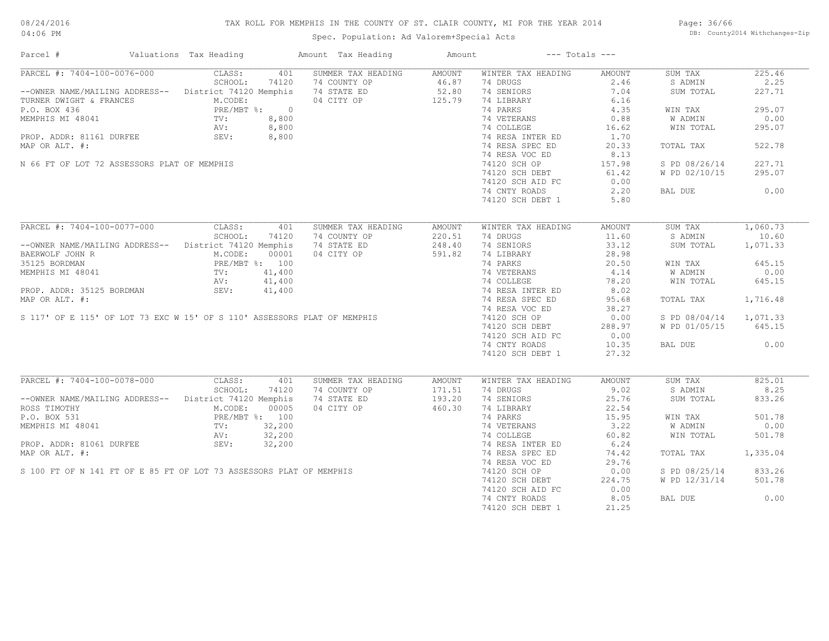# TAX ROLL FOR MEMPHIS IN THE COUNTY OF ST. CLAIR COUNTY, MI FOR THE YEAR 2014

Page: 36/66 DB: County2014 Withchanges-Zip

| Parcel #                                                                                                                                                                                                                                                 | Valuations Tax Heading |       | Amount Tax Heading                                     | Amount |                                                                                               | $---$ Totals $---$ |                        |          |
|----------------------------------------------------------------------------------------------------------------------------------------------------------------------------------------------------------------------------------------------------------|------------------------|-------|--------------------------------------------------------|--------|-----------------------------------------------------------------------------------------------|--------------------|------------------------|----------|
| PARCEL #: 7404-100-0076-000 CLASS:                                                                                                                                                                                                                       |                        | 401   | SUMMER TAX HEADING                                     | AMOUNT | WINTER TAX HEADING                                                                            | AMOUNT             | SUM TAX                | 225.46   |
|                                                                                                                                                                                                                                                          | SCHOOL:                | 74120 | 74 COUNTY OP<br>74 STATE ED 52.80<br>04 CITY OP 125.79 |        | 74 DRUGS                                                                                      | 2.46               | S ADMIN                | 2.25     |
| --OWNER NAME/MAILING ADDRESS-- District 74120 Memphis 74 STATE ED                                                                                                                                                                                        |                        |       |                                                        |        | 74 SENIORS                                                                                    | 7.04               | SUM TOTAL              | 227.71   |
| TURNER DWIGHT & FRANCES<br>P.O. BOX 436<br>MEMPHIS MI 48041<br>PROP. ADDR: 81161 DURFEE<br>PROP. ADDR: 81161 DURFEE<br>SEV: 8,800<br>PROP. ADDR: 81161 DURFEE<br>SEV: 8,800                                                                              |                        |       |                                                        |        | 74 LIBRARY                                                                                    | 6.16               |                        |          |
|                                                                                                                                                                                                                                                          |                        |       |                                                        |        | 74 PARKS                                                                                      | 4.35               | WIN TAX                | 295.07   |
|                                                                                                                                                                                                                                                          |                        |       |                                                        |        | 74 VETERANS 0.88<br>74 COLLEGE 16.62                                                          |                    | W ADMIN                | 0.00     |
|                                                                                                                                                                                                                                                          |                        |       |                                                        |        |                                                                                               |                    | WIN TOTAL              | 295.07   |
|                                                                                                                                                                                                                                                          |                        |       |                                                        |        |                                                                                               |                    |                        |          |
| MAP OR ALT. #:                                                                                                                                                                                                                                           |                        |       |                                                        |        | 74 RESA INTER ED 1.70<br>74 RESA SPEC ED 20.33                                                |                    | TOTAL TAX              | 522.78   |
|                                                                                                                                                                                                                                                          |                        |       |                                                        |        | 74 RESA VOC ED                                                                                | 8.13               |                        |          |
|                                                                                                                                                                                                                                                          |                        |       |                                                        |        |                                                                                               |                    |                        |          |
| N 66 FT OF LOT 72 ASSESSORS PLAT OF MEMPHIS                                                                                                                                                                                                              |                        |       |                                                        |        | 74120 SCH OP                                                                                  | 157.98             | S PD 08/26/14          | 227.71   |
|                                                                                                                                                                                                                                                          |                        |       |                                                        |        | 74120 SCH OF<br>74120 SCH DEBT<br>2011 ATD FC                                                 | 61.42              | W PD 02/10/15          | 295.07   |
|                                                                                                                                                                                                                                                          |                        |       |                                                        |        |                                                                                               | 0.00               |                        |          |
|                                                                                                                                                                                                                                                          |                        |       |                                                        |        | 74 CNTY ROADS                                                                                 | 2,20               | BAL DUE 0.00           |          |
|                                                                                                                                                                                                                                                          |                        |       | 04 CITY OF<br>8: 0<br>8,800<br>8,800<br>8,800          |        | 74120 SCH DEBT 1                                                                              | 5.80               |                        |          |
|                                                                                                                                                                                                                                                          |                        |       |                                                        |        |                                                                                               |                    |                        |          |
| PARCEL #: 7404-100-0077-000 CLASS: 401                                                                                                                                                                                                                   |                        |       | SUMMER TAX HEADING                                     | AMOUNT | WINTER TAX HEADING                                                                            | AMOUNT             | SUM TAX                | 1,060.73 |
|                                                                                                                                                                                                                                                          | SCHOOL:                | 74120 | 74 COUNTY OP                                           | 220.51 | 74 DRUGS                                                                                      | 11.60              | S ADMIN 10.60          |          |
| -- OWNER NAME/MAILING ADDRESS-- District 74120 Memphis                                                                                                                                                                                                   |                        |       | 74 STATE ED                                            | 248.40 | 74 SENIORS                                                                                    | 33.12              | SUM TOTAL 1,071.33     |          |
|                                                                                                                                                                                                                                                          |                        |       | 04 CITY OP 591.82                                      |        | 74 LIBRARY 28.98<br>74 PARKS 20.50                                                            |                    |                        |          |
|                                                                                                                                                                                                                                                          |                        |       |                                                        |        |                                                                                               |                    | WIN TAX                | 645.15   |
| BAERWOLF JOHN R M.CODE: 00001<br>35125 BORDMAN PRE/MBT %: 100<br>MEMPHIS MI 48041 TV: 41,400<br>AV: 41,400                                                                                                                                               |                        |       |                                                        |        | 74 VETERANS<br>74 COLLEGE<br>74 COLLEGE<br>74 RESA INTER ED 8.02<br>74 RESA SPEC ED 95.68     |                    | W ADMIN                | 0.00     |
|                                                                                                                                                                                                                                                          |                        |       |                                                        |        |                                                                                               |                    | W ADMIN<br>WIN TOTAL   | 645.15   |
|                                                                                                                                                                                                                                                          |                        |       |                                                        |        |                                                                                               |                    |                        |          |
|                                                                                                                                                                                                                                                          |                        |       |                                                        |        |                                                                                               |                    | TOTAL TAX              | 1,716.48 |
|                                                                                                                                                                                                                                                          |                        |       |                                                        |        |                                                                                               | 38.27              |                        |          |
| 35125 BORDMAN<br>MEMPHIS MI 48041<br>MEMPHIS MI 48041<br>PRE/MBT \$: 100<br>MEMPHIS MI 48041<br>TV: 41,400<br>24 CELEGER<br>PROP. ADDR: 35125 BORDMAN<br>AV: 41,400<br>24 CELEGER<br>74 RESA INTER ED<br>74 RESA INTER ED<br>74 RESA INTER ED<br>74 RESA |                        |       |                                                        |        |                                                                                               | 0.00               | S PD 08/04/14 1,071.33 |          |
|                                                                                                                                                                                                                                                          |                        |       |                                                        |        |                                                                                               |                    |                        |          |
|                                                                                                                                                                                                                                                          |                        |       |                                                        |        | 74120 SCH DEBT 288.97<br>74120 SCH AID FC 0.00                                                |                    | W PD 01/05/15          | 645.15   |
|                                                                                                                                                                                                                                                          |                        |       |                                                        |        |                                                                                               |                    |                        |          |
|                                                                                                                                                                                                                                                          |                        |       |                                                        |        | 74 CNTY ROADS                                                                                 | 10.35              | BAL DUE                | 0.00     |
|                                                                                                                                                                                                                                                          |                        |       |                                                        |        | 74120 SCH DEBT 1                                                                              | 27.32              |                        |          |
| PARCEL #: 7404-100-0078-000 CLASS:                                                                                                                                                                                                                       |                        |       |                                                        |        |                                                                                               |                    |                        |          |
|                                                                                                                                                                                                                                                          |                        | 401   | SUMMER TAX HEADING                                     | AMOUNT | WINTER TAX HEADING                                                                            | AMOUNT             | SUM TAX                | 825.01   |
| SCHOOL: 74120 74 COUNTY OP 171.51<br>--OWNER NAME/MAILING ADDRESS-- District 74120 Memphis 74 STATE ED 193.20                                                                                                                                            |                        |       |                                                        |        | 74 DRUGS                                                                                      | 9.02               | S ADMIN                | 8.25     |
|                                                                                                                                                                                                                                                          |                        |       |                                                        |        | 74 SENIORS                                                                                    | 25.76              | SUM TOTAL              | 833.26   |
| NOSS TIMOTHY<br>P.O. BOX 531<br>P.O. BOX 531<br>P.RE/MBT %: 100<br>MEMPHIS MI 48041<br>P.C. 22,200<br>PROP. ADDR: 81061 DURFEE<br>SEV: 32,200<br>22,200<br>PROP. ADDR: 81061 DURFEE<br>SEV: 32,200                                                       |                        |       | 04 CITY OP                                             | 460.30 | 74 LIBRARY<br>74 LIBRARY<br>74 PARKS<br>74 VETERANS<br>74 COLLEGE<br>74 RESA INTER ED<br>8.24 |                    |                        |          |
|                                                                                                                                                                                                                                                          |                        |       |                                                        |        |                                                                                               |                    | WIN TAX                | 501.78   |
|                                                                                                                                                                                                                                                          |                        |       |                                                        |        |                                                                                               |                    | W ADMIN                | 0.00     |
|                                                                                                                                                                                                                                                          |                        |       |                                                        |        |                                                                                               |                    | WIN TOTAL              | 501.78   |
|                                                                                                                                                                                                                                                          |                        |       |                                                        |        |                                                                                               |                    |                        |          |
|                                                                                                                                                                                                                                                          |                        |       |                                                        |        | 74 RESA SPEC ED                                                                               | 74.42              | TOTAL TAX 1,335.04     |          |
|                                                                                                                                                                                                                                                          |                        |       |                                                        |        | 74 RESA VOC ED                                                                                | 29.76              |                        |          |
|                                                                                                                                                                                                                                                          |                        |       |                                                        |        | 74120 SCH OP                                                                                  | 0.00               | S PD 08/25/14          | 833.26   |
| P.O. BOX 531<br>MEMPHIS MI 48041<br>MEMPHIS MI 48041<br>PROP. ADDR: 81061 DURFEE<br>MAP OR ALT. #:<br>S 100 FT OF N 141 FT OF E 85 FT OF LOT 73 ASSESSORS PLAT OF MEMPHIS                                                                                |                        |       |                                                        |        | 74120 SCH DEBT                                                                                | 224.75             | W PD 12/31/14          | 501.78   |
|                                                                                                                                                                                                                                                          |                        |       |                                                        |        | 74120 SCH AID FC                                                                              | 0.00               |                        |          |
|                                                                                                                                                                                                                                                          |                        |       |                                                        |        |                                                                                               |                    |                        |          |
|                                                                                                                                                                                                                                                          |                        |       |                                                        |        | 74 CNTY ROADS                                                                                 | 8.05               | BAL DUE                | 0.00     |
|                                                                                                                                                                                                                                                          |                        |       |                                                        |        | 74120 SCH DEBT 1                                                                              | 21.25              |                        |          |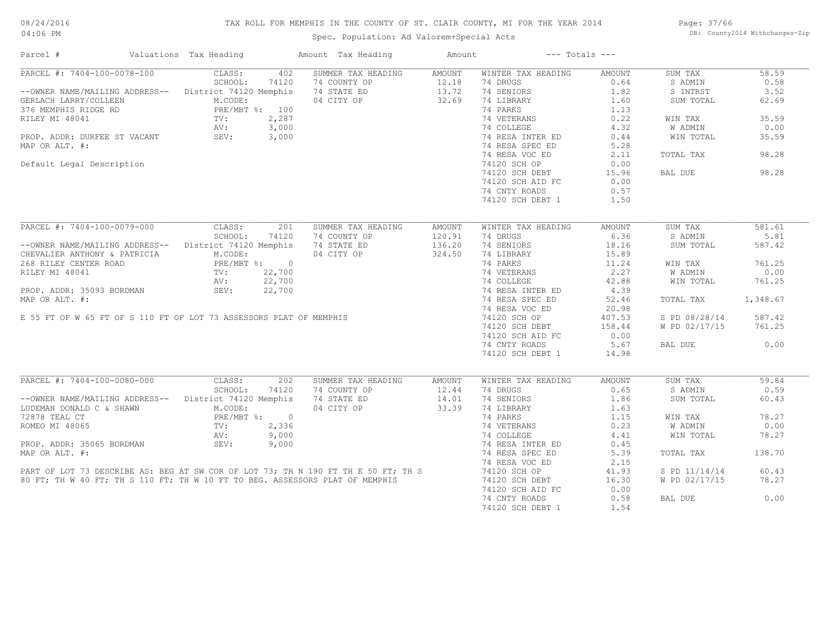# TAX ROLL FOR MEMPHIS IN THE COUNTY OF ST. CLAIR COUNTY, MI FOR THE YEAR 2014

Spec. Population: Ad Valorem+Special Acts

Page: 37/66 DB: County2014 Withchanges-Zip

| Parcel #                                                                                                                            | Valuations Tax Heading       | Amount Tax Heading | Amount | $---$ Totals $---$ |               |               |          |
|-------------------------------------------------------------------------------------------------------------------------------------|------------------------------|--------------------|--------|--------------------|---------------|---------------|----------|
| PARCEL #: 7404-100-0078-100                                                                                                         | CLASS:<br>402                | SUMMER TAX HEADING | AMOUNT | WINTER TAX HEADING | AMOUNT        | SUM TAX       | 58.59    |
|                                                                                                                                     | SCHOOL:<br>74120             | 74 COUNTY OP       | 12.18  | 74 DRUGS           | 0.64          | S ADMIN       | 0.58     |
| --OWNER NAME/MAILING ADDRESS-- District 74120 Memphis                                                                               |                              | 74 STATE ED        | 13.72  | 74 SENIORS         | 1.82          | S INTRST      | 3.52     |
| GERLACH LARRY/COLLEEN                                                                                                               | M.CODE:                      | 04 CITY OP         | 32.69  | 74 LIBRARY         | 1.60          | SUM TOTAL     | 62.69    |
|                                                                                                                                     |                              |                    |        | 74 PARKS           | 1.13          |               |          |
|                                                                                                                                     |                              |                    |        | 74 VETERANS        | 0.22          | WIN TAX       | 35.59    |
|                                                                                                                                     |                              |                    |        | 74 COLLEGE         | 4.32          | W ADMIN       | 0.00     |
|                                                                                                                                     |                              |                    |        | 74 RESA INTER ED   | 0.44          | WIN TOTAL     | 35.59    |
| MAP OR ALT. #:                                                                                                                      |                              |                    |        | 74 RESA SPEC ED    | 5.28          |               |          |
|                                                                                                                                     |                              |                    |        |                    |               |               |          |
|                                                                                                                                     |                              |                    |        | 74 RESA VOC ED     | 2.11          | TOTAL TAX     | 98.28    |
| Default Legal Description                                                                                                           |                              |                    |        | 74120 SCH OP       | 0.00          |               |          |
|                                                                                                                                     |                              |                    |        | 74120 SCH DEBT     | 15.96         | BAL DUE       | 98.28    |
|                                                                                                                                     |                              |                    |        | 74120 SCH AID FC   | 0.00          |               |          |
|                                                                                                                                     |                              |                    |        | 74 CNTY ROADS      | 0.57          |               |          |
|                                                                                                                                     |                              |                    |        | 74120 SCH DEBT 1   | 1.50          |               |          |
|                                                                                                                                     |                              |                    |        |                    |               |               |          |
| PARCEL #: 7404-100-0079-000                                                                                                         | CLASS:<br>201                | SUMMER TAX HEADING | AMOUNT | WINTER TAX HEADING | <b>AMOUNT</b> | SUM TAX       | 581.61   |
|                                                                                                                                     | SCHOOL:<br>74120             | 74 COUNTY OP       | 120.91 | 74 DRUGS           | 6.36          | S ADMIN       | 5.81     |
| --OWNER NAME/MAILING ADDRESS-- District 74120 Memphis                                                                               |                              | 74 STATE ED        | 136.20 | 74 SENIORS         | 18.16         | SUM TOTAL     | 587.42   |
| CHEVALIER ANTHONY & PATRICIA                                                                                                        | M.CODE:                      | 04 CITY OP         | 324.50 | 74 LIBRARY         | 15.89         |               |          |
| 268 RILEY CENTER ROAD                                                                                                               | PRE/MBT %: 0                 |                    |        | 74 PARKS           | 11.24         | WIN TAX       | 761.25   |
| RILEY MI 48041                                                                                                                      |                              |                    |        | 74 VETERANS        | 2.27          | W ADMIN       | 0.00     |
| RILEY MI 48041<br>PROP. ADDR: 35093 BORDMAN<br>MAP OR ALT. #:<br>E 55 FT OF W 65 FT OF S 110 FT OF LOT 73 ASSESSORS PLAT OF MEMPHIS | TV: $22,700$<br>AV: $22,700$ |                    |        | 74 COLLEGE         | 42.88         | WIN TOTAL     | 761.25   |
|                                                                                                                                     |                              |                    |        | 74 RESA INTER ED   | 4.39          |               |          |
|                                                                                                                                     |                              |                    |        |                    |               |               |          |
|                                                                                                                                     |                              |                    |        | 74 RESA SPEC ED    | 52.46         | TOTAL TAX     | 1,348.67 |
|                                                                                                                                     |                              |                    |        | 74 RESA VOC ED     | 20.98         |               |          |
|                                                                                                                                     |                              |                    |        | 74120 SCH OP       | 407.53        | S PD 08/28/14 | 587.42   |
|                                                                                                                                     |                              |                    |        | 74120 SCH DEBT     | 158.44        | W PD 02/17/15 | 761.25   |
|                                                                                                                                     |                              |                    |        | 74120 SCH AID FC   | 0.00          |               |          |
|                                                                                                                                     |                              |                    |        | 74 CNTY ROADS      | 5.67          | BAL DUE       | 0.00     |
|                                                                                                                                     |                              |                    |        | 74120 SCH DEBT 1   | 14.98         |               |          |
|                                                                                                                                     |                              |                    |        |                    |               |               |          |
| PARCEL #: 7404-100-0080-000                                                                                                         | CLASS:<br>202                | SUMMER TAX HEADING | AMOUNT | WINTER TAX HEADING | AMOUNT        | SUM TAX       | 59.84    |
|                                                                                                                                     | SCHOOL:<br>74120             | 74 COUNTY OP       | 12.44  | 74 DRUGS           | 0.65          | S ADMIN       | 0.59     |
| --OWNER NAME/MAILING ADDRESS-- District 74120 Memphis                                                                               |                              | 74 STATE ED        | 14.01  | 74 SENIORS         | 1.86          | SUM TOTAL     | 60.43    |
| LUDEMAN DONALD C & SHAWN                                                                                                            | M.CODE:                      | 04 CITY OP         | 33.39  | 74 LIBRARY         | 1.63          |               |          |
| 72878 TEAL CT                                                                                                                       | PRE/MBT %: 0<br>TV: 2,336    |                    |        | 74 PARKS           | 1.15          | WIN TAX       | 78.27    |
| ROMEO MI 48065                                                                                                                      |                              |                    |        | 74 VETERANS        | 0.23          | W ADMIN       | 0.00     |
|                                                                                                                                     | AV:<br>9,000                 |                    |        | 74 COLLEGE         | 4.41          | WIN TOTAL     | 78.27    |
| PROP. ADDR: 35065 BORDMAN SEV:                                                                                                      | 9,000                        |                    |        | 74 RESA INTER ED   | 0.45          |               |          |
| MAP OR ALT. #:                                                                                                                      |                              |                    |        | 74 RESA SPEC ED    | 5.39          | TOTAL TAX     | 138.70   |
|                                                                                                                                     |                              |                    |        |                    |               |               |          |
|                                                                                                                                     |                              |                    |        | 74 RESA VOC ED     | 2.15          |               |          |
| PART OF LOT 73 DESCRIBE AS: BEG AT SW COR OF LOT 73; TH N 190 FT TH E 50 FT; TH S                                                   |                              |                    |        | 74120 SCH OP       | 41.93         | S PD 11/14/14 | 60.43    |
| 80 FT; TH W 40 FT; TH S 110 FT; TH W 10 FT TO BEG. ASSESSORS PLAT OF MEMPHIS                                                        |                              |                    |        | 74120 SCH DEBT     | 16.30         | W PD 02/17/15 | 78.27    |
|                                                                                                                                     |                              |                    |        | 74120 SCH AID FC   | 0.00          |               |          |
|                                                                                                                                     |                              |                    |        | 74 CNTY ROADS      | 0.58          | BAL DUE       | 0.00     |
|                                                                                                                                     |                              |                    |        | 74120 SCH DEBT 1   | 1.54          |               |          |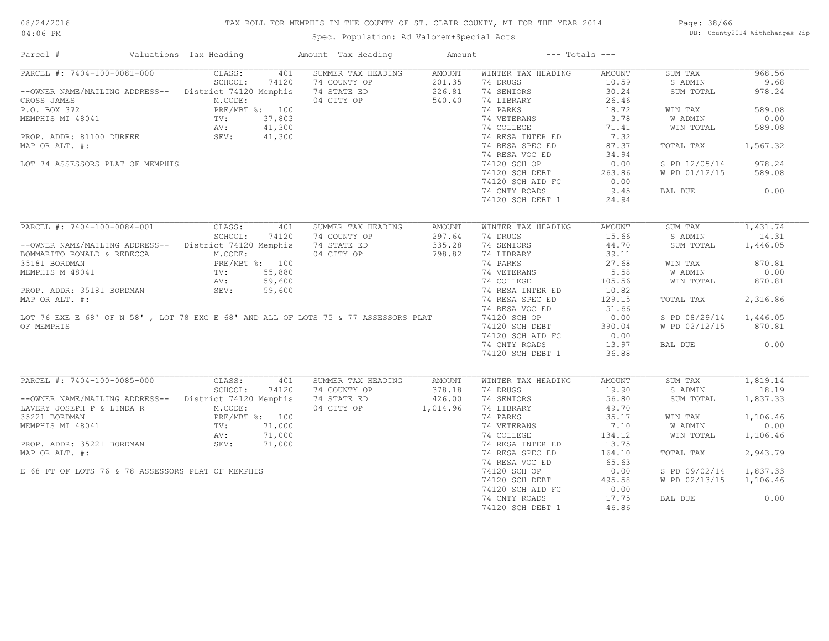#### TAX ROLL FOR MEMPHIS IN THE COUNTY OF ST. CLAIR COUNTY, MI FOR THE YEAR 2014

Page: 38/66 DB: County2014 Withchanges-Zip

| Parcel #                                                                                                                                                              | Valuations Tax Heading                     | Amount Tax Heading                        | Amount        | $---$ Totals $---$             |               |                        |          |
|-----------------------------------------------------------------------------------------------------------------------------------------------------------------------|--------------------------------------------|-------------------------------------------|---------------|--------------------------------|---------------|------------------------|----------|
| PARCEL #: 7404-100-0081-000                                                                                                                                           | CLASS:<br>401                              | SUMMER TAX HEADING                        | AMOUNT        | WINTER TAX HEADING             | AMOUNT        | SUM TAX                | 968.56   |
|                                                                                                                                                                       | SCHOOL:<br>74120                           | 74 COUNTY OP                              | 201.35        | 74 DRUGS                       | 10.59         | S ADMIN                | 9.68     |
| --OWNER NAME/MAILING ADDRESS-- District 74120 Memphis 74 STATE ED                                                                                                     |                                            |                                           | 226.81        | 74 SENIORS                     | 30.24         | SUM TOTAL              | 978.24   |
| CROSS JAMES                                                                                                                                                           | M.CODE:                                    | 04 CITY OP                                | 540.40        | 74 LIBRARY                     | 26.46         |                        |          |
| P.O. BOX 372<br>MEMPHIS MI 48041<br>MEMPHIS MI 48041<br>PROP. ADDR: 81100 DURFEE<br>SEV: 41,300<br>SEV: 41,300                                                        |                                            |                                           |               | 74 PARKS                       | 18.72         | WIN TAX                | 589.08   |
|                                                                                                                                                                       |                                            |                                           |               | 74 VETERANS                    | 3.78          | W ADMIN                | 0.00     |
|                                                                                                                                                                       |                                            |                                           |               | 74 COLLEGE<br>74 RESA INTER ED | 71.41         | WIN TOTAL              | 589.08   |
|                                                                                                                                                                       |                                            |                                           |               |                                | 7.32          |                        |          |
| MAP OR ALT. #:                                                                                                                                                        |                                            |                                           |               | 74 RESA SPEC ED                | 87.37         | TOTAL TAX              | 1,567.32 |
|                                                                                                                                                                       |                                            |                                           |               | 74 RESA VOC ED                 | 34.94         |                        |          |
| LOT 74 ASSESSORS PLAT OF MEMPHIS                                                                                                                                      |                                            |                                           |               | 74120 SCH OP                   | 0.00          | S PD 12/05/14          | 978.24   |
|                                                                                                                                                                       |                                            |                                           |               |                                |               |                        |          |
|                                                                                                                                                                       |                                            |                                           |               | 74120 SCH DEBT                 | 263.86        | W PD 01/12/15          | 589.08   |
|                                                                                                                                                                       |                                            |                                           |               | 74120 SCH AID FC               | 0.00          |                        |          |
|                                                                                                                                                                       |                                            |                                           |               | 74 CNTY ROADS                  | 9.45          | BAL DUE                | 0.00     |
|                                                                                                                                                                       |                                            |                                           |               | 74120 SCH DEBT 1               | 24.94         |                        |          |
|                                                                                                                                                                       |                                            |                                           |               |                                |               |                        |          |
| PARCEL #: 7404-100-0084-001                                                                                                                                           | CLASS:<br>401                              | SUMMER TAX HEADING                        | <b>AMOUNT</b> | WINTER TAX HEADING             | <b>AMOUNT</b> | SUM TAX                | 1,431.74 |
|                                                                                                                                                                       | SCHOOL:<br>74120                           | 74 COUNTY OP                              | 297.64        | 74 DRUGS                       | 15.66         | S ADMIN                | 14.31    |
| --OWNER NAME/MAILING ADDRESS-- District 74120 Memphis                                                                                                                 |                                            | 74 STATE ED                               | 335.28        | 74 SENIORS                     | 44.70         | SUM TOTAL              | 1,446.05 |
| BOMMARITO RONALD & REBECCA                                                                                                                                            | M.CODE:                                    | 04 CITY OP                                | 798.82        | 74 LIBRARY                     | 39.11         |                        |          |
| 35181 BORDMAN                                                                                                                                                         | PRE/MBT %: 100<br>TV: 55,880<br>AV: 59,600 |                                           |               | 74 PARKS                       | 27.68         | WIN TAX                | 870.81   |
| 35181 BORDMAN<br>MEMPHIS M 48041<br>PROP. ADDR: 35181 BORDMAN<br>MAP OR ALT. #:<br>LOT 76 EXE E 68' OF N 58', LOT 78 EXC E 68' AND ALL OF LOTS 75 & 77 ASSESSORS PLAT |                                            |                                           |               | 74 VETERANS                    | 5.58          | W ADMIN                | 0.00     |
|                                                                                                                                                                       |                                            |                                           |               | 74 COLLEGE<br>74 RESA INTER ED | 105.56        | WIN TOTAL              | 870.81   |
|                                                                                                                                                                       |                                            |                                           |               |                                | 10.82         |                        |          |
|                                                                                                                                                                       |                                            |                                           |               | 74 RESA SPEC ED                | 129.15        | TOTAL TAX              | 2,316.86 |
|                                                                                                                                                                       |                                            |                                           |               |                                |               |                        |          |
|                                                                                                                                                                       |                                            |                                           |               | 74 RESA VOC ED                 | 51.66         |                        |          |
|                                                                                                                                                                       |                                            |                                           |               | 74120 SCH OP                   | 0.00          | S PD 08/29/14 1,446.05 |          |
| OF MEMPHIS                                                                                                                                                            |                                            |                                           |               | 74120 SCH DEBT                 | 390.04        | W PD 02/12/15          | 870.81   |
|                                                                                                                                                                       |                                            |                                           |               | 74120 SCH AID FC               | 0.00          |                        |          |
|                                                                                                                                                                       |                                            |                                           |               | 74 CNTY ROADS                  | 13.97         | BAL DUE                | 0.00     |
|                                                                                                                                                                       |                                            |                                           |               | 74120 SCH DEBT 1               | 36.88         |                        |          |
|                                                                                                                                                                       |                                            |                                           |               |                                |               |                        |          |
| PARCEL #: 7404-100-0085-000                                                                                                                                           | CLASS:<br>401                              | SUMMER TAX HEADING                        | AMOUNT        | WINTER TAX HEADING             | AMOUNT        | SUM TAX                | 1,819.14 |
|                                                                                                                                                                       | SCHOOL: 74120                              | 74 COUNTY OP                              | 378.18        | 74 DRUGS                       | 19.90         | S ADMIN                | 18.19    |
| --OWNER NAME/MAILING ADDRESS-- District 74120 Memphis                                                                                                                 |                                            | 74 STATE ED 426.00<br>04 CITY OP 1,014.96 |               | 74 SENIORS                     | 56.80         | SUM TOTAL              | 1,837.33 |
| LAVERY JOSEPH P & LINDA R M.CODE:                                                                                                                                     |                                            |                                           |               | 74 LIBRARY                     | 49.70         |                        |          |
|                                                                                                                                                                       |                                            |                                           |               | 74 PARKS                       | 35.17         | WIN TAX                | 1,106.46 |
|                                                                                                                                                                       |                                            |                                           |               | 74 VETERANS                    | 7.10          | <b>W ADMIN</b>         | 0.00     |
|                                                                                                                                                                       |                                            |                                           |               | 74 COLLEGE                     | 134.12        | WIN TOTAL              | 1,106.46 |
|                                                                                                                                                                       |                                            |                                           |               | 74 RESA INTER ED               | 13.75         |                        |          |
| MAP OR ALT. #:                                                                                                                                                        |                                            | $\frac{00}{100}$                          |               | 74 RESA SPEC ED                | 164.10        | TOTAL TAX              | 2,943.79 |
|                                                                                                                                                                       |                                            |                                           |               | 74 RESA VOC ED                 | 65.63         |                        |          |
|                                                                                                                                                                       |                                            |                                           |               |                                |               |                        |          |
| E 68 FT OF LOTS 76 & 78 ASSESSORS PLAT OF MEMPHIS                                                                                                                     |                                            |                                           |               | 74120 SCH OP                   | 0.00          | S PD 09/02/14          | 1,837.33 |
|                                                                                                                                                                       |                                            |                                           |               | 74120 SCH DEBT                 | 495.58        | W PD 02/13/15          | 1,106.46 |
|                                                                                                                                                                       |                                            |                                           |               | 74120 SCH AID FC               | 0.00          |                        |          |
|                                                                                                                                                                       |                                            |                                           |               | 74 CNTY ROADS                  | 17.75         | BAL DUE                | 0.00     |
|                                                                                                                                                                       |                                            |                                           |               | 74120 SCH DEBT 1               | 46.86         |                        |          |
|                                                                                                                                                                       |                                            |                                           |               |                                |               |                        |          |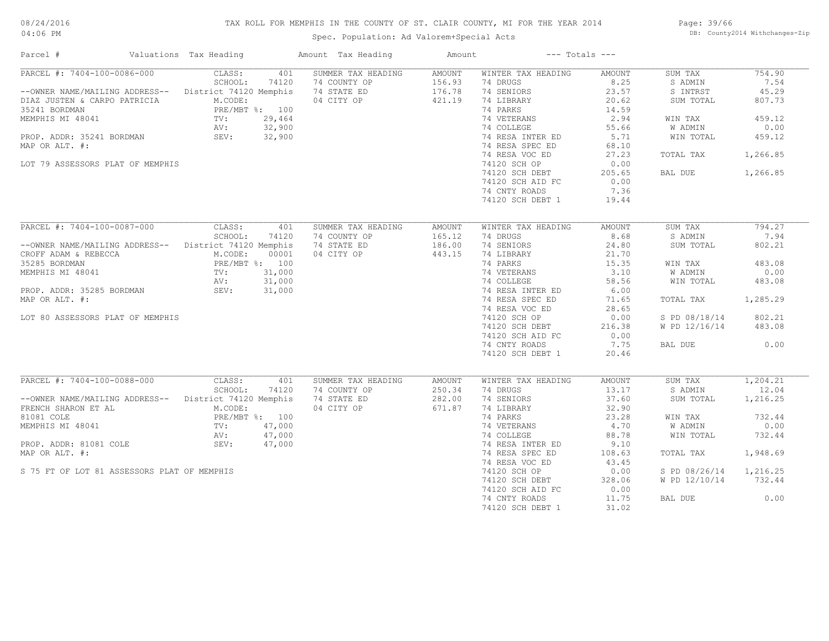# TAX ROLL FOR MEMPHIS IN THE COUNTY OF ST. CLAIR COUNTY, MI FOR THE YEAR 2014

Spec. Population: Ad Valorem+Special Acts

Page: 39/66 DB: County2014 Withchanges-Zip

| Parcel #                                              | Valuations Tax Heading | Amount Tax Heading | Amount | $---$ Totals $---$ |               |               |          |
|-------------------------------------------------------|------------------------|--------------------|--------|--------------------|---------------|---------------|----------|
| PARCEL #: 7404-100-0086-000                           | CLASS:<br>401          | SUMMER TAX HEADING | AMOUNT | WINTER TAX HEADING | <b>AMOUNT</b> | SUM TAX       | 754.90   |
|                                                       | SCHOOL:<br>74120       | 74 COUNTY OP       | 156.93 | 74 DRUGS           | 8.25          | S ADMIN       | 7.54     |
| --OWNER NAME/MAILING ADDRESS-- District 74120 Memphis |                        | 74 STATE ED        | 176.78 | 74 SENIORS         | 23.57         | S INTRST      | 45.29    |
| DIAZ JUSTEN & CARPO PATRICIA                          | M.CODE:                | 04 CITY OP         | 421.19 | 74 LIBRARY         | 20.62         | SUM TOTAL     | 807.73   |
| 35241 BORDMAN                                         | PRE/MBT %: 100         |                    |        | 74 PARKS           | 14.59         |               |          |
| MEMPHIS MI 48041                                      | 29,464<br>TV:          |                    |        | 74 VETERANS        | 2.94          | WIN TAX       | 459.12   |
|                                                       | 32,900<br>AV:          |                    |        | 74 COLLEGE         | 55.66         | W ADMIN       | 0.00     |
| PROP. ADDR: 35241 BORDMAN                             | SEV:<br>32,900         |                    |        | 74 RESA INTER ED   | 5.71          | WIN TOTAL     | 459.12   |
| MAP OR ALT. #:                                        |                        |                    |        | 74 RESA SPEC ED    | 68.10         |               |          |
|                                                       |                        |                    |        | 74 RESA VOC ED     | 27.23         | TOTAL TAX     | 1,266.85 |
| LOT 79 ASSESSORS PLAT OF MEMPHIS                      |                        |                    |        | 74120 SCH OP       | 0.00          |               |          |
|                                                       |                        |                    |        |                    |               |               |          |
|                                                       |                        |                    |        | 74120 SCH DEBT     | 205.65        | BAL DUE       | 1,266.85 |
|                                                       |                        |                    |        | 74120 SCH AID FC   | 0.00          |               |          |
|                                                       |                        |                    |        | 74 CNTY ROADS      | 7.36          |               |          |
|                                                       |                        |                    |        | 74120 SCH DEBT 1   | 19.44         |               |          |
|                                                       |                        |                    |        |                    |               |               |          |
| PARCEL #: 7404-100-0087-000                           | CLASS:<br>401          | SUMMER TAX HEADING | AMOUNT | WINTER TAX HEADING | <b>AMOUNT</b> | SUM TAX       | 794.27   |
|                                                       | SCHOOL:<br>74120       | 74 COUNTY OP       | 165.12 | 74 DRUGS           | 8.68          | S ADMIN       | 7.94     |
| --OWNER NAME/MAILING ADDRESS-- District 74120 Memphis |                        | 74 STATE ED        | 186.00 | 74 SENIORS         | 24.80         | SUM TOTAL     | 802.21   |
| CROFF ADAM & REBECCA                                  | M.CODE:<br>00001       | 04 CITY OP         | 443.15 | 74 LIBRARY         | 21.70         |               |          |
| 35285 BORDMAN                                         | PRE/MBT %: 100         |                    |        | 74 PARKS           | 15.35         | WIN TAX       | 483.08   |
| MEMPHIS MI 48041                                      | TV:<br>31,000          |                    |        | 74 VETERANS        | 3.10          | W ADMIN       | 0.00     |
|                                                       | 31,000<br>AV:          |                    |        | 74 COLLEGE         | 58.56         | WIN TOTAL     | 483.08   |
| PROP. ADDR: 35285 BORDMAN                             | 31,000<br>SEV:         |                    |        | 74 RESA INTER ED   | 6.00          |               |          |
| MAP OR ALT. #:                                        |                        |                    |        | 74 RESA SPEC ED    | 71.65         | TOTAL TAX     | 1,285.29 |
|                                                       |                        |                    |        | 74 RESA VOC ED     | 28.65         |               |          |
| LOT 80 ASSESSORS PLAT OF MEMPHIS                      |                        |                    |        | 74120 SCH OP       | 0.00          | S PD 08/18/14 | 802.21   |
|                                                       |                        |                    |        | 74120 SCH DEBT     | 216.38        | W PD 12/16/14 | 483.08   |
|                                                       |                        |                    |        |                    |               |               |          |
|                                                       |                        |                    |        | 74120 SCH AID FC   | 0.00          |               |          |
|                                                       |                        |                    |        | 74 CNTY ROADS      | 7.75          | BAL DUE       | 0.00     |
|                                                       |                        |                    |        | 74120 SCH DEBT 1   | 20.46         |               |          |
| PARCEL #: 7404-100-0088-000                           | CLASS:<br>401          | SUMMER TAX HEADING | AMOUNT | WINTER TAX HEADING | <b>AMOUNT</b> | SUM TAX       | 1,204.21 |
|                                                       | SCHOOL:<br>74120       | 74 COUNTY OP       | 250.34 | 74 DRUGS           | 13.17         | S ADMIN       | 12.04    |
| --OWNER NAME/MAILING ADDRESS-- District 74120 Memphis |                        | 74 STATE ED        | 282.00 | 74 SENIORS         | 37.60         | SUM TOTAL     |          |
|                                                       |                        |                    |        |                    |               |               | 1,216.25 |
| FRENCH SHARON ET AL                                   | M.CODE:                | 04 CITY OP         | 671.87 | 74 LIBRARY         | 32.90         |               |          |
| 81081 COLE                                            | PRE/MBT %: 100         |                    |        | 74 PARKS           | 23.28         | WIN TAX       | 732.44   |
| MEMPHIS MI 48041                                      | 47,000<br>TV:          |                    |        | 74 VETERANS        | 4.70          | W ADMIN       | 0.00     |
|                                                       | 47,000<br>AV:          |                    |        | 74 COLLEGE         | 88.78         | WIN TOTAL     | 732.44   |
| PROP. ADDR: 81081 COLE                                | SEV:<br>47,000         |                    |        | 74 RESA INTER ED   | 9.10          |               |          |
| MAP OR ALT. #:                                        |                        |                    |        | 74 RESA SPEC ED    | 108.63        | TOTAL TAX     | 1,948.69 |
|                                                       |                        |                    |        | 74 RESA VOC ED     | 43.45         |               |          |
| S 75 FT OF LOT 81 ASSESSORS PLAT OF MEMPHIS           |                        |                    |        | 74120 SCH OP       | 0.00          | S PD 08/26/14 | 1,216.25 |
|                                                       |                        |                    |        | 74120 SCH DEBT     | 328.06        | W PD 12/10/14 | 732.44   |
|                                                       |                        |                    |        | 74120 SCH AID FC   | 0.00          |               |          |
|                                                       |                        |                    |        | 74 CNTY ROADS      | 11.75         | BAL DUE       | 0.00     |
|                                                       |                        |                    |        | 74120 SCH DEBT 1   | 31.02         |               |          |
|                                                       |                        |                    |        |                    |               |               |          |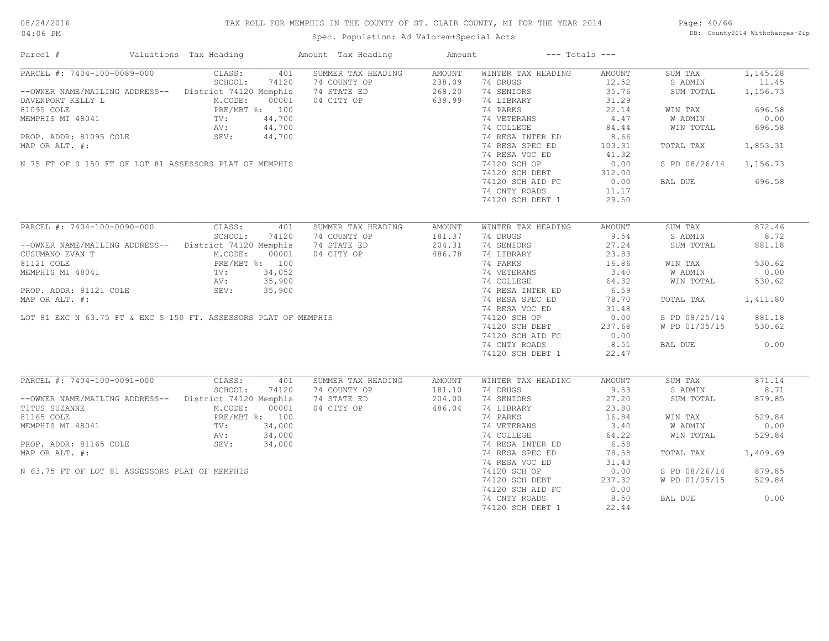# TAX ROLL FOR MEMPHIS IN THE COUNTY OF ST. CLAIR COUNTY, MI FOR THE YEAR 2014

04:06 PM

# Spec. Population: Ad Valorem+Special Acts

Page: 40/66 DB: County2014 Withchanges-Zip

| Parcel #                                                                                                                                                                                                                        | Valuations Tax Heading |       | Amount Tax Heading                                             | Amount | $---$ Totals $---$                                            |        |                        |          |
|---------------------------------------------------------------------------------------------------------------------------------------------------------------------------------------------------------------------------------|------------------------|-------|----------------------------------------------------------------|--------|---------------------------------------------------------------|--------|------------------------|----------|
| PARCEL #: 7404-100-0089-000 CLASS:                                                                                                                                                                                              |                        |       | 401 SUMMER TAX HEADING                                         | AMOUNT | WINTER TAX HEADING                                            | AMOUNT | SUM TAX                | 1,145.28 |
| SCHOOL: 74120 74 COUNTY OP 238.09<br>--OWNER NAME/MAILING ADDRESS-- District 74120 Memphis 74 STATE ED 268.20<br>DAVENPORT KELLY L M.CODE: 00001 04 CITY OP 638.99<br>81095 COLE 638.99                                         |                        |       |                                                                |        | 74 DRUGS                                                      | 12.52  | S ADMIN                | 11.45    |
|                                                                                                                                                                                                                                 |                        |       |                                                                |        | 74 SENIORS                                                    | 35.76  | SUM TOTAL              | 1,156.73 |
| DAVENPORT KELLY L<br>M.CODE: 00001<br>81095 COLE<br>PRE/MBT %: 100<br>MEMPHIS MI 48041<br>TV: 44,700<br>PROP. ADDR: 81095 COLE<br>SEV: 44,700                                                                                   |                        |       |                                                                |        | 74 LIBRARY                                                    | 31.29  |                        |          |
|                                                                                                                                                                                                                                 |                        |       |                                                                |        | 74 PARKS 22.14<br>74 VETERANS 4.47<br>74 COLLEGE 84.44        |        | WIN TAX                | 696.58   |
|                                                                                                                                                                                                                                 |                        |       |                                                                |        |                                                               |        | W ADMIN                | 0.00     |
|                                                                                                                                                                                                                                 |                        |       |                                                                |        |                                                               |        | WIN TOTAL              | 696.58   |
|                                                                                                                                                                                                                                 |                        |       |                                                                |        |                                                               | 8.66   |                        |          |
| MAP OR ALT. #:                                                                                                                                                                                                                  |                        |       |                                                                |        | 74 RESA INTER ED<br>74 RESA SPEC ED                           | 103.31 | TOTAL TAX 1,853.31     |          |
|                                                                                                                                                                                                                                 |                        |       |                                                                |        | 74 RESA VOC ED                                                | 41.32  |                        |          |
| N 75 FT OF S 150 FT OF LOT 81 ASSESSORS PLAT OF MEMPHIS                                                                                                                                                                         |                        |       |                                                                |        |                                                               |        | S PD 08/26/14 1,156.73 |          |
|                                                                                                                                                                                                                                 |                        |       |                                                                |        | 74120 SCH OP                                                  | 0.00   |                        |          |
|                                                                                                                                                                                                                                 |                        |       |                                                                |        | 74120 SCH DEBT<br>74120 SCH AID FC<br>74 SVTV DODDS           | 312.00 |                        |          |
|                                                                                                                                                                                                                                 |                        |       |                                                                |        |                                                               | 0.00   | BAL DUE                | 696.58   |
|                                                                                                                                                                                                                                 |                        |       |                                                                |        | 74 CNTY ROADS                                                 | 11.17  |                        |          |
|                                                                                                                                                                                                                                 |                        |       |                                                                |        | 74120 SCH DEBT 1                                              | 29.50  |                        |          |
|                                                                                                                                                                                                                                 |                        |       |                                                                |        |                                                               |        |                        |          |
| PARCEL #: 7404-100-0090-000                                                                                                                                                                                                     | CLASS:                 | 401   | SUMMER TAX HEADING                                             | AMOUNT | WINTER TAX HEADING                                            | AMOUNT | SUM TAX                | 872.46   |
|                                                                                                                                                                                                                                 | SCHOOL:                | 74120 | 74 COUNTY OP 181.37<br>74 STATE ED 204.31<br>04 CITY OP 486.78 |        | 74 DRUGS                                                      | 9.54   | S ADMIN                | 8.72     |
| --OWNER NAME/MAILING ADDRESS-- District 74120 Memphis                                                                                                                                                                           |                        |       |                                                                |        | 74 SENIORS                                                    | 27.24  | SUM TOTAL              | 881.18   |
| CUSUMANO EVAN T<br>CUSUMANO EVAN T<br>B1121 COLE<br>MEMPHIS MI 48041<br>MEMPHIS MI 48041<br>TV: 34,052<br>AV: 35,900<br>PROP. ADDR: 81121 COLE<br>SEV: 35,900                                                                   |                        |       |                                                                |        | 74 LIBRARY                                                    | 23.83  |                        |          |
| EXERCISE THE MEDIAN TREPASE. 100<br>MEMPHIS MI 48041<br>NEMPHIS MI 48041<br>TV: 34,052<br>AV: 35,900<br>PROP. ADDR: 81121 COLE SEV: 35,900<br>MAP OR ALT. #:<br>LOT 81 EXC N 63.75 FT & EXC S 150 FT. ASSESSORS PLAT OF MEMPHIS |                        |       |                                                                |        |                                                               |        | WIN TAX                | 530.62   |
|                                                                                                                                                                                                                                 |                        |       |                                                                |        |                                                               |        | W ADMIN                | 0.00     |
|                                                                                                                                                                                                                                 |                        |       |                                                                |        |                                                               |        | WIN TOTAL              | 530.62   |
|                                                                                                                                                                                                                                 |                        |       |                                                                |        |                                                               |        |                        |          |
|                                                                                                                                                                                                                                 |                        |       |                                                                |        |                                                               |        |                        |          |
|                                                                                                                                                                                                                                 |                        |       |                                                                |        |                                                               |        | TOTAL TAX              | 1,411.80 |
|                                                                                                                                                                                                                                 |                        |       |                                                                |        |                                                               |        |                        |          |
|                                                                                                                                                                                                                                 |                        |       |                                                                |        | 74120 SCH OP<br>74120 SCH DEBT                                | 0.00   | S PD 08/25/14 881.18   |          |
|                                                                                                                                                                                                                                 |                        |       |                                                                |        |                                                               | 237.68 | W PD 01/05/15          | 530.62   |
|                                                                                                                                                                                                                                 |                        |       |                                                                |        | 74120 SCH AID FC 0.00<br>74 CNTY ROADS 8.51                   |        |                        |          |
|                                                                                                                                                                                                                                 |                        |       |                                                                |        |                                                               |        | BAL DUE                | 0.00     |
|                                                                                                                                                                                                                                 |                        |       |                                                                |        | 74120 SCH DEBT 1 22.47                                        |        |                        |          |
|                                                                                                                                                                                                                                 |                        |       |                                                                |        |                                                               |        |                        |          |
| PARCEL #: 7404-100-0091-000                                                                                                                                                                                                     | CLASS:                 | 401   | SUMMER TAX HEADING                                             | AMOUNT | WINTER TAX HEADING                                            | AMOUNT | SUM TAX                | 871.14   |
|                                                                                                                                                                                                                                 | SCHOOL:                | 74120 | 74 COUNTY OP                                                   | 181.10 | 74 DRUGS                                                      | 9.53   | S ADMIN                | 8.71     |
| --OWNER NAME/MAILING ADDRESS-- District 74120 Memphis                                                                                                                                                                           |                        |       | 74 STATE ED 204.00<br>04 CITY OP 486.04                        |        | 74 SENIORS                                                    | 27.20  | SUM TOTAL              | 879.85   |
| TITUS SUZANNE                                                                                                                                                                                                                   | M.CODE:                | 00001 | 04 CITY OP                                                     |        | 74 LIBRARY                                                    | 23.80  |                        |          |
| 91165 COLE<br>91165 COLE<br>91165 COLE<br>91165 COLE<br>94,000<br>PROP. ADDR: 81165 COLE<br>94,000<br>920: 34,000<br>920: 34,000                                                                                                |                        |       |                                                                |        | 74 PARKS                                                      | 16.84  | WIN TAX                | 529.84   |
|                                                                                                                                                                                                                                 |                        |       |                                                                |        | 74 VETERANS 3.40<br>74 COLLEGE 64.22<br>74 RESA INTER ED 6.58 | 3.40   | W ADMIN                | 0.00     |
|                                                                                                                                                                                                                                 |                        |       |                                                                |        |                                                               |        | WIN TOTAL              | 529.84   |
|                                                                                                                                                                                                                                 |                        |       |                                                                |        |                                                               |        |                        |          |
| MAP OR ALT. #:                                                                                                                                                                                                                  |                        |       |                                                                |        | 74 RESA SPEC ED                                               | 78.58  | TOTAL TAX 1,409.69     |          |
|                                                                                                                                                                                                                                 |                        |       |                                                                |        | 74 RESA VOC ED                                                | 31.43  |                        |          |
| N 63.75 FT OF LOT 81 ASSESSORS PLAT OF MEMPHIS                                                                                                                                                                                  |                        |       |                                                                |        | 74120 SCH OP                                                  | 0.00   | S PD 08/26/14 879.85   |          |
|                                                                                                                                                                                                                                 |                        |       |                                                                |        | $74120$ SCH DEBT                                              | 237.32 | W PD 01/05/15          | 529.84   |
|                                                                                                                                                                                                                                 |                        |       |                                                                |        | 74120 SCH AID FC                                              | 0.00   |                        |          |
|                                                                                                                                                                                                                                 |                        |       |                                                                |        | 74 CNTY ROADS                                                 | 8.50   | BAL DUE                | 0.00     |
|                                                                                                                                                                                                                                 |                        |       |                                                                |        | 74120 SCH DEBT 1                                              | 22.44  |                        |          |
|                                                                                                                                                                                                                                 |                        |       |                                                                |        |                                                               |        |                        |          |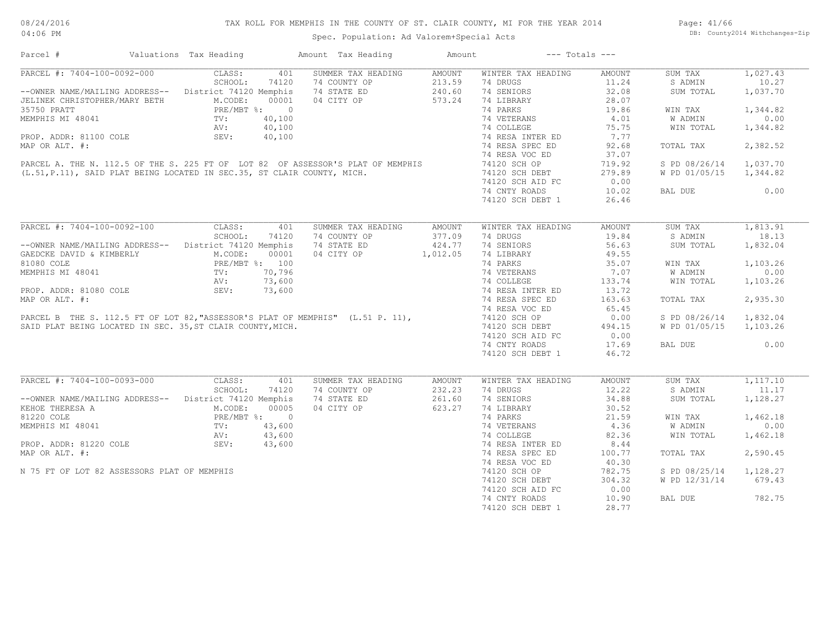| Parcel #                                                   | Valuations Tax Heading                     |        | Amount Tax Heading                                                                                                                                      | Amount        |                    | $---$ Totals $---$ |               |          |
|------------------------------------------------------------|--------------------------------------------|--------|---------------------------------------------------------------------------------------------------------------------------------------------------------|---------------|--------------------|--------------------|---------------|----------|
| PARCEL #: 7404-100-0092-000                                | CLASS:                                     | 401    | SUMMER TAX HEADING                                                                                                                                      | AMOUNT        | WINTER TAX HEADING | <b>AMOUNT</b>      | SUM TAX       | 1,027.43 |
|                                                            | SCHOOL:                                    | 74120  | 74 COUNTY OP                                                                                                                                            | 213.59        | 74 DRUGS           | 11.24              | S ADMIN       | 10.27    |
| -- OWNER NAME/MAILING ADDRESS-- District 74120 Memphis     |                                            |        | 74 STATE ED                                                                                                                                             | 240.60        | 74 SENIORS         | 32.08              | SUM TOTAL     | 1,037.70 |
| JELINEK CHRISTOPHER/MARY BETH                              | M.CODE:                                    | 00001  | 04 CITY OP                                                                                                                                              | 573.24        | 74 LIBRARY         | 28.07              |               |          |
| 35750 PRATT                                                | PRE/MBT %: 0                               |        |                                                                                                                                                         |               | 74 PARKS           | 19.86              | WIN TAX       | 1,344.82 |
| MEMPHIS MI 48041                                           | TV:                                        | 40,100 |                                                                                                                                                         |               | 74 VETERANS        | 4.01               | W ADMIN       | 0.00     |
|                                                            | AV:                                        | 40,100 |                                                                                                                                                         |               | 74 COLLEGE         | 75.75              | WIN TOTAL     | 1,344.82 |
| PROP. ADDR: 81100 COLE                                     | SEV:                                       | 40,100 |                                                                                                                                                         |               | 74 RESA INTER ED   | 7.77               |               |          |
| MAP OR ALT. #:                                             |                                            |        |                                                                                                                                                         |               | 74 RESA SPEC ED    | 92.68              | TOTAL TAX     | 2,382.52 |
|                                                            |                                            |        |                                                                                                                                                         |               | 74 RESA VOC ED     | 37.07              |               |          |
|                                                            |                                            |        | PARCEL A. THE N. 112.5 OF THE S. 225 FT OF LOT 82 OF ASSESSOR'S PLAT OF MEMPHIS (L.51, P.11), SAID PLAT BEING LOCATED IN SEC.35, ST CLAIR COUNTY, MICH. |               | 74120 SCH OP       | 719.92             | S PD 08/26/14 | 1,037.70 |
|                                                            |                                            |        |                                                                                                                                                         |               |                    | 279.89             |               | 1,344.82 |
|                                                            |                                            |        |                                                                                                                                                         |               | 74120 SCH DEBT     |                    | W PD 01/05/15 |          |
|                                                            |                                            |        |                                                                                                                                                         |               | 74120 SCH AID FC   | 0.00               |               |          |
|                                                            |                                            |        |                                                                                                                                                         |               | 74 CNTY ROADS      | 10.02              | BAL DUE       | 0.00     |
|                                                            |                                            |        |                                                                                                                                                         |               | 74120 SCH DEBT 1   | 26.46              |               |          |
|                                                            |                                            |        |                                                                                                                                                         |               |                    |                    |               |          |
| PARCEL #: 7404-100-0092-100                                | CLASS:                                     | 401    | SUMMER TAX HEADING                                                                                                                                      | <b>AMOUNT</b> | WINTER TAX HEADING | <b>AMOUNT</b>      | SUM TAX       | 1,813.91 |
|                                                            | SCHOOL:                                    | 74120  | 74 COUNTY OP                                                                                                                                            | 377.09        | 74 DRUGS           | 19.84              | S ADMIN       | 18.13    |
| --OWNER NAME/MAILING ADDRESS-- District 74120 Memphis      |                                            |        | 74 STATE ED                                                                                                                                             | 424.77        | 74 SENIORS         | 56.63              | SUM TOTAL     | 1,832.04 |
| GAEDCKE DAVID & KIMBERLY                                   | M.CODE:                                    | 00001  | 04 CITY OP                                                                                                                                              | 1,012.05      | 74 LIBRARY         | 49.55              |               |          |
| 81080 COLE                                                 |                                            |        |                                                                                                                                                         |               | 74 PARKS           | 35.07              | WIN TAX       | 1,103.26 |
| MEMPHIS MI 48041                                           | PRE/MBT %: 100<br>TV: 70,796<br>AV: 73,600 |        |                                                                                                                                                         |               | 74 VETERANS        | 7.07               | W ADMIN       | 0.00     |
|                                                            |                                            |        |                                                                                                                                                         |               |                    |                    |               |          |
|                                                            |                                            |        |                                                                                                                                                         |               | 74 COLLEGE         | 133.74             | WIN TOTAL     | 1,103.26 |
| PROP. ADDR: 81080 COLE                                     | SEV:                                       | 73,600 |                                                                                                                                                         |               | 74 RESA INTER ED   | 13.72              |               |          |
| MAP OR ALT. #:                                             |                                            |        |                                                                                                                                                         |               | 74 RESA SPEC ED    | 163.63             | TOTAL TAX     | 2,935.30 |
|                                                            |                                            |        |                                                                                                                                                         |               | 74 RESA VOC ED     | 65.45              |               |          |
|                                                            |                                            |        | PARCEL B THE S. 112.5 FT OF LOT 82, "ASSESSOR'S PLAT OF MEMPHIS" (L.51 P. 11),                                                                          |               | 74120 SCH OP       | 0.00               | S PD 08/26/14 | 1,832.04 |
| SAID PLAT BEING LOCATED IN SEC. 35, ST CLAIR COUNTY, MICH. |                                            |        |                                                                                                                                                         |               | 74120 SCH DEBT     | 494.15             | W PD 01/05/15 | 1,103.26 |
|                                                            |                                            |        |                                                                                                                                                         |               | 74120 SCH AID FC   | 0.00               |               |          |
|                                                            |                                            |        |                                                                                                                                                         |               | 74 CNTY ROADS      | 17.69              | BAL DUE       | 0.00     |
|                                                            |                                            |        |                                                                                                                                                         |               | 74120 SCH DEBT 1   | 46.72              |               |          |
|                                                            |                                            |        |                                                                                                                                                         |               |                    |                    |               |          |
| PARCEL #: 7404-100-0093-000                                | CLASS:                                     | 401    | SUMMER TAX HEADING                                                                                                                                      | AMOUNT        | WINTER TAX HEADING | <b>AMOUNT</b>      | SUM TAX       | 1,117.10 |
|                                                            | SCHOOL:                                    | 74120  | 74 COUNTY OP                                                                                                                                            | 232.23        | 74 DRUGS           | 12.22              | S ADMIN       | 11.17    |
| --OWNER NAME/MAILING ADDRESS--                             | District 74120 Memphis                     |        | 74 STATE ED                                                                                                                                             | 261.60        | 74 SENIORS         | 34.88              | SUM TOTAL     | 1,128.27 |
| KEHOE THERESA A                                            | M.CODE:                                    | 00005  | 04 CITY OP                                                                                                                                              | 623.27        | 74 LIBRARY         | 30.52              |               |          |
| 81220 COLE                                                 |                                            |        |                                                                                                                                                         |               | 74 PARKS           | 21.59              | WIN TAX       | 1,462.18 |
| MEMPHIS MI 48041                                           | PRE/MBT %: 0<br>TV: 43,600<br>NV: 43.600   |        | $43,600$<br>$43,600$<br>$43,600$                                                                                                                        |               | 74 VETERANS        | 4.36               | W ADMIN       | 0.00     |
|                                                            |                                            |        |                                                                                                                                                         |               | 74 COLLEGE         | 82.36              | WIN TOTAL     | 1,462.18 |
| PROP. ADDR: 81220 COLE                                     | AV:<br>SEV:                                |        |                                                                                                                                                         |               | 74 RESA INTER ED   | 8.44               |               |          |
|                                                            |                                            |        |                                                                                                                                                         |               |                    |                    |               |          |
| MAP OR ALT. #:                                             |                                            |        |                                                                                                                                                         |               | 74 RESA SPEC ED    | 100.77             | TOTAL TAX     | 2,590.45 |
|                                                            |                                            |        |                                                                                                                                                         |               | 74 RESA VOC ED     | 40.30              |               |          |
| N 75 FT OF LOT 82 ASSESSORS PLAT OF MEMPHIS                |                                            |        |                                                                                                                                                         |               | 74120 SCH OP       | 782.75             | S PD 08/25/14 | 1,128.27 |
|                                                            |                                            |        |                                                                                                                                                         |               | 74120 SCH DEBT     | 304.32             | W PD 12/31/14 | 679.43   |
|                                                            |                                            |        |                                                                                                                                                         |               | 74120 SCH AID FC   | 0.00               |               |          |
|                                                            |                                            |        |                                                                                                                                                         |               | 74 CNTY ROADS      | 10.90              | BAL DUE       | 782.75   |
|                                                            |                                            |        |                                                                                                                                                         |               | 74120 SCH DEBT 1   | 28.77              |               |          |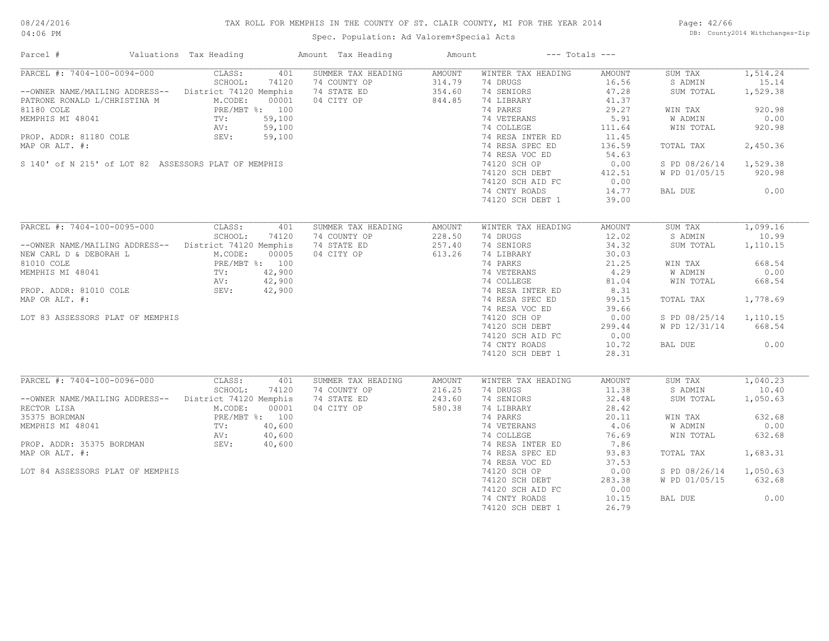# TAX ROLL FOR MEMPHIS IN THE COUNTY OF ST. CLAIR COUNTY, MI FOR THE YEAR 2014

04:06 PM

# Spec. Population: Ad Valorem+Special Acts

Page: 42/66 DB: County2014 Withchanges-Zip

| Parcel #                                               | Valuations Tax Heading |                | Amount Tax Heading | Amount        |                    | $---$ Totals $---$ |               |                    |
|--------------------------------------------------------|------------------------|----------------|--------------------|---------------|--------------------|--------------------|---------------|--------------------|
| PARCEL #: 7404-100-0094-000                            | CLASS:                 | 401            | SUMMER TAX HEADING | AMOUNT        | WINTER TAX HEADING | AMOUNT             | SUM TAX       | 1,514.24           |
|                                                        | SCHOOL:                | 74120          | 74 COUNTY OP       | 314.79        | 74 DRUGS           | 16.56              | S ADMIN       | 15.14              |
| --OWNER NAME/MAILING ADDRESS-- District 74120 Memphis  |                        |                | 74 STATE ED        | 354.60        | 74 SENIORS         | 47.28              | SUM TOTAL     | 1,529.38           |
| PATRONE RONALD L/CHRISTINA M                           | M.CODE:                | 00001          | 04 CITY OP         | 844.85        | 74 LIBRARY         | 41.37              |               |                    |
| 81180 COLE                                             |                        | PRE/MBT %: 100 |                    |               | 74 PARKS           | 29.27              | WIN TAX       | 920.98             |
| MEMPHIS MI 48041                                       | TV:                    | 59,100         |                    |               | 74 VETERANS        | 5.91               | W ADMIN       | 0.00               |
|                                                        | AV:                    | 59,100         |                    |               | 74 COLLEGE         | 111.64             | WIN TOTAL     | 920.98             |
| PROP. ADDR: 81180 COLE                                 | SEV:                   | 59,100         |                    |               | 74 RESA INTER ED   | 11.45              |               |                    |
| MAP OR ALT. #:                                         |                        |                |                    |               | 74 RESA SPEC ED    | 136.59             | TOTAL TAX     | 2,450.36           |
|                                                        |                        |                |                    |               | 74 RESA VOC ED     | 54.63              |               |                    |
| S 140' of N 215' of LOT 82 ASSESSORS PLAT OF MEMPHIS   |                        |                |                    |               | 74120 SCH OP       | 0.00               | S PD 08/26/14 | 1,529.38           |
|                                                        |                        |                |                    |               | 74120 SCH DEBT     | 412.51             | W PD 01/05/15 | 920.98             |
|                                                        |                        |                |                    |               | 74120 SCH AID FC   | 0.00               |               |                    |
|                                                        |                        |                |                    |               | 74 CNTY ROADS      | 14.77              | BAL DUE       | 0.00               |
|                                                        |                        |                |                    |               | 74120 SCH DEBT 1   | 39.00              |               |                    |
|                                                        |                        |                |                    |               |                    |                    |               |                    |
| PARCEL #: 7404-100-0095-000                            | CLASS:                 | 401            | SUMMER TAX HEADING | <b>AMOUNT</b> | WINTER TAX HEADING | AMOUNT             | SUM TAX       | 1,099.16           |
|                                                        | SCHOOL:                | 74120          | 74 COUNTY OP       | 228.50        | 74 DRUGS           | 12.02              | S ADMIN       | 10.99              |
| --OWNER NAME/MAILING ADDRESS-- District 74120 Memphis  |                        |                | 74 STATE ED        | 257.40        | 74 SENIORS         | 34.32              | SUM TOTAL     | 1,110.15           |
| NEW CARL D & DEBORAH L                                 | M.CODE:                | 00005          | 04 CITY OP         | 613.26        | 74 LIBRARY         | 30.03              |               |                    |
| 81010 COLE                                             |                        | PRE/MBT %: 100 |                    |               | 74 PARKS           | 21.25              | WIN TAX       | 668.54             |
| MEMPHIS MI 48041                                       | TV:                    | 42,900         |                    |               | 74 VETERANS        | 4.29               | W ADMIN       | 0.00               |
|                                                        | AV:                    | 42,900         |                    |               | 74 COLLEGE         | 81.04              | WIN TOTAL     | 668.54             |
| PROP. ADDR: 81010 COLE                                 | SEV:                   | 42,900         |                    |               | 74 RESA INTER ED   | 8.31               |               |                    |
| MAP OR ALT. #:                                         |                        |                |                    |               | 74 RESA SPEC ED    | 99.15              | TOTAL TAX     | 1,778.69           |
|                                                        |                        |                |                    |               | 74 RESA VOC ED     | 39.66              |               |                    |
| LOT 83 ASSESSORS PLAT OF MEMPHIS                       |                        |                |                    |               | 74120 SCH OP       | 0.00               | S PD 08/25/14 | 1,110.15           |
|                                                        |                        |                |                    |               | 74120 SCH DEBT     | 299.44             | W PD 12/31/14 | 668.54             |
|                                                        |                        |                |                    |               | 74120 SCH AID FC   | 0.00               |               |                    |
|                                                        |                        |                |                    |               | 74 CNTY ROADS      | 10.72              | BAL DUE       | 0.00               |
|                                                        |                        |                |                    |               | 74120 SCH DEBT 1   | 28.31              |               |                    |
|                                                        |                        |                |                    |               |                    |                    |               |                    |
| $\overline{\text{PARCH}}$ #: 7404-100-0096-000         | CLASS:                 | 401            | SUMMER TAX HEADING | AMOUNT        | WINTER TAX HEADING | AMOUNT             | SUM TAX       | 1,040.23           |
|                                                        | SCHOOL:                | 74120          | 74 COUNTY OP       | 216.25        | 74 DRUGS           | 11.38              | S ADMIN       | 10.40              |
| -- OWNER NAME/MAILING ADDRESS-- District 74120 Memphis |                        |                | 74 STATE ED        | 243.60        | 74 SENIORS         | 32.48              | SUM TOTAL     | 1,050.63           |
| RECTOR LISA                                            | M.CODE:                | 00001          | 04 CITY OP         | 580.38        | 74 LIBRARY         | 28.42              |               |                    |
| 35375 BORDMAN                                          |                        | PRE/MBT %: 100 |                    |               | 74 PARKS           | 20.11              | WIN TAX       | 632.68             |
| MEMPHIS MI 48041                                       | $\texttt{TV}:$         | 40,600         |                    |               | 74 VETERANS        | 4.06               | W ADMIN       | 0.00               |
|                                                        | AV:                    | 40,600         |                    |               | 74 COLLEGE         | 76.69              | WIN TOTAL     | 632.68             |
| PROP. ADDR: 35375 BORDMAN                              | SEV:                   | 40,600         |                    |               | 74 RESA INTER ED   | 7.86               |               |                    |
| MAP OR ALT. #:                                         |                        |                |                    |               | 74 RESA SPEC ED    | 93.83              | TOTAL TAX     | 1,683.31           |
|                                                        |                        |                |                    |               | 74 RESA VOC ED     | 37.53              |               |                    |
|                                                        |                        |                |                    |               | 74120 SCH OP       |                    |               |                    |
| LOT 84 ASSESSORS PLAT OF MEMPHIS                       |                        |                |                    |               |                    | 0.00               | S PD 08/26/14 | 1,050.63<br>632.68 |
|                                                        |                        |                |                    |               | 74120 SCH DEBT     | 283.38             | W PD 01/05/15 |                    |
|                                                        |                        |                |                    |               | 74120 SCH AID FC   | 0.00               |               |                    |
|                                                        |                        |                |                    |               | 74 CNTY ROADS      | 10.15              | BAL DUE       | 0.00               |
|                                                        |                        |                |                    |               | 74120 SCH DEBT 1   | 26.79              |               |                    |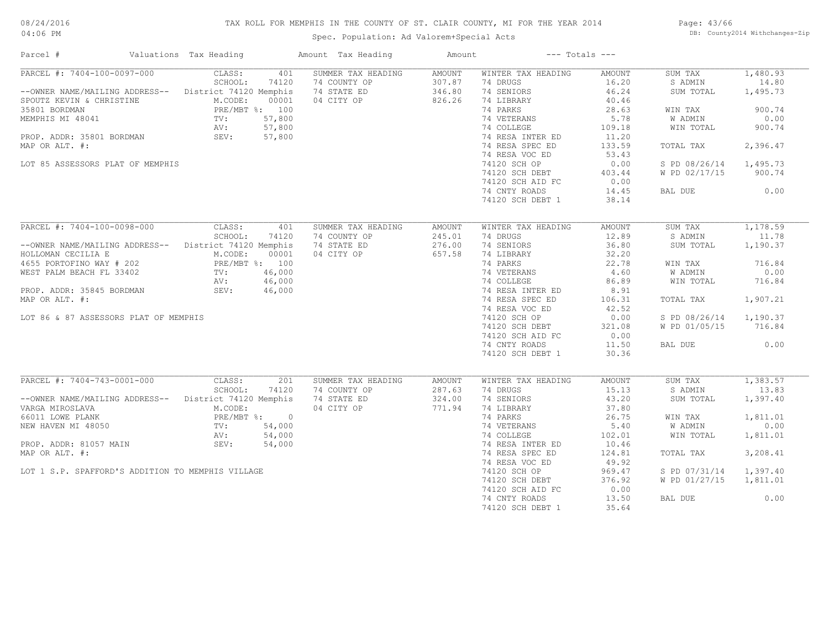# TAX ROLL FOR MEMPHIS IN THE COUNTY OF ST. CLAIR COUNTY, MI FOR THE YEAR 2014

Spec. Population: Ad Valorem+Special Acts

Page: 43/66 DB: County2014 Withchanges-Zip

| Parcel #                                                                                                                       | Valuations Tax Heading                                                                                             | Amount Tax Heading                                              | Amount                               | $---$ Totals $---$                                                                    |                                                    |                                                       |                                                 |
|--------------------------------------------------------------------------------------------------------------------------------|--------------------------------------------------------------------------------------------------------------------|-----------------------------------------------------------------|--------------------------------------|---------------------------------------------------------------------------------------|----------------------------------------------------|-------------------------------------------------------|-------------------------------------------------|
| PARCEL #: 7404-100-0097-000<br>--OWNER NAME/MAILING ADDRESS--<br>SPOUTZ KEVIN & CHRISTINE<br>35801 BORDMAN<br>MEMPHIS MI 48041 | CLASS:<br>401<br>SCHOOL:<br>74120<br>District 74120 Memphis<br>M.CODE:<br>00001<br>PRE/MBT %: 100<br>57,800<br>TV: | SUMMER TAX HEADING<br>74 COUNTY OP<br>74 STATE ED<br>04 CITY OP | AMOUNT<br>307.87<br>346.80<br>826.26 | WINTER TAX HEADING<br>74 DRUGS<br>74 SENIORS<br>74 LIBRARY<br>74 PARKS<br>74 VETERANS | AMOUNT<br>16.20<br>46.24<br>40.46<br>28.63<br>5.78 | SUM TAX<br>S ADMIN<br>SUM TOTAL<br>WIN TAX<br>W ADMIN | 1,480.93<br>14.80<br>1,495.73<br>900.74<br>0.00 |
| PROP. ADDR: 35801 BORDMAN                                                                                                      | 57,800<br>AV:<br>SEV:<br>57,800                                                                                    |                                                                 |                                      | 74 COLLEGE<br>74 RESA INTER ED                                                        | 109.18<br>11.20                                    | WIN TOTAL                                             | 900.74                                          |
| MAP OR ALT. #:<br>LOT 85 ASSESSORS PLAT OF MEMPHIS                                                                             |                                                                                                                    |                                                                 |                                      | 74 RESA SPEC ED<br>74 RESA VOC ED<br>74120 SCH OP                                     | 133.59<br>53.43<br>0.00                            | TOTAL TAX<br>S PD 08/26/14                            | 2,396.47<br>1,495.73                            |
|                                                                                                                                |                                                                                                                    |                                                                 |                                      | 74120 SCH DEBT<br>74120 SCH AID FC                                                    | 403.44<br>0.00                                     | W PD 02/17/15                                         | 900.74                                          |
|                                                                                                                                |                                                                                                                    |                                                                 |                                      | 74 CNTY ROADS<br>74120 SCH DEBT 1                                                     | 14.45<br>38.14                                     | BAL DUE                                               | 0.00                                            |
| PARCEL #: 7404-100-0098-000                                                                                                    | CLASS:<br>401                                                                                                      | SUMMER TAX HEADING                                              | AMOUNT                               | WINTER TAX HEADING                                                                    | <b>AMOUNT</b>                                      | SUM TAX                                               | 1,178.59                                        |
| --OWNER NAME/MAILING ADDRESS--<br>HOLLOMAN CECILIA E                                                                           | SCHOOL:<br>74120<br>District 74120 Memphis<br>M.CODE:<br>00001                                                     | 74 COUNTY OP<br>74 STATE ED<br>04 CITY OP                       | 245.01<br>276.00<br>657.58           | 74 DRUGS<br>74 SENIORS<br>74 LIBRARY                                                  | 12.89<br>36.80<br>32.20                            | S ADMIN<br>SUM TOTAL                                  | 11.78<br>1,190.37                               |
| 4655 PORTOFINO WAY # 202                                                                                                       | PRE/MBT %: 100                                                                                                     |                                                                 |                                      | 74 PARKS                                                                              | 22.78                                              | WIN TAX                                               | 716.84                                          |
| WEST PALM BEACH FL 33402<br>PROP. ADDR: 35845 BORDMAN                                                                          | 46,000<br>TV:<br>46,000<br>AV:<br>SEV:<br>46,000                                                                   |                                                                 |                                      | 74 VETERANS<br>74 COLLEGE<br>74 RESA INTER ED                                         | 4.60<br>86.89<br>8.91                              | W ADMIN<br>WIN TOTAL                                  | 0.00<br>716.84                                  |
| MAP OR ALT. #:                                                                                                                 |                                                                                                                    |                                                                 |                                      | 74 RESA SPEC ED<br>74 RESA VOC ED                                                     | 106.31<br>42.52                                    | TOTAL TAX                                             | 1,907.21                                        |
| LOT 86 & 87 ASSESSORS PLAT OF MEMPHIS                                                                                          |                                                                                                                    |                                                                 |                                      | 74120 SCH OP<br>74120 SCH DEBT<br>74120 SCH AID FC                                    | 0.00<br>321.08<br>0.00                             | S PD 08/26/14<br>W PD 01/05/15                        | 1,190.37<br>716.84                              |
|                                                                                                                                |                                                                                                                    |                                                                 |                                      | 74 CNTY ROADS<br>74120 SCH DEBT 1                                                     | 11.50<br>30.36                                     | BAL DUE                                               | 0.00                                            |
| PARCEL #: 7404-743-0001-000                                                                                                    | CLASS:<br>201                                                                                                      | SUMMER TAX HEADING                                              | AMOUNT                               | WINTER TAX HEADING                                                                    | AMOUNT                                             | SUM TAX                                               | 1,383.57                                        |
| --OWNER NAME/MAILING ADDRESS--<br>VARGA MIROSLAVA                                                                              | SCHOOL:<br>74120<br>District 74120 Memphis<br>M.CODE:                                                              | 74 COUNTY OP<br>74 STATE ED<br>04 CITY OP                       | 287.63<br>324.00<br>771.94           | 74 DRUGS<br>74 SENIORS<br>74 LIBRARY                                                  | 15.13<br>43.20<br>37.80                            | S ADMIN<br>SUM TOTAL                                  | 13.83<br>1,397.40                               |
| 66011 LOWE PLANK                                                                                                               | PRE/MBT %: 0                                                                                                       |                                                                 |                                      | 74 PARKS                                                                              | 26.75                                              | WIN TAX                                               | 1,811.01                                        |
| NEW HAVEN MI 48050                                                                                                             | 54,000<br>TV:<br>AV:<br>54,000                                                                                     |                                                                 |                                      | 74 VETERANS<br>74 COLLEGE                                                             | 5.40<br>102.01                                     | W ADMIN<br>WIN TOTAL                                  | 0.00<br>1,811.01                                |
| PROP. ADDR: 81057 MAIN<br>MAP OR ALT. #:                                                                                       | SEV:<br>54,000                                                                                                     |                                                                 |                                      | 74 RESA INTER ED<br>74 RESA SPEC ED                                                   | 10.46<br>124.81                                    | TOTAL TAX                                             | 3,208.41                                        |
|                                                                                                                                |                                                                                                                    |                                                                 |                                      | 74 RESA VOC ED                                                                        | 49.92                                              |                                                       |                                                 |
| LOT 1 S.P. SPAFFORD'S ADDITION TO MEMPHIS VILLAGE                                                                              |                                                                                                                    |                                                                 |                                      | 74120 SCH OP<br>74120 SCH DEBT<br>74120 SCH AID FC                                    | 969.47<br>376.92<br>0.00                           | S PD 07/31/14<br>W PD 01/27/15                        | 1,397.40<br>1,811.01                            |
|                                                                                                                                |                                                                                                                    |                                                                 |                                      | 74 CNTY ROADS<br>74120 SCH DEBT 1                                                     | 13.50<br>35.64                                     | BAL DUE                                               | 0.00                                            |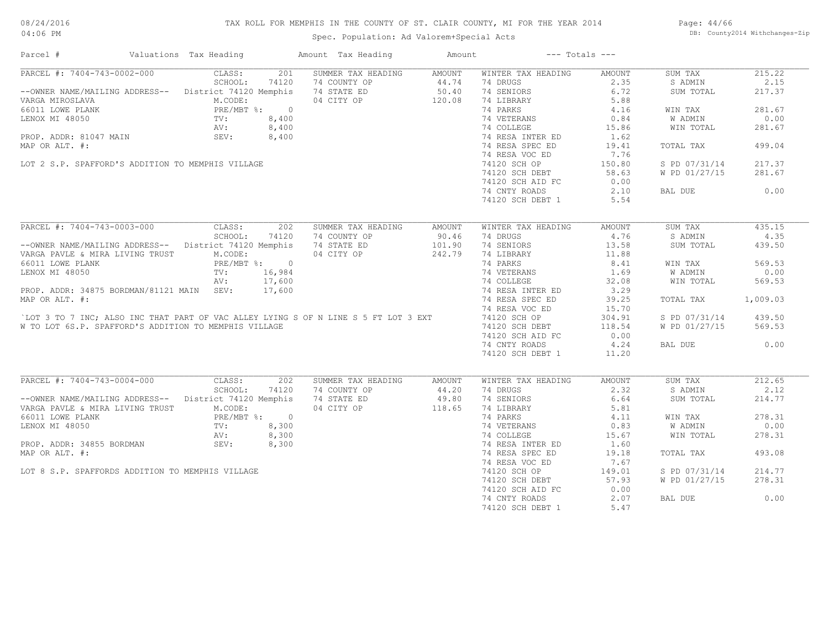# TAX ROLL FOR MEMPHIS IN THE COUNTY OF ST. CLAIR COUNTY, MI FOR THE YEAR 2014

Spec. Population: Ad Valorem+Special Acts

Page: 44/66 DB: County2014 Withchanges-Zip

| Parcel #                                                                                                                  | Valuations Tax Heading | Amount Tax Heading                      | Amount             | $---$ Totals $---$ |               |               |          |
|---------------------------------------------------------------------------------------------------------------------------|------------------------|-----------------------------------------|--------------------|--------------------|---------------|---------------|----------|
| PARCEL #: 7404-743-0002-000                                                                                               | CLASS:<br>201          | SUMMER TAX HEADING                      | AMOUNT             | WINTER TAX HEADING | AMOUNT        | SUM TAX       | 215.22   |
|                                                                                                                           | SCHOOL:<br>74120       | 74 COUNTY OP                            | $44.74$<br>$50.40$ | 74 DRUGS           | 2.35          | S ADMIN       | 2.15     |
| --OWNER NAME/MAILING ADDRESS-- District 74120 Memphis                                                                     |                        | 74 STATE ED                             |                    | 74 SENIORS         | 6.72          | SUM TOTAL     | 217.37   |
| VARGA MIROSLAVA                                                                                                           | M.CODE:                | 04 CITY OP                              | 120.08             | 74 LIBRARY         | 5.88          |               |          |
| VARGO11 LOWER PLANK<br>LENOX MI 48050<br>LENOX MI 48050<br>PROP. ADDR: 81047 MAIN<br>PROP. ADDR: 81047 MAIN<br>SEV: 8,400 |                        |                                         |                    | 74 PARKS           | 4.16          | WIN TAX       | 281.67   |
|                                                                                                                           |                        | $\frac{1}{3}$ , 400<br>3, 400<br>3, 400 |                    | 74 VETERANS        | 0.84          | W ADMIN       | 0.00     |
|                                                                                                                           |                        |                                         |                    | 74 COLLEGE         | 15.86         | WIN TOTAL     | 281.67   |
|                                                                                                                           |                        |                                         |                    | 74 RESA INTER ED   | 1.62          |               |          |
| MAP OR ALT. #:                                                                                                            |                        |                                         |                    | 74 RESA SPEC ED    | 19.41         | TOTAL TAX     | 499.04   |
|                                                                                                                           |                        |                                         |                    | 74 RESA VOC ED     | 7.76          |               |          |
| LOT 2 S.P. SPAFFORD'S ADDITION TO MEMPHIS VILLAGE                                                                         |                        |                                         |                    | 74120 SCH OP       | 150.80        | S PD 07/31/14 | 217.37   |
|                                                                                                                           |                        |                                         |                    | 74120 SCH DEBT     | 58.63         | W PD 01/27/15 | 281.67   |
|                                                                                                                           |                        |                                         |                    | 74120 SCH AID FC   | 0.00          |               |          |
|                                                                                                                           |                        |                                         |                    | 74 CNTY ROADS      | 2.10          | BAL DUE       | 0.00     |
|                                                                                                                           |                        |                                         |                    | 74120 SCH DEBT 1   | 5.54          |               |          |
|                                                                                                                           |                        |                                         |                    |                    |               |               |          |
| PARCEL #: 7404-743-0003-000                                                                                               | CLASS:<br>202          | SUMMER TAX HEADING                      | AMOUNT             | WINTER TAX HEADING | <b>AMOUNT</b> | SUM TAX       | 435.15   |
|                                                                                                                           | SCHOOL:<br>74120       | 74 COUNTY OP                            | 90.46              | 74 DRUGS           | 4.76          | S ADMIN       | 4.35     |
| -- OWNER NAME/MAILING ADDRESS-- District 74120 Memphis                                                                    |                        | 74 STATE ED                             | 101.90             | 74 SENIORS         | 13.58         | SUM TOTAL     | 439.50   |
| VARGA PAVLE & MIRA LIVING TRUST                                                                                           | M.CODE:                | 04 CITY OP                              | 242.79             | 74 LIBRARY         | 11.88         |               |          |
| 66011 LOWE PLANK                                                                                                          | PRE/MBT %: 0           |                                         |                    | 74 PARKS           | 8.41          | WIN TAX       | 569.53   |
| LENOX MI 48050                                                                                                            | TV: 16,984             |                                         |                    | 74 VETERANS        | 1.69          | W ADMIN       | 0.00     |
|                                                                                                                           | 17,600<br>AV:          |                                         |                    | 74 COLLEGE         | 32.08         | WIN TOTAL     | 569.53   |
| PROP. ADDR: 34875 BORDMAN/81121 MAIN SEV:                                                                                 |                        |                                         |                    | 74 RESA INTER ED   | 3.29          |               |          |
|                                                                                                                           | 17,600                 |                                         |                    |                    |               |               |          |
| MAP OR ALT. #:                                                                                                            |                        |                                         |                    | 74 RESA SPEC ED    | 39.25         | TOTAL TAX     | 1,009.03 |
|                                                                                                                           |                        |                                         |                    | 74 RESA VOC ED     | 15.70         |               |          |
| `LOT 3 TO 7 INC; ALSO INC THAT PART OF VAC ALLEY LYING S OF N LINE S 5 FT LOT 3 EXT                                       |                        |                                         |                    | 74120 SCH OP       | 304.91        | S PD 07/31/14 | 439.50   |
| W TO LOT 6S.P. SPAFFORD'S ADDITION TO MEMPHIS VILLAGE                                                                     |                        |                                         |                    | 74120 SCH DEBT     | 118.54        | W PD 01/27/15 | 569.53   |
|                                                                                                                           |                        |                                         |                    | 74120 SCH AID FC   | 0.00          |               |          |
|                                                                                                                           |                        |                                         |                    | 74 CNTY ROADS      | 4.24          | BAL DUE       | 0.00     |
|                                                                                                                           |                        |                                         |                    | 74120 SCH DEBT 1   | 11.20         |               |          |
| PARCEL #: 7404-743-0004-000                                                                                               | CLASS:<br>202          | SUMMER TAX HEADING                      | AMOUNT             | WINTER TAX HEADING | AMOUNT        | SUM TAX       | 212.65   |
|                                                                                                                           | SCHOOL:<br>74120       | 74 COUNTY OP                            | 44.20              | 74 DRUGS           | 2.32          | S ADMIN       | 2.12     |
| -- OWNER NAME/MAILING ADDRESS-- District 74120 Memphis                                                                    |                        | 74 STATE ED 49.80                       |                    | 74 SENIORS         | 6.64          | SUM TOTAL     | 214.77   |
|                                                                                                                           |                        |                                         |                    |                    | 5.81          |               |          |
| VARGA PAVLE & MIRA LIVING TRUST                                                                                           | M.CODE:                | 04 CITY OP 118.65                       |                    | 74 LIBRARY         |               |               | 278.31   |
|                                                                                                                           |                        |                                         |                    | 74 PARKS           | 4.11          | WIN TAX       |          |
|                                                                                                                           |                        |                                         |                    | 74 VETERANS        | 0.83          | W ADMIN       | 0.00     |
| 66011 LOWE PLANK<br>LENOX MI 48050 TV: 8,300<br>PROP. ADDR: 34855 BORDMAN SEV: 8,300                                      |                        |                                         |                    | 74 COLLEGE         | 15.67         | WIN TOTAL     | 278.31   |
|                                                                                                                           |                        |                                         |                    | 74 RESA INTER ED   | 1.60          |               |          |
| MAP OR ALT. #:                                                                                                            |                        |                                         |                    | 74 RESA SPEC ED    | 19.18         | TOTAL TAX     | 493.08   |
|                                                                                                                           |                        |                                         |                    | 74 RESA VOC ED     | 7.67          |               |          |
| LOT 8 S.P. SPAFFORDS ADDITION TO MEMPHIS VILLAGE                                                                          |                        |                                         |                    | 74120 SCH OP       | 149.01        | S PD 07/31/14 | 214.77   |
|                                                                                                                           |                        |                                         |                    | 74120 SCH DEBT     | 57.93         | W PD 01/27/15 | 278.31   |
|                                                                                                                           |                        |                                         |                    | 74120 SCH AID FC   | 0.00          |               |          |
|                                                                                                                           |                        |                                         |                    | 74 CNTY ROADS      | 2.07          | BAL DUE       | 0.00     |
|                                                                                                                           |                        |                                         |                    | 74120 SCH DEBT 1   | 5.47          |               |          |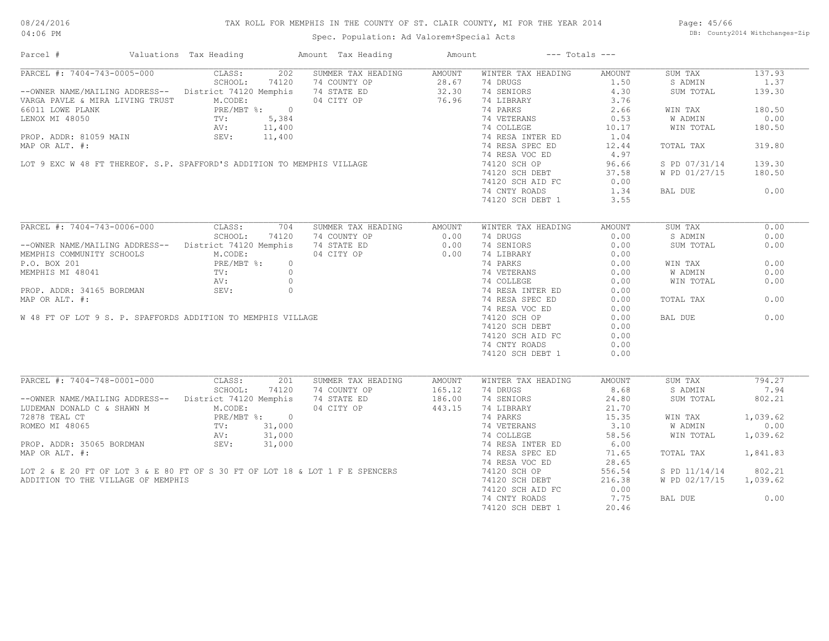# TAX ROLL FOR MEMPHIS IN THE COUNTY OF ST. CLAIR COUNTY, MI FOR THE YEAR 2014

Page: 45/66 DB: County2014 Withchanges-Zip

| Parcel #                                                                                                                                                                                                                               | Valuations Tax Heading |     | Amount Tax Heading     | Amount | $---$ Totals $---$                                                                                                                         |                  |                        |          |
|----------------------------------------------------------------------------------------------------------------------------------------------------------------------------------------------------------------------------------------|------------------------|-----|------------------------|--------|--------------------------------------------------------------------------------------------------------------------------------------------|------------------|------------------------|----------|
| PARCEL #: 7404-743-0005-000 CLASS:<br>SCHOOL:                                                                                                                                                                                          |                        |     | 202 SUMMER TAX HEADING | AMOUNT | WINTER TAX HEADING                                                                                                                         | AMOUNT           | SUM TAX                | 137.93   |
| SCHOOL: 74120 74 COUNTY OP 28.67<br>--OWNER NAME/MAILING ADDRESS-- District 74120 Memphis 74 STATE ED 32.30<br>VARGA PAVLE & MIRA LIVING TRUST M.CODE: 04 CITY OP 76.96                                                                |                        |     |                        |        | 74 DRUGS                                                                                                                                   |                  | S ADMIN                | 1.37     |
|                                                                                                                                                                                                                                        |                        |     |                        |        | 74 SENIORS                                                                                                                                 | $1.50$<br>$4.30$ | SUM TOTAL              | 139.30   |
| VARGA PAVLE & MIRA LIVING TRUST<br>66011 LOWE PLANK PRUST<br>LENOX MI 48050 TV: 5,384<br>PROP. ADDR: 81059 MAIN SEV: 11,400<br>PROP. ADDR: 81059 MAIN SEV: 11,400                                                                      |                        |     |                        |        | 74 LIBRARY 3.76                                                                                                                            |                  |                        |          |
|                                                                                                                                                                                                                                        |                        |     |                        |        | 74 PARKS<br>74 VETERANS<br>74 COLLEGE<br>74 RESA INTER ED<br>74 RESA SPEC ED<br>74 RESA SPEC ED<br>74 RESA SPEC ED<br>12.44                |                  | WIN TAX                | 180.50   |
|                                                                                                                                                                                                                                        |                        |     |                        |        |                                                                                                                                            |                  | W ADMIN                | 0.00     |
|                                                                                                                                                                                                                                        |                        |     |                        |        |                                                                                                                                            |                  | WIN TOTAL              | 180.50   |
|                                                                                                                                                                                                                                        |                        |     |                        |        |                                                                                                                                            |                  |                        |          |
|                                                                                                                                                                                                                                        |                        |     |                        |        |                                                                                                                                            |                  | TOTAL TAX              | 319.80   |
|                                                                                                                                                                                                                                        |                        |     |                        |        |                                                                                                                                            |                  |                        |          |
|                                                                                                                                                                                                                                        |                        |     |                        |        |                                                                                                                                            |                  |                        |          |
|                                                                                                                                                                                                                                        |                        |     |                        |        |                                                                                                                                            |                  | S PD 07/31/14          | 139.30   |
|                                                                                                                                                                                                                                        |                        |     |                        |        |                                                                                                                                            |                  | W PD 01/27/15 180.50   |          |
|                                                                                                                                                                                                                                        |                        |     |                        |        |                                                                                                                                            |                  |                        |          |
|                                                                                                                                                                                                                                        |                        |     |                        |        |                                                                                                                                            |                  | BAL DUE                | 0.00     |
|                                                                                                                                                                                                                                        |                        |     |                        |        | 74120 SCH DEBT 1                                                                                                                           | 3.55             |                        |          |
|                                                                                                                                                                                                                                        |                        |     |                        |        |                                                                                                                                            |                  |                        |          |
| PARCEL #: 7404-743-0006-000                                                                                                                                                                                                            | CLASS:                 | 704 | SUMMER TAX HEADING     | AMOUNT | WINTER TAX HEADING                                                                                                                         | AMOUNT           | SUM TAX                | 0.00     |
| PARCEL #: 7404-743-0006-000 CLASS: 704 SUMMER TAX HEADING AMOUNT<br>--OWNER NAME/MAILING ADDRESS-- District 74120 Memphis 74 STATE ED 0.00<br>MEMPHIS COMMUNITY SCHOOLS M.CODE: 04 CITY OP 0.00<br>MEMPHIS MI 48041 TV: 0<br>PROP. ADD |                        |     |                        |        | 74 DRUGS                                                                                                                                   | 0.00             | S ADMIN                | 0.00     |
|                                                                                                                                                                                                                                        |                        |     |                        |        | 74 SENIORS                                                                                                                                 | 0.00             | SUM TOTAL              | 0.00     |
|                                                                                                                                                                                                                                        |                        |     |                        |        |                                                                                                                                            |                  |                        |          |
|                                                                                                                                                                                                                                        |                        |     |                        |        |                                                                                                                                            |                  | WIN TAX                | 0.00     |
|                                                                                                                                                                                                                                        |                        |     |                        |        |                                                                                                                                            |                  | W ADMIN                | 0.00     |
|                                                                                                                                                                                                                                        |                        |     |                        |        |                                                                                                                                            |                  | WIN TOTAL              | 0.00     |
|                                                                                                                                                                                                                                        |                        |     |                        |        |                                                                                                                                            |                  |                        |          |
|                                                                                                                                                                                                                                        |                        |     |                        |        |                                                                                                                                            |                  |                        |          |
|                                                                                                                                                                                                                                        |                        |     |                        |        |                                                                                                                                            |                  | TOTAL TAX              | 0.00     |
|                                                                                                                                                                                                                                        |                        |     |                        |        |                                                                                                                                            |                  |                        |          |
|                                                                                                                                                                                                                                        |                        |     |                        |        |                                                                                                                                            |                  | BAL DUE                | 0.00     |
|                                                                                                                                                                                                                                        |                        |     |                        |        |                                                                                                                                            |                  |                        |          |
|                                                                                                                                                                                                                                        |                        |     |                        |        | 74120 SCH AID FC                                                                                                                           | 0.00             |                        |          |
|                                                                                                                                                                                                                                        |                        |     |                        |        | 74 CNTY ROADS                                                                                                                              | 0.00             |                        |          |
|                                                                                                                                                                                                                                        |                        |     |                        |        | 74120 SCH DEBT 1                                                                                                                           | 0.00             |                        |          |
|                                                                                                                                                                                                                                        |                        |     |                        |        |                                                                                                                                            |                  |                        |          |
| PARCEL #: 7404-748-0001-000                                                                                                                                                                                                            | CLASS:                 | 201 | SUMMER TAX HEADING     | AMOUNT | WINTER TAX HEADING                                                                                                                         | AMOUNT           | SUM TAX                | 794.27   |
|                                                                                                                                                                                                                                        |                        |     |                        |        | 74 DRUGS<br>8.68                                                                                                                           |                  | S ADMIN                | 7.94     |
|                                                                                                                                                                                                                                        |                        |     |                        |        |                                                                                                                                            |                  | SUM TOTAL              | 802.21   |
| SCHOOL: 74120 74 COUNTY OP 165.12<br>--OWNER NAME/MAILING ADDRESS-- District 74120 Memphis 74 STATE ED 186.00<br>LUDEMAN DONALD C & SHAWN M M.CODE: 04 CITY OP 443.15                                                                  |                        |     |                        |        | 74 SENIORS 3.10<br>74 SENIORS 24.80<br>74 LIBRARY 21.70<br>74 PARKS 15.35<br>74 VETERANS 3.10<br>74 COLLEGE 58.56<br>74 RESA INTER ED 6.00 |                  |                        |          |
| 72878 TEAL CT<br>ROMEO MI 48065<br>ROMEO MI 48065<br>PRE/MBT %: 0<br>NV: 31,000<br>PROP. ADDR: 35065 BORDMAN<br>SEV: 31,000                                                                                                            |                        |     |                        |        |                                                                                                                                            |                  | WIN TAX                | 1,039.62 |
|                                                                                                                                                                                                                                        |                        |     |                        |        |                                                                                                                                            |                  | <b>W ADMIN</b>         | 0.00     |
|                                                                                                                                                                                                                                        |                        |     |                        |        |                                                                                                                                            |                  | WIN TOTAL              | 1,039.62 |
|                                                                                                                                                                                                                                        |                        |     |                        |        |                                                                                                                                            |                  |                        |          |
|                                                                                                                                                                                                                                        |                        |     |                        |        |                                                                                                                                            |                  |                        |          |
| MAP OR ALT. #:                                                                                                                                                                                                                         |                        |     |                        |        | 74 RESA SPEC ED<br>74 RESA VOC ED                                                                                                          | 71.65            | TOTAL TAX 1,841.83     |          |
|                                                                                                                                                                                                                                        |                        |     |                        |        |                                                                                                                                            | 28.65            |                        |          |
| LOT 2 & E 20 FT OF LOT 3 & E 80 FT OF S 30 FT OF LOT 18 & LOT 1 F E SPENCERS                                                                                                                                                           |                        |     |                        |        | 74120 SCH OP 556.54<br>74120 SCH OP 556.54<br>74120 SCH AID FC 0.00                                                                        |                  | S PD 11/14/14          | 802.21   |
| ADDITION TO THE VILLAGE OF MEMPHIS                                                                                                                                                                                                     |                        |     |                        |        |                                                                                                                                            |                  | W PD 02/17/15 1,039.62 |          |
|                                                                                                                                                                                                                                        |                        |     |                        |        |                                                                                                                                            |                  |                        |          |
|                                                                                                                                                                                                                                        |                        |     |                        |        | 74 CNTY ROADS 7.75                                                                                                                         |                  | BAL DUE                | 0.00     |
|                                                                                                                                                                                                                                        |                        |     |                        |        | 74120 SCH DEBT 1                                                                                                                           | 20.46            |                        |          |
|                                                                                                                                                                                                                                        |                        |     |                        |        |                                                                                                                                            |                  |                        |          |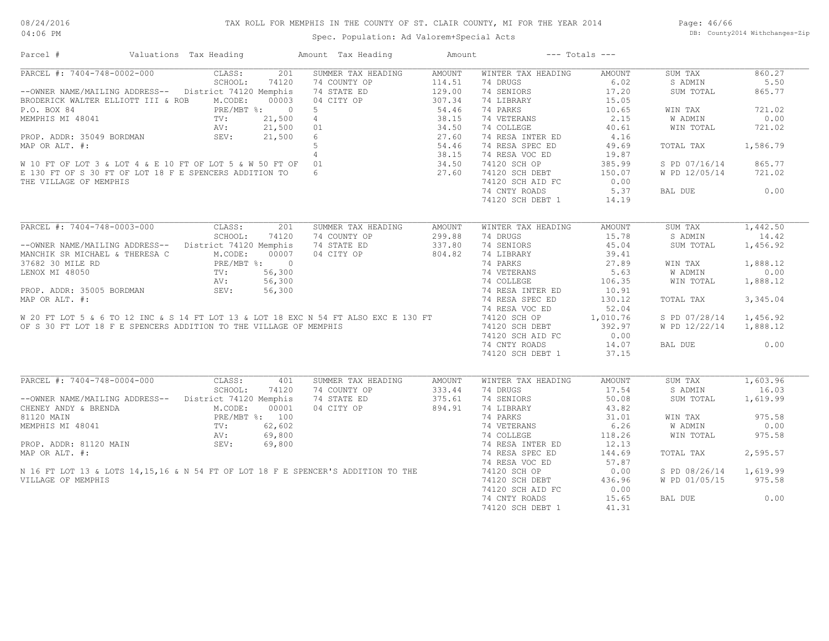# TAX ROLL FOR MEMPHIS IN THE COUNTY OF ST. CLAIR COUNTY, MI FOR THE YEAR 2014

Page: 46/66 DB: County2014 Withchanges-Zip

| Parcel #                                                                                                                                                                                                         | Valuations Tax Heading                                                                                                          | Amount Tax Heading        | Amount        |                    | $---$ Totals $---$ |                |          |
|------------------------------------------------------------------------------------------------------------------------------------------------------------------------------------------------------------------|---------------------------------------------------------------------------------------------------------------------------------|---------------------------|---------------|--------------------|--------------------|----------------|----------|
| PARCEL #: 7404-748-0002-000                                                                                                                                                                                      | CLASS:                                                                                                                          | SUMMER TAX HEADING<br>201 | <b>AMOUNT</b> | WINTER TAX HEADING | <b>AMOUNT</b>      | SUM TAX        | 860.27   |
|                                                                                                                                                                                                                  | SCHOOL:                                                                                                                         | 74120<br>74 COUNTY OP     | 114.51        | 74 DRUGS           | 6.02               | S ADMIN        | 5.50     |
| --OWNER NAME/MAILING ADDRESS-- District 74120 Memphis                                                                                                                                                            |                                                                                                                                 | 74 STATE ED               | 129.00        | 74 SENIORS         | 17.20              | SUM TOTAL      | 865.77   |
| BRODERICK WALTER ELLIOTT III & ROB                                                                                                                                                                               | M.CODE:                                                                                                                         | 00003<br>04 CITY OP       | 307.34        | 74 LIBRARY         | 15.05              |                |          |
| P.O. BOX 84                                                                                                                                                                                                      | PRE/MBT %: 0                                                                                                                    | -5                        | 54.46         | 74 PARKS           | 10.65              | WIN TAX        | 721.02   |
| MEMPHIS MI 48041                                                                                                                                                                                                 | TV:                                                                                                                             | 21,500<br>$4\overline{ }$ | 38.15         | 74 VETERANS        | 2.15               | W ADMIN        | 0.00     |
|                                                                                                                                                                                                                  |                                                                                                                                 |                           |               | 74 COLLEGE         | 40.61              | WIN TOTAL      | 721.02   |
|                                                                                                                                                                                                                  |                                                                                                                                 |                           |               | 74 RESA INTER ED   | 4.16               |                |          |
|                                                                                                                                                                                                                  |                                                                                                                                 |                           |               | 74 RESA SPEC ED    | 49.69              | TOTAL TAX      | 1,586.79 |
| PROP. ADDR: 35049 BORDMAN<br>MAP OR ALT. #:<br>MAP OR ALT. #:<br>W 10 FT OF LOT 3 & LOT 4 & E 10 FT OF LOT 5 & W 50 FT OF 01<br>E 130 FT OF S 30 FT OF LOT 18 F E SPENCERS ADDITION TO<br>THE VILLAGE OF MEMPHIS |                                                                                                                                 |                           |               | 74 RESA VOC ED     | 19.87              |                |          |
|                                                                                                                                                                                                                  |                                                                                                                                 |                           |               | 74120 SCH OP       | 385.99             | S PD 07/16/14  | 865.77   |
|                                                                                                                                                                                                                  |                                                                                                                                 |                           |               | 74120 SCH DEBT     | 150.07             | W PD 12/05/14  | 721.02   |
| THE VILLAGE OF MEMPHIS                                                                                                                                                                                           |                                                                                                                                 |                           |               | 74120 SCH AID FC   | 0.00               |                |          |
|                                                                                                                                                                                                                  |                                                                                                                                 |                           |               | 74 CNTY ROADS      | 5.37               | BAL DUE        | 0.00     |
|                                                                                                                                                                                                                  |                                                                                                                                 |                           |               | 74120 SCH DEBT 1   | 14.19              |                |          |
|                                                                                                                                                                                                                  |                                                                                                                                 |                           |               |                    |                    |                |          |
| PARCEL #: 7404-748-0003-000                                                                                                                                                                                      | CLASS:                                                                                                                          | 201<br>SUMMER TAX HEADING | AMOUNT        | WINTER TAX HEADING | AMOUNT             | SUM TAX        | 1,442.50 |
|                                                                                                                                                                                                                  | SCHOOL:                                                                                                                         | 74120<br>74 COUNTY OP     | 299.88        | 74 DRUGS           | 15.78              | S ADMIN        | 14.42    |
| --OWNER NAME/MAILING ADDRESS-- District 74120 Memphis                                                                                                                                                            |                                                                                                                                 | 74 STATE ED               | 337.80        | 74 SENIORS         | 45.04              | SUM TOTAL      | 1,456.92 |
| MANCHIK SR MICHAEL & THERESA C                                                                                                                                                                                   | M.CODE:                                                                                                                         | 00007<br>04 CITY OP       | 804.82        | 74 LIBRARY         | 39.41              |                |          |
|                                                                                                                                                                                                                  |                                                                                                                                 |                           |               | 74 PARKS           | 27.89              | WIN TAX        | 1,888.12 |
|                                                                                                                                                                                                                  |                                                                                                                                 |                           |               | 74 VETERANS        | 5.63               | W ADMIN        | 0.00     |
|                                                                                                                                                                                                                  |                                                                                                                                 |                           |               | 74 COLLEGE         | 106.35             | WIN TOTAL      | 1,888.12 |
|                                                                                                                                                                                                                  |                                                                                                                                 |                           |               | 74 RESA INTER ED   | 10.91              |                |          |
|                                                                                                                                                                                                                  |                                                                                                                                 |                           |               | 74 RESA SPEC ED    | 130.12             | TOTAL TAX      | 3,345.04 |
|                                                                                                                                                                                                                  |                                                                                                                                 |                           |               | 74 RESA VOC ED     | 52.04              |                |          |
|                                                                                                                                                                                                                  |                                                                                                                                 |                           |               | 74120 SCH OP       | 1,010.76           | S PD 07/28/14  | 1,456.92 |
|                                                                                                                                                                                                                  |                                                                                                                                 |                           |               | 74120 SCH DEBT     | 392.97             | W PD 12/22/14  | 1,888.12 |
|                                                                                                                                                                                                                  |                                                                                                                                 |                           |               | 74120 SCH AID FC   | 0.00               |                |          |
|                                                                                                                                                                                                                  |                                                                                                                                 |                           |               | 74 CNTY ROADS      | 14.07              | BAL DUE        | 0.00     |
|                                                                                                                                                                                                                  |                                                                                                                                 |                           |               | 74120 SCH DEBT 1   | 37.15              |                |          |
|                                                                                                                                                                                                                  |                                                                                                                                 |                           |               |                    |                    |                |          |
| PARCEL #: 7404-748-0004-000                                                                                                                                                                                      | CLASS:                                                                                                                          | SUMMER TAX HEADING<br>401 | AMOUNT        | WINTER TAX HEADING | <b>AMOUNT</b>      | SUM TAX        | 1,603.96 |
|                                                                                                                                                                                                                  | SCHOOL:                                                                                                                         | 74 COUNTY OP<br>74120     | 333.44        | 74 DRUGS           | 17.54              | S ADMIN        | 16.03    |
| --OWNER NAME/MAILING ADDRESS--                                                                                                                                                                                   | District 74120 Memphis                                                                                                          | 74 STATE ED               | 375.61        | 74 SENIORS         | 50.08              | SUM TOTAL      | 1,619.99 |
| CHENEY ANDY & BRENDA                                                                                                                                                                                             | M.CODE:                                                                                                                         | 04 CITY OP<br>00001       | 894.91        | 74 LIBRARY         | 43.82              |                |          |
| 81120 MAIN                                                                                                                                                                                                       | PRE/MBT %: 100                                                                                                                  |                           |               | 74 PARKS           | 31.01              | WIN TAX        | 975.58   |
|                                                                                                                                                                                                                  | $\begin{tabular}{ll} $V\boxtimes$ & \bf{PRE/MB:} \\ & $TV$ : \\ & $TV$ : \\ & $AV$ : \\ & $SV$ : \\ & $SEV$ : \\ \end{tabular}$ |                           |               | 74 VETERANS        | 6.26               | <b>W ADMIN</b> | 0.00     |
|                                                                                                                                                                                                                  |                                                                                                                                 |                           |               | 74 COLLEGE         | 118.26             | WIN TOTAL      | 975.58   |
|                                                                                                                                                                                                                  |                                                                                                                                 |                           |               | 74 RESA INTER ED   | 12.13              |                |          |
| 81120 MAIN<br>MEMPHIS MI 48041<br>PRE/MBT %: 100<br>PROP. ADDR: 81120 MAIN<br>MAP OR ALT. #:<br>N 16 FT LOT 13 & LOTS 14,15,16 & N 54 FT OF LOT 18 F E SPENCER'S ADDITION TO THE<br>VILLAGE OF MEMPHIS           |                                                                                                                                 |                           |               | 74 RESA SPEC ED    | 144.69             | TOTAL TAX      | 2,595.57 |
|                                                                                                                                                                                                                  |                                                                                                                                 |                           |               |                    |                    |                |          |
|                                                                                                                                                                                                                  |                                                                                                                                 |                           |               | 74 RESA VOC ED     | 57.87              |                |          |
|                                                                                                                                                                                                                  |                                                                                                                                 |                           |               | 74120 SCH OP       | 0.00               | S PD 08/26/14  | 1,619.99 |
| VILLAGE OF MEMPHIS                                                                                                                                                                                               |                                                                                                                                 |                           |               | 74120 SCH DEBT     | 436.96             | W PD 01/05/15  | 975.58   |
|                                                                                                                                                                                                                  |                                                                                                                                 |                           |               | 74120 SCH AID FC   | 0.00               |                |          |
|                                                                                                                                                                                                                  |                                                                                                                                 |                           |               | 74 CNTY ROADS      | 15.65              | BAL DUE        | 0.00     |
|                                                                                                                                                                                                                  |                                                                                                                                 |                           |               | 74120 SCH DEBT 1   | 41.31              |                |          |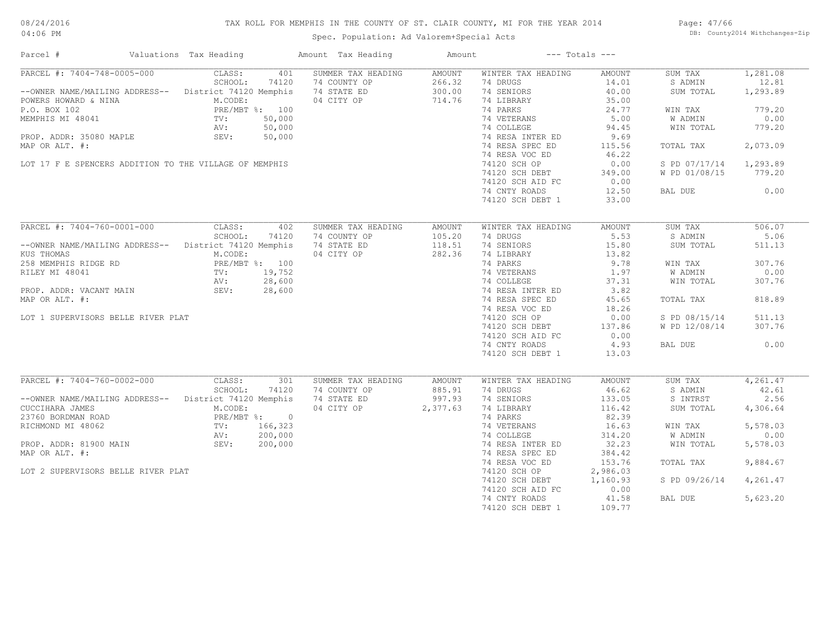# TAX ROLL FOR MEMPHIS IN THE COUNTY OF ST. CLAIR COUNTY, MI FOR THE YEAR 2014

04:06 PM

# Spec. Population: Ad Valorem+Special Acts

Page: 47/66 DB: County2014 Withchanges-Zip

| PARCEL #: 7404-748-0005-000<br>SUMMER TAX HEADING<br>CLASS:<br>401<br>AMOUNT<br>WINTER TAX HEADING<br>AMOUNT<br>SUM TAX<br>SCHOOL:<br>74 COUNTY OP<br>266.32<br>74 DRUGS<br>74120<br>14.01<br>S ADMIN<br>--OWNER NAME/MAILING ADDRESS-- District 74120 Memphis<br>74 STATE ED<br>300.00<br>74 SENIORS<br>40.00<br>SUM TOTAL<br>04 CITY OP<br>714.76<br>74 LIBRARY<br>POWERS HOWARD & NINA<br>M.CODE:<br>35.00<br>74 PARKS<br>P.O. BOX 102<br>PRE/MBT %: 100<br>24.77<br>WIN TAX<br>FRE/M<br>TV:<br>AV:<br>SEV:<br>50,000<br>74 VETERANS<br>5.00<br>W ADMIN<br>MEMPHIS MI 48041<br>50,000<br>74 COLLEGE<br>94.45<br>WIN TOTAL<br>PROP. ADDR: 35080 MAPLE<br>50,000<br>74 RESA INTER ED<br>9.69<br>74 RESA SPEC ED<br>MAP OR ALT. #:<br>115.56<br>TOTAL TAX<br>74 RESA VOC ED<br>46.22<br>LOT 17 F E SPENCERS ADDITION TO THE VILLAGE OF MEMPHIS<br>74120 SCH OP<br>0.00<br>S PD 07/17/14<br>74120 SCH DEBT<br>349.00<br>W PD 01/08/15<br>74120 SCH AID FC<br>0.00<br>74 CNTY ROADS<br>12.50<br>BAL DUE<br>74120 SCH DEBT 1<br>33.00<br>PARCEL #: 7404-760-0001-000<br>CLASS:<br>SUM TAX<br>402<br>SUMMER TAX HEADING<br>AMOUNT<br>WINTER TAX HEADING<br>AMOUNT<br>SCHOOL:<br>105.20<br>5.53<br>74120<br>74 COUNTY OP<br>74 DRUGS<br>S ADMIN<br>118.51<br>74 SENIORS<br>District 74120 Memphis<br>74 STATE ED<br>15.80<br>SUM TOTAL<br>--OWNER NAME/MAILING ADDRESS--<br>04 CITY OP<br>282.36<br>74 LIBRARY<br>13.82<br>KUS THOMAS<br>M.CODE:<br>PRE/MBT %: 100<br>9.78<br>258 MEMPHIS RIDGE RD<br>74 PARKS<br>WIN TAX<br>RILEY MI 48041<br>TV: 19,752<br>74 VETERANS<br>1.97<br>W ADMIN<br>28,600<br>74 COLLEGE<br>AV:<br>37.31<br>WIN TOTAL<br>SEV: 28,600<br>74 RESA INTER ED<br>3.82<br>PROP. ADDR: VACANT MAIN<br>MAP OR ALT. #:<br>74 RESA SPEC ED<br>45.65<br>TOTAL TAX<br>74 RESA VOC ED<br>18.26<br>LOT 1 SUPERVISORS BELLE RIVER PLAT<br>74120 SCH OP<br>0.00<br>S PD 08/15/14<br>74120 SCH DEBT<br>137.86<br>W PD 12/08/14<br>74120 SCH AID FC<br>0.00<br>4.93<br>74 CNTY ROADS<br>BAL DUE<br>74120 SCH DEBT 1<br>13.03 | 1,281.08<br>12.81<br>1,293.89<br>779.20<br>0.00<br>779.20<br>2,073.09<br>1,293.89<br>779.20<br>0.00<br>506.07<br>5.06<br>511.13<br>307.76<br>0.00<br>307.76<br>818.89 |
|----------------------------------------------------------------------------------------------------------------------------------------------------------------------------------------------------------------------------------------------------------------------------------------------------------------------------------------------------------------------------------------------------------------------------------------------------------------------------------------------------------------------------------------------------------------------------------------------------------------------------------------------------------------------------------------------------------------------------------------------------------------------------------------------------------------------------------------------------------------------------------------------------------------------------------------------------------------------------------------------------------------------------------------------------------------------------------------------------------------------------------------------------------------------------------------------------------------------------------------------------------------------------------------------------------------------------------------------------------------------------------------------------------------------------------------------------------------------------------------------------------------------------------------------------------------------------------------------------------------------------------------------------------------------------------------------------------------------------------------------------------------------------------------------------------------------------------------------------------------------------------------------------------------------------------------------------------------------------------------------------------------------------------|-----------------------------------------------------------------------------------------------------------------------------------------------------------------------|
|                                                                                                                                                                                                                                                                                                                                                                                                                                                                                                                                                                                                                                                                                                                                                                                                                                                                                                                                                                                                                                                                                                                                                                                                                                                                                                                                                                                                                                                                                                                                                                                                                                                                                                                                                                                                                                                                                                                                                                                                                                  |                                                                                                                                                                       |
|                                                                                                                                                                                                                                                                                                                                                                                                                                                                                                                                                                                                                                                                                                                                                                                                                                                                                                                                                                                                                                                                                                                                                                                                                                                                                                                                                                                                                                                                                                                                                                                                                                                                                                                                                                                                                                                                                                                                                                                                                                  |                                                                                                                                                                       |
|                                                                                                                                                                                                                                                                                                                                                                                                                                                                                                                                                                                                                                                                                                                                                                                                                                                                                                                                                                                                                                                                                                                                                                                                                                                                                                                                                                                                                                                                                                                                                                                                                                                                                                                                                                                                                                                                                                                                                                                                                                  |                                                                                                                                                                       |
|                                                                                                                                                                                                                                                                                                                                                                                                                                                                                                                                                                                                                                                                                                                                                                                                                                                                                                                                                                                                                                                                                                                                                                                                                                                                                                                                                                                                                                                                                                                                                                                                                                                                                                                                                                                                                                                                                                                                                                                                                                  |                                                                                                                                                                       |
|                                                                                                                                                                                                                                                                                                                                                                                                                                                                                                                                                                                                                                                                                                                                                                                                                                                                                                                                                                                                                                                                                                                                                                                                                                                                                                                                                                                                                                                                                                                                                                                                                                                                                                                                                                                                                                                                                                                                                                                                                                  |                                                                                                                                                                       |
|                                                                                                                                                                                                                                                                                                                                                                                                                                                                                                                                                                                                                                                                                                                                                                                                                                                                                                                                                                                                                                                                                                                                                                                                                                                                                                                                                                                                                                                                                                                                                                                                                                                                                                                                                                                                                                                                                                                                                                                                                                  |                                                                                                                                                                       |
|                                                                                                                                                                                                                                                                                                                                                                                                                                                                                                                                                                                                                                                                                                                                                                                                                                                                                                                                                                                                                                                                                                                                                                                                                                                                                                                                                                                                                                                                                                                                                                                                                                                                                                                                                                                                                                                                                                                                                                                                                                  |                                                                                                                                                                       |
|                                                                                                                                                                                                                                                                                                                                                                                                                                                                                                                                                                                                                                                                                                                                                                                                                                                                                                                                                                                                                                                                                                                                                                                                                                                                                                                                                                                                                                                                                                                                                                                                                                                                                                                                                                                                                                                                                                                                                                                                                                  |                                                                                                                                                                       |
|                                                                                                                                                                                                                                                                                                                                                                                                                                                                                                                                                                                                                                                                                                                                                                                                                                                                                                                                                                                                                                                                                                                                                                                                                                                                                                                                                                                                                                                                                                                                                                                                                                                                                                                                                                                                                                                                                                                                                                                                                                  |                                                                                                                                                                       |
|                                                                                                                                                                                                                                                                                                                                                                                                                                                                                                                                                                                                                                                                                                                                                                                                                                                                                                                                                                                                                                                                                                                                                                                                                                                                                                                                                                                                                                                                                                                                                                                                                                                                                                                                                                                                                                                                                                                                                                                                                                  |                                                                                                                                                                       |
|                                                                                                                                                                                                                                                                                                                                                                                                                                                                                                                                                                                                                                                                                                                                                                                                                                                                                                                                                                                                                                                                                                                                                                                                                                                                                                                                                                                                                                                                                                                                                                                                                                                                                                                                                                                                                                                                                                                                                                                                                                  |                                                                                                                                                                       |
|                                                                                                                                                                                                                                                                                                                                                                                                                                                                                                                                                                                                                                                                                                                                                                                                                                                                                                                                                                                                                                                                                                                                                                                                                                                                                                                                                                                                                                                                                                                                                                                                                                                                                                                                                                                                                                                                                                                                                                                                                                  | 511.13                                                                                                                                                                |
|                                                                                                                                                                                                                                                                                                                                                                                                                                                                                                                                                                                                                                                                                                                                                                                                                                                                                                                                                                                                                                                                                                                                                                                                                                                                                                                                                                                                                                                                                                                                                                                                                                                                                                                                                                                                                                                                                                                                                                                                                                  | 307.76                                                                                                                                                                |
|                                                                                                                                                                                                                                                                                                                                                                                                                                                                                                                                                                                                                                                                                                                                                                                                                                                                                                                                                                                                                                                                                                                                                                                                                                                                                                                                                                                                                                                                                                                                                                                                                                                                                                                                                                                                                                                                                                                                                                                                                                  |                                                                                                                                                                       |
|                                                                                                                                                                                                                                                                                                                                                                                                                                                                                                                                                                                                                                                                                                                                                                                                                                                                                                                                                                                                                                                                                                                                                                                                                                                                                                                                                                                                                                                                                                                                                                                                                                                                                                                                                                                                                                                                                                                                                                                                                                  | 0.00                                                                                                                                                                  |
|                                                                                                                                                                                                                                                                                                                                                                                                                                                                                                                                                                                                                                                                                                                                                                                                                                                                                                                                                                                                                                                                                                                                                                                                                                                                                                                                                                                                                                                                                                                                                                                                                                                                                                                                                                                                                                                                                                                                                                                                                                  |                                                                                                                                                                       |
|                                                                                                                                                                                                                                                                                                                                                                                                                                                                                                                                                                                                                                                                                                                                                                                                                                                                                                                                                                                                                                                                                                                                                                                                                                                                                                                                                                                                                                                                                                                                                                                                                                                                                                                                                                                                                                                                                                                                                                                                                                  |                                                                                                                                                                       |
| PARCEL #: 7404-760-0002-000<br>CLASS:<br>301<br>SUMMER TAX HEADING<br>SUM TAX<br>AMOUNT<br>WINTER TAX HEADING<br>AMOUNT<br>SCHOOL:<br>74120<br>74 COUNTY OP<br>885.91<br>74 DRUGS<br>46.62<br>S ADMIN                                                                                                                                                                                                                                                                                                                                                                                                                                                                                                                                                                                                                                                                                                                                                                                                                                                                                                                                                                                                                                                                                                                                                                                                                                                                                                                                                                                                                                                                                                                                                                                                                                                                                                                                                                                                                            | 4,261.47<br>42.61                                                                                                                                                     |
|                                                                                                                                                                                                                                                                                                                                                                                                                                                                                                                                                                                                                                                                                                                                                                                                                                                                                                                                                                                                                                                                                                                                                                                                                                                                                                                                                                                                                                                                                                                                                                                                                                                                                                                                                                                                                                                                                                                                                                                                                                  |                                                                                                                                                                       |
| --OWNER NAME/MAILING ADDRESS--<br>District 74120 Memphis<br>74 STATE ED<br>997.93<br>74 SENIORS<br>133.05<br>S INTRST<br>04 CITY OP 2,377.63<br>74 LIBRARY<br>116.42<br>CUCCIHARA JAMES<br>M.CODE:<br>SUM TOTAL                                                                                                                                                                                                                                                                                                                                                                                                                                                                                                                                                                                                                                                                                                                                                                                                                                                                                                                                                                                                                                                                                                                                                                                                                                                                                                                                                                                                                                                                                                                                                                                                                                                                                                                                                                                                                  | 2.56<br>4,306.64                                                                                                                                                      |
| 23760 BORDMAN ROAD<br>PRE/MBT %: 0<br>74 PARKS<br>82.39                                                                                                                                                                                                                                                                                                                                                                                                                                                                                                                                                                                                                                                                                                                                                                                                                                                                                                                                                                                                                                                                                                                                                                                                                                                                                                                                                                                                                                                                                                                                                                                                                                                                                                                                                                                                                                                                                                                                                                          |                                                                                                                                                                       |
| 74 VETERANS<br>RICHMOND MI 48062<br>TV: 166,323<br>16.63<br>WIN TAX                                                                                                                                                                                                                                                                                                                                                                                                                                                                                                                                                                                                                                                                                                                                                                                                                                                                                                                                                                                                                                                                                                                                                                                                                                                                                                                                                                                                                                                                                                                                                                                                                                                                                                                                                                                                                                                                                                                                                              | 5,578.03                                                                                                                                                              |
| 200,000<br>74 COLLEGE<br>314.20<br>W ADMIN<br>AV:                                                                                                                                                                                                                                                                                                                                                                                                                                                                                                                                                                                                                                                                                                                                                                                                                                                                                                                                                                                                                                                                                                                                                                                                                                                                                                                                                                                                                                                                                                                                                                                                                                                                                                                                                                                                                                                                                                                                                                                | 0.00                                                                                                                                                                  |
| PROP. ADDR: 81900 MAIN<br>SEV:<br>200,000<br>32.23<br>74 RESA INTER ED<br>WIN TOTAL                                                                                                                                                                                                                                                                                                                                                                                                                                                                                                                                                                                                                                                                                                                                                                                                                                                                                                                                                                                                                                                                                                                                                                                                                                                                                                                                                                                                                                                                                                                                                                                                                                                                                                                                                                                                                                                                                                                                              | 5,578.03                                                                                                                                                              |
| MAP OR ALT. #:<br>74 RESA SPEC ED<br>384.42                                                                                                                                                                                                                                                                                                                                                                                                                                                                                                                                                                                                                                                                                                                                                                                                                                                                                                                                                                                                                                                                                                                                                                                                                                                                                                                                                                                                                                                                                                                                                                                                                                                                                                                                                                                                                                                                                                                                                                                      |                                                                                                                                                                       |
| 74 RESA VOC ED<br>153.76<br>TOTAL TAX                                                                                                                                                                                                                                                                                                                                                                                                                                                                                                                                                                                                                                                                                                                                                                                                                                                                                                                                                                                                                                                                                                                                                                                                                                                                                                                                                                                                                                                                                                                                                                                                                                                                                                                                                                                                                                                                                                                                                                                            | 9,884.67                                                                                                                                                              |
| 2,986.03<br>LOT 2 SUPERVISORS BELLE RIVER PLAT<br>74120 SCH OP                                                                                                                                                                                                                                                                                                                                                                                                                                                                                                                                                                                                                                                                                                                                                                                                                                                                                                                                                                                                                                                                                                                                                                                                                                                                                                                                                                                                                                                                                                                                                                                                                                                                                                                                                                                                                                                                                                                                                                   |                                                                                                                                                                       |
| 74120 SCH DEBT<br>1,160.93<br>S PD 09/26/14                                                                                                                                                                                                                                                                                                                                                                                                                                                                                                                                                                                                                                                                                                                                                                                                                                                                                                                                                                                                                                                                                                                                                                                                                                                                                                                                                                                                                                                                                                                                                                                                                                                                                                                                                                                                                                                                                                                                                                                      | 4,261.47                                                                                                                                                              |
| 74120 SCH AID FC<br>0.00                                                                                                                                                                                                                                                                                                                                                                                                                                                                                                                                                                                                                                                                                                                                                                                                                                                                                                                                                                                                                                                                                                                                                                                                                                                                                                                                                                                                                                                                                                                                                                                                                                                                                                                                                                                                                                                                                                                                                                                                         |                                                                                                                                                                       |
|                                                                                                                                                                                                                                                                                                                                                                                                                                                                                                                                                                                                                                                                                                                                                                                                                                                                                                                                                                                                                                                                                                                                                                                                                                                                                                                                                                                                                                                                                                                                                                                                                                                                                                                                                                                                                                                                                                                                                                                                                                  |                                                                                                                                                                       |
| 74 CNTY ROADS<br>41.58<br>BAL DUE                                                                                                                                                                                                                                                                                                                                                                                                                                                                                                                                                                                                                                                                                                                                                                                                                                                                                                                                                                                                                                                                                                                                                                                                                                                                                                                                                                                                                                                                                                                                                                                                                                                                                                                                                                                                                                                                                                                                                                                                | 5,623.20                                                                                                                                                              |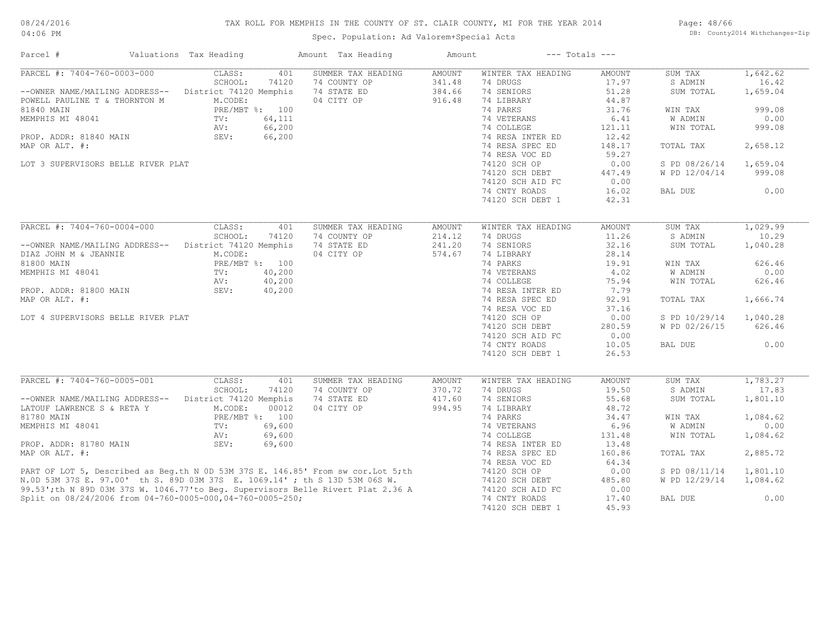# TAX ROLL FOR MEMPHIS IN THE COUNTY OF ST. CLAIR COUNTY, MI FOR THE YEAR 2014

Spec. Population: Ad Valorem+Special Acts

Page: 48/66 DB: County2014 Withchanges-Zip

| Parcel #                                                                                                                                                                                                                             | Valuations Tax Heading            | Amount Tax Heading | Amount        | $---$ Totals $---$ |                        |                |                   |
|--------------------------------------------------------------------------------------------------------------------------------------------------------------------------------------------------------------------------------------|-----------------------------------|--------------------|---------------|--------------------|------------------------|----------------|-------------------|
| PARCEL #: 7404-760-0003-000                                                                                                                                                                                                          | CLASS:<br>401                     | SUMMER TAX HEADING | <b>AMOUNT</b> | WINTER TAX HEADING | <b>AMOUNT</b>          | SUM TAX        | 1,642.62          |
|                                                                                                                                                                                                                                      | SCHOOL:<br>74120                  | 74 COUNTY OP       | 341.48        | 74 DRUGS           | 17.97                  | S ADMIN        | 16.42             |
| --OWNER NAME/MAILING ADDRESS--                                                                                                                                                                                                       | District 74120 Memphis            | 74 STATE ED        | 384.66        | 74 SENIORS         | 51.28                  | SUM TOTAL      | 1,659.04          |
| POWELL PAULINE T & THORNTON M                                                                                                                                                                                                        | M.CODE:                           | 04 CITY OP         | 916.48        | 74 LIBRARY         | 44.87                  |                |                   |
| 81840 MAIN                                                                                                                                                                                                                           | PRE/MBT %: 100                    |                    |               | 74 PARKS           | 31.76                  | WIN TAX        | 999.08            |
| MEMPHIS MI 48041                                                                                                                                                                                                                     | 64,111<br>TV:                     |                    |               | 74 VETERANS        | 6.41                   | W ADMIN        | 0.00              |
|                                                                                                                                                                                                                                      | 66,200<br>AV:                     |                    |               | 74 COLLEGE         | 121.11                 | WIN TOTAL      | 999.08            |
| PROP. ADDR: 81840 MAIN                                                                                                                                                                                                               | SEV:<br>66,200                    |                    |               | 74 RESA INTER ED   | 12.42                  |                |                   |
| MAP OR ALT. #:                                                                                                                                                                                                                       |                                   |                    |               | 74 RESA SPEC ED    | 148.17                 | TOTAL TAX      | 2,658.12          |
|                                                                                                                                                                                                                                      |                                   |                    |               | 74 RESA VOC ED     | 59.27                  |                |                   |
| LOT 3 SUPERVISORS BELLE RIVER PLAT                                                                                                                                                                                                   |                                   |                    |               | 74120 SCH OP       | 0.00                   | S PD 08/26/14  | 1,659.04          |
|                                                                                                                                                                                                                                      |                                   |                    |               | 74120 SCH DEBT     | 447.49                 | W PD 12/04/14  | 999.08            |
|                                                                                                                                                                                                                                      |                                   |                    |               | 74120 SCH AID FC   | 0.00                   |                |                   |
|                                                                                                                                                                                                                                      |                                   |                    |               | 74 CNTY ROADS      | 16.02                  | BAL DUE        | 0.00              |
|                                                                                                                                                                                                                                      |                                   |                    |               | 74120 SCH DEBT 1   | 42.31                  |                |                   |
|                                                                                                                                                                                                                                      |                                   |                    |               |                    |                        |                |                   |
| PARCEL #: 7404-760-0004-000                                                                                                                                                                                                          | CLASS:<br>401                     | SUMMER TAX HEADING | <b>AMOUNT</b> | WINTER TAX HEADING | <b>AMOUNT</b>          | SUM TAX        | 1,029.99          |
|                                                                                                                                                                                                                                      | SCHOOL:<br>74120                  | 74 COUNTY OP       | 214.12        | 74 DRUGS           | 11.26                  | S ADMIN        | 10.29             |
| --OWNER NAME/MAILING ADDRESS--                                                                                                                                                                                                       | District 74120 Memphis            | 74 STATE ED        | 241.20        | 74 SENIORS         | 32.16                  | SUM TOTAL      | 1,040.28          |
| DIAZ JOHN M & JEANNIE                                                                                                                                                                                                                | M.CODE:                           | 04 CITY OP         | 574.67        | 74 LIBRARY         | 28.14                  |                |                   |
| 81800 MAIN                                                                                                                                                                                                                           | PRE/MBT %: 100                    |                    |               | 74 PARKS           | 19.91                  | WIN TAX        | 626.46            |
| MEMPHIS MI 48041                                                                                                                                                                                                                     | 40,200                            |                    |               | 74 VETERANS        | 4.02                   | <b>W ADMIN</b> | 0.00              |
|                                                                                                                                                                                                                                      | TV:                               |                    |               |                    |                        |                |                   |
|                                                                                                                                                                                                                                      | 40,200<br>AV:                     |                    |               | 74 COLLEGE         | 75.94                  | WIN TOTAL      | 626.46            |
| PROP. ADDR: 81800 MAIN                                                                                                                                                                                                               | SEV:<br>40,200                    |                    |               | 74 RESA INTER ED   | 7.79                   |                |                   |
| MAP OR ALT. #:                                                                                                                                                                                                                       |                                   |                    |               | 74 RESA SPEC ED    | 92.91                  | TOTAL TAX      | 1,666.74          |
|                                                                                                                                                                                                                                      |                                   |                    |               | 74 RESA VOC ED     | 37.16                  |                |                   |
| LOT 4 SUPERVISORS BELLE RIVER PLAT                                                                                                                                                                                                   |                                   |                    |               | 74120 SCH OP       | 0.00                   | S PD 10/29/14  | 1,040.28          |
|                                                                                                                                                                                                                                      |                                   |                    |               | 74120 SCH DEBT     | 280.59                 | W PD 02/26/15  | 626.46            |
|                                                                                                                                                                                                                                      |                                   |                    |               | 74120 SCH AID FC   | 0.00                   |                |                   |
|                                                                                                                                                                                                                                      |                                   |                    |               | 74 CNTY ROADS      | 10.05                  | BAL DUE        | 0.00              |
|                                                                                                                                                                                                                                      |                                   |                    |               | 74120 SCH DEBT 1   | 26.53                  |                |                   |
|                                                                                                                                                                                                                                      |                                   |                    |               |                    |                        |                |                   |
| PARCEL #: 7404-760-0005-001                                                                                                                                                                                                          | CLASS:<br>401<br>SCHOOL:<br>74120 | SUMMER TAX HEADING | AMOUNT        | WINTER TAX HEADING | <b>AMOUNT</b><br>19.50 | SUM TAX        | 1,783.27<br>17.83 |
|                                                                                                                                                                                                                                      |                                   | 74 COUNTY OP       | 370.72        | 74 DRUGS           |                        | S ADMIN        |                   |
| --OWNER NAME/MAILING ADDRESS--                                                                                                                                                                                                       | District 74120 Memphis            | 74 STATE ED        | 417.60        | 74 SENIORS         | 55.68                  | SUM TOTAL      | 1,801.10          |
| LATOUF LAWRENCE S & RETA Y                                                                                                                                                                                                           | M.CODE:<br>00012                  | 04 CITY OP         | 994.95        | 74 LIBRARY         | 48.72                  |                |                   |
| 81780 MAIN                                                                                                                                                                                                                           | PRE/MBT %: 100                    |                    |               | 74 PARKS           | 34.47                  | WIN TAX        | 1,084.62          |
| MEMPHIS MI 48041                                                                                                                                                                                                                     | 69,600<br>TV:                     |                    |               | 74 VETERANS        | 6.96                   | W ADMIN        | 0.00              |
|                                                                                                                                                                                                                                      | AV:<br>69,600                     |                    |               | 74 COLLEGE         | 131.48                 | WIN TOTAL      | 1,084.62          |
| PROP. ADDR: 81780 MAIN                                                                                                                                                                                                               | SEV:<br>69,600                    |                    |               | 74 RESA INTER ED   | 13.48                  |                |                   |
| MAP OR ALT. #:                                                                                                                                                                                                                       |                                   |                    |               | 74 RESA SPEC ED    | 160.86                 | TOTAL TAX      | 2,885.72          |
|                                                                                                                                                                                                                                      |                                   |                    |               | 74 RESA VOC ED     | 64.34                  |                |                   |
|                                                                                                                                                                                                                                      |                                   |                    |               | 74120 SCH OP       | 0.00                   | S PD 08/11/14  | 1,801.10          |
| PART OF LOT 5, Described as Beg.th N 0D 53M 37S E. 146.85' From sw cor. Lot 5; th<br>N.OD 53M 37S E. 97.00' th S. 89D 03M 37S E. 1069.14' ; th S 13D 53M 06S W.<br>99.53'; th N 89D 03M 37S W. 1046.77' to Beg. Supervisors Belle Ri |                                   |                    |               | 74120 SCH DEBT     | 485.80                 | W PD 12/29/14  | 1,084.62          |
|                                                                                                                                                                                                                                      |                                   |                    |               | 74120 SCH AID FC   | 0.00                   |                |                   |
| Split on 08/24/2006 from 04-760-0005-000,04-760-0005-250;                                                                                                                                                                            |                                   |                    |               | 74 CNTY ROADS      | 17.40                  | BAL DUE        | 0.00              |
|                                                                                                                                                                                                                                      |                                   |                    |               | 74120 SCH DEBT 1   | 45.93                  |                |                   |
|                                                                                                                                                                                                                                      |                                   |                    |               |                    |                        |                |                   |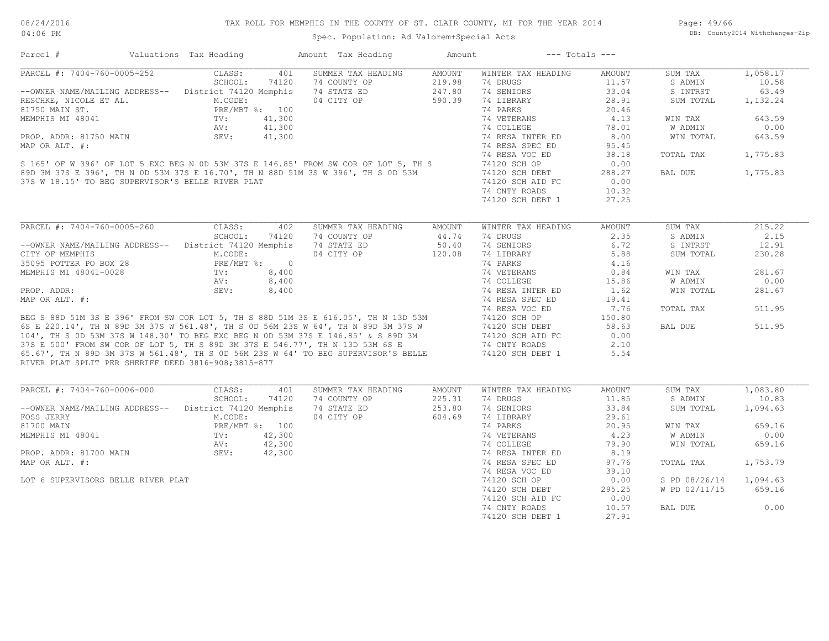Spec. Population: Ad Valorem+Special Acts

Page: 49/66 DB: County2014 Withchanges-Zip

| Parcel #                                               | Valuations Tax Heading |        | Amount Tax Heading                                                                                                                                                                                                                   | Amount        | $---$ Totals $---$                |                |                |          |
|--------------------------------------------------------|------------------------|--------|--------------------------------------------------------------------------------------------------------------------------------------------------------------------------------------------------------------------------------------|---------------|-----------------------------------|----------------|----------------|----------|
| PARCEL #: 7404-760-0005-252                            | CLASS:                 | 401    | SUMMER TAX HEADING                                                                                                                                                                                                                   | <b>AMOUNT</b> | WINTER TAX HEADING                | <b>AMOUNT</b>  | SUM TAX        | 1,058.17 |
|                                                        | SCHOOL:                | 74120  | 74 COUNTY OP                                                                                                                                                                                                                         | 219.98        | 74 DRUGS                          | 11.57          | S ADMIN        | 10.58    |
| -- OWNER NAME/MAILING ADDRESS-- District 74120 Memphis |                        |        | 74 STATE ED                                                                                                                                                                                                                          | 247.80        | 74 SENIORS                        | 33.04          | S INTRST       | 63.49    |
| RESCHKE, NICOLE ET AL.                                 | M.CODE:                |        | 04 CITY OP                                                                                                                                                                                                                           | 590.39        | 74 LIBRARY                        | 28.91          | SUM TOTAL      | 1,132.24 |
| 81750 MAIN ST.                                         | PRE/MBT %: 100         |        |                                                                                                                                                                                                                                      |               | 74 PARKS                          | 20.46          |                |          |
| MEMPHIS MI 48041                                       | TV:                    | 41,300 |                                                                                                                                                                                                                                      |               | 74 VETERANS                       | 4.13           | WIN TAX        | 643.59   |
|                                                        | AV:                    | 41,300 |                                                                                                                                                                                                                                      |               | 74 COLLEGE                        | 78.01          | <b>W ADMIN</b> | 0.00     |
| PROP. ADDR: 81750 MAIN                                 | SEV:                   | 41,300 |                                                                                                                                                                                                                                      |               | 74 RESA INTER ED                  | 8,00           | WIN TOTAL      | 643.59   |
| MAP OR ALT. #:                                         |                        |        |                                                                                                                                                                                                                                      |               | 74 RESA SPEC ED                   | 95.45          |                |          |
|                                                        |                        |        |                                                                                                                                                                                                                                      |               | 74 RESA VOC ED                    | 38.18          | TOTAL TAX      | 1,775.83 |
|                                                        |                        |        | S 165' OF W 396' OF LOT 5 EXC BEG N 0D 53M 37S E 146.85' FROM SW COR OF LOT 5, TH S                                                                                                                                                  |               | 74120 SCH OP                      | 0.00           |                |          |
|                                                        |                        |        | 89D 3M 37S E 396', TH N OD 53M 37S E 16.70', TH N 88D 51M 3S W 396', TH S OD 53M                                                                                                                                                     |               | 74120 SCH DEBT                    | 288.27         | BAL DUE        | 1,775.83 |
| 37S W 18.15' TO BEG SUPERVISOR'S BELLE RIVER PLAT      |                        |        |                                                                                                                                                                                                                                      |               | 74120 SCH AID FC                  | 0.00           |                |          |
|                                                        |                        |        |                                                                                                                                                                                                                                      |               |                                   |                |                |          |
|                                                        |                        |        |                                                                                                                                                                                                                                      |               | 74 CNTY ROADS                     | 10.32          |                |          |
|                                                        |                        |        |                                                                                                                                                                                                                                      |               | 74120 SCH DEBT 1                  | 27.25          |                |          |
| PARCEL #: 7404-760-0005-260                            | CLASS:                 | 402    | SUMMER TAX HEADING                                                                                                                                                                                                                   | AMOUNT        | WINTER TAX HEADING                | <b>AMOUNT</b>  | SUM TAX        | 215.22   |
|                                                        | SCHOOL:                | 74120  | 74 COUNTY OP                                                                                                                                                                                                                         | 44.74         | 74 DRUGS                          | 2.35           | S ADMIN        | 2.15     |
|                                                        |                        |        |                                                                                                                                                                                                                                      |               |                                   |                |                |          |
| -- OWNER NAME/MAILING ADDRESS-- District 74120 Memphis |                        |        | 74 STATE ED                                                                                                                                                                                                                          | 50.40         | 74 SENIORS                        | 6.72           | S INTRST       | 12.91    |
| CITY OF MEMPHIS                                        | M.CODE:                |        | 04 CITY OP                                                                                                                                                                                                                           | 120.08        | 74 LIBRARY                        | 5.88           | SUM TOTAL      | 230.28   |
| 35095 POTTER PO BOX 28                                 | PRE/MBT %: 0           |        |                                                                                                                                                                                                                                      |               | 74 PARKS                          | 4.16           |                |          |
| MEMPHIS MI 48041-0028                                  | TV:                    | 8,400  |                                                                                                                                                                                                                                      |               | 74 VETERANS                       | 0.84           | WIN TAX        | 281.67   |
|                                                        | AV:                    | 8,400  |                                                                                                                                                                                                                                      |               | 74 COLLEGE                        | 15.86          | W ADMIN        | 0.00     |
| PROP. ADDR:                                            | SEV:                   | 8,400  |                                                                                                                                                                                                                                      |               | 74 RESA INTER ED                  | 1.62           | WIN TOTAL      | 281.67   |
| MAP OR ALT. #:                                         |                        |        |                                                                                                                                                                                                                                      |               | 74 RESA SPEC ED                   | 19.41          |                |          |
|                                                        |                        |        |                                                                                                                                                                                                                                      |               | 74 RESA VOC ED                    | 7.76           | TOTAL TAX      | 511.95   |
|                                                        |                        |        | BEG S 88D 51M 3S E 396' FROM SW COR LOT 5, TH S 88D 51M 3S E 616.05', TH N 13D 53M                                                                                                                                                   |               | 74120 SCH OP                      | 150.80         |                |          |
|                                                        |                        |        |                                                                                                                                                                                                                                      |               | 74120 SCH DEBT                    | 58.63          | BAL DUE        | 511.95   |
|                                                        |                        |        |                                                                                                                                                                                                                                      |               | 74120 SCH AID FC                  | 0.00           |                |          |
|                                                        |                        |        |                                                                                                                                                                                                                                      |               | 74 CNTY ROADS                     | 2.10           |                |          |
|                                                        |                        |        | 6S E 220.14', TH N 89D 3M 37S W 561.48', TH S 0D 56M 23S W 64', TH N 89D 3M 37S W<br>104', TH S 0D 53M 37S W 148.30' TO BEG EXC BEG N 0D 53M 37S E 146.85' & S 89D 3M<br>37S E 500' FROM SW COR OF LOT 5, TH S 89D 3M 37S E 546.77', |               | 74120 SCH DEBT 1                  | 5.54           |                |          |
| RIVER PLAT SPLIT PER SHERIFF DEED 3816-908;3815-877    |                        |        |                                                                                                                                                                                                                                      |               |                                   |                |                |          |
|                                                        |                        |        |                                                                                                                                                                                                                                      |               |                                   |                |                |          |
| PARCEL #: 7404-760-0006-000                            | CLASS:                 | 401    | SUMMER TAX HEADING                                                                                                                                                                                                                   | AMOUNT        | WINTER TAX HEADING                | AMOUNT         | SUM TAX        | 1,083.80 |
|                                                        | SCHOOL:                | 74120  | 74 COUNTY OP                                                                                                                                                                                                                         | 225.31        | 74 DRUGS                          | 11.85          | S ADMIN        | 10.83    |
| -- OWNER NAME/MAILING ADDRESS-- District 74120 Memphis |                        |        | 74 STATE ED                                                                                                                                                                                                                          | 253.80        | 74 SENIORS                        | 33.84          | SUM TOTAL      | 1,094.63 |
| FOSS JERRY                                             | M.CODE:                |        | 04 CITY OP                                                                                                                                                                                                                           | 604.69        | 74 LIBRARY                        | 29.61          |                |          |
|                                                        | PRE/MBT %: 100         |        |                                                                                                                                                                                                                                      |               | 74 PARKS                          | 20.95          | WIN TAX        | 659.16   |
|                                                        |                        | 42,300 |                                                                                                                                                                                                                                      |               | 74 VETERANS                       | 4.23           | W ADMIN        | 0.00     |
|                                                        | TV:                    |        |                                                                                                                                                                                                                                      |               | 74 COLLEGE                        | 79.90          | WIN TOTAL      | 659.16   |
|                                                        | AV:                    | 42,300 |                                                                                                                                                                                                                                      |               |                                   |                |                |          |
| 81700 MAIN<br>PROP. ADDR: 81700 MAIN                   | SEV:                   |        |                                                                                                                                                                                                                                      |               | 74 RESA INTER ED                  | 8.19           |                |          |
|                                                        |                        | 42,300 |                                                                                                                                                                                                                                      |               |                                   |                |                |          |
|                                                        |                        |        |                                                                                                                                                                                                                                      |               | 74 RESA SPEC ED                   | 97.76          | TOTAL TAX      | 1,753.79 |
| MEMPHIS MI 48041<br>MAP OR ALT. #:                     |                        |        |                                                                                                                                                                                                                                      |               | 74 RESA VOC ED                    | 39.10          |                |          |
| LOT 6 SUPERVISORS BELLE RIVER PLAT                     |                        |        |                                                                                                                                                                                                                                      |               | 74120 SCH OP                      | 0.00           | S PD 08/26/14  | 1,094.63 |
|                                                        |                        |        |                                                                                                                                                                                                                                      |               | 74120 SCH DEBT                    | 295.25         | W PD 02/11/15  | 659.16   |
|                                                        |                        |        |                                                                                                                                                                                                                                      |               | 74120 SCH AID FC                  | 0.00           |                |          |
|                                                        |                        |        |                                                                                                                                                                                                                                      |               | 74 CNTY ROADS<br>74120 SCH DEBT 1 | 10.57<br>27.91 | BAL DUE        | 0.00     |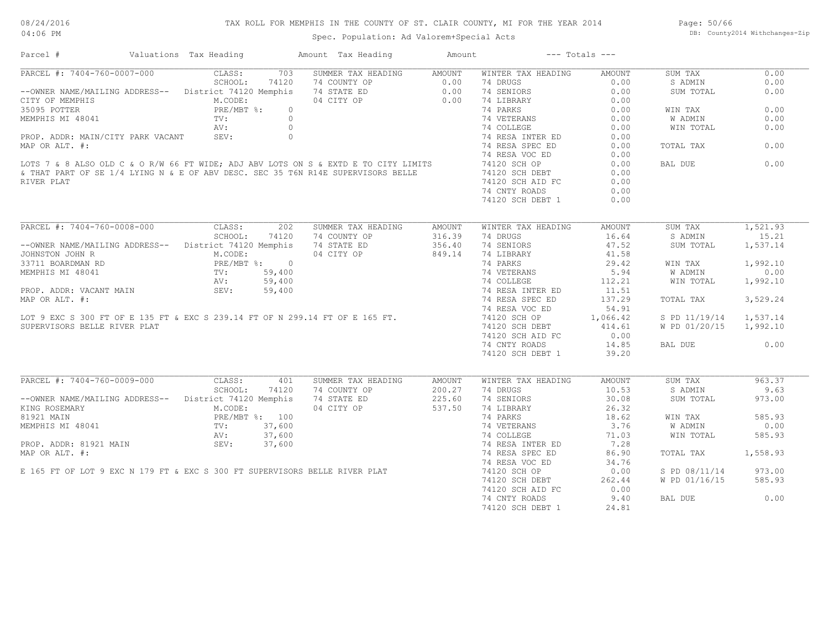# TAX ROLL FOR MEMPHIS IN THE COUNTY OF ST. CLAIR COUNTY, MI FOR THE YEAR 2014

Spec. Population: Ad Valorem+Special Acts

Page: 50/66 DB: County2014 Withchanges-Zip

| Parcel #                                              | Valuations Tax Heading                   |                | Amount Tax Heading                                                                                                                                                                                                                   | Amount | --- Totals ---                                |        |                        |          |
|-------------------------------------------------------|------------------------------------------|----------------|--------------------------------------------------------------------------------------------------------------------------------------------------------------------------------------------------------------------------------------|--------|-----------------------------------------------|--------|------------------------|----------|
| PARCEL #: 7404-760-0007-000 CLASS:                    |                                          | 703            | SUMMER TAX HEADING AMOUNT                                                                                                                                                                                                            |        | WINTER TAX HEADING                            | AMOUNT | SUM TAX                | 0.00     |
|                                                       |                                          |                |                                                                                                                                                                                                                                      |        |                                               | 0.00   | S ADMIN                | 0.00     |
|                                                       |                                          |                | --OWNER NAME/MAILING ADDRESS-- District 74120 Memphis 74 STATE ED 0.00 74 SENIORS<br>CITY OF MEMPHIS ADDRESS-- District 74120 Memphis 74 STATE ED 0.00 74 SENIORS<br>35095 POTTER 1990 DERIMARY DREAMER ARE NOT 3.                   |        |                                               | 0.00   | SUM TOTAL              | 0.00     |
|                                                       |                                          |                |                                                                                                                                                                                                                                      |        |                                               | 0.00   |                        |          |
| 35095 POTTER                                          | $PRE/MBT$ %:                             | $\circ$        |                                                                                                                                                                                                                                      |        | 74 PARKS                                      | 0.00   | WIN TAX                | 0.00     |
| MEMPHIS MI 48041                                      | TV:                                      | $\overline{0}$ |                                                                                                                                                                                                                                      |        |                                               | 0.00   | W ADMIN                | 0.00     |
|                                                       |                                          | $AV:$ 0        |                                                                                                                                                                                                                                      |        |                                               | 0.00   | WIN TOTAL              | 0.00     |
| PROP. ADDR: MAIN/CITY PARK VACANT SEV: 0              |                                          |                |                                                                                                                                                                                                                                      |        | 74 VETERANS<br>74 COLLEGE<br>74 RESA INTER ED | 0.00   |                        |          |
| MAP OR ALT. #:                                        |                                          |                |                                                                                                                                                                                                                                      |        | 74 RESA SPEC ED                               | 0.00   | TOTAL TAX              | 0.00     |
|                                                       |                                          |                |                                                                                                                                                                                                                                      |        | 74 RESA VOC ED                                | 0.00   |                        |          |
|                                                       |                                          |                | LOTS 7 & 8 ALSO OLD C & O R/W 66 FT WIDE; ADJ ABV LOTS ON S & EXTD E TO CITY LIMITS 74120 SCH OP<br>& THAT PART OF SE 1/4 LYING N & E OF ABV DESC. SEC 35 T6N R14E SUPERVISORS BELLE 74120 SCH DEBT<br>PIVER PIAT                    |        |                                               | 0.00   | BAL DUE                | 0.00     |
|                                                       |                                          |                |                                                                                                                                                                                                                                      |        |                                               | 0.00   |                        |          |
| RIVER PLAT                                            |                                          |                |                                                                                                                                                                                                                                      |        | 74120 SCH AID FC                              | 0.00   |                        |          |
|                                                       |                                          |                |                                                                                                                                                                                                                                      |        |                                               |        |                        |          |
|                                                       |                                          |                |                                                                                                                                                                                                                                      |        | 74 CNTY ROADS                                 | 0.00   |                        |          |
|                                                       |                                          |                |                                                                                                                                                                                                                                      |        | 74120 SCH DEBT 1                              | 0.00   |                        |          |
| PARCEL #: 7404-760-0008-000 CLASS: 202                |                                          |                | SUMMER TAX HEADING                                                                                                                                                                                                                   | AMOUNT | WINTER TAX HEADING                            | AMOUNT | SUM TAX                | 1,521.93 |
|                                                       |                                          | SCHOOL: 74120  | 74 COUNTY OP                                                                                                                                                                                                                         | 316.39 | 74 DRUGS                                      | 16.64  | S ADMIN                | 15.21    |
| --OWNER NAME/MAILING ADDRESS-- District 74120 Memphis |                                          |                | 74 STATE ED                                                                                                                                                                                                                          | 356.40 | 74 SENIORS                                    | 47.52  | SUM TOTAL              | 1,537.14 |
| JOHNSTON JOHN R                                       | M.CODE:                                  |                | 04 CITY OP                                                                                                                                                                                                                           |        | 74 LIBRARY                                    | 41.58  |                        |          |
|                                                       |                                          |                |                                                                                                                                                                                                                                      | 849.14 |                                               |        |                        |          |
| 33711 BOARDMAN RD                                     | PRE/MBT %: 0<br>TV: 59,400<br>AV: 59,400 |                |                                                                                                                                                                                                                                      |        | 74 PARKS                                      | 29.42  | WIN TAX                | 1,992.10 |
| MEMPHIS MI 48041                                      |                                          |                |                                                                                                                                                                                                                                      |        | 74 VETERANS                                   | 5.94   | W ADMIN                | 0.00     |
|                                                       |                                          |                |                                                                                                                                                                                                                                      |        | 74 COLLEGE                                    | 112.21 | WIN TOTAL              | 1,992.10 |
| PROP. ADDR: VACANT MAIN                               | SEV: 59,400                              |                |                                                                                                                                                                                                                                      |        | 74 RESA INTER ED                              | 11.51  |                        |          |
| MAP OR ALT. #:                                        |                                          |                |                                                                                                                                                                                                                                      |        | 74 RESA SPEC ED                               | 137.29 | TOTAL TAX              | 3,529.24 |
|                                                       |                                          |                |                                                                                                                                                                                                                                      |        |                                               |        |                        |          |
|                                                       |                                          |                |                                                                                                                                                                                                                                      |        |                                               |        | S PD 11/19/14 1,537.14 |          |
| SUPERVISORS BELLE RIVER PLAT                          |                                          |                |                                                                                                                                                                                                                                      |        | 74120 SCH DEBT                                | 414.61 | W PD 01/20/15 1,992.10 |          |
|                                                       |                                          |                |                                                                                                                                                                                                                                      |        | 74120 SCH AID FC                              | 0.00   |                        |          |
|                                                       |                                          |                |                                                                                                                                                                                                                                      |        | 74 CNTY ROADS                                 | 14.85  | BAL DUE                | 0.00     |
|                                                       |                                          |                |                                                                                                                                                                                                                                      |        | 74120 SCH DEBT 1                              | 39.20  |                        |          |
|                                                       |                                          |                |                                                                                                                                                                                                                                      |        |                                               |        |                        |          |
| PARCEL #: 7404-760-0009-000 CLASS: 401                |                                          |                | SUMMER TAX HEADING                                                                                                                                                                                                                   | AMOUNT | WINTER TAX HEADING                            | AMOUNT | SUM TAX                | 963.37   |
|                                                       |                                          | SCHOOL: 74120  | 74 COUNTY OP                                                                                                                                                                                                                         | 200.27 | 74 DRUGS                                      | 10.53  | S ADMIN                | 9.63     |
| --OWNER NAME/MAILING ADDRESS-- District 74120 Memphis |                                          |                | 74 STATE ED                                                                                                                                                                                                                          | 225.60 | 74 SENIORS                                    | 30.08  | SUM TOTAL              | 973.00   |
| KING ROSEMARY                                         | M.CODE:<br>PRE/MBT %: 100<br>TV: 37,600  |                | 04 CITY OP 537.50                                                                                                                                                                                                                    |        | 74 LIBRARY                                    | 26.32  |                        |          |
| 81921 MAIN                                            |                                          |                |                                                                                                                                                                                                                                      |        | 74 PARKS                                      | 18.62  | WIN TAX                | 585.93   |
| MEMPHIS MI 48041                                      |                                          |                |                                                                                                                                                                                                                                      |        | 74 VETERANS                                   | 3.76   | W ADMIN                | 0.00     |
|                                                       | AV: 37,600                               |                |                                                                                                                                                                                                                                      |        | 74 COLLEGE                                    | 71.03  | WIN TOTAL              | 585.93   |
|                                                       |                                          |                |                                                                                                                                                                                                                                      |        |                                               | 7.28   |                        |          |
|                                                       |                                          |                |                                                                                                                                                                                                                                      |        |                                               | 86.90  | TOTAL TAX 1,558.93     |          |
|                                                       |                                          |                |                                                                                                                                                                                                                                      |        |                                               | 34.76  |                        |          |
|                                                       |                                          |                | PROP. ADDR: 81921 MAIN SEV: 37,600<br>MAP OR ALT. #: 74 RESA SPEC ED<br>E 165 FT OF LOT 9 EXC N 179 FT & EXC S 300 FT SUPERVISORS BELLE RIVER PLAT 74 RESA VOC ED<br>E 165 FT OF LOT 9 EXC N 179 FT & EXC S 300 FT SUPERVISORS BELLE |        |                                               | 0.00   | S PD 08/11/14          | 973.00   |
|                                                       |                                          |                |                                                                                                                                                                                                                                      |        | 74120 SCH DEBT                                | 262.44 | W PD 01/16/15 585.93   |          |
|                                                       |                                          |                |                                                                                                                                                                                                                                      |        | 74120 SCH AID FC                              | 0.00   |                        |          |
|                                                       |                                          |                |                                                                                                                                                                                                                                      |        | 74 CNTY ROADS                                 | 9.40   | BAL DUE                | 0.00     |
|                                                       |                                          |                |                                                                                                                                                                                                                                      |        |                                               |        |                        |          |
|                                                       |                                          |                |                                                                                                                                                                                                                                      |        | 74120 SCH DEBT 1                              | 24.81  |                        |          |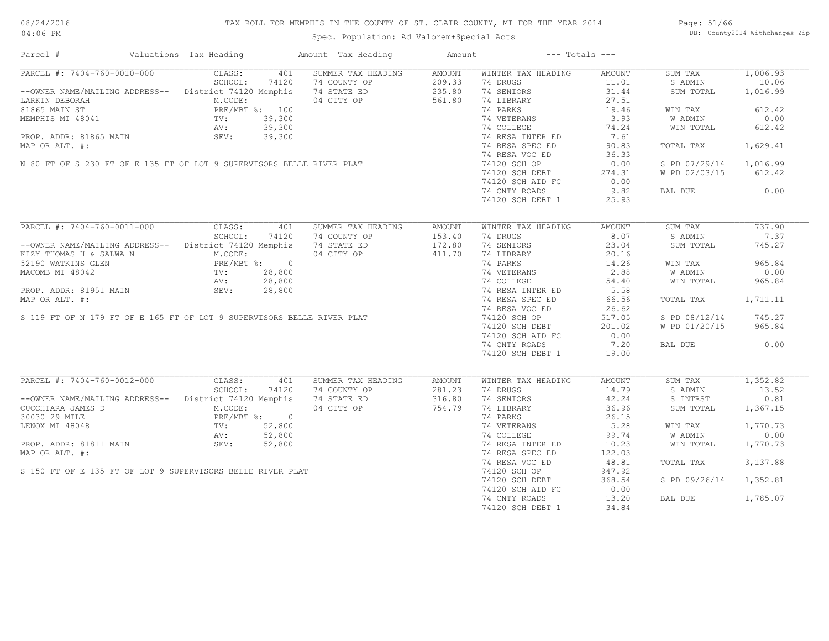# TAX ROLL FOR MEMPHIS IN THE COUNTY OF ST. CLAIR COUNTY, MI FOR THE YEAR 2014

04:06 PM

# Spec. Population: Ad Valorem+Special Acts

Page: 51/66 DB: County2014 Withchanges-Zip

| Parcel #                                                                                                                                                           | Valuations Tax Heading |            | Amount Tax Heading                                                                                                                                                                                                                             | Amount | $---$ Totals $---$                                                                                                                                                                   |        |                        |          |
|--------------------------------------------------------------------------------------------------------------------------------------------------------------------|------------------------|------------|------------------------------------------------------------------------------------------------------------------------------------------------------------------------------------------------------------------------------------------------|--------|--------------------------------------------------------------------------------------------------------------------------------------------------------------------------------------|--------|------------------------|----------|
|                                                                                                                                                                    |                        |            | PARCEL #: 7404-760-0010-000 CLASS: 401 SUMMER TAX HEADING                                                                                                                                                                                      | AMOUNT | WINTER TAX HEADING                                                                                                                                                                   | AMOUNT | SUM TAX                | 1,006.93 |
|                                                                                                                                                                    |                        |            |                                                                                                                                                                                                                                                |        | 74 DRUGS                                                                                                                                                                             | 11.01  | S ADMIN                | 10.06    |
|                                                                                                                                                                    |                        |            | SCHOOL: 74120 74 COUNTY OP 209.33<br>--OWNER NAME/MAILING ADDRESS-- District 74120 Memphis 74 STATE ED 235.80<br>LARKIN DEBORAH M.CODE: 04 CITY OP 561.80<br>81865 MAIN ST                                                                     |        | 74 SENIORS                                                                                                                                                                           | 31.44  | SUM TOTAL              | 1,016.99 |
| LARKIN DEBORAH M.CODE:<br>81865 MAIN ST PRE/MBT %: 100<br>MEMPHIS MI 48041 TV: 39,300<br>PROP. ADDR: 81865 MAIN SEV: 39,300                                        |                        |            |                                                                                                                                                                                                                                                |        | 74 LIBRARY                                                                                                                                                                           | 27.51  |                        |          |
|                                                                                                                                                                    |                        |            | PRE/MBT %: 100<br>MEMPHIS MI ST<br>MEMPHIS MI 48041<br>PRE/MBT %: 100<br>NEMPHIS MI 48041<br>TV: 39,300<br>AV: 39,300<br>AV: 39,300<br>MAP OR ALT. #:<br>N 80 FT OF S 230 FT OF E 135 FT OF LOT 9 SUPERVISORS BELLE RIVER PLAT                 |        | 74 PARKS                                                                                                                                                                             | 19.46  | WIN TAX                | 612.42   |
|                                                                                                                                                                    |                        |            |                                                                                                                                                                                                                                                |        |                                                                                                                                                                                      | 3.93   | W ADMIN                | 0.00     |
|                                                                                                                                                                    |                        |            |                                                                                                                                                                                                                                                |        | 74 VETERANS<br>74 COLLEGE                                                                                                                                                            | 74.24  | WIN TOTAL              | 612.42   |
|                                                                                                                                                                    |                        |            |                                                                                                                                                                                                                                                |        |                                                                                                                                                                                      |        |                        |          |
|                                                                                                                                                                    |                        |            |                                                                                                                                                                                                                                                |        |                                                                                                                                                                                      |        |                        |          |
|                                                                                                                                                                    |                        |            |                                                                                                                                                                                                                                                |        |                                                                                                                                                                                      |        | TOTAL TAX 1,629.41     |          |
|                                                                                                                                                                    |                        |            |                                                                                                                                                                                                                                                |        | 74 RESA VOC ED<br>9 14 RESA VOC ED<br>14120 SCH OP 0.00<br>14120 SCH DEBT 274.31<br>14120 SCH AID FC 0.00                                                                            | 36.33  |                        |          |
|                                                                                                                                                                    |                        |            |                                                                                                                                                                                                                                                |        |                                                                                                                                                                                      |        | S PD 07/29/14 1,016.99 |          |
|                                                                                                                                                                    |                        |            |                                                                                                                                                                                                                                                |        |                                                                                                                                                                                      |        | W PD 02/03/15 612.42   |          |
|                                                                                                                                                                    |                        |            |                                                                                                                                                                                                                                                |        |                                                                                                                                                                                      |        |                        |          |
|                                                                                                                                                                    |                        |            |                                                                                                                                                                                                                                                |        | 74 CNTY ROADS                                                                                                                                                                        | 9.82   | BAL DUE 0.00           |          |
|                                                                                                                                                                    |                        |            |                                                                                                                                                                                                                                                |        | 74120 SCH DEBT 1 25.93                                                                                                                                                               |        |                        |          |
|                                                                                                                                                                    |                        |            |                                                                                                                                                                                                                                                |        |                                                                                                                                                                                      |        |                        |          |
| PARCEL #: 7404-760-0011-000                                                                                                                                        |                        | CLASS: 401 | SUMMER TAX HEADING                                                                                                                                                                                                                             | AMOUNT | WINTER TAX HEADING                                                                                                                                                                   | AMOUNT | SUM TAX                | 737.90   |
|                                                                                                                                                                    | SCHOOL:                | 74120      |                                                                                                                                                                                                                                                |        | 74 DRUGS                                                                                                                                                                             | 8.07   | S ADMIN                | 7.37     |
| --OWNER NAME/MAILING ADDRESS-- District 74120 Memphis 74 STATE ED                                                                                                  |                        |            | 74 COUNTY OP 153.40<br>74 STATE ED 172.80                                                                                                                                                                                                      |        | 74 SENIORS                                                                                                                                                                           | 23.04  | SUM TOTAL              | 745.27   |
|                                                                                                                                                                    |                        |            | FIRE THOMAS H & SALWA N<br>FIRE THOMAS H & SALWA N<br>MACOMB MI 48042<br>MACOMB MI 48042<br>PRE PIST MAIN<br>MAP OR ALT. #:<br>MAP OR ALT. #:<br>SI19 FT OF N 179 FT OF E 165 FT OF LOT 9 SUPERVISORS BELLE RIVER PLAT<br>PRESS TOP N 179 FT O |        | 74 LIBRARY<br>74 LIBRARY<br>74 VETERANS<br>74 COLLEGE<br>74 RESA INTER ED<br>74 RESA INTER ED<br>74 RESA SPEC ED<br>76 C.56<br>74 RESA SPEC ED<br>86.56<br>74 RESA INTER ED<br>86.56 |        |                        |          |
| XIZY THOMAS H & SALWA N<br>M.CODE:<br>S2190 WATKINS GLEN<br>MACOMB MI 48042<br>MACOMB MI 48042<br>PRE/MBT %:<br>28,800<br>PROP. ADDR: 81951 MAIN<br>SEV:<br>28,800 |                        |            |                                                                                                                                                                                                                                                |        |                                                                                                                                                                                      |        | WIN TAX                | 965.84   |
|                                                                                                                                                                    |                        |            |                                                                                                                                                                                                                                                |        |                                                                                                                                                                                      |        | W ADMIN                | 0.00     |
|                                                                                                                                                                    |                        |            |                                                                                                                                                                                                                                                |        |                                                                                                                                                                                      |        |                        |          |
|                                                                                                                                                                    |                        |            |                                                                                                                                                                                                                                                |        |                                                                                                                                                                                      |        | WIN TOTAL              | 965.84   |
|                                                                                                                                                                    |                        |            |                                                                                                                                                                                                                                                |        |                                                                                                                                                                                      |        |                        |          |
|                                                                                                                                                                    |                        |            |                                                                                                                                                                                                                                                |        |                                                                                                                                                                                      |        | TOTAL TAX              | 1,711.11 |
|                                                                                                                                                                    |                        |            |                                                                                                                                                                                                                                                |        |                                                                                                                                                                                      | 26.62  |                        |          |
|                                                                                                                                                                    |                        |            |                                                                                                                                                                                                                                                |        |                                                                                                                                                                                      | 517.05 | S PD 08/12/14 745.27   |          |
|                                                                                                                                                                    |                        |            |                                                                                                                                                                                                                                                |        |                                                                                                                                                                                      | 201.02 | W PD 01/20/15          | 965.84   |
|                                                                                                                                                                    |                        |            |                                                                                                                                                                                                                                                |        |                                                                                                                                                                                      |        |                        |          |
|                                                                                                                                                                    |                        |            |                                                                                                                                                                                                                                                |        | 74120 SCH AID FC 0.00<br>74 CNTY ROADS 7.20                                                                                                                                          |        | BAL DUE                | 0.00     |
|                                                                                                                                                                    |                        |            |                                                                                                                                                                                                                                                |        | 74120 SCH DEBT 1 19.00                                                                                                                                                               |        |                        |          |
|                                                                                                                                                                    |                        |            |                                                                                                                                                                                                                                                |        |                                                                                                                                                                                      |        |                        |          |
| PARCEL #: 7404-760-0012-000 CLASS:                                                                                                                                 |                        | 401        | SUMMER TAX HEADING                                                                                                                                                                                                                             | AMOUNT | WINTER TAX HEADING                                                                                                                                                                   | AMOUNT | SUM TAX                | 1,352.82 |
|                                                                                                                                                                    |                        |            |                                                                                                                                                                                                                                                |        | 74 DRUGS                                                                                                                                                                             | 14.79  | S ADMIN                | 13.52    |
|                                                                                                                                                                    |                        |            |                                                                                                                                                                                                                                                |        | 74 SENIORS                                                                                                                                                                           | 42.24  | S INTRST               | 0.81     |
| CUCCHIARA JAMES D<br>CUCCHIARA JAMES D<br>30030 29 MILE<br>LENOX MI 48048<br>TV: 52,800<br>PROP. ADDR: 81811 MAIN<br>SEV: 52,800                                   |                        |            | --OWNER NAME/MAILING ADDRESS--<br>CUCCHIARA JAMES D<br>CUCCHIARA JAMES D<br>CUCCHIARA JAMES D<br>M.CODE:<br>PER/MPT %.<br>PER/MPT %.<br>20030.20 MILE<br>PER/MPT %.                                                                            |        | 74 LIBRARY<br>74 PARKS<br>74 VETERANS<br>74 COLLEGE<br>74 COLLEGE<br>74 RESA INTER ED<br>74 RESA INTER ED<br>10.23                                                                   |        | SUM TOTAL              | 1,367.15 |
|                                                                                                                                                                    |                        |            |                                                                                                                                                                                                                                                |        |                                                                                                                                                                                      |        |                        |          |
|                                                                                                                                                                    |                        |            |                                                                                                                                                                                                                                                |        |                                                                                                                                                                                      |        | WIN TAX                | 1,770.73 |
|                                                                                                                                                                    |                        |            |                                                                                                                                                                                                                                                |        |                                                                                                                                                                                      |        | <b>W ADMIN</b>         | 0.00     |
|                                                                                                                                                                    |                        |            |                                                                                                                                                                                                                                                |        |                                                                                                                                                                                      |        | WIN TOTAL              | 1,770.73 |
|                                                                                                                                                                    |                        |            |                                                                                                                                                                                                                                                |        | 74 RESA SPEC ED                                                                                                                                                                      | 122.03 |                        |          |
|                                                                                                                                                                    |                        |            |                                                                                                                                                                                                                                                |        | 74 RESA VOC ED                                                                                                                                                                       | 48.81  | TOTAL TAX              | 3,137.88 |
|                                                                                                                                                                    |                        |            | 30030 29 MILE<br>LENOX MI 48048<br>LENOX MI 48048<br>PROP. ADDR: 81811 MAIN<br>MAP OR ALT. #:<br>S 150 FT OF E 135 FT OF LOT 9 SUPERVISORS BELLE RIVER PLAT                                                                                    |        |                                                                                                                                                                                      | 947.92 |                        |          |
|                                                                                                                                                                    |                        |            |                                                                                                                                                                                                                                                |        | 74120 SCH OP<br>74120 SCH DEBT                                                                                                                                                       |        |                        |          |
|                                                                                                                                                                    |                        |            |                                                                                                                                                                                                                                                |        |                                                                                                                                                                                      | 368.54 | S PD 09/26/14 1,352.81 |          |
|                                                                                                                                                                    |                        |            |                                                                                                                                                                                                                                                |        | 74120 SCH AID FC                                                                                                                                                                     | 0.00   |                        |          |
|                                                                                                                                                                    |                        |            |                                                                                                                                                                                                                                                |        | 74 CNTY ROADS                                                                                                                                                                        | 13.20  | BAL DUE                | 1,785.07 |
|                                                                                                                                                                    |                        |            |                                                                                                                                                                                                                                                |        | 74120 SCH DEBT 1                                                                                                                                                                     | 34.84  |                        |          |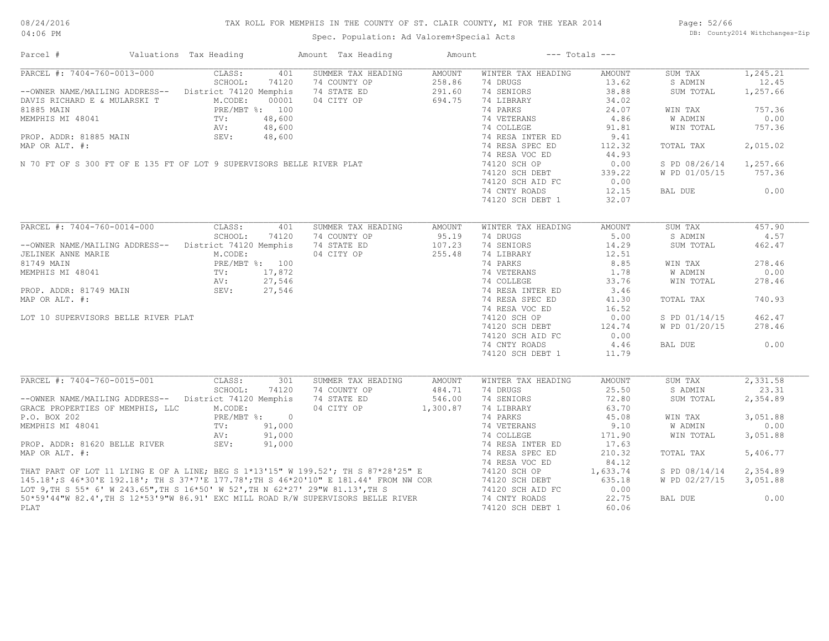| Parcel #                                                                                                                                                                                                                             | Valuations Tax Heading | Amount Tax Heading                                        | Amount        |                    | $---$ Totals $---$ |               |          |
|--------------------------------------------------------------------------------------------------------------------------------------------------------------------------------------------------------------------------------------|------------------------|-----------------------------------------------------------|---------------|--------------------|--------------------|---------------|----------|
| PARCEL #: 7404-760-0013-000                                                                                                                                                                                                          | CLASS:                 | 401<br>SUMMER TAX HEADING                                 | AMOUNT        | WINTER TAX HEADING | AMOUNT             | SUM TAX       | 1,245.21 |
|                                                                                                                                                                                                                                      | SCHOOL:                | 74 COUNTY OP<br>74120                                     | 258.86        | 74 DRUGS           | 13.62              | S ADMIN       | 12.45    |
| --OWNER NAME/MAILING ADDRESS-- District 74120 Memphis                                                                                                                                                                                |                        | 74 STATE ED                                               | 291.60        | 74 SENIORS         | 38.88              | SUM TOTAL     | 1,257.66 |
| DAVIS RICHARD E & MULARSKI T<br>NAVIS RICHARD E & MULARSKI T<br>31885 MAIN<br>MEMPHIS MI 48041<br>TV: 48,600<br>PROP. ADDR: 81885 MAIN<br>MAP OR ALT. #:<br>N 70 FT OF S 300 FT OF E 135 FT OF LOT 9 SUPERVISORS BELLE RIVER PLAT    | M.CODE:                | 04 CITY OP<br>00001                                       | 694.75        | 74 LIBRARY         | 34.02              |               |          |
|                                                                                                                                                                                                                                      |                        |                                                           |               | 74 PARKS           | 24.07              | WIN TAX       | 757.36   |
|                                                                                                                                                                                                                                      |                        |                                                           |               | 74 VETERANS        | 4.86               | W ADMIN       | 0.00     |
|                                                                                                                                                                                                                                      |                        |                                                           |               | 74 COLLEGE         | 91.81              | WIN TOTAL     | 757.36   |
|                                                                                                                                                                                                                                      |                        |                                                           |               | 74 RESA INTER ED   | 9.41               |               |          |
|                                                                                                                                                                                                                                      |                        |                                                           |               | 74 RESA SPEC ED    | 112.32             | TOTAL TAX     | 2,015.02 |
|                                                                                                                                                                                                                                      |                        |                                                           |               | 74 RESA VOC ED     | 44.93              |               |          |
|                                                                                                                                                                                                                                      |                        |                                                           |               | 74120 SCH OP       | 0.00               | S PD 08/26/14 | 1,257.66 |
|                                                                                                                                                                                                                                      |                        |                                                           |               | 74120 SCH DEBT     | 339.22             | W PD 01/05/15 | 757.36   |
|                                                                                                                                                                                                                                      |                        |                                                           |               |                    |                    |               |          |
|                                                                                                                                                                                                                                      |                        |                                                           |               | 74120 SCH AID FC   | 0.00               |               |          |
|                                                                                                                                                                                                                                      |                        |                                                           |               | 74 CNTY ROADS      | 12.15              | BAL DUE       | 0.00     |
|                                                                                                                                                                                                                                      |                        |                                                           |               | 74120 SCH DEBT 1   | 32.07              |               |          |
|                                                                                                                                                                                                                                      |                        |                                                           |               |                    |                    |               |          |
| PARCEL #: 7404-760-0014-000                                                                                                                                                                                                          | CLASS:                 | 401<br>SUMMER TAX HEADING                                 | <b>AMOUNT</b> | WINTER TAX HEADING | <b>AMOUNT</b>      | SUM TAX       | 457.90   |
|                                                                                                                                                                                                                                      | SCHOOL:                | 74120<br>74 COUNTY OP                                     | 95.19         | 74 DRUGS           | 5.00               | S ADMIN       | 4.57     |
| --OWNER NAME/MAILING ADDRESS-- District 74120 Memphis                                                                                                                                                                                |                        | 74 STATE ED                                               | 107.23        | 74 SENIORS         | 14.29              | SUM TOTAL     | 462.47   |
| JELINEK ANNE MARIE                                                                                                                                                                                                                   | M.CODE:                | 04 CITY OP                                                | 255.48        | 74 LIBRARY         | 12.51              |               |          |
| 81749 MAIN                                                                                                                                                                                                                           | PRE/MBT %: 100         |                                                           |               | 74 PARKS           | 8.85               | WIN TAX       | 278.46   |
| MEMPHIS MI 48041                                                                                                                                                                                                                     |                        |                                                           |               | 74 VETERANS        | 1.78               | W ADMIN       | 0.00     |
|                                                                                                                                                                                                                                      | $TV:$ AV :             | PRE/MBT *: 100<br>TV: 17,872<br>AV: 27,546<br>SEV: 27,546 |               | 74 COLLEGE         | 33.76              | WIN TOTAL     | 278.46   |
| PROP. ADDR: 81749 MAIN SEV:                                                                                                                                                                                                          |                        |                                                           |               | 74 RESA INTER ED   | 3.46               |               |          |
| MAP OR ALT. #:                                                                                                                                                                                                                       |                        |                                                           |               | 74 RESA SPEC ED    | 41.30              | TOTAL TAX     | 740.93   |
|                                                                                                                                                                                                                                      |                        |                                                           |               | 74 RESA VOC ED     | 16.52              |               |          |
| LOT 10 SUPERVISORS BELLE RIVER PLAT                                                                                                                                                                                                  |                        |                                                           |               | 74120 SCH OP       | 0.00               | S PD 01/14/15 | 462.47   |
|                                                                                                                                                                                                                                      |                        |                                                           |               |                    |                    | W PD 01/20/15 | 278.46   |
|                                                                                                                                                                                                                                      |                        |                                                           |               | 74120 SCH DEBT     | 124.74             |               |          |
|                                                                                                                                                                                                                                      |                        |                                                           |               | 74120 SCH AID FC   | 0.00               |               |          |
|                                                                                                                                                                                                                                      |                        |                                                           |               | 74 CNTY ROADS      | 4.46               | BAL DUE       | 0.00     |
|                                                                                                                                                                                                                                      |                        |                                                           |               | 74120 SCH DEBT 1   | 11.79              |               |          |
|                                                                                                                                                                                                                                      |                        |                                                           |               |                    |                    |               |          |
| PARCEL #: 7404-760-0015-001                                                                                                                                                                                                          | CLASS:                 | SUMMER TAX HEADING<br>301                                 | AMOUNT        | WINTER TAX HEADING | <b>AMOUNT</b>      | SUM TAX       | 2,331.58 |
|                                                                                                                                                                                                                                      | SCHOOL:                | 74120<br>74 COUNTY OP                                     | 484.71        | 74 DRUGS           | 25.50              | S ADMIN       | 23.31    |
| -- OWNER NAME/MAILING ADDRESS-- District 74120 Memphis                                                                                                                                                                               |                        | 74 STATE ED                                               | 546.00        | 74 SENIORS         | 72.80              | SUM TOTAL     | 2,354.89 |
| GRACE PROPERTIES OF MEMPHIS, LLC                                                                                                                                                                                                     | M.CODE:                | 04 CITY OP 1,300.87                                       |               | 74 LIBRARY         | 63.70              |               |          |
| P.O. BOX 202                                                                                                                                                                                                                         | PRE/MBT %: 0           |                                                           |               | 74 PARKS           | 45.08              | WIN TAX       | 3,051.88 |
| MEMPHIS MI 48041                                                                                                                                                                                                                     | $TV$ :                 | 91,000                                                    |               | 74 VETERANS        | 9.10               | W ADMIN       | 0.00     |
|                                                                                                                                                                                                                                      | AV:                    | 91,000                                                    |               | 74 COLLEGE         | 171.90             | WIN TOTAL     | 3,051.88 |
| PROP. ADDR: 81620 BELLE RIVER                                                                                                                                                                                                        | SEV:                   | 91,000                                                    |               | 74 RESA INTER ED   | 17.63              |               |          |
| MAP OR ALT. #:                                                                                                                                                                                                                       |                        |                                                           |               | 74 RESA SPEC ED    | 210.32             | TOTAL TAX     | 5,406.77 |
|                                                                                                                                                                                                                                      |                        |                                                           |               | 74 RESA VOC ED     | 84.12              |               |          |
|                                                                                                                                                                                                                                      |                        |                                                           |               | 74120 SCH OP       | 1,633.74           | S PD 08/14/14 | 2,354.89 |
|                                                                                                                                                                                                                                      |                        |                                                           |               | 74120 SCH DEBT     | 635.18             | W PD 02/27/15 | 3,051.88 |
|                                                                                                                                                                                                                                      |                        |                                                           |               | 74120 SCH AID FC   | 0.00               |               |          |
| THAT PART OF LOT 11 LYING E OF A LINE; BEG S 1*13'15" W 199.52'; TH S 87*28'25" E<br>145.18';S 46*30'E 192.18'; TH S 37*7'E 177.78';TH S 46*20'10" E 181.44' FROM NW COR<br>LOT 9,TH S 55* 6' W 243.65",TH S 16*50' W 52',TH N 62*27 |                        |                                                           |               |                    |                    |               |          |
|                                                                                                                                                                                                                                      |                        |                                                           |               | 74 CNTY ROADS      | 22.75              | BAL DUE       | 0.00     |
| PLAT                                                                                                                                                                                                                                 |                        |                                                           |               | 74120 SCH DEBT 1   | 60.06              |               |          |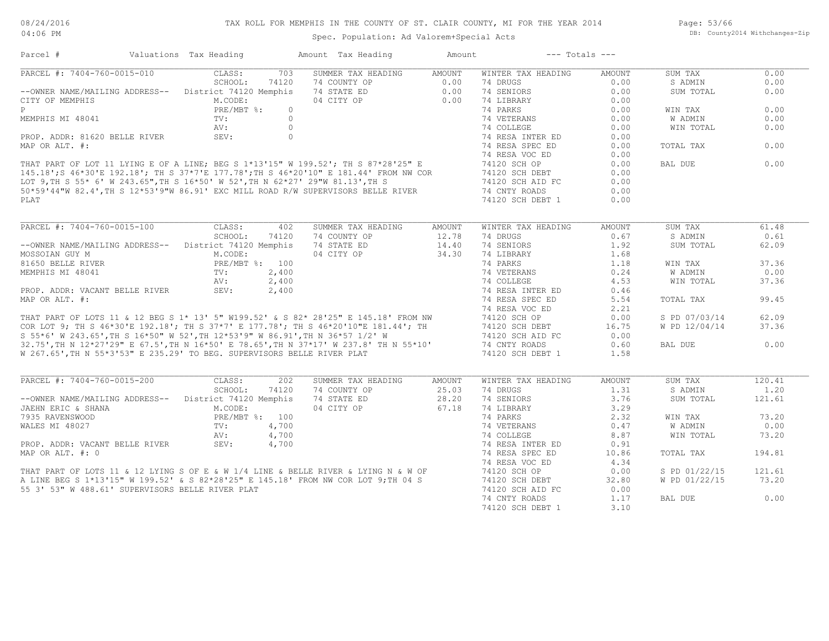Spec. Population: Ad Valorem+Special Acts

Page: 53/66 DB: County2014 Withchanges-Zip

| Parcel #                                                                                                                                                                                                                                   | Valuations Tax Heading      | Amount Tax Heading                                   | Amount                                                                          | $---$ Totals $---$ |               |               |        |
|--------------------------------------------------------------------------------------------------------------------------------------------------------------------------------------------------------------------------------------------|-----------------------------|------------------------------------------------------|---------------------------------------------------------------------------------|--------------------|---------------|---------------|--------|
| PARCEL #: 7404-760-0015-010                                                                                                                                                                                                                | CLASS:                      | 703<br>SUMMER TAX HEADING                            | AMOUNT                                                                          | WINTER TAX HEADING | AMOUNT        | SUM TAX       | 0.00   |
|                                                                                                                                                                                                                                            | SCHOOL:<br>74120            | 74 COUNTY OP                                         | $\begin{bmatrix} 2 & 0 & 0 & 0 \\ 0 & 0 & 0 & 0 \\ 0 & 0 & 0 & 0 \end{bmatrix}$ | 74 DRUGS           | 0.00          | S ADMIN       | 0.00   |
| --OWNER NAME/MAILING ADDRESS-- District 74120 Memphis                                                                                                                                                                                      |                             | 74 STATE ED                                          |                                                                                 | 74 SENIORS         | 0.00          | SUM TOTAL     | 0.00   |
| CITY OF MEMPHIS                                                                                                                                                                                                                            | M.CODE:                     | 04 CITY OP                                           |                                                                                 | 74 LIBRARY         | 0.00          |               |        |
|                                                                                                                                                                                                                                            |                             |                                                      |                                                                                 | 74 PARKS           | 0.00          | WIN TAX       | 0.00   |
|                                                                                                                                                                                                                                            |                             |                                                      |                                                                                 | 74 VETERANS        | 0.00          | W ADMIN       | 0.00   |
|                                                                                                                                                                                                                                            |                             |                                                      |                                                                                 | 74 COLLEGE         | 0.00          | WIN TOTAL     | 0.00   |
|                                                                                                                                                                                                                                            |                             |                                                      |                                                                                 | 74 RESA INTER ED   | 0.00          |               |        |
|                                                                                                                                                                                                                                            |                             |                                                      |                                                                                 | 74 RESA SPEC ED    | 0.00          | TOTAL TAX     | 0.00   |
|                                                                                                                                                                                                                                            |                             |                                                      |                                                                                 | 74 RESA VOC ED     | 0.00          |               |        |
|                                                                                                                                                                                                                                            |                             |                                                      |                                                                                 | 74120 SCH OP       | 0.00          | BAL DUE       | 0.00   |
|                                                                                                                                                                                                                                            |                             |                                                      |                                                                                 | 74120 SCH DEBT     | 0.00          |               |        |
| PRE/MBT %: 0<br>MEMPHIS MI 48041<br>PRE/MBT %: 0<br>PROP. ADDR: 81620 BELLE RIVER<br>MAP OR ALT. #:<br>THAT PART OF LOT 11 LYING E OF A LINE; BEG S 1*13'15" W 199.52'; TH S 87*28'25" E<br>145.18';S 46*30'E 192.18'; TH S 37*7'E 177.78' |                             |                                                      |                                                                                 | 74120 SCH AID FC   | 0.00          |               |        |
|                                                                                                                                                                                                                                            |                             |                                                      |                                                                                 | 74 CNTY ROADS      | 0.00          |               |        |
| PT.AT                                                                                                                                                                                                                                      |                             |                                                      |                                                                                 | 74120 SCH DEBT 1   | 0.00          |               |        |
|                                                                                                                                                                                                                                            |                             |                                                      |                                                                                 |                    |               |               |        |
| PARCEL #: 7404-760-0015-100                                                                                                                                                                                                                | CLASS:                      | 402<br>SUMMER TAX HEADING                            | AMOUNT                                                                          | WINTER TAX HEADING | AMOUNT        | SUM TAX       | 61.48  |
|                                                                                                                                                                                                                                            | SCHOOL:<br>74120            | 74 COUNTY OP                                         | 12.78                                                                           | 74 DRUGS           | 0.67          | S ADMIN       | 0.61   |
| --OWNER NAME/MAILING ADDRESS-- District 74120 Memphis                                                                                                                                                                                      |                             | 74 STATE ED                                          | 14.40                                                                           | 74 SENIORS         | 1.92          | SUM TOTAL     | 62.09  |
| MOSSOIAN GUY M                                                                                                                                                                                                                             | M.CODE:                     | 04 CITY OP                                           | 34.30                                                                           | 74 LIBRARY         | 1.68          |               |        |
| 81650 BELLE RIVER                                                                                                                                                                                                                          | PRE/MBT %: 100              |                                                      |                                                                                 | 74 PARKS           | 1.18          | WIN TAX       | 37.36  |
| MEMPHIS MI 48041                                                                                                                                                                                                                           | 2,400                       |                                                      |                                                                                 | 74 VETERANS        | 0.24          | W ADMIN       | 0.00   |
|                                                                                                                                                                                                                                            | TV:<br>AV:<br>SEV:<br>2,400 |                                                      |                                                                                 | 74 COLLEGE         | 4.53          | WIN TOTAL     | 37.36  |
| PROP. ADDR: VACANT BELLE RIVER                                                                                                                                                                                                             | 2,400                       |                                                      |                                                                                 | 74 RESA INTER ED   | 0.46          |               |        |
| MAP OR ALT. #:                                                                                                                                                                                                                             |                             |                                                      |                                                                                 | 74 RESA SPEC ED    | 5.54          | TOTAL TAX     | 99.45  |
|                                                                                                                                                                                                                                            |                             |                                                      |                                                                                 |                    | 2.21          |               |        |
|                                                                                                                                                                                                                                            |                             |                                                      |                                                                                 |                    | 0.00          | S PD 07/03/14 | 62.09  |
| 74 RESA VOC ED<br>THAT PART OF LOTS 11 & 12 BEG S 1* 13' 5" W199.52' & S 82* 28'25" E 145.18' FROM NW<br>COR LOT 9; TH S 46*30'E 192.18'; TH S 37*7' E 177.78'; TH S 46*20'10"E 181.44'; TH<br>S 55*6' W 243.65',TH S 16*50" W 52',T       |                             |                                                      |                                                                                 |                    | 16.75         | W PD 12/04/14 | 37.36  |
|                                                                                                                                                                                                                                            |                             |                                                      |                                                                                 |                    | 0.00          |               |        |
|                                                                                                                                                                                                                                            |                             |                                                      |                                                                                 |                    | 0.60          | BAL DUE       | 0.00   |
| W 267.65', TH N 55*3'53" E 235.29' TO BEG. SUPERVISORS BELLE RIVER PLAT                                                                                                                                                                    |                             |                                                      |                                                                                 | 74120 SCH DEBT 1   | 1.58          |               |        |
|                                                                                                                                                                                                                                            |                             |                                                      |                                                                                 |                    |               |               |        |
| PARCEL #: 7404-760-0015-200                                                                                                                                                                                                                | CLASS:                      | 2.02<br>SUMMER TAX HEADING                           | <b>AMOUNT</b>                                                                   | WINTER TAX HEADING | <b>AMOUNT</b> | SUM TAX       | 120.41 |
|                                                                                                                                                                                                                                            | SCHOOL:<br>74120            | 74 COUNTY OP                                         | 25.03                                                                           | 74 DRUGS           | 1.31          | S ADMIN       | 1.20   |
| -- OWNER NAME/MAILING ADDRESS-- District 74120 Memphis                                                                                                                                                                                     |                             | 74 STATE ED 28.20<br>04 CITY OP 67.18<br>74 STATE ED |                                                                                 | 74 SENIORS         | 3.76          | SUM TOTAL     | 121.61 |
| JAEHN ERIC & SHANA                                                                                                                                                                                                                         | M.CODE:                     |                                                      |                                                                                 | 74 LIBRARY         | 3.29          |               |        |
|                                                                                                                                                                                                                                            |                             |                                                      |                                                                                 | 74 PARKS           | 2.32          | WIN TAX       | 73.20  |
|                                                                                                                                                                                                                                            |                             |                                                      |                                                                                 | 74 VETERANS        | 0.47          | W ADMIN       | 0.00   |
|                                                                                                                                                                                                                                            |                             |                                                      |                                                                                 | 74 COLLEGE         | 8.87          | WIN TOTAL     | 73.20  |
|                                                                                                                                                                                                                                            |                             |                                                      |                                                                                 | 74 RESA INTER ED   | 0.91          |               |        |
|                                                                                                                                                                                                                                            |                             |                                                      |                                                                                 | 74 RESA SPEC ED    | 10.86         | TOTAL TAX     | 194.81 |
|                                                                                                                                                                                                                                            |                             |                                                      |                                                                                 | 74 RESA VOC ED     | 4.34          |               |        |
|                                                                                                                                                                                                                                            |                             |                                                      |                                                                                 | 74120 SCH OP       | 0.00          | S PD 01/22/15 | 121.61 |
|                                                                                                                                                                                                                                            |                             |                                                      |                                                                                 | 74120 SCH DEBT     | 32.80         | W PD 01/22/15 | 73.20  |
| 55 3' 53" W 488.61' SUPERVISORS BELLE RIVER PLAT                                                                                                                                                                                           |                             |                                                      |                                                                                 | 74120 SCH AID FC   | 0.00          |               |        |
|                                                                                                                                                                                                                                            |                             |                                                      |                                                                                 | 74 CNTY ROADS      | 1.17          | BAL DUE       | 0.00   |
|                                                                                                                                                                                                                                            |                             |                                                      |                                                                                 | 74120 SCH DEBT 1   | 3.10          |               |        |
|                                                                                                                                                                                                                                            |                             |                                                      |                                                                                 |                    |               |               |        |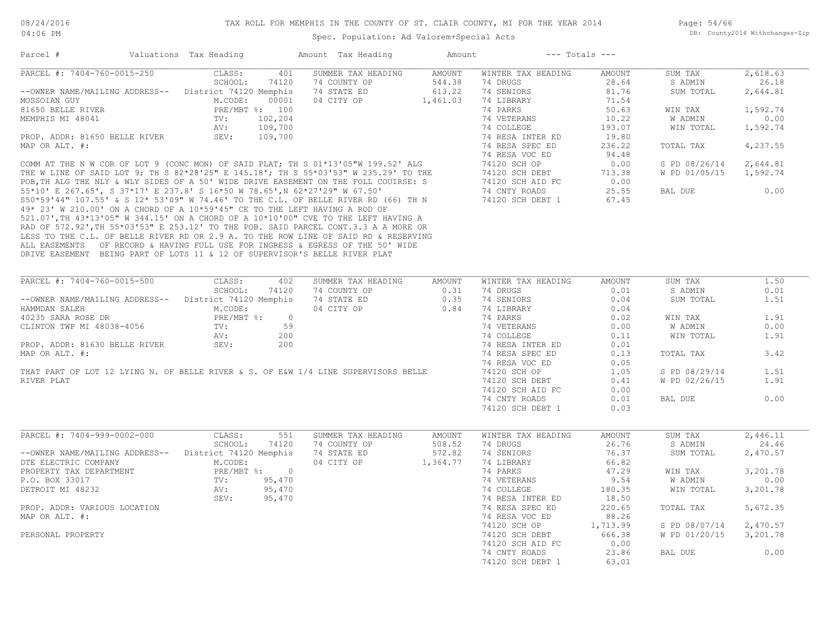| Parcel #                                                                   | Valuations Tax Heading |              | Amount Tax Heading                                                                                                                                                                                                                 | Amount |                                                                 | $---$ Totals $---$ |                |          |
|----------------------------------------------------------------------------|------------------------|--------------|------------------------------------------------------------------------------------------------------------------------------------------------------------------------------------------------------------------------------------|--------|-----------------------------------------------------------------|--------------------|----------------|----------|
| PARCEL #: 7404-760-0015-250                                                | CLASS:                 | 401          | SUMMER TAX HEADING                                                                                                                                                                                                                 | AMOUNT | WINTER TAX HEADING                                              | AMOUNT             | SUM TAX        | 2,618.63 |
|                                                                            | SCHOOL:                | 74120        | 74 COUNTY OP 544.38<br>74 STATE ED 613.22<br>04 CITY OP 1,461.03                                                                                                                                                                   |        | 74 DRUGS                                                        | 28.64              | S ADMIN        | 26.18    |
| --OWNER NAME/MAILING ADDRESS-- District 74120 Memphis                      |                        |              | 74 STATE ED                                                                                                                                                                                                                        |        | 74 SENIORS                                                      | 81.76              | SUM TOTAL      | 2,644.81 |
| MOSSOIAN GUY                                                               | M.CODE:                | 00001        |                                                                                                                                                                                                                                    |        | 74 LIBRARY                                                      | 71.54              |                |          |
| 81650 BELLE RIVER                                                          | PRE/MBT %: 100         |              |                                                                                                                                                                                                                                    |        | 74 PARKS                                                        | 50.63              | WIN TAX        | 1,592.74 |
| MEMPHIS MI 48041                                                           | TV:                    | 102,204      |                                                                                                                                                                                                                                    |        | 74 VETERANS                                                     | 10.22              | <b>W ADMIN</b> | 0.00     |
|                                                                            | AV:                    | 109,700      |                                                                                                                                                                                                                                    |        | 74 COLLEGE                                                      | 193.07             | WIN TOTAL      | 1,592.74 |
| PROP. ADDR: 81650 BELLE RIVER                                              | SEV:                   | 109,700      |                                                                                                                                                                                                                                    |        | 74 RESA INTER ED                                                | 19.80              |                |          |
| MAP OR ALT. #:                                                             |                        |              |                                                                                                                                                                                                                                    |        | 74 RESA SPEC ED                                                 | 236.22             | TOTAL TAX      | 4,237.55 |
|                                                                            |                        |              |                                                                                                                                                                                                                                    |        | 74 RESA VOC ED                                                  | 94.48              |                |          |
|                                                                            |                        |              | 0.00 COMM AT THE N W COR OF LOT 9 (CONC MON) OF SAID PLAT; TH S 01*13'05"W 199.52' ALG<br>THE W LINE OF SAID LOT 9; TH S 82*28'25" E 145.18'; TH S 55*03'53" W 235.29' TO THE<br>POB, TH ALG THE NLY & WLY SIDES OF A 50' WIDE DRI |        |                                                                 |                    | S PD 08/26/14  | 2,644.81 |
|                                                                            |                        |              |                                                                                                                                                                                                                                    |        |                                                                 |                    | W PD 01/05/15  | 1,592.74 |
|                                                                            |                        |              |                                                                                                                                                                                                                                    |        |                                                                 |                    |                |          |
|                                                                            |                        |              |                                                                                                                                                                                                                                    |        |                                                                 |                    | BAL DUE        | 0.00     |
|                                                                            |                        |              |                                                                                                                                                                                                                                    |        |                                                                 |                    |                |          |
|                                                                            |                        |              |                                                                                                                                                                                                                                    |        |                                                                 |                    |                |          |
| 49* 23' W 210.00' ON A CHORD OF A 10*59'45" CE TO THE LEFT HAVING A ROD OF |                        |              |                                                                                                                                                                                                                                    |        |                                                                 |                    |                |          |
|                                                                            |                        |              | 521.07', TH 43*13'05" W 344.15' ON A CHORD OF A 10*10'00" CVE TO THE LEFT HAVING A                                                                                                                                                 |        |                                                                 |                    |                |          |
|                                                                            |                        |              | RAD OF 572.92', TH 55*03'53" E 253.12' TO THE POB. SAID PARCEL CONT.3.3 A A MORE OR                                                                                                                                                |        |                                                                 |                    |                |          |
|                                                                            |                        |              | LESS TO THE C.L. OF BELLE RIVER RD OR 2.9 A. TO THE ROW LINE OF SAID RD & RESERVING                                                                                                                                                |        |                                                                 |                    |                |          |
|                                                                            |                        |              | ALL EASEMENTS OF RECORD & HAVING FULL USE FOR INGRESS & EGRESS OF THE 50' WIDE                                                                                                                                                     |        |                                                                 |                    |                |          |
| DRIVE EASEMENT BEING PART OF LOTS 11 & 12 OF SUPERVISOR'S BELLE RIVER PLAT |                        |              |                                                                                                                                                                                                                                    |        |                                                                 |                    |                |          |
|                                                                            |                        |              |                                                                                                                                                                                                                                    |        |                                                                 |                    |                |          |
|                                                                            |                        |              |                                                                                                                                                                                                                                    |        |                                                                 |                    |                |          |
| PARCEL #: 7404-760-0015-500                                                | CLASS:                 | 402          | SUMMER TAX HEADING                                                                                                                                                                                                                 | AMOUNT | WINTER TAX HEADING                                              | AMOUNT             | SUM TAX        | 1.50     |
|                                                                            | SCHOOL:                | 74120        | 74 COUNTY OP                                                                                                                                                                                                                       |        | 0.31 74 DRUGS<br>0.35 74 SENIORS<br>0.84 74 LIBRARY<br>74 NORTH | 0.01               | S ADMIN        | 0.01     |
| -- OWNER NAME/MAILING ADDRESS-- District 74120 Memphis                     |                        |              | 74 STATE ED                                                                                                                                                                                                                        |        |                                                                 | 0.04               | SUM TOTAL      | 1.51     |
| HAMMDAN SALEH<br>40235 SARA ROSE DR                                        | M.CODE:                |              | 04 CITY OP                                                                                                                                                                                                                         |        |                                                                 | 0.04               |                |          |
|                                                                            |                        | PRE/MBT %: 0 |                                                                                                                                                                                                                                    |        | 74 PARKS                                                        | 0.02               | WIN TAX        | 1.91     |
| CLINTON TWP MI 48038-4056                                                  | $TV:$ 59               |              |                                                                                                                                                                                                                                    |        | 74 VETERANS                                                     | 0.00               | <b>W ADMIN</b> | 0.00     |
|                                                                            | AV:                    | 200          |                                                                                                                                                                                                                                    |        | 74 COLLEGE                                                      | 0.11               | WIN TOTAL      | 1.91     |
| PROP. ADDR: 81630 BELLE RIVER SEV:                                         |                        | 200          |                                                                                                                                                                                                                                    |        | 74 RESA INTER ED 0.01                                           |                    |                |          |
| MAP OR ALT. #:                                                             |                        |              |                                                                                                                                                                                                                                    |        | 74 RESA SPEC ED                                                 | 0.13               | TOTAL TAX      | 3.42     |
|                                                                            |                        |              |                                                                                                                                                                                                                                    |        |                                                                 |                    |                |          |
|                                                                            |                        |              |                                                                                                                                                                                                                                    |        | 74 RESA VOC ED                                                  | 0.05               |                |          |
|                                                                            |                        |              | THAT PART OF LOT 12 LYING N. OF BELLE RIVER & S. OF E&W 1/4 LINE SUPERVISORS BELLE                                                                                                                                                 |        | 74120 SCH OP                                                    | 1.05               | S PD 08/29/14  | 1.51     |
| RIVER PLAT                                                                 |                        |              |                                                                                                                                                                                                                                    |        | 74120 SCH DEBT                                                  | 0.41               | W PD 02/26/15  | 1.91     |
|                                                                            |                        |              |                                                                                                                                                                                                                                    |        | 74120 SCH AID FC                                                | 0.00               |                |          |
|                                                                            |                        |              |                                                                                                                                                                                                                                    |        | 74 CNTY ROADS                                                   | 0.01               | BAL DUE        | 0.00     |
|                                                                            |                        |              |                                                                                                                                                                                                                                    |        | 74120 SCH DEBT 1                                                | 0.03               |                |          |
|                                                                            |                        |              |                                                                                                                                                                                                                                    |        |                                                                 |                    |                |          |
| PARCEL #: 7404-999-0002-000                                                | CLASS:                 | 551          | SUMMER TAX HEADING                                                                                                                                                                                                                 | AMOUNT | WINTER TAX HEADING                                              | AMOUNT             | SUM TAX        | 2,446.11 |
|                                                                            | SCHOOL:                | 74120        | 74 COUNTY OP                                                                                                                                                                                                                       | 508.52 | 74 DRUGS                                                        | 26.76              | S ADMIN        | 24.46    |
| -- OWNER NAME/MAILING ADDRESS-- District 74120 Memphis                     |                        |              | 74 STATE ED                                                                                                                                                                                                                        | 572.82 | 74 SENIORS                                                      | 76.37              | SUM TOTAL      | 2,470.57 |
| DTE ELECTRIC COMPANY                                                       | M.CODE:                |              | 04 CITY OP 1,364.77                                                                                                                                                                                                                |        | 74 LIBRARY                                                      | 66.82              |                |          |
|                                                                            |                        |              |                                                                                                                                                                                                                                    |        |                                                                 |                    |                |          |
| PROPERTY TAX DEPARTMENT                                                    | PRE/MBT %: 0           |              |                                                                                                                                                                                                                                    |        | 74 PARKS                                                        | 47.29              | WIN TAX        | 3,201.78 |
| P.O. BOX 33017                                                             | TV: 95,470             |              |                                                                                                                                                                                                                                    |        | 74 VETERANS                                                     | 9.54               | W ADMIN        | 0.00     |
| DETROIT MI 48232                                                           | AV:                    | 95,470       |                                                                                                                                                                                                                                    |        | 74 COLLEGE                                                      | 180.35             | WIN TOTAL      | 3,201.78 |
|                                                                            | SEV:                   | 95,470       |                                                                                                                                                                                                                                    |        | 74 RESA INTER ED                                                | 18.50              |                |          |
| PROP. ADDR: VARIOUS LOCATION                                               |                        |              |                                                                                                                                                                                                                                    |        | 74 RESA SPEC ED                                                 | 220.65             | TOTAL TAX      | 5,672.35 |
| MAP OR ALT. #:                                                             |                        |              |                                                                                                                                                                                                                                    |        | 74 RESA VOC ED                                                  | 88.26              |                |          |
|                                                                            |                        |              |                                                                                                                                                                                                                                    |        | 74120 SCH OP                                                    | 1,713.99           | S PD 08/07/14  | 2,470.57 |
| PERSONAL PROPERTY                                                          |                        |              |                                                                                                                                                                                                                                    |        | 74120 SCH DEBT                                                  | 666.38             | W PD 01/20/15  | 3,201.78 |
|                                                                            |                        |              |                                                                                                                                                                                                                                    |        | 74120 SCH AID FC                                                | 0.00               |                |          |
|                                                                            |                        |              |                                                                                                                                                                                                                                    |        |                                                                 |                    | BAL DUE        | 0.00     |
|                                                                            |                        |              |                                                                                                                                                                                                                                    |        | 74 CNTY ROADS                                                   | 23.86              |                |          |
|                                                                            |                        |              |                                                                                                                                                                                                                                    |        | 74120 SCH DEBT 1                                                | 63.01              |                |          |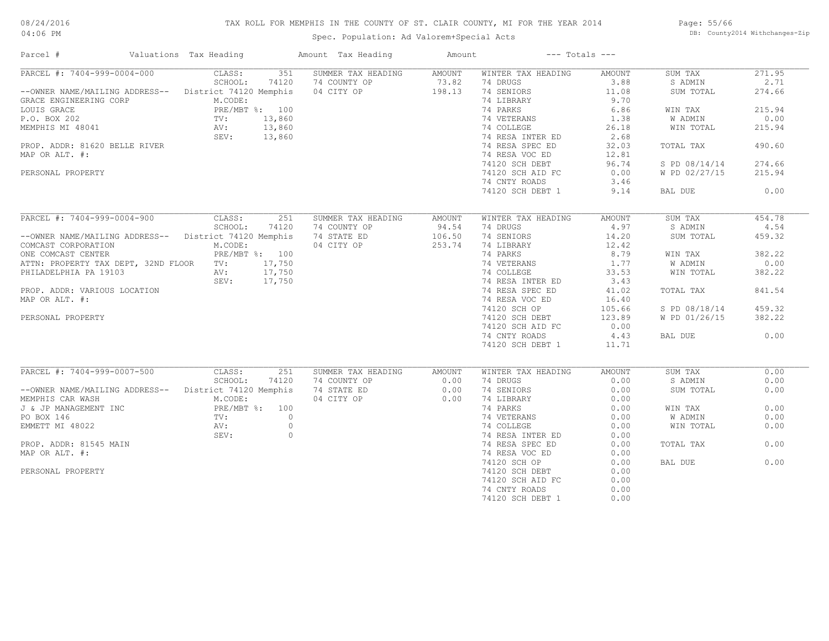# TAX ROLL FOR MEMPHIS IN THE COUNTY OF ST. CLAIR COUNTY, MI FOR THE YEAR 2014

Spec. Population: Ad Valorem+Special Acts

Page: 55/66 DB: County2014 Withchanges-Zip

| Parcel #<br>Valuations Tax Heading                     |                        | Amount Tax Heading                                         | Amount            | $---$ Totals $---$ |        |               |        |
|--------------------------------------------------------|------------------------|------------------------------------------------------------|-------------------|--------------------|--------|---------------|--------|
| PARCEL #: 7404-999-0004-000                            | 351<br>CLASS:          | SUMMER TAX HEADING                                         | AMOUNT            | WINTER TAX HEADING | AMOUNT | SUM TAX       | 271.95 |
|                                                        | SCHOOL:<br>74120       | 74 COUNTY OP                                               | $73.82$<br>198.13 | 74 DRUGS           | 3.88   | S ADMIN       | 2.71   |
| --OWNER NAME/MAILING ADDRESS-- District 74120 Memphis  |                        | 04 CITY OP                                                 | 198.13            | 74 SENIORS         | 11.08  | SUM TOTAL     | 274.66 |
| GRACE ENGINEERING CORP                                 | M.CODE:                |                                                            |                   | 74 LIBRARY         | 9.70   |               |        |
| LOUIS GRACE                                            | PRE/MBT %: 100         | $\begin{array}{l} 100 \\ 860 \\ 860 \\ 860 \\ \end{array}$ |                   | 74 PARKS           | 6.86   | WIN TAX       | 215.94 |
| P.O. BOX 202                                           | $TV:$<br>AV:<br>13,860 |                                                            |                   | 74 VETERANS        | 1.38   | W ADMIN       | 0.00   |
| MEMPHIS MI 48041                                       | 13,860                 |                                                            |                   | 74 COLLEGE         | 26.18  | WIN TOTAL     | 215.94 |
|                                                        | SEV: 13,860            |                                                            |                   | 74 RESA INTER ED   | 2.68   |               |        |
| PROP. ADDR: 81620 BELLE RIVER                          |                        |                                                            |                   | 74 RESA SPEC ED    | 32.03  | TOTAL TAX     | 490.60 |
| MAP OR ALT. #:                                         |                        |                                                            |                   | 74 RESA VOC ED     | 12.81  |               |        |
|                                                        |                        |                                                            |                   | 74120 SCH DEBT     | 96.74  | S PD 08/14/14 | 274.66 |
| PERSONAL PROPERTY                                      |                        |                                                            |                   | 74120 SCH AID FC   | 0.00   | W PD 02/27/15 | 215.94 |
|                                                        |                        |                                                            |                   | 74 CNTY ROADS      | 3.46   |               |        |
|                                                        |                        |                                                            |                   | 74120 SCH DEBT 1   | 9.14   | BAL DUE       | 0.00   |
|                                                        |                        |                                                            |                   |                    |        |               |        |
| PARCEL #: 7404-999-0004-900                            | CLASS:<br>251          | SUMMER TAX HEADING                                         | AMOUNT            | WINTER TAX HEADING | AMOUNT | SUM TAX       | 454.78 |
|                                                        | SCHOOL:<br>74120       | 74 COUNTY OP                                               | 94.54             | 74 DRUGS           | 4.97   | S ADMIN       | 4.54   |
| -- OWNER NAME/MAILING ADDRESS-- District 74120 Memphis |                        | 74 STATE ED                                                | 106.50            | 74 SENIORS         | 14.20  | SUM TOTAL     | 459.32 |
| COMCAST CORPORATION                                    | M.CODE:                | 04 CITY OP                                                 | 253.74            | 74 LIBRARY         | 12.42  |               |        |
| ONE COMCAST CENTER                                     | PRE/MBT %: 100         |                                                            |                   | 74 PARKS           | 8.79   | WIN TAX       | 382.22 |
|                                                        |                        |                                                            |                   | 74 VETERANS        | 1.77   | W ADMIN       | 0.00   |
| ATTN: PROPERTY TAX DEPT, 32ND FLOOR TV:                | 17,750                 |                                                            |                   |                    |        |               |        |
| PHILADELPHIA PA 19103<br>AV:                           | 17,750                 |                                                            |                   | 74 COLLEGE         | 33.53  | WIN TOTAL     | 382.22 |
|                                                        | SEV: 17,750            |                                                            |                   | 74 RESA INTER ED   | 3.43   |               |        |
| PROP. ADDR: VARIOUS LOCATION                           |                        |                                                            |                   | 74 RESA SPEC ED    | 41.02  | TOTAL TAX     | 841.54 |
| MAP OR ALT. #:                                         |                        |                                                            |                   | 74 RESA VOC ED     | 16.40  |               |        |
|                                                        |                        |                                                            |                   | 74120 SCH OP       | 105.66 | S PD 08/18/14 | 459.32 |
| PERSONAL PROPERTY                                      |                        |                                                            |                   | 74120 SCH DEBT     | 123.89 | W PD 01/26/15 | 382.22 |
|                                                        |                        |                                                            |                   | 74120 SCH AID FC   | 0.00   |               |        |
|                                                        |                        |                                                            |                   | 74 CNTY ROADS      | 4.43   | BAL DUE       | 0.00   |
|                                                        |                        |                                                            |                   | 74120 SCH DEBT 1   | 11.71  |               |        |
|                                                        |                        |                                                            |                   |                    |        |               |        |
| PARCEL #: 7404-999-0007-500                            | CLASS:<br>251          | SUMMER TAX HEADING                                         | <b>AMOUNT</b>     | WINTER TAX HEADING | AMOUNT | SUM TAX       | 0.00   |
|                                                        | SCHOOL:<br>74120       | 74 COUNTY OP                                               | 0.00              | 74 DRUGS           | 0.00   | S ADMIN       | 0.00   |
| --OWNER NAME/MAILING ADDRESS-- District 74120 Memphis  |                        | 74 STATE ED                                                | 0.00              | 74 SENIORS         | 0.00   | SUM TOTAL     | 0.00   |
| MEMPHIS CAR WASH                                       | M.CODE:                | 04 CITY OP                                                 | 0.00              | 74 LIBRARY         | 0.00   |               |        |
| J & JP MANAGEMENT INC                                  | PRE/MBT %: 100         |                                                            |                   | 74 PARKS           | 0.00   | WIN TAX       | 0.00   |
| PO BOX 146                                             | $\circ$<br>TV:         |                                                            |                   | 74 VETERANS        | 0.00   | W ADMIN       | 0.00   |
| EMMETT MI 48022                                        | $\circ$<br>AV:         |                                                            |                   | 74 COLLEGE         | 0.00   | WIN TOTAL     | 0.00   |
|                                                        | $\circ$<br>SEV:        |                                                            |                   | 74 RESA INTER ED   | 0.00   |               |        |
| PROP. ADDR: 81545 MAIN                                 |                        |                                                            |                   | 74 RESA SPEC ED    | 0.00   | TOTAL TAX     | 0.00   |
| MAP OR ALT. #:                                         |                        |                                                            |                   | 74 RESA VOC ED     | 0.00   |               |        |
|                                                        |                        |                                                            |                   | 74120 SCH OP       | 0.00   | BAL DUE       | 0.00   |
| PERSONAL PROPERTY                                      |                        |                                                            |                   | 74120 SCH DEBT     | 0.00   |               |        |
|                                                        |                        |                                                            |                   | 74120 SCH AID FC   | 0.00   |               |        |
|                                                        |                        |                                                            |                   | 74 CNTY ROADS      | 0.00   |               |        |
|                                                        |                        |                                                            |                   | 74120 SCH DEBT 1   | 0.00   |               |        |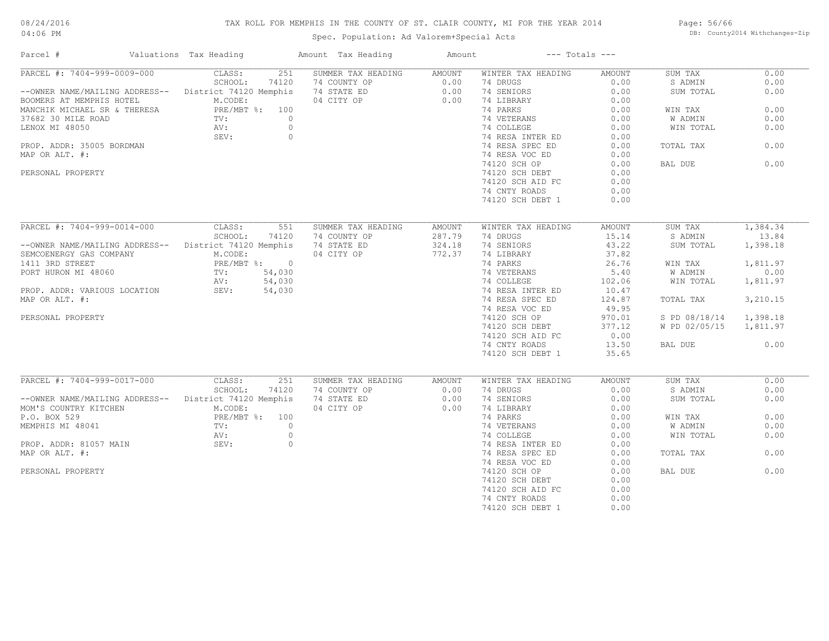# TAX ROLL FOR MEMPHIS IN THE COUNTY OF ST. CLAIR COUNTY, MI FOR THE YEAR 2014

Spec. Population: Ad Valorem+Special Acts

Page: 56/66 DB: County2014 Withchanges-Zip

| Parcel #                                                 | Valuations Tax Heading       | Amount Tax Heading               | Amount           |                    | $---$ Totals $---$ |               |          |
|----------------------------------------------------------|------------------------------|----------------------------------|------------------|--------------------|--------------------|---------------|----------|
| PARCEL #: 7404-999-0009-000                              | CLASS:                       | 251<br>SUMMER TAX HEADING AMOUNT |                  | WINTER TAX HEADING | AMOUNT             | SUM TAX       | 0.00     |
|                                                          | SCHOOL:<br>74120             | 74 COUNTY OP                     | 0.00             | 74 DRUGS           | 0.00               | S ADMIN       | 0.00     |
| --OWNER NAME/MAILING ADDRESS-- District 74120 Memphis    |                              | 74 STATE ED                      | $0.00$<br>$0.00$ | 74 SENIORS         | 0.00               | SUM TOTAL     | 0.00     |
| BOOMERS AT MEMPHIS HOTEL<br>MANCHIK MICHAEL SR & THERESA | M.CODE:                      | 04 CITY OP                       | 0.00             | 74 LIBRARY         | 0.00               |               |          |
|                                                          | PRE/MBT %: 100               |                                  |                  | 74 PARKS           | 0.00               | WIN TAX       | 0.00     |
| 37682 30 MILE ROAD                                       | TV:                          | $\overline{0}$                   |                  | 74 VETERANS        | 0.00               | W ADMIN       | 0.00     |
| LENOX MI 48050                                           | AV:                          | $\circ$                          |                  | 74 COLLEGE         | 0.00               | WIN TOTAL     | 0.00     |
|                                                          | SEV:                         | $\overline{0}$                   |                  | 74 RESA INTER ED   | 0.00               |               |          |
| PROP. ADDR: 35005 BORDMAN                                |                              |                                  |                  | 74 RESA SPEC ED    | 0.00               | TOTAL TAX     | 0.00     |
| MAP OR ALT. #:                                           |                              |                                  |                  | 74 RESA VOC ED     | 0.00               |               |          |
|                                                          |                              |                                  |                  | 74120 SCH OP       | 0.00               | BAL DUE       | 0.00     |
| PERSONAL PROPERTY                                        |                              |                                  |                  | 74120 SCH DEBT     | 0.00               |               |          |
|                                                          |                              |                                  |                  | 74120 SCH AID FC   | 0.00               |               |          |
|                                                          |                              |                                  |                  | 74 CNTY ROADS      | 0.00               |               |          |
|                                                          |                              |                                  |                  | 74120 SCH DEBT 1   | 0.00               |               |          |
|                                                          |                              |                                  |                  |                    |                    |               |          |
| PARCEL #: 7404-999-0014-000                              | CLASS:<br>551                | SUMMER TAX HEADING               | AMOUNT           | WINTER TAX HEADING | AMOUNT             | SUM TAX       | 1,384.34 |
|                                                          | SCHOOL:<br>74120             | 74 COUNTY OP                     | 287.79           | 74 DRUGS           | 15.14              | S ADMIN       | 13.84    |
| --OWNER NAME/MAILING ADDRESS-- District 74120 Memphis    |                              | 74 STATE ED                      | 324.18           | 74 SENIORS         | 43.22              | SUM TOTAL     | 1,398.18 |
| SEMCOENERGY GAS COMPANY                                  | M.CODE:                      | 04 CITY OP                       | 772.37           | 74 LIBRARY         | 37.82              |               |          |
| 1411 3RD STREET                                          | PRE/MBT %: 0                 |                                  |                  | 74 PARKS           | 26.76              | WIN TAX       | 1,811.97 |
|                                                          |                              |                                  |                  |                    |                    |               |          |
| PORT HURON MI 48060                                      | $TV:$ $AV:$<br>54,030        |                                  |                  | 74 VETERANS        | 5.40               | W ADMIN       | 0.00     |
|                                                          | 54,030                       |                                  |                  | 74 COLLEGE         | 102.06             | WIN TOTAL     | 1,811.97 |
| PROP. ADDR: VARIOUS LOCATION SEV:                        | 54,030                       |                                  |                  | 74 RESA INTER ED   | 10.47              |               |          |
| MAP OR ALT. #:                                           |                              |                                  |                  | 74 RESA SPEC ED    | 124.87             | TOTAL TAX     | 3,210.15 |
|                                                          |                              |                                  |                  | 74 RESA VOC ED     | 49.95              |               |          |
| PERSONAL PROPERTY                                        |                              |                                  |                  | 74120 SCH OP       | 970.01             | S PD 08/18/14 | 1,398.18 |
|                                                          |                              |                                  |                  | 74120 SCH DEBT     | 377.12             | W PD 02/05/15 | 1,811.97 |
|                                                          |                              |                                  |                  | 74120 SCH AID FC   | 0.00               |               |          |
|                                                          |                              |                                  |                  | 74 CNTY ROADS      | 13.50              | BAL DUE       | 0.00     |
|                                                          |                              |                                  |                  | 74120 SCH DEBT 1   | 35.65              |               |          |
|                                                          |                              |                                  |                  |                    |                    |               |          |
| PARCEL #: 7404-999-0017-000                              | CLASS:<br>251                | SUMMER TAX HEADING               | AMOUNT           | WINTER TAX HEADING | AMOUNT             | SUM TAX       | 0.00     |
|                                                          | SCHOOL:<br>74120             | 74 COUNTY OP                     | 0.00             | 74 DRUGS           | 0.00               | S ADMIN       | 0.00     |
| --OWNER NAME/MAILING ADDRESS-- District 74120 Memphis    |                              | 74 STATE ED                      | 0.00             | 74 SENIORS         | 0.00               | SUM TOTAL     | 0.00     |
| MOM'S COUNTRY KITCHEN                                    | M.CODE:                      | 04 CITY OP                       | 0.00             | 74 LIBRARY         | 0.00               |               |          |
| P.O. BOX 529                                             | PRE/MBT %: 100               |                                  |                  | 74 PARKS           | 0.00               | WIN TAX       | 0.00     |
| MEMPHIS MI 48041                                         | PRE/MB<br>TV:<br>AV:<br>SEV: | $\overline{0}$                   |                  | 74 VETERANS        | 0.00               | W ADMIN       | 0.00     |
|                                                          |                              | $\circ$                          |                  | 74 COLLEGE         | 0.00               | WIN TOTAL     | 0.00     |
| PROP. ADDR: 81057 MAIN                                   |                              | $\overline{0}$                   |                  | 74 RESA INTER ED   | 0.00               |               |          |
| MAP OR ALT. #:                                           |                              |                                  |                  | 74 RESA SPEC ED    | 0.00               | TOTAL TAX     | 0.00     |
|                                                          |                              |                                  |                  | 74 RESA VOC ED     | 0.00               |               |          |
| PERSONAL PROPERTY                                        |                              |                                  |                  | 74120 SCH OP       | 0.00               | BAL DUE       | 0.00     |
|                                                          |                              |                                  |                  | 74120 SCH DEBT     | 0.00               |               |          |
|                                                          |                              |                                  |                  | 74120 SCH AID FC   | 0.00               |               |          |
|                                                          |                              |                                  |                  | 74 CNTY ROADS      | 0.00               |               |          |
|                                                          |                              |                                  |                  |                    | 0.00               |               |          |
|                                                          |                              |                                  |                  | 74120 SCH DEBT 1   |                    |               |          |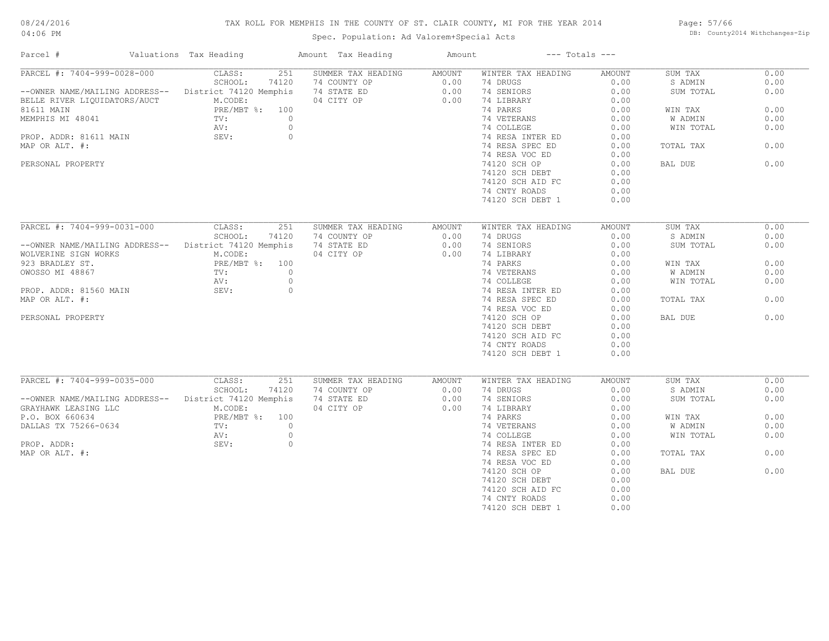# TAX ROLL FOR MEMPHIS IN THE COUNTY OF ST. CLAIR COUNTY, MI FOR THE YEAR 2014

Spec. Population: Ad Valorem+Special Acts

Page: 57/66 DB: County2014 Withchanges-Zip

| Parcel #                       | Valuations Tax Heading | Amount Tax Heading | Amount        | $---$ Totals $---$ |               |           |      |
|--------------------------------|------------------------|--------------------|---------------|--------------------|---------------|-----------|------|
| PARCEL #: 7404-999-0028-000    | CLASS:<br>251          | SUMMER TAX HEADING | AMOUNT        | WINTER TAX HEADING | AMOUNT        | SUM TAX   | 0.00 |
|                                | SCHOOL:<br>74120       | 74 COUNTY OP       | 0.00          | 74 DRUGS           | 0.00          | S ADMIN   | 0.00 |
| --OWNER NAME/MAILING ADDRESS-- | District 74120 Memphis | 74 STATE ED        | 0.00          | 74 SENIORS         | 0.00          | SUM TOTAL | 0.00 |
| BELLE RIVER LIQUIDATORS/AUCT   | M.CODE:                | 04 CITY OP         | 0.00          | 74 LIBRARY         | 0.00          |           |      |
| 81611 MAIN                     | PRE/MBT %: 100         |                    |               | 74 PARKS           | 0.00          | WIN TAX   | 0.00 |
| MEMPHIS MI 48041               | $\circ$<br>TV:         |                    |               | 74 VETERANS        | 0.00          | W ADMIN   | 0.00 |
|                                | AV:<br>$\circ$         |                    |               | 74 COLLEGE         | 0.00          | WIN TOTAL | 0.00 |
| PROP. ADDR: 81611 MAIN         | $\circ$<br>SEV:        |                    |               | 74 RESA INTER ED   | 0.00          |           |      |
| MAP OR ALT. #:                 |                        |                    |               | 74 RESA SPEC ED    | 0.00          | TOTAL TAX | 0.00 |
|                                |                        |                    |               | 74 RESA VOC ED     | 0.00          |           |      |
|                                |                        |                    |               |                    |               |           |      |
| PERSONAL PROPERTY              |                        |                    |               | 74120 SCH OP       | 0.00          | BAL DUE   | 0.00 |
|                                |                        |                    |               | 74120 SCH DEBT     | 0.00          |           |      |
|                                |                        |                    |               | 74120 SCH AID FC   | 0.00          |           |      |
|                                |                        |                    |               | 74 CNTY ROADS      | 0.00          |           |      |
|                                |                        |                    |               | 74120 SCH DEBT 1   | 0.00          |           |      |
|                                |                        |                    |               |                    |               |           |      |
| PARCEL #: 7404-999-0031-000    | CLASS:<br>251          | SUMMER TAX HEADING | <b>AMOUNT</b> | WINTER TAX HEADING | <b>AMOUNT</b> | SUM TAX   | 0.00 |
|                                | SCHOOL:<br>74120       | 74 COUNTY OP       | 0.00          | 74 DRUGS           | 0.00          | S ADMIN   | 0.00 |
| --OWNER NAME/MAILING ADDRESS-- | District 74120 Memphis | 74 STATE ED        | 0.00          | 74 SENIORS         | 0.00          | SUM TOTAL | 0.00 |
| WOLVERINE SIGN WORKS           | M.CODE:                | 04 CITY OP         | 0.00          | 74 LIBRARY         | 0.00          |           |      |
| 923 BRADLEY ST.                | PRE/MBT %: 100         |                    |               | 74 PARKS           | 0.00          | WIN TAX   | 0.00 |
| OWOSSO MI 48867                | $\circ$<br>TV:         |                    |               | 74 VETERANS        | 0.00          | W ADMIN   | 0.00 |
|                                | $\circ$<br>AV:         |                    |               | 74 COLLEGE         | 0.00          | WIN TOTAL | 0.00 |
| PROP. ADDR: 81560 MAIN         | SEV:<br>$\circ$        |                    |               | 74 RESA INTER ED   | 0.00          |           |      |
| MAP OR ALT. #:                 |                        |                    |               | 74 RESA SPEC ED    | 0.00          | TOTAL TAX | 0.00 |
|                                |                        |                    |               | 74 RESA VOC ED     | 0.00          |           |      |
|                                |                        |                    |               |                    |               |           |      |
| PERSONAL PROPERTY              |                        |                    |               | 74120 SCH OP       | 0.00          | BAL DUE   | 0.00 |
|                                |                        |                    |               | 74120 SCH DEBT     | 0.00          |           |      |
|                                |                        |                    |               | 74120 SCH AID FC   | 0.00          |           |      |
|                                |                        |                    |               | 74 CNTY ROADS      | 0.00          |           |      |
|                                |                        |                    |               | 74120 SCH DEBT 1   | 0.00          |           |      |
|                                |                        |                    |               |                    |               |           |      |
| PARCEL #: 7404-999-0035-000    | CLASS:<br>251          | SUMMER TAX HEADING | AMOUNT        | WINTER TAX HEADING | <b>AMOUNT</b> | SUM TAX   | 0.00 |
|                                | SCHOOL:<br>74120       | 74 COUNTY OP       | 0.00          | 74 DRUGS           | 0.00          | S ADMIN   | 0.00 |
| --OWNER NAME/MAILING ADDRESS-- | District 74120 Memphis | 74 STATE ED        | 0.00          | 74 SENIORS         | 0.00          | SUM TOTAL | 0.00 |
| GRAYHAWK LEASING LLC           | M.CODE:                | 04 CITY OP         | 0.00          | 74 LIBRARY         | 0.00          |           |      |
| P.O. BOX 660634                | PRE/MBT %: 100         |                    |               | 74 PARKS           | 0.00          | WIN TAX   | 0.00 |
| DALLAS TX 75266-0634           | $\circ$<br>TV:         |                    |               | 74 VETERANS        | 0.00          | W ADMIN   | 0.00 |
|                                | $\circ$<br>AV:         |                    |               | 74 COLLEGE         | 0.00          | WIN TOTAL | 0.00 |
| PROP. ADDR:                    | SEV:<br>$\circ$        |                    |               | 74 RESA INTER ED   | 0.00          |           |      |
| MAP OR ALT. #:                 |                        |                    |               | 74 RESA SPEC ED    | 0.00          | TOTAL TAX | 0.00 |
|                                |                        |                    |               | 74 RESA VOC ED     | 0.00          |           |      |
|                                |                        |                    |               | 74120 SCH OP       | 0.00          | BAL DUE   | 0.00 |
|                                |                        |                    |               | 74120 SCH DEBT     | 0.00          |           |      |
|                                |                        |                    |               | 74120 SCH AID FC   | 0.00          |           |      |
|                                |                        |                    |               | 74 CNTY ROADS      | 0.00          |           |      |
|                                |                        |                    |               |                    |               |           |      |
|                                |                        |                    |               | 74120 SCH DEBT 1   | 0.00          |           |      |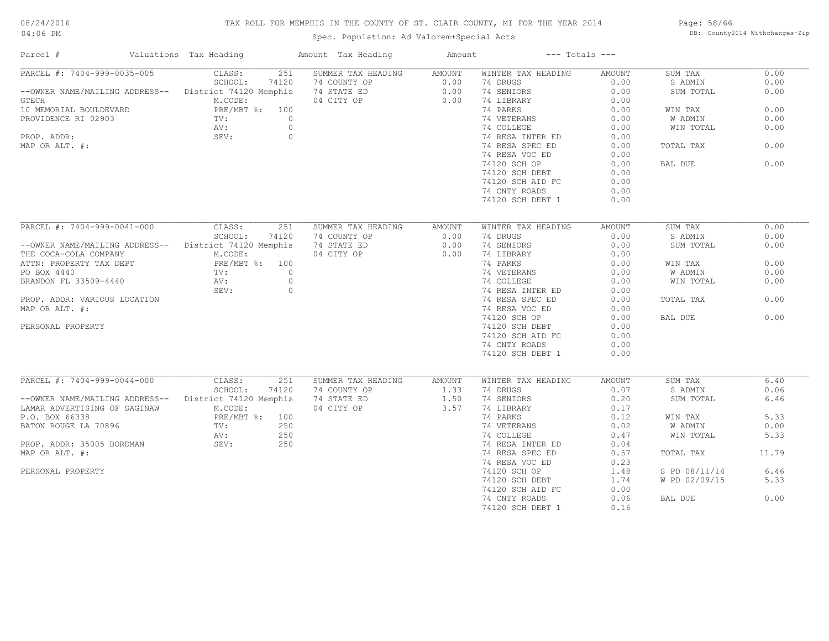# TAX ROLL FOR MEMPHIS IN THE COUNTY OF ST. CLAIR COUNTY, MI FOR THE YEAR 2014

04:06 PM

# Spec. Population: Ad Valorem+Special Acts

Page: 58/66 DB: County2014 Withchanges-Zip

| Parcel #                                               | Valuations Tax Heading |                | Amount Tax Heading                                       | Amount           | $---$ Totals $---$        |        |               |       |
|--------------------------------------------------------|------------------------|----------------|----------------------------------------------------------|------------------|---------------------------|--------|---------------|-------|
| PARCEL #: 7404-999-0035-005                            | CLASS:                 | 251            | SUMMER TAX HEADING                                       | AMOUNT           | WINTER TAX HEADING        | AMOUNT | SUM TAX       | 0.00  |
|                                                        | SCHOOL:                | 74120          |                                                          |                  | 74 DRUGS                  | 0.00   | S ADMIN       | 0.00  |
| --OWNER NAME/MAILING ADDRESS-- District 74120 Memphis  |                        |                | 74 COUNTY OP 0.00<br>74 STATE ED 0.00<br>04 CITY OP 0.00 |                  | 74 SENIORS                | 0.00   | SUM TOTAL     | 0.00  |
| GTECH                                                  | M.CODE:                |                |                                                          |                  | 74 LIBRARY                | 0.00   |               |       |
| 10 MEMORIAL BOULDEVARD                                 | PRE/MBT %: 100         |                |                                                          |                  | 74 PARKS                  | 0.00   | WIN TAX       | 0.00  |
| PROVIDENCE RI 02903                                    | TV:                    | $\overline{0}$ |                                                          |                  | 74 VETERANS               | 0.00   | W ADMIN       | 0.00  |
|                                                        | AV:<br>SEV:            | $\circ$        |                                                          |                  | 74 COLLEGE                | 0.00   | WIN TOTAL     | 0.00  |
| PROP. ADDR:                                            |                        | $\circ$        |                                                          |                  | 74 RESA INTER ED          | 0.00   |               |       |
| MAP OR ALT. #:                                         |                        |                |                                                          |                  | 74 RESA SPEC ED           | 0.00   | TOTAL TAX     | 0.00  |
|                                                        |                        |                |                                                          |                  | 74 RESA VOC ED            | 0.00   |               |       |
|                                                        |                        |                |                                                          |                  | 74120 SCH OP              | 0.00   | BAL DUE       | 0.00  |
|                                                        |                        |                |                                                          |                  | 74120 SCH DEBT            | 0.00   |               |       |
|                                                        |                        |                |                                                          |                  |                           | 0.00   |               |       |
|                                                        |                        |                |                                                          |                  | 74120 SCH AID FC          |        |               |       |
|                                                        |                        |                |                                                          |                  | 74 CNTY ROADS             | 0.00   |               |       |
|                                                        |                        |                |                                                          |                  | 74120 SCH DEBT 1          | 0.00   |               |       |
|                                                        |                        |                |                                                          |                  |                           |        |               |       |
| PARCEL #: 7404-999-0041-000 CLASS:                     |                        | 251            | SUMMER TAX HEADING                                       | AMOUNT           | WINTER TAX HEADING        | AMOUNT | SUM TAX       | 0.00  |
|                                                        | SCHOOL:                | 74120          | 74 COUNTY OP                                             | 0.00             | 74 DRUGS                  | 0.00   | S ADMIN       | 0.00  |
| -- OWNER NAME/MAILING ADDRESS-- District 74120 Memphis |                        |                | 74 STATE ED                                              | 0.00             | 74 SENIORS                | 0.00   | SUM TOTAL     | 0.00  |
|                                                        |                        |                | 04 CITY OP                                               | 0.00             | 74 LIBRARY                | 0.00   |               |       |
|                                                        |                        |                |                                                          |                  | 74 PARKS                  | 0.00   | WIN TAX       | 0.00  |
|                                                        |                        |                |                                                          |                  | 74 VETERANS<br>74 COLLEGE | 0.00   | W ADMIN       | 0.00  |
|                                                        |                        |                |                                                          |                  | 74 COLLEGE                | 0.00   | WIN TOTAL     | 0.00  |
|                                                        | SEV:                   | $\circ$        |                                                          |                  | 74 RESA INTER ED          | 0.00   |               |       |
| PROP. ADDR: VARIOUS LOCATION                           |                        |                |                                                          |                  | 74 RESA SPEC ED           | 0.00   | TOTAL TAX     | 0.00  |
| MAP OR ALT. #:                                         |                        |                |                                                          |                  | 74 RESA VOC ED            | 0.00   |               |       |
|                                                        |                        |                |                                                          |                  | 74120 SCH OP              | 0.00   | BAL DUE       | 0.00  |
| PERSONAL PROPERTY                                      |                        |                |                                                          |                  | 74120 SCH DEBT            | 0.00   |               |       |
|                                                        |                        |                |                                                          |                  | 74120 SCH AID FC          | 0.00   |               |       |
|                                                        |                        |                |                                                          |                  | 74 CNTY ROADS             | 0.00   |               |       |
|                                                        |                        |                |                                                          |                  | 74120 SCH DEBT 1          | 0.00   |               |       |
|                                                        |                        |                |                                                          |                  |                           |        |               |       |
|                                                        |                        |                |                                                          |                  |                           |        |               |       |
| PARCEL #: 7404-999-0044-000                            | CLASS:                 | 251            | SUMMER TAX HEADING                                       | AMOUNT           | WINTER TAX HEADING        | AMOUNT | SUM TAX       | 6.40  |
|                                                        | SCHOOL:                | 74120          | 74 COUNTY OP                                             | $1.33$<br>$1.50$ | 74 DRUGS                  | 0.07   | S ADMIN       | 0.06  |
| -- OWNER NAME/MAILING ADDRESS-- District 74120 Memphis |                        |                | 74 STATE ED                                              |                  | 74 SENIORS                | 0.20   | SUM TOTAL     | 6.46  |
| LAMAR ADVERTISING OF SAGINAW                           | M.CODE:                |                | 04 CITY OP                                               | 3.57             | 74 LIBRARY                | 0.17   |               |       |
| P.O. BOX 66338                                         | PRE/MBT %: 100         |                |                                                          |                  | 74 PARKS                  | 0.12   | WIN TAX       | 5.33  |
| BATON ROUGE LA 70896                                   | TV:                    | 250            |                                                          |                  | 74 VETERANS               | 0.02   | W ADMIN       | 0.00  |
|                                                        | AV:                    | 250            |                                                          |                  | 74 COLLEGE                | 0.47   | WIN TOTAL     | 5.33  |
| PROP. ADDR: 35005 BORDMAN SEV:                         |                        | 250            |                                                          |                  | 74 RESA INTER ED          | 0.04   |               |       |
| MAP OR ALT. #:                                         |                        |                |                                                          |                  | 74 RESA SPEC ED           | 0.57   | TOTAL TAX     | 11.79 |
|                                                        |                        |                |                                                          |                  | 74 RESA VOC ED            | 0.23   |               |       |
| PERSONAL PROPERTY                                      |                        |                |                                                          |                  | 74120 SCH OP              | 1.48   | S PD 08/11/14 | 6.46  |
|                                                        |                        |                |                                                          |                  | 74120 SCH DEBT            | 1.74   | W PD 02/09/15 | 5.33  |
|                                                        |                        |                |                                                          |                  | 74120 SCH AID FC          | 0.00   |               |       |
|                                                        |                        |                |                                                          |                  | 74 CNTY ROADS             | 0.06   | BAL DUE       | 0.00  |
|                                                        |                        |                |                                                          |                  | 74120 SCH DEBT 1          | 0.16   |               |       |
|                                                        |                        |                |                                                          |                  |                           |        |               |       |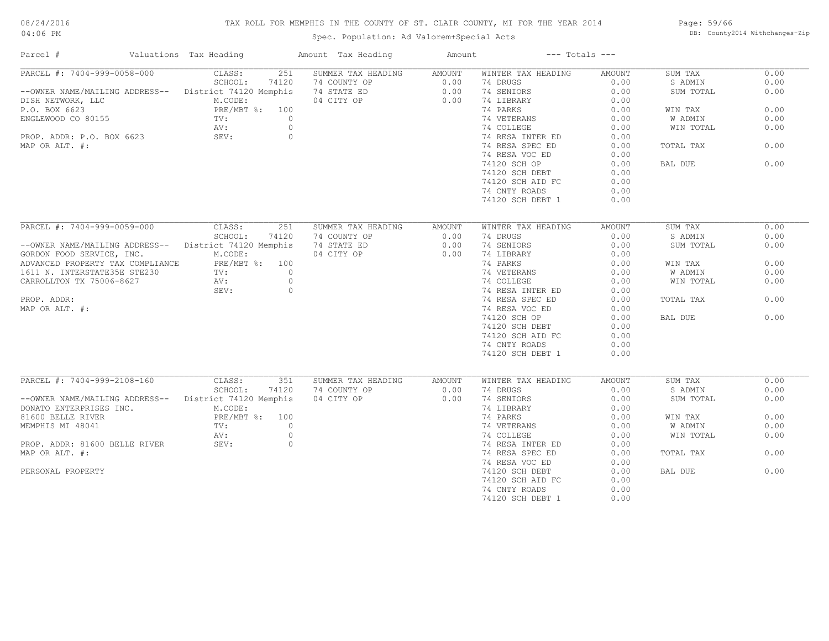# TAX ROLL FOR MEMPHIS IN THE COUNTY OF ST. CLAIR COUNTY, MI FOR THE YEAR 2014

Spec. Population: Ad Valorem+Special Acts

Page: 59/66 DB: County2014 Withchanges-Zip

| Parcel #                                               | Valuations Tax Heading          | Amount Tax Heading | Amount | $---$ Totals $---$ |        |           |      |
|--------------------------------------------------------|---------------------------------|--------------------|--------|--------------------|--------|-----------|------|
| PARCEL #: 7404-999-0058-000                            | CLASS:<br>251                   | SUMMER TAX HEADING | AMOUNT | WINTER TAX HEADING | AMOUNT | SUM TAX   | 0.00 |
|                                                        | SCHOOL:<br>74120                | 74 COUNTY OP       | 0.00   | 74 DRUGS           | 0.00   | S ADMIN   | 0.00 |
| -- OWNER NAME/MAILING ADDRESS-- District 74120 Memphis |                                 | 74 STATE ED        | 0.00   | 74 SENIORS         | 0.00   | SUM TOTAL | 0.00 |
| DISH NETWORK, LLC                                      | M.CODE:                         | 04 CITY OP         | 0.00   | 74 LIBRARY         | 0.00   |           |      |
| P.O. BOX 6623                                          | PRE/MBT %: 100                  |                    |        | 74 PARKS           | 0.00   | WIN TAX   | 0.00 |
| ENGLEWOOD CO 80155                                     | TV:<br>$\circ$                  |                    |        | 74 VETERANS        | 0.00   | W ADMIN   | 0.00 |
|                                                        | $\circ$<br>AV:                  |                    |        | 74 COLLEGE         | 0.00   | WIN TOTAL | 0.00 |
| PROP. ADDR: P.O. BOX 6623                              | $\circ$<br>SEV:                 |                    |        | 74 RESA INTER ED   | 0.00   |           |      |
| MAP OR ALT. #:                                         |                                 |                    |        | 74 RESA SPEC ED    | 0.00   | TOTAL TAX | 0.00 |
|                                                        |                                 |                    |        | 74 RESA VOC ED     | 0.00   |           |      |
|                                                        |                                 |                    |        | 74120 SCH OP       | 0.00   | BAL DUE   | 0.00 |
|                                                        |                                 |                    |        | 74120 SCH DEBT     | 0.00   |           |      |
|                                                        |                                 |                    |        |                    |        |           |      |
|                                                        |                                 |                    |        | 74120 SCH AID FC   | 0.00   |           |      |
|                                                        |                                 |                    |        | 74 CNTY ROADS      | 0.00   |           |      |
|                                                        |                                 |                    |        | 74120 SCH DEBT 1   | 0.00   |           |      |
|                                                        |                                 |                    |        |                    |        |           |      |
| PARCEL #: 7404-999-0059-000                            | CLASS:<br>251                   | SUMMER TAX HEADING | AMOUNT | WINTER TAX HEADING | AMOUNT | SUM TAX   | 0.00 |
|                                                        | SCHOOL:<br>74120                | 74 COUNTY OP       | 0.00   | 74 DRUGS           | 0.00   | S ADMIN   | 0.00 |
| --OWNER NAME/MAILING ADDRESS-- District 74120 Memphis  |                                 | 74 STATE ED        | 0.00   | 74 SENIORS         | 0.00   | SUM TOTAL | 0.00 |
| GORDON FOOD SERVICE, INC.                              | M.CODE:                         | 04 CITY OP         | 0.00   | 74 LIBRARY         | 0.00   |           |      |
| ADVANCED PROPERTY TAX COMPLIANCE                       | PRE/MBT %: 100                  |                    |        | 74 PARKS           | 0.00   | WIN TAX   | 0.00 |
| 1611 N. INTERSTATE35E STE230                           | $\overline{0}$<br>$\text{TV}$ : |                    |        | 74 VETERANS        | 0.00   | W ADMIN   | 0.00 |
| CARROLLTON TX 75006-8627                               | $\circ$<br>AV:                  |                    |        | 74 COLLEGE         | 0.00   | WIN TOTAL | 0.00 |
|                                                        | $\circ$<br>SEV:                 |                    |        | 74 RESA INTER ED   | 0.00   |           |      |
| PROP. ADDR:                                            |                                 |                    |        | 74 RESA SPEC ED    | 0.00   | TOTAL TAX | 0.00 |
| MAP OR ALT. #:                                         |                                 |                    |        | 74 RESA VOC ED     | 0.00   |           |      |
|                                                        |                                 |                    |        | 74120 SCH OP       | 0.00   | BAL DUE   | 0.00 |
|                                                        |                                 |                    |        | 74120 SCH DEBT     | 0.00   |           |      |
|                                                        |                                 |                    |        | 74120 SCH AID FC   | 0.00   |           |      |
|                                                        |                                 |                    |        | 74 CNTY ROADS      | 0.00   |           |      |
|                                                        |                                 |                    |        | 74120 SCH DEBT 1   | 0.00   |           |      |
|                                                        |                                 |                    |        |                    |        |           |      |
| PARCEL #: 7404-999-2108-160                            | CLASS:<br>351                   | SUMMER TAX HEADING | AMOUNT | WINTER TAX HEADING | AMOUNT | SUM TAX   | 0.00 |
|                                                        | SCHOOL:<br>74120                | 74 COUNTY OP       | 0.00   | 74 DRUGS           | 0.00   | S ADMIN   | 0.00 |
| --OWNER NAME/MAILING ADDRESS-- District 74120 Memphis  |                                 | 04 CITY OP         | 0.00   | 74 SENIORS         | 0.00   | SUM TOTAL | 0.00 |
| DONATO ENTERPRISES INC.                                | M.CODE:                         |                    |        | 74 LIBRARY         | 0.00   |           |      |
| 81600 BELLE RIVER                                      | PRE/MBT %: 100                  |                    |        | 74 PARKS           | 0.00   | WIN TAX   | 0.00 |
| MEMPHIS MI 48041                                       | $\circ$<br>TV:                  |                    |        | 74 VETERANS        | 0.00   | W ADMIN   | 0.00 |
|                                                        | $\circ$<br>AV:                  |                    |        | 74 COLLEGE         | 0.00   | WIN TOTAL | 0.00 |
| PROP. ADDR: 81600 BELLE RIVER                          | SEV:<br>$\circ$                 |                    |        | 74 RESA INTER ED   | 0.00   |           |      |
| MAP OR ALT. #:                                         |                                 |                    |        | 74 RESA SPEC ED    | 0.00   | TOTAL TAX | 0.00 |
|                                                        |                                 |                    |        | 74 RESA VOC ED     | 0.00   |           |      |
| PERSONAL PROPERTY                                      |                                 |                    |        | 74120 SCH DEBT     | 0.00   | BAL DUE   | 0.00 |
|                                                        |                                 |                    |        | 74120 SCH AID FC   | 0.00   |           |      |
|                                                        |                                 |                    |        | 74 CNTY ROADS      | 0.00   |           |      |
|                                                        |                                 |                    |        | 74120 SCH DEBT 1   | 0.00   |           |      |
|                                                        |                                 |                    |        |                    |        |           |      |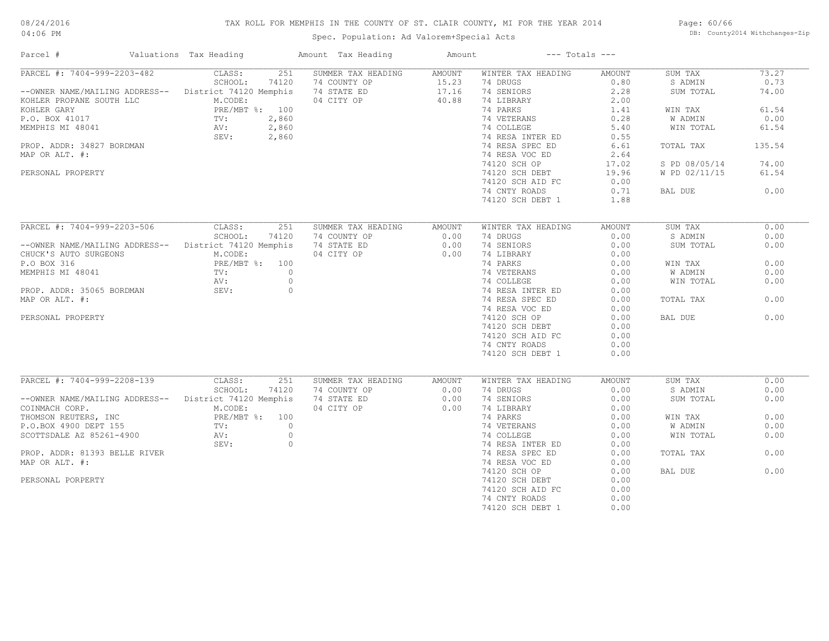# TAX ROLL FOR MEMPHIS IN THE COUNTY OF ST. CLAIR COUNTY, MI FOR THE YEAR 2014

04:06 PM

# Spec. Population: Ad Valorem+Special Acts

Page: 60/66 DB: County2014 Withchanges-Zip

| PARCEL #: 7404-999-2203-482<br>251<br>SUMMER TAX HEADING<br>73.27<br>CLASS:<br>AMOUNT<br>WINTER TAX HEADING<br>AMOUNT<br>SUM TAX<br>SCHOOL:<br>74120<br>74 COUNTY OP<br>15.23<br>74 DRUGS<br>0.80<br>S ADMIN<br>0.73<br>74 STATE ED<br>17.16<br>74 SENIORS<br>2.28<br>--OWNER NAME/MAILING ADDRESS-- District 74120 Memphis<br>SUM TOTAL<br>74.00<br>40.88<br>M.CODE:<br>04 CITY OP<br>74 LIBRARY<br>2.00<br>KOHLER PROPANE SOUTH LLC<br>PRE/MBT %: 100<br>74 PARKS<br>61.54<br>KOHLER GARY<br>1.41<br>WIN TAX<br>2,860<br>0.28<br>0.00<br>P.O. BOX 41017<br>TV:<br>74 VETERANS<br>W ADMIN<br>TV:<br>AV:<br>MEMPHIS MI 48041<br>2,860<br>74 COLLEGE<br>5.40<br>61.54<br>WIN TOTAL<br>SEV:<br>2,860<br>74 RESA INTER ED<br>0.55<br>74 RESA SPEC ED<br>135.54<br>PROP. ADDR: 34827 BORDMAN<br>6.61<br>TOTAL TAX<br>MAP OR ALT. #:<br>74 RESA VOC ED<br>2.64<br>74.00<br>74120 SCH OP<br>17.02<br>S PD 08/05/14<br>61.54<br>PERSONAL PROPERTY<br>74120 SCH DEBT<br>19.96<br>W PD 02/11/15<br>74120 SCH AID FC<br>0.00<br>74 CNTY ROADS<br>0.71<br>0.00<br>BAL DUE<br>74120 SCH DEBT 1<br>1.88<br>PARCEL #: 7404-999-2203-506<br>CLASS:<br>251<br>SUMMER TAX HEADING<br>WINTER TAX HEADING<br>SUM TAX<br>0.00<br>AMOUNT<br>AMOUNT<br>SCHOOL:<br>74120<br>74 COUNTY OP<br>0.00<br>74 DRUGS<br>0.00<br>S ADMIN<br>0.00<br>--OWNER NAME/MAILING ADDRESS-- District 74120 Memphis<br>74 STATE ED<br>0.00<br>74 SENIORS<br>0.00<br>0.00<br>SUM TOTAL<br>74 LIBRARY<br>CHUCK'S AUTO SURGEONS<br>M.CODE:<br>04 CITY OP<br>0.00<br>0.00<br>P.O BOX 316<br>PRE/MBT %: 100<br>74 PARKS<br>0.00<br>0.00<br>WIN TAX<br>MEMPHIS MI 48041<br>$\bigcirc$<br>74 VETERANS<br>0.00<br>TV:<br>0.00<br>W ADMIN<br>$\circ$<br>74 COLLEGE<br>0.00<br>0.00<br>AV:<br>WIN TOTAL<br>$\circ$<br>74 RESA INTER ED<br>0.00<br>PROP. ADDR: 35065 BORDMAN<br>SEV:<br>MAP OR ALT. #:<br>74 RESA SPEC ED<br>0.00<br>0.00<br>TOTAL TAX<br>74 RESA VOC ED<br>0.00<br>74120 SCH OP<br>BAL DUE<br>0.00<br>PERSONAL PROPERTY<br>0.00<br>74120 SCH DEBT<br>0.00<br>74120 SCH AID FC<br>0.00<br>74 CNTY ROADS<br>0.00<br>74120 SCH DEBT 1<br>0.00<br>PARCEL #: 7404-999-2208-139<br>CLASS:<br>SUMMER TAX HEADING<br>0.00<br>251<br>AMOUNT<br>WINTER TAX HEADING<br>AMOUNT<br>SUM TAX<br>SCHOOL:<br>74 COUNTY OP<br>74 DRUGS<br>0.00<br>S ADMIN<br>0.00<br>74120<br>0.00<br>--OWNER NAME/MAILING ADDRESS-- District 74120 Memphis<br>74 STATE ED<br>0.00<br>74 SENIORS<br>0.00<br>0.00<br>SUM TOTAL<br>04 CITY OP<br>0.00<br>74 LIBRARY<br>COINMACH CORP.<br>M.CODE:<br>0.00<br>74 PARKS<br>0.00<br>THOMSON REUTERS, INC<br>PRE/MBT %: 100<br>0.00<br>WIN TAX<br>$\Omega$<br>74 VETERANS<br>0.00<br>0.00<br>P.O.BOX 4900 DEPT 155<br>$\text{TV}$ :<br>W ADMIN<br>$\circ$<br>SCOTTSDALE AZ 85261-4900<br>AV:<br>74 COLLEGE<br>0.00<br>WIN TOTAL<br>0.00<br>$\circ$<br>74 RESA INTER ED<br>0.00<br>SEV:<br>0.00<br>PROP. ADDR: 81393 BELLE RIVER<br>74 RESA SPEC ED<br>0.00<br>TOTAL TAX<br>74 RESA VOC ED<br>MAP OR ALT. #:<br>0.00<br>0.00<br>74120 SCH OP<br>0.00<br>BAL DUE<br>PERSONAL PORPERTY<br>74120 SCH DEBT<br>0.00<br>74120 SCH AID FC<br>0.00<br>74 CNTY ROADS<br>0.00 | Parcel # | Valuations Tax Heading | Amount Tax Heading | Amount |                  | $---$ Totals $---$ |  |
|---------------------------------------------------------------------------------------------------------------------------------------------------------------------------------------------------------------------------------------------------------------------------------------------------------------------------------------------------------------------------------------------------------------------------------------------------------------------------------------------------------------------------------------------------------------------------------------------------------------------------------------------------------------------------------------------------------------------------------------------------------------------------------------------------------------------------------------------------------------------------------------------------------------------------------------------------------------------------------------------------------------------------------------------------------------------------------------------------------------------------------------------------------------------------------------------------------------------------------------------------------------------------------------------------------------------------------------------------------------------------------------------------------------------------------------------------------------------------------------------------------------------------------------------------------------------------------------------------------------------------------------------------------------------------------------------------------------------------------------------------------------------------------------------------------------------------------------------------------------------------------------------------------------------------------------------------------------------------------------------------------------------------------------------------------------------------------------------------------------------------------------------------------------------------------------------------------------------------------------------------------------------------------------------------------------------------------------------------------------------------------------------------------------------------------------------------------------------------------------------------------------------------------------------------------------------------------------------------------------------------------------------------------------------------------------------------------------------------------------------------------------------------------------------------------------------------------------------------------------------------------------------------------------------------------------------------------------------------------------------------------------------------------------------------------------------------------------------------------------------------------------|----------|------------------------|--------------------|--------|------------------|--------------------|--|
|                                                                                                                                                                                                                                                                                                                                                                                                                                                                                                                                                                                                                                                                                                                                                                                                                                                                                                                                                                                                                                                                                                                                                                                                                                                                                                                                                                                                                                                                                                                                                                                                                                                                                                                                                                                                                                                                                                                                                                                                                                                                                                                                                                                                                                                                                                                                                                                                                                                                                                                                                                                                                                                                                                                                                                                                                                                                                                                                                                                                                                                                                                                                       |          |                        |                    |        |                  |                    |  |
|                                                                                                                                                                                                                                                                                                                                                                                                                                                                                                                                                                                                                                                                                                                                                                                                                                                                                                                                                                                                                                                                                                                                                                                                                                                                                                                                                                                                                                                                                                                                                                                                                                                                                                                                                                                                                                                                                                                                                                                                                                                                                                                                                                                                                                                                                                                                                                                                                                                                                                                                                                                                                                                                                                                                                                                                                                                                                                                                                                                                                                                                                                                                       |          |                        |                    |        |                  |                    |  |
|                                                                                                                                                                                                                                                                                                                                                                                                                                                                                                                                                                                                                                                                                                                                                                                                                                                                                                                                                                                                                                                                                                                                                                                                                                                                                                                                                                                                                                                                                                                                                                                                                                                                                                                                                                                                                                                                                                                                                                                                                                                                                                                                                                                                                                                                                                                                                                                                                                                                                                                                                                                                                                                                                                                                                                                                                                                                                                                                                                                                                                                                                                                                       |          |                        |                    |        |                  |                    |  |
|                                                                                                                                                                                                                                                                                                                                                                                                                                                                                                                                                                                                                                                                                                                                                                                                                                                                                                                                                                                                                                                                                                                                                                                                                                                                                                                                                                                                                                                                                                                                                                                                                                                                                                                                                                                                                                                                                                                                                                                                                                                                                                                                                                                                                                                                                                                                                                                                                                                                                                                                                                                                                                                                                                                                                                                                                                                                                                                                                                                                                                                                                                                                       |          |                        |                    |        |                  |                    |  |
|                                                                                                                                                                                                                                                                                                                                                                                                                                                                                                                                                                                                                                                                                                                                                                                                                                                                                                                                                                                                                                                                                                                                                                                                                                                                                                                                                                                                                                                                                                                                                                                                                                                                                                                                                                                                                                                                                                                                                                                                                                                                                                                                                                                                                                                                                                                                                                                                                                                                                                                                                                                                                                                                                                                                                                                                                                                                                                                                                                                                                                                                                                                                       |          |                        |                    |        |                  |                    |  |
|                                                                                                                                                                                                                                                                                                                                                                                                                                                                                                                                                                                                                                                                                                                                                                                                                                                                                                                                                                                                                                                                                                                                                                                                                                                                                                                                                                                                                                                                                                                                                                                                                                                                                                                                                                                                                                                                                                                                                                                                                                                                                                                                                                                                                                                                                                                                                                                                                                                                                                                                                                                                                                                                                                                                                                                                                                                                                                                                                                                                                                                                                                                                       |          |                        |                    |        |                  |                    |  |
|                                                                                                                                                                                                                                                                                                                                                                                                                                                                                                                                                                                                                                                                                                                                                                                                                                                                                                                                                                                                                                                                                                                                                                                                                                                                                                                                                                                                                                                                                                                                                                                                                                                                                                                                                                                                                                                                                                                                                                                                                                                                                                                                                                                                                                                                                                                                                                                                                                                                                                                                                                                                                                                                                                                                                                                                                                                                                                                                                                                                                                                                                                                                       |          |                        |                    |        |                  |                    |  |
|                                                                                                                                                                                                                                                                                                                                                                                                                                                                                                                                                                                                                                                                                                                                                                                                                                                                                                                                                                                                                                                                                                                                                                                                                                                                                                                                                                                                                                                                                                                                                                                                                                                                                                                                                                                                                                                                                                                                                                                                                                                                                                                                                                                                                                                                                                                                                                                                                                                                                                                                                                                                                                                                                                                                                                                                                                                                                                                                                                                                                                                                                                                                       |          |                        |                    |        |                  |                    |  |
|                                                                                                                                                                                                                                                                                                                                                                                                                                                                                                                                                                                                                                                                                                                                                                                                                                                                                                                                                                                                                                                                                                                                                                                                                                                                                                                                                                                                                                                                                                                                                                                                                                                                                                                                                                                                                                                                                                                                                                                                                                                                                                                                                                                                                                                                                                                                                                                                                                                                                                                                                                                                                                                                                                                                                                                                                                                                                                                                                                                                                                                                                                                                       |          |                        |                    |        |                  |                    |  |
|                                                                                                                                                                                                                                                                                                                                                                                                                                                                                                                                                                                                                                                                                                                                                                                                                                                                                                                                                                                                                                                                                                                                                                                                                                                                                                                                                                                                                                                                                                                                                                                                                                                                                                                                                                                                                                                                                                                                                                                                                                                                                                                                                                                                                                                                                                                                                                                                                                                                                                                                                                                                                                                                                                                                                                                                                                                                                                                                                                                                                                                                                                                                       |          |                        |                    |        |                  |                    |  |
|                                                                                                                                                                                                                                                                                                                                                                                                                                                                                                                                                                                                                                                                                                                                                                                                                                                                                                                                                                                                                                                                                                                                                                                                                                                                                                                                                                                                                                                                                                                                                                                                                                                                                                                                                                                                                                                                                                                                                                                                                                                                                                                                                                                                                                                                                                                                                                                                                                                                                                                                                                                                                                                                                                                                                                                                                                                                                                                                                                                                                                                                                                                                       |          |                        |                    |        |                  |                    |  |
|                                                                                                                                                                                                                                                                                                                                                                                                                                                                                                                                                                                                                                                                                                                                                                                                                                                                                                                                                                                                                                                                                                                                                                                                                                                                                                                                                                                                                                                                                                                                                                                                                                                                                                                                                                                                                                                                                                                                                                                                                                                                                                                                                                                                                                                                                                                                                                                                                                                                                                                                                                                                                                                                                                                                                                                                                                                                                                                                                                                                                                                                                                                                       |          |                        |                    |        |                  |                    |  |
|                                                                                                                                                                                                                                                                                                                                                                                                                                                                                                                                                                                                                                                                                                                                                                                                                                                                                                                                                                                                                                                                                                                                                                                                                                                                                                                                                                                                                                                                                                                                                                                                                                                                                                                                                                                                                                                                                                                                                                                                                                                                                                                                                                                                                                                                                                                                                                                                                                                                                                                                                                                                                                                                                                                                                                                                                                                                                                                                                                                                                                                                                                                                       |          |                        |                    |        |                  |                    |  |
|                                                                                                                                                                                                                                                                                                                                                                                                                                                                                                                                                                                                                                                                                                                                                                                                                                                                                                                                                                                                                                                                                                                                                                                                                                                                                                                                                                                                                                                                                                                                                                                                                                                                                                                                                                                                                                                                                                                                                                                                                                                                                                                                                                                                                                                                                                                                                                                                                                                                                                                                                                                                                                                                                                                                                                                                                                                                                                                                                                                                                                                                                                                                       |          |                        |                    |        |                  |                    |  |
|                                                                                                                                                                                                                                                                                                                                                                                                                                                                                                                                                                                                                                                                                                                                                                                                                                                                                                                                                                                                                                                                                                                                                                                                                                                                                                                                                                                                                                                                                                                                                                                                                                                                                                                                                                                                                                                                                                                                                                                                                                                                                                                                                                                                                                                                                                                                                                                                                                                                                                                                                                                                                                                                                                                                                                                                                                                                                                                                                                                                                                                                                                                                       |          |                        |                    |        |                  |                    |  |
|                                                                                                                                                                                                                                                                                                                                                                                                                                                                                                                                                                                                                                                                                                                                                                                                                                                                                                                                                                                                                                                                                                                                                                                                                                                                                                                                                                                                                                                                                                                                                                                                                                                                                                                                                                                                                                                                                                                                                                                                                                                                                                                                                                                                                                                                                                                                                                                                                                                                                                                                                                                                                                                                                                                                                                                                                                                                                                                                                                                                                                                                                                                                       |          |                        |                    |        |                  |                    |  |
|                                                                                                                                                                                                                                                                                                                                                                                                                                                                                                                                                                                                                                                                                                                                                                                                                                                                                                                                                                                                                                                                                                                                                                                                                                                                                                                                                                                                                                                                                                                                                                                                                                                                                                                                                                                                                                                                                                                                                                                                                                                                                                                                                                                                                                                                                                                                                                                                                                                                                                                                                                                                                                                                                                                                                                                                                                                                                                                                                                                                                                                                                                                                       |          |                        |                    |        |                  |                    |  |
|                                                                                                                                                                                                                                                                                                                                                                                                                                                                                                                                                                                                                                                                                                                                                                                                                                                                                                                                                                                                                                                                                                                                                                                                                                                                                                                                                                                                                                                                                                                                                                                                                                                                                                                                                                                                                                                                                                                                                                                                                                                                                                                                                                                                                                                                                                                                                                                                                                                                                                                                                                                                                                                                                                                                                                                                                                                                                                                                                                                                                                                                                                                                       |          |                        |                    |        |                  |                    |  |
|                                                                                                                                                                                                                                                                                                                                                                                                                                                                                                                                                                                                                                                                                                                                                                                                                                                                                                                                                                                                                                                                                                                                                                                                                                                                                                                                                                                                                                                                                                                                                                                                                                                                                                                                                                                                                                                                                                                                                                                                                                                                                                                                                                                                                                                                                                                                                                                                                                                                                                                                                                                                                                                                                                                                                                                                                                                                                                                                                                                                                                                                                                                                       |          |                        |                    |        |                  |                    |  |
|                                                                                                                                                                                                                                                                                                                                                                                                                                                                                                                                                                                                                                                                                                                                                                                                                                                                                                                                                                                                                                                                                                                                                                                                                                                                                                                                                                                                                                                                                                                                                                                                                                                                                                                                                                                                                                                                                                                                                                                                                                                                                                                                                                                                                                                                                                                                                                                                                                                                                                                                                                                                                                                                                                                                                                                                                                                                                                                                                                                                                                                                                                                                       |          |                        |                    |        |                  |                    |  |
|                                                                                                                                                                                                                                                                                                                                                                                                                                                                                                                                                                                                                                                                                                                                                                                                                                                                                                                                                                                                                                                                                                                                                                                                                                                                                                                                                                                                                                                                                                                                                                                                                                                                                                                                                                                                                                                                                                                                                                                                                                                                                                                                                                                                                                                                                                                                                                                                                                                                                                                                                                                                                                                                                                                                                                                                                                                                                                                                                                                                                                                                                                                                       |          |                        |                    |        |                  |                    |  |
|                                                                                                                                                                                                                                                                                                                                                                                                                                                                                                                                                                                                                                                                                                                                                                                                                                                                                                                                                                                                                                                                                                                                                                                                                                                                                                                                                                                                                                                                                                                                                                                                                                                                                                                                                                                                                                                                                                                                                                                                                                                                                                                                                                                                                                                                                                                                                                                                                                                                                                                                                                                                                                                                                                                                                                                                                                                                                                                                                                                                                                                                                                                                       |          |                        |                    |        |                  |                    |  |
|                                                                                                                                                                                                                                                                                                                                                                                                                                                                                                                                                                                                                                                                                                                                                                                                                                                                                                                                                                                                                                                                                                                                                                                                                                                                                                                                                                                                                                                                                                                                                                                                                                                                                                                                                                                                                                                                                                                                                                                                                                                                                                                                                                                                                                                                                                                                                                                                                                                                                                                                                                                                                                                                                                                                                                                                                                                                                                                                                                                                                                                                                                                                       |          |                        |                    |        |                  |                    |  |
|                                                                                                                                                                                                                                                                                                                                                                                                                                                                                                                                                                                                                                                                                                                                                                                                                                                                                                                                                                                                                                                                                                                                                                                                                                                                                                                                                                                                                                                                                                                                                                                                                                                                                                                                                                                                                                                                                                                                                                                                                                                                                                                                                                                                                                                                                                                                                                                                                                                                                                                                                                                                                                                                                                                                                                                                                                                                                                                                                                                                                                                                                                                                       |          |                        |                    |        |                  |                    |  |
|                                                                                                                                                                                                                                                                                                                                                                                                                                                                                                                                                                                                                                                                                                                                                                                                                                                                                                                                                                                                                                                                                                                                                                                                                                                                                                                                                                                                                                                                                                                                                                                                                                                                                                                                                                                                                                                                                                                                                                                                                                                                                                                                                                                                                                                                                                                                                                                                                                                                                                                                                                                                                                                                                                                                                                                                                                                                                                                                                                                                                                                                                                                                       |          |                        |                    |        |                  |                    |  |
|                                                                                                                                                                                                                                                                                                                                                                                                                                                                                                                                                                                                                                                                                                                                                                                                                                                                                                                                                                                                                                                                                                                                                                                                                                                                                                                                                                                                                                                                                                                                                                                                                                                                                                                                                                                                                                                                                                                                                                                                                                                                                                                                                                                                                                                                                                                                                                                                                                                                                                                                                                                                                                                                                                                                                                                                                                                                                                                                                                                                                                                                                                                                       |          |                        |                    |        |                  |                    |  |
|                                                                                                                                                                                                                                                                                                                                                                                                                                                                                                                                                                                                                                                                                                                                                                                                                                                                                                                                                                                                                                                                                                                                                                                                                                                                                                                                                                                                                                                                                                                                                                                                                                                                                                                                                                                                                                                                                                                                                                                                                                                                                                                                                                                                                                                                                                                                                                                                                                                                                                                                                                                                                                                                                                                                                                                                                                                                                                                                                                                                                                                                                                                                       |          |                        |                    |        |                  |                    |  |
|                                                                                                                                                                                                                                                                                                                                                                                                                                                                                                                                                                                                                                                                                                                                                                                                                                                                                                                                                                                                                                                                                                                                                                                                                                                                                                                                                                                                                                                                                                                                                                                                                                                                                                                                                                                                                                                                                                                                                                                                                                                                                                                                                                                                                                                                                                                                                                                                                                                                                                                                                                                                                                                                                                                                                                                                                                                                                                                                                                                                                                                                                                                                       |          |                        |                    |        |                  |                    |  |
|                                                                                                                                                                                                                                                                                                                                                                                                                                                                                                                                                                                                                                                                                                                                                                                                                                                                                                                                                                                                                                                                                                                                                                                                                                                                                                                                                                                                                                                                                                                                                                                                                                                                                                                                                                                                                                                                                                                                                                                                                                                                                                                                                                                                                                                                                                                                                                                                                                                                                                                                                                                                                                                                                                                                                                                                                                                                                                                                                                                                                                                                                                                                       |          |                        |                    |        |                  |                    |  |
|                                                                                                                                                                                                                                                                                                                                                                                                                                                                                                                                                                                                                                                                                                                                                                                                                                                                                                                                                                                                                                                                                                                                                                                                                                                                                                                                                                                                                                                                                                                                                                                                                                                                                                                                                                                                                                                                                                                                                                                                                                                                                                                                                                                                                                                                                                                                                                                                                                                                                                                                                                                                                                                                                                                                                                                                                                                                                                                                                                                                                                                                                                                                       |          |                        |                    |        |                  |                    |  |
|                                                                                                                                                                                                                                                                                                                                                                                                                                                                                                                                                                                                                                                                                                                                                                                                                                                                                                                                                                                                                                                                                                                                                                                                                                                                                                                                                                                                                                                                                                                                                                                                                                                                                                                                                                                                                                                                                                                                                                                                                                                                                                                                                                                                                                                                                                                                                                                                                                                                                                                                                                                                                                                                                                                                                                                                                                                                                                                                                                                                                                                                                                                                       |          |                        |                    |        |                  |                    |  |
|                                                                                                                                                                                                                                                                                                                                                                                                                                                                                                                                                                                                                                                                                                                                                                                                                                                                                                                                                                                                                                                                                                                                                                                                                                                                                                                                                                                                                                                                                                                                                                                                                                                                                                                                                                                                                                                                                                                                                                                                                                                                                                                                                                                                                                                                                                                                                                                                                                                                                                                                                                                                                                                                                                                                                                                                                                                                                                                                                                                                                                                                                                                                       |          |                        |                    |        |                  |                    |  |
|                                                                                                                                                                                                                                                                                                                                                                                                                                                                                                                                                                                                                                                                                                                                                                                                                                                                                                                                                                                                                                                                                                                                                                                                                                                                                                                                                                                                                                                                                                                                                                                                                                                                                                                                                                                                                                                                                                                                                                                                                                                                                                                                                                                                                                                                                                                                                                                                                                                                                                                                                                                                                                                                                                                                                                                                                                                                                                                                                                                                                                                                                                                                       |          |                        |                    |        |                  |                    |  |
|                                                                                                                                                                                                                                                                                                                                                                                                                                                                                                                                                                                                                                                                                                                                                                                                                                                                                                                                                                                                                                                                                                                                                                                                                                                                                                                                                                                                                                                                                                                                                                                                                                                                                                                                                                                                                                                                                                                                                                                                                                                                                                                                                                                                                                                                                                                                                                                                                                                                                                                                                                                                                                                                                                                                                                                                                                                                                                                                                                                                                                                                                                                                       |          |                        |                    |        |                  |                    |  |
|                                                                                                                                                                                                                                                                                                                                                                                                                                                                                                                                                                                                                                                                                                                                                                                                                                                                                                                                                                                                                                                                                                                                                                                                                                                                                                                                                                                                                                                                                                                                                                                                                                                                                                                                                                                                                                                                                                                                                                                                                                                                                                                                                                                                                                                                                                                                                                                                                                                                                                                                                                                                                                                                                                                                                                                                                                                                                                                                                                                                                                                                                                                                       |          |                        |                    |        |                  |                    |  |
|                                                                                                                                                                                                                                                                                                                                                                                                                                                                                                                                                                                                                                                                                                                                                                                                                                                                                                                                                                                                                                                                                                                                                                                                                                                                                                                                                                                                                                                                                                                                                                                                                                                                                                                                                                                                                                                                                                                                                                                                                                                                                                                                                                                                                                                                                                                                                                                                                                                                                                                                                                                                                                                                                                                                                                                                                                                                                                                                                                                                                                                                                                                                       |          |                        |                    |        |                  |                    |  |
|                                                                                                                                                                                                                                                                                                                                                                                                                                                                                                                                                                                                                                                                                                                                                                                                                                                                                                                                                                                                                                                                                                                                                                                                                                                                                                                                                                                                                                                                                                                                                                                                                                                                                                                                                                                                                                                                                                                                                                                                                                                                                                                                                                                                                                                                                                                                                                                                                                                                                                                                                                                                                                                                                                                                                                                                                                                                                                                                                                                                                                                                                                                                       |          |                        |                    |        |                  |                    |  |
|                                                                                                                                                                                                                                                                                                                                                                                                                                                                                                                                                                                                                                                                                                                                                                                                                                                                                                                                                                                                                                                                                                                                                                                                                                                                                                                                                                                                                                                                                                                                                                                                                                                                                                                                                                                                                                                                                                                                                                                                                                                                                                                                                                                                                                                                                                                                                                                                                                                                                                                                                                                                                                                                                                                                                                                                                                                                                                                                                                                                                                                                                                                                       |          |                        |                    |        |                  |                    |  |
|                                                                                                                                                                                                                                                                                                                                                                                                                                                                                                                                                                                                                                                                                                                                                                                                                                                                                                                                                                                                                                                                                                                                                                                                                                                                                                                                                                                                                                                                                                                                                                                                                                                                                                                                                                                                                                                                                                                                                                                                                                                                                                                                                                                                                                                                                                                                                                                                                                                                                                                                                                                                                                                                                                                                                                                                                                                                                                                                                                                                                                                                                                                                       |          |                        |                    |        |                  |                    |  |
|                                                                                                                                                                                                                                                                                                                                                                                                                                                                                                                                                                                                                                                                                                                                                                                                                                                                                                                                                                                                                                                                                                                                                                                                                                                                                                                                                                                                                                                                                                                                                                                                                                                                                                                                                                                                                                                                                                                                                                                                                                                                                                                                                                                                                                                                                                                                                                                                                                                                                                                                                                                                                                                                                                                                                                                                                                                                                                                                                                                                                                                                                                                                       |          |                        |                    |        |                  |                    |  |
|                                                                                                                                                                                                                                                                                                                                                                                                                                                                                                                                                                                                                                                                                                                                                                                                                                                                                                                                                                                                                                                                                                                                                                                                                                                                                                                                                                                                                                                                                                                                                                                                                                                                                                                                                                                                                                                                                                                                                                                                                                                                                                                                                                                                                                                                                                                                                                                                                                                                                                                                                                                                                                                                                                                                                                                                                                                                                                                                                                                                                                                                                                                                       |          |                        |                    |        |                  |                    |  |
|                                                                                                                                                                                                                                                                                                                                                                                                                                                                                                                                                                                                                                                                                                                                                                                                                                                                                                                                                                                                                                                                                                                                                                                                                                                                                                                                                                                                                                                                                                                                                                                                                                                                                                                                                                                                                                                                                                                                                                                                                                                                                                                                                                                                                                                                                                                                                                                                                                                                                                                                                                                                                                                                                                                                                                                                                                                                                                                                                                                                                                                                                                                                       |          |                        |                    |        |                  |                    |  |
|                                                                                                                                                                                                                                                                                                                                                                                                                                                                                                                                                                                                                                                                                                                                                                                                                                                                                                                                                                                                                                                                                                                                                                                                                                                                                                                                                                                                                                                                                                                                                                                                                                                                                                                                                                                                                                                                                                                                                                                                                                                                                                                                                                                                                                                                                                                                                                                                                                                                                                                                                                                                                                                                                                                                                                                                                                                                                                                                                                                                                                                                                                                                       |          |                        |                    |        |                  |                    |  |
|                                                                                                                                                                                                                                                                                                                                                                                                                                                                                                                                                                                                                                                                                                                                                                                                                                                                                                                                                                                                                                                                                                                                                                                                                                                                                                                                                                                                                                                                                                                                                                                                                                                                                                                                                                                                                                                                                                                                                                                                                                                                                                                                                                                                                                                                                                                                                                                                                                                                                                                                                                                                                                                                                                                                                                                                                                                                                                                                                                                                                                                                                                                                       |          |                        |                    |        |                  |                    |  |
|                                                                                                                                                                                                                                                                                                                                                                                                                                                                                                                                                                                                                                                                                                                                                                                                                                                                                                                                                                                                                                                                                                                                                                                                                                                                                                                                                                                                                                                                                                                                                                                                                                                                                                                                                                                                                                                                                                                                                                                                                                                                                                                                                                                                                                                                                                                                                                                                                                                                                                                                                                                                                                                                                                                                                                                                                                                                                                                                                                                                                                                                                                                                       |          |                        |                    |        |                  |                    |  |
|                                                                                                                                                                                                                                                                                                                                                                                                                                                                                                                                                                                                                                                                                                                                                                                                                                                                                                                                                                                                                                                                                                                                                                                                                                                                                                                                                                                                                                                                                                                                                                                                                                                                                                                                                                                                                                                                                                                                                                                                                                                                                                                                                                                                                                                                                                                                                                                                                                                                                                                                                                                                                                                                                                                                                                                                                                                                                                                                                                                                                                                                                                                                       |          |                        |                    |        |                  |                    |  |
|                                                                                                                                                                                                                                                                                                                                                                                                                                                                                                                                                                                                                                                                                                                                                                                                                                                                                                                                                                                                                                                                                                                                                                                                                                                                                                                                                                                                                                                                                                                                                                                                                                                                                                                                                                                                                                                                                                                                                                                                                                                                                                                                                                                                                                                                                                                                                                                                                                                                                                                                                                                                                                                                                                                                                                                                                                                                                                                                                                                                                                                                                                                                       |          |                        |                    |        |                  |                    |  |
|                                                                                                                                                                                                                                                                                                                                                                                                                                                                                                                                                                                                                                                                                                                                                                                                                                                                                                                                                                                                                                                                                                                                                                                                                                                                                                                                                                                                                                                                                                                                                                                                                                                                                                                                                                                                                                                                                                                                                                                                                                                                                                                                                                                                                                                                                                                                                                                                                                                                                                                                                                                                                                                                                                                                                                                                                                                                                                                                                                                                                                                                                                                                       |          |                        |                    |        | 74120 SCH DEBT 1 | 0.00               |  |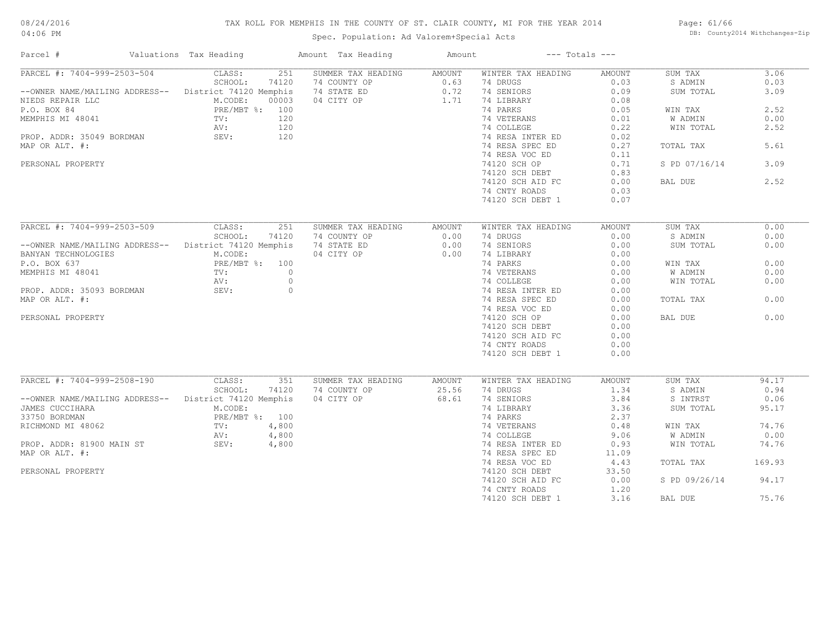# TAX ROLL FOR MEMPHIS IN THE COUNTY OF ST. CLAIR COUNTY, MI FOR THE YEAR 2014

Spec. Population: Ad Valorem+Special Acts

Page: 61/66 DB: County2014 Withchanges-Zip

| Parcel #                                               | Valuations Tax Heading          | Amount Tax Heading | Amount | $---$ Totals $---$ |               |               |        |
|--------------------------------------------------------|---------------------------------|--------------------|--------|--------------------|---------------|---------------|--------|
| PARCEL #: 7404-999-2503-504                            | CLASS:<br>251                   | SUMMER TAX HEADING | AMOUNT | WINTER TAX HEADING | AMOUNT        | SUM TAX       | 3.06   |
|                                                        | 74120<br>SCHOOL:                | 74 COUNTY OP       | 0.63   | 74 DRUGS           | 0.03          | S ADMIN       | 0.03   |
| --OWNER NAME/MAILING ADDRESS-- District 74120 Memphis  |                                 | 74 STATE ED        | 0.72   | 74 SENIORS         | 0.09          | SUM TOTAL     | 3.09   |
| NIEDS REPAIR LLC                                       | M.CODE:<br>00003                | 04 CITY OP         | 1.71   | 74 LIBRARY         | 0.08          |               |        |
| P.O. BOX 84                                            | PRE/MBT %: 100                  |                    |        | 74 PARKS           | 0.05          | WIN TAX       | 2.52   |
| MEMPHIS MI 48041                                       | TV:<br>120                      |                    |        | 74 VETERANS        | 0.01          | W ADMIN       | 0.00   |
|                                                        | AV:<br>120                      |                    |        | 74 COLLEGE         | 0.22          | WIN TOTAL     | 2.52   |
| PROP. ADDR: 35049 BORDMAN                              | 120<br>SEV:                     |                    |        | 74 RESA INTER ED   | 0.02          |               |        |
| MAP OR ALT. #:                                         |                                 |                    |        | 74 RESA SPEC ED    | 0.27          | TOTAL TAX     | 5.61   |
|                                                        |                                 |                    |        | 74 RESA VOC ED     | 0.11          |               |        |
| PERSONAL PROPERTY                                      |                                 |                    |        | 74120 SCH OP       | 0.71          | S PD 07/16/14 | 3.09   |
|                                                        |                                 |                    |        |                    | 0.83          |               |        |
|                                                        |                                 |                    |        | 74120 SCH DEBT     |               |               |        |
|                                                        |                                 |                    |        | 74120 SCH AID FC   | 0.00          | BAL DUE       | 2.52   |
|                                                        |                                 |                    |        | 74 CNTY ROADS      | 0.03          |               |        |
|                                                        |                                 |                    |        | 74120 SCH DEBT 1   | 0.07          |               |        |
|                                                        |                                 |                    |        |                    |               |               |        |
| PARCEL #: 7404-999-2503-509                            | CLASS:<br>251                   | SUMMER TAX HEADING | AMOUNT | WINTER TAX HEADING | <b>AMOUNT</b> | SUM TAX       | 0.00   |
|                                                        | 74120<br>SCHOOL:                | 74 COUNTY OP       | 0.00   | 74 DRUGS           | 0.00          | S ADMIN       | 0.00   |
| -- OWNER NAME/MAILING ADDRESS-- District 74120 Memphis |                                 | 74 STATE ED        | 0.00   | 74 SENIORS         | 0.00          | SUM TOTAL     | 0.00   |
| BANYAN TECHNOLOGIES                                    | M.CODE:                         | 04 CITY OP         | 0.00   | 74 LIBRARY         | 0.00          |               |        |
| P.O. BOX 637                                           | PRE/MBT %: 100                  |                    |        | 74 PARKS           | 0.00          | WIN TAX       | 0.00   |
| MEMPHIS MI 48041                                       | $\overline{0}$<br>$\text{TV}$ : |                    |        | 74 VETERANS        | 0.00          | W ADMIN       | 0.00   |
|                                                        | AV:<br>$\circ$                  |                    |        | 74 COLLEGE         | 0.00          | WIN TOTAL     | 0.00   |
|                                                        | $\circ$                         |                    |        |                    |               |               |        |
| PROP. ADDR: 35093 BORDMAN                              | SEV:                            |                    |        | 74 RESA INTER ED   | 0.00          |               |        |
| MAP OR ALT. #:                                         |                                 |                    |        | 74 RESA SPEC ED    | 0.00          | TOTAL TAX     | 0.00   |
|                                                        |                                 |                    |        | 74 RESA VOC ED     | 0.00          |               |        |
| PERSONAL PROPERTY                                      |                                 |                    |        | 74120 SCH OP       | 0.00          | BAL DUE       | 0.00   |
|                                                        |                                 |                    |        | 74120 SCH DEBT     | 0.00          |               |        |
|                                                        |                                 |                    |        | 74120 SCH AID FC   | 0.00          |               |        |
|                                                        |                                 |                    |        | 74 CNTY ROADS      | 0.00          |               |        |
|                                                        |                                 |                    |        | 74120 SCH DEBT 1   | 0.00          |               |        |
|                                                        |                                 |                    |        |                    |               |               |        |
| PARCEL #: 7404-999-2508-190                            | CLASS:<br>351                   | SUMMER TAX HEADING | AMOUNT | WINTER TAX HEADING | AMOUNT        | SUM TAX       | 94.17  |
|                                                        | SCHOOL:<br>74120                | 74 COUNTY OP       | 25.56  | 74 DRUGS           | 1.34          | S ADMIN       | 0.94   |
| -- OWNER NAME/MAILING ADDRESS-- District 74120 Memphis |                                 | 04 CITY OP         | 68.61  | 74 SENIORS         | 3.84          | S INTRST      | 0.06   |
| JAMES CUCCIHARA                                        | M.CODE:                         |                    |        | 74 LIBRARY         | 3.36          | SUM TOTAL     | 95.17  |
| 33750 BORDMAN                                          | PRE/MBT %: 100                  |                    |        | 74 PARKS           | 2.37          |               |        |
| RICHMOND MI 48062                                      | 4,800<br>TV:                    |                    |        | 74 VETERANS        | 0.48          | WIN TAX       | 74.76  |
|                                                        | 4,800<br>AV:                    |                    |        | 74 COLLEGE         | 9.06          | W ADMIN       | 0.00   |
| PROP. ADDR: 81900 MAIN ST                              | SEV:<br>4,800                   |                    |        | 74 RESA INTER ED   | 0.93          | WIN TOTAL     | 74.76  |
| MAP OR ALT. #:                                         |                                 |                    |        | 74 RESA SPEC ED    | 11.09         |               |        |
|                                                        |                                 |                    |        |                    |               |               | 169.93 |
|                                                        |                                 |                    |        | 74 RESA VOC ED     | 4.43          | TOTAL TAX     |        |
| PERSONAL PROPERTY                                      |                                 |                    |        | 74120 SCH DEBT     | 33.50         |               |        |
|                                                        |                                 |                    |        | 74120 SCH AID FC   | 0.00          | S PD 09/26/14 | 94.17  |
|                                                        |                                 |                    |        | 74 CNTY ROADS      | 1.20          |               |        |
|                                                        |                                 |                    |        | 74120 SCH DEBT 1   | 3.16          | BAL DUE       | 75.76  |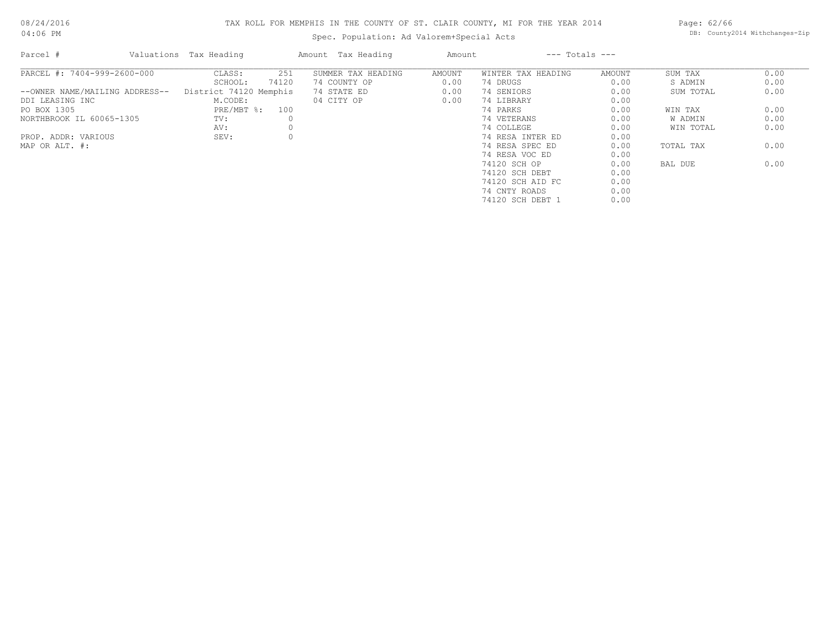# TAX ROLL FOR MEMPHIS IN THE COUNTY OF ST. CLAIR COUNTY, MI FOR THE YEAR 2014

Spec. Population: Ad Valorem+Special Acts

Page: 62/66 DB: County2014 Withchanges-Zip

| Parcel #                       | Valuations Tax Heading |       | Amount Tax Heading | Amount |                    | $---$ Totals $---$ |           |      |
|--------------------------------|------------------------|-------|--------------------|--------|--------------------|--------------------|-----------|------|
| PARCEL #: 7404-999-2600-000    | CLASS:                 | 251   | SUMMER TAX HEADING | AMOUNT | WINTER TAX HEADING | AMOUNT             | SUM TAX   | 0.00 |
|                                | SCHOOL:                | 74120 | 74 COUNTY OP       | 0.00   | 74 DRUGS           | 0.00               | S ADMIN   | 0.00 |
| --OWNER NAME/MAILING ADDRESS-- | District 74120 Memphis |       | 74 STATE ED        | 0.00   | 74 SENIORS         | 0.00               | SUM TOTAL | 0.00 |
| DDI LEASING INC                | M.CODE:                |       | 04 CITY OP         | 0.00   | 74 LIBRARY         | 0.00               |           |      |
| PO BOX 1305                    | PRE/MBT %: 100         |       |                    |        | 74 PARKS           | 0.00               | WIN TAX   | 0.00 |
| NORTHBROOK IL 60065-1305       | TV:                    |       |                    |        | 74 VETERANS        | 0.00               | W ADMIN   | 0.00 |
|                                | AV:                    |       |                    |        | 74 COLLEGE         | 0.00               | WIN TOTAL | 0.00 |
| PROP. ADDR: VARIOUS            | SEV:                   |       |                    |        | 74 RESA INTER ED   | 0.00               |           |      |
| MAP OR ALT. #:                 |                        |       |                    |        | 74 RESA SPEC ED    | 0.00               | TOTAL TAX | 0.00 |
|                                |                        |       |                    |        | 74 RESA VOC ED     | 0.00               |           |      |
|                                |                        |       |                    |        | 74120 SCH OP       | 0.00               | BAL DUE   | 0.00 |
|                                |                        |       |                    |        | 74120 SCH DEBT     | 0.00               |           |      |
|                                |                        |       |                    |        | 74120 SCH AID FC   | 0.00               |           |      |
|                                |                        |       |                    |        | 74 CNTY ROADS      | 0.00               |           |      |
|                                |                        |       |                    |        | 74120 SCH DEBT 1   | 0.00               |           |      |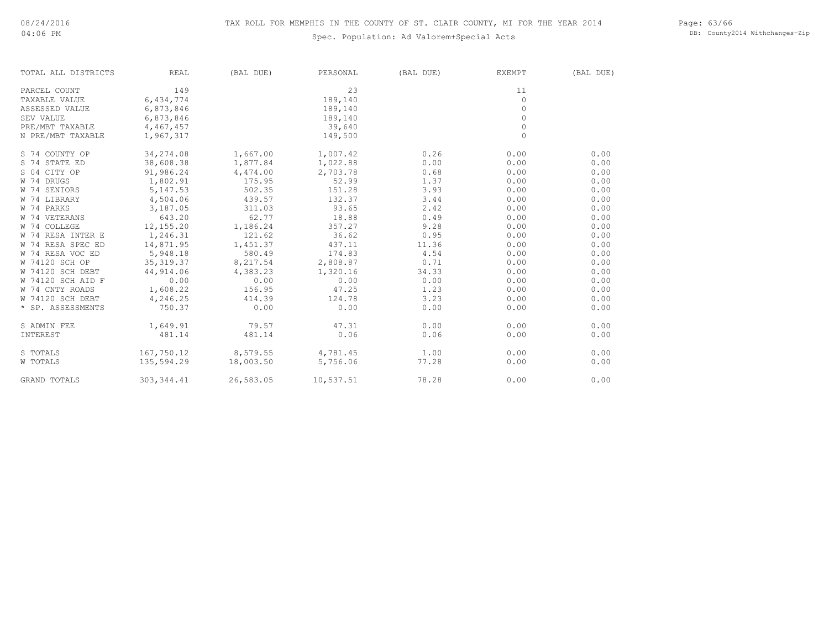# Spec. Population: Ad Valorem+Special Acts

Page: 63/66 DB: County2014 Withchanges-Zip

| TOTAL ALL DISTRICTS | <b>REAL</b> | (BAL DUE) | PERSONAL  | (BAL DUE) | EXEMPT       | (BAL DUE) |
|---------------------|-------------|-----------|-----------|-----------|--------------|-----------|
| PARCEL COUNT        | 149         |           | 23        |           | 11           |           |
| TAXABLE VALUE       | 6,434,774   |           | 189,140   |           | $\Omega$     |           |
| ASSESSED VALUE      | 6,873,846   |           | 189,140   |           | $\Omega$     |           |
| SEV VALUE           | 6,873,846   |           | 189,140   |           | $\Omega$     |           |
| PRE/MBT TAXABLE     | 4,467,457   |           | 39,640    |           | $\circ$      |           |
| N PRE/MBT TAXABLE   | 1,967,317   |           | 149,500   |           | $\mathbf{0}$ |           |
| S 74 COUNTY OP      | 34,274.08   | 1,667.00  | 1,007.42  | 0.26      | 0.00         | 0.00      |
| S 74 STATE ED       | 38,608.38   | 1,877.84  | 1,022.88  | 0.00      | 0.00         | 0.00      |
| S 04 CITY OP        | 91,986.24   | 4,474.00  | 2,703.78  | 0.68      | 0.00         | 0.00      |
| W 74 DRUGS          | 1,802.91    | 175.95    | 52.99     | 1.37      | 0.00         | 0.00      |
| W 74 SENIORS        | 5, 147.53   | 502.35    | 151.28    | 3.93      | 0.00         | 0.00      |
| W 74 LIBRARY        | 4,504.06    | 439.57    | 132.37    | 3.44      | 0.00         | 0.00      |
| W 74 PARKS          | 3,187.05    | 311.03    | 93.65     | 2.42      | 0.00         | 0.00      |
| W 74 VETERANS       | 643.20      | 62.77     | 18.88     | 0.49      | 0.00         | 0.00      |
| W 74 COLLEGE        | 12,155.20   | 1,186.24  | 357.27    | 9.28      | 0.00         | 0.00      |
| W 74 RESA INTER E   | 1,246.31    | 121.62    | 36.62     | 0.95      | 0.00         | 0.00      |
| W 74 RESA SPEC ED   | 14,871.95   | 1,451.37  | 437.11    | 11.36     | 0.00         | 0.00      |
| W 74 RESA VOC ED    | 5,948.18    | 580.49    | 174.83    | 4.54      | 0.00         | 0.00      |
| W 74120 SCH OP      | 35, 319.37  | 8,217.54  | 2,808.87  | 0.71      | 0.00         | 0.00      |
| W 74120 SCH DEBT    | 44,914.06   | 4,383.23  | 1,320.16  | 34.33     | 0.00         | 0.00      |
| W 74120 SCH AID F   | 0.00        | 0.00      | 0.00      | 0.00      | 0.00         | 0.00      |
| W 74 CNTY ROADS     | 1,608.22    | 156.95    | 47.25     | 1.23      | 0.00         | 0.00      |
| W 74120 SCH DEBT    | 4,246.25    | 414.39    | 124.78    | 3.23      | 0.00         | 0.00      |
| * SP. ASSESSMENTS   | 750.37      | 0.00      | 0.00      | 0.00      | 0.00         | 0.00      |
| S ADMIN FEE         | 1,649.91    | 79.57     | 47.31     | 0.00      | 0.00         | 0.00      |
| INTEREST            | 481.14      | 481.14    | 0.06      | 0.06      | 0.00         | 0.00      |
| S TOTALS            | 167,750.12  | 8,579.55  | 4,781.45  | 1.00      | 0.00         | 0.00      |
| W TOTALS            | 135,594.29  | 18,003.50 | 5,756.06  | 77.28     | 0.00         | 0.00      |
| <b>GRAND TOTALS</b> | 303, 344.41 | 26,583.05 | 10,537.51 | 78.28     | 0.00         | 0.00      |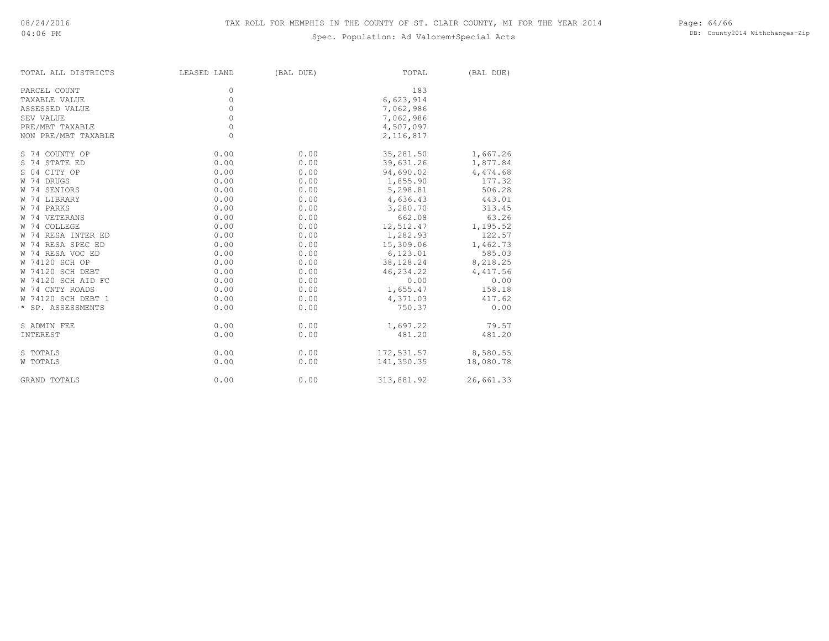# Spec. Population: Ad Valorem+Special Acts

Page: 64/66 DB: County2014 Withchanges-Zip

| TOTAL ALL DISTRICTS | LEASED LAND | (BAL DUE) | TOTAL      | (BAL DUE) |
|---------------------|-------------|-----------|------------|-----------|
| PARCEL COUNT        | 0           |           | 183        |           |
| TAXABLE VALUE       | $\Omega$    |           | 6,623,914  |           |
| ASSESSED VALUE      | $\Omega$    |           | 7,062,986  |           |
| SEV VALUE           | 0           |           | 7,062,986  |           |
| PRE/MBT TAXABLE     | 0           |           | 4,507,097  |           |
| NON PRE/MBT TAXABLE | 0           |           | 2,116,817  |           |
| S 74 COUNTY OP      | 0.00        | 0.00      | 35,281.50  | 1,667.26  |
| S 74 STATE ED       | 0.00        | 0.00      | 39,631.26  | 1,877.84  |
| S 04 CITY OP        | 0.00        | 0.00      | 94,690.02  | 4,474.68  |
| W 74 DRUGS          | 0.00        | 0.00      | 1,855.90   | 177.32    |
| W 74 SENIORS        | 0.00        | 0.00      | 5,298.81   | 506.28    |
| W 74 LIBRARY        | 0.00        | 0.00      | 4,636.43   | 443.01    |
| W 74 PARKS          | 0.00        | 0.00      | 3,280.70   | 313.45    |
| W 74 VETERANS       | 0.00        | 0.00      | 662.08     | 63.26     |
| W 74 COLLEGE        | 0.00        | 0.00      | 12,512.47  | 1,195.52  |
| W 74 RESA INTER ED  | 0.00        | 0.00      | 1,282.93   | 122.57    |
| W 74 RESA SPEC ED   | 0.00        | 0.00      | 15,309.06  | 1,462.73  |
| W 74 RESA VOC ED    | 0.00        | 0.00      | 6,123.01   | 585.03    |
| W 74120 SCH OP      | 0.00        | 0.00      | 38,128.24  | 8,218.25  |
| W 74120 SCH DEBT    | 0.00        | 0.00      | 46,234.22  | 4,417.56  |
| W 74120 SCH AID FC  | 0.00        | 0.00      | 0.00       | 0.00      |
| W 74 CNTY ROADS     | 0.00        | 0.00      | 1,655.47   | 158.18    |
| W 74120 SCH DEBT 1  | 0.00        | 0.00      | 4,371.03   | 417.62    |
| * SP. ASSESSMENTS   | 0.00        | 0.00      | 750.37     | 0.00      |
| S ADMIN FEE         | 0.00        | 0.00      | 1,697.22   | 79.57     |
| INTEREST            | 0.00        | 0.00      | 481.20     | 481.20    |
| S TOTALS            | 0.00        | 0.00      | 172,531.57 | 8,580.55  |
| W TOTALS            | 0.00        | 0.00      | 141,350.35 | 18,080.78 |
| GRAND TOTALS        | 0.00        | 0.00      | 313,881.92 | 26,661.33 |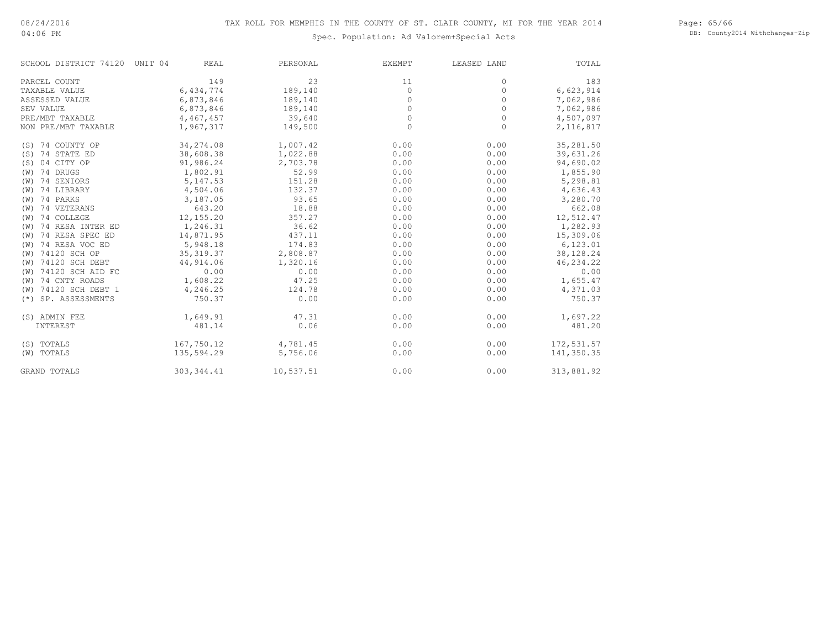04:06 PM

# Spec. Population: Ad Valorem+Special Acts

Page: 65/66 DB: County2014 Withchanges-Zip

| SCHOOL DISTRICT 74120    | UNIT 04<br><b>REAL</b> | PERSONAL  | EXEMPT   | LEASED LAND | TOTAL      |
|--------------------------|------------------------|-----------|----------|-------------|------------|
| PARCEL COUNT             | 149                    | 23        | 11       | $\circ$     | 183        |
| TAXABLE VALUE            | 6,434,774              | 189,140   | $\circ$  | $\circ$     | 6,623,914  |
| ASSESSED VALUE           | 6,873,846              | 189,140   | $\Omega$ | $\circ$     | 7,062,986  |
| SEV VALUE                | 6,873,846              | 189,140   | $\Omega$ | $\circ$     | 7,062,986  |
| PRE/MBT TAXABLE          | 4,467,457              | 39,640    | $\Omega$ | 0           | 4,507,097  |
| NON PRE/MBT TAXABLE      | 1,967,317              | 149,500   | $\Omega$ | $\circ$     | 2,116,817  |
| (S) 74 COUNTY OP         | 34,274.08              | 1,007.42  | 0.00     | 0.00        | 35,281.50  |
| (S) 74 STATE ED          | 38,608.38              | 1,022.88  | 0.00     | 0.00        | 39,631.26  |
| (S) 04 CITY OP           | 91,986.24              | 2,703.78  | 0.00     | 0.00        | 94,690.02  |
| (W) 74 DRUGS             | 1,802.91               | 52.99     | 0.00     | 0.00        | 1,855.90   |
| (W) 74 SENIORS           | 5, 147.53              | 151.28    | 0.00     | 0.00        | 5,298.81   |
| (W) 74 LIBRARY           | 4,504.06               | 132.37    | 0.00     | 0.00        | 4,636.43   |
| (W) 74 PARKS             | 3,187.05               | 93.65     | 0.00     | 0.00        | 3,280.70   |
| (W) 74 VETERANS          | 643.20                 | 18.88     | 0.00     | 0.00        | 662.08     |
| 74 COLLEGE<br>(W)        | 12,155.20              | 357.27    | 0.00     | 0.00        | 12,512.47  |
| 74 RESA INTER ED<br>(W)  | 1,246.31               | 36.62     | 0.00     | 0.00        | 1,282.93   |
| 74 RESA SPEC ED<br>(W)   | 14,871.95              | 437.11    | 0.00     | 0.00        | 15,309.06  |
| 74 RESA VOC ED<br>(W)    | 5,948.18               | 174.83    | 0.00     | 0.00        | 6,123.01   |
| (W) 74120 SCH OP         | 35, 319.37             | 2,808.87  | 0.00     | 0.00        | 38,128.24  |
| (W) 74120 SCH DEBT       | 44,914.06              | 1,320.16  | 0.00     | 0.00        | 46,234.22  |
| 74120 SCH AID FC<br>(W)  | 0.00                   | 0.00      | 0.00     | 0.00        | 0.00       |
| 74 CNTY ROADS<br>(W)     | 1,608.22               | 47.25     | 0.00     | 0.00        | 1,655.47   |
| 74120 SCH DEBT 1<br>(W)  | 4,246.25               | 124.78    | 0.00     | 0.00        | 4,371.03   |
| SP. ASSESSMENTS<br>$(*)$ | 750.37                 | 0.00      | 0.00     | 0.00        | 750.37     |
| (S) ADMIN FEE            | 1,649.91               | 47.31     | 0.00     | 0.00        | 1,697.22   |
| INTEREST                 | 481.14                 | 0.06      | 0.00     | 0.00        | 481.20     |
| (S) TOTALS               | 167,750.12             | 4,781.45  | 0.00     | 0.00        | 172,531.57 |
| (W) TOTALS               | 135,594.29             | 5,756.06  | 0.00     | 0.00        | 141,350.35 |
| <b>GRAND TOTALS</b>      | 303, 344.41            | 10,537.51 | 0.00     | 0.00        | 313,881.92 |